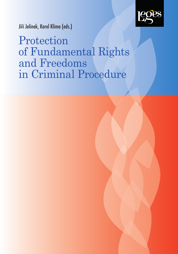

Jiří Jelínek, Karel Klíma (eds.)

Protection of Fundamental Rights and Freedoms in Criminal Procedure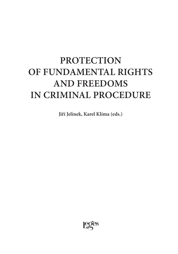# **PROTECTION OF FUNDAMENTAL RIGHTS AND FREEDOMS IN CRIMINAL PROCEDURE**

**Jiří Jelínek, Karel Klíma (eds.)**

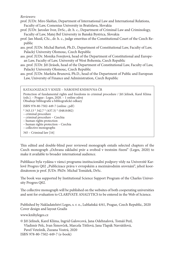*Reviewers:*

- prof. JUDr. Miro Slašťan, Department of International Law and International Relations, Faculty of Law, Comenius University in Bratislava, Slovakia
- prof. JUDr. Jaroslav Ivor, DrSc., dr. h. c., Department of Criminal Law and Criminology, Faculty of Law, Matej Bel University in Banská Bystrica, Slovakia
- prof. Jan Musil, CSc., dr. h. c., judge emeritus of the Constitutional Court of the Czech Republic
- ass. prof. JUDr. Michal Bartoň, Ph.D., Department of Constitutional Law, Faculty of Law, Palacký University Olomouc, Czech Republic
- ass. prof. JUDr. Monika Forejtová, head of the Department of Constitutional and European Law, Faculty of Law, University of West Bohemia, Czech Republic
- ass. prof. JUDr. Jiří Jirásek, head of the Department of Constitutional Law, Faculty of Law, Palacký University Olomouc, Czech Republic
- ass. prof. JUDr. Markéta Brunová, Ph.D., head of the Department of Public and European Law, University of Finance and Administration, Czech Republic

KATALOGIZACE V KNIZE – NÁRODNÍ KNIHOVNA ČR Protection of fundamental rights and freedoms in criminal procedure / Jiří Jelínek, Karel Klíma (eds.). – Prague : Leges, 2020. – 1 online zdroj Obsahuje bibliografie a bibliografické odkazy ISBN 978-80-7502-449-7 (online ; pdf)  $*$  343.13  $*$  342.7  $*$  (437.3)  $*$  (048.8:082) – criminal procedure – criminal procedure – Czechia – human rights protection – human rights protection – Czechia – collective monographs 345 – Criminal law [16]

This edited and double-blind peer reviewed monograph entails selected chapters of the Czech monograph "Ochrana základní práv a svobod v trestním řízení" (Leges, 2020) to make it available to broader international audience.

Publikace byla vydána v rámci programu institucionální podpory vědy na Univerzitě Karlově Progres Q02 "Publicizace práva v evropském a mezinárodním srovnání", jehož koordinátorem je prof. JUDr. PhDr. Michal Tomášek, DrSc.

The book was supported by Institutional Science Support Program of the Charles University Progres Q02.

The collective monograph will be published on the websites of both cooperating universities and sent for evaluation to CLARIVATE ANALYTICS to be entered in the Web of Science.

Published by Nakladatelství Leges, s. r. o., Lublaňská 4/61, Prague, Czech Republic, 2020 [Cover design and la](www.knihyleges.cz)yout Gradis

<www.knihyleges.cz>

© Jiří Jelínek, Karel Klíma, Ingrid Galovcová, Jana Odehnalová, Tomáš Pezl, Vladimír Pelc, Ivan Šimovček, Marcela Tittlová, Jana Tlapák Navrátilová, Pavel Vetešník, Zuzana Vostrá, 2020

ISBN 978-80-7502-449-7 (e-book)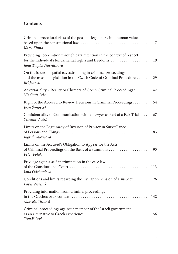## **Contents**

| Criminal procedural risks of the possible legal entry into human values<br>Karel Klíma                                                                    | 7   |
|-----------------------------------------------------------------------------------------------------------------------------------------------------------|-----|
| Providing cooperation through data retention in the context of respect<br>for the individual's fundamental rights and freedoms<br>Jana Tlapák Navrátilová | 19  |
| On the issues of spatial eavesdropping in criminal proceedings<br>and the missing legislation in the Czech Code of Criminal Procedure<br>Jiří Jelínek     | 29  |
| Adversariality - Reality or Chimera of Czech Criminal Proceedings?<br>Vladimír Pelc                                                                       | 42  |
| Right of the Accused to Review Decisions in Criminal Proceedings<br>Ivan Šimovček                                                                         | 54  |
| Confidentiality of Communication with a Lawyer as Part of a Fair Trial<br>Zuzana Vostrá                                                                   | 67  |
| Limits on the Legitimacy of Invasion of Privacy in Surveillance<br>Ingrid Galovcová                                                                       | 83  |
| Limits on the Accused's Obligation to Appear for the Acts<br>Peter Polák                                                                                  | 95  |
| Privilege against self-incrimination in the case law<br>Jana Odehnalová                                                                                   | 113 |
| Conditions and limits regarding the civil apprehension of a suspect<br>Pavel Vetešník                                                                     | 126 |
| Providing information from criminal proceedings<br>Marcela Tittlová                                                                                       | 142 |
| Criminal proceedings against a member of the Israeli government<br>Tomáš Pezl                                                                             | 156 |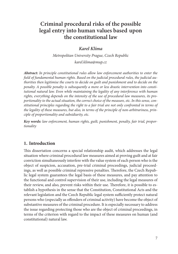# <span id="page-6-0"></span>**Criminal procedural risks of the possible legal entry into human values based upon the constitutional law**

## *Karel Klíma*

*Metropolitan University Prague, Czech Republic karel.klima@mup.cz* 

*Abstract: In principle constitutional rules allow law enforcement authorities to enter the fi eld of fundamental human rights. Based on the judicial procedural rules, the judicial authorities then legitimise the courts to decide on guilt and punishment and to decide on the penalty. A possible penalty is subsequently a more or less drastic intervention into constitutional natural law. Even while maintaining the legality of any interference with human rights, everything depends on the intensity of the use of procedural law measures, its proportionality to the actual situation, the correct choice of the measure, etc. In this sense, constitutional principles regarding the right to a fair trial are not only confronted in terms of the legality of these measures, but also, in terms of the principle of non-arbitrariness, principle of proportionality and subsidiarity, etc.*

*Key words: law enforcement, human rights, guilt, punishment, penalty, fair trial, proportionality*

## **1. Introduction**

This dissertation concerns a special relationship audit, which addresses the legal situation where criminal procedural law measures aimed at proving guilt and at fair conviction simultaneously interfere with the value system of each person who is the object of suspicion, accusation, pre-trial criminal proceedings, judicial proceedings, as well as possible criminal repressive penalties. Therefore, the Czech Republic legal system guarantees the legal basis of these measures, and pay attention to the functional and control supervision of their use, including the legal measures of their review, and also, prevent risks within their use. Therefore, it is possible to establish a hypothesis in the sense that the Constitution, Constitutional Acts and the relevant legislation and the Czech Republic legal system sufficiently protect natural persons who (especially as offenders of criminal activity) have become the object of substantive measures of the criminal procedure. It is especially necessary to address the issue regarding protecting those who are the object of criminal proceedings, in terms of the criterion with regard to the impact of these measures on human (and constitutional) natural law.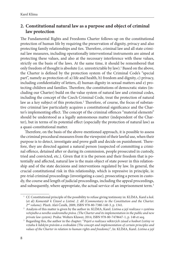## **2. Constitutional natural law as a purpose and object of criminal law protection**

The Fundamental Rights and Freedoms Charter follows-up on the constitutional protection of human life by requiring the preservation of dignity, privacy and also protecting family relationships and ties. Therefore, criminal law and all state criminal law measures, including operationally interventional instruments are aimed at protecting these values, and also at the necessary interference with these values, strictly on the basis of the laws. At the same time, it should be remembered that only freedom of thought is absolute (i.e. unrestrictable by law).<sup>1</sup> Based on the above, the Charter is defined by the protection system of the Criminal Code's "special part", namely as protection of: a) life and health, b) freedom and dignity, c) privacy, including confidentiality of letters, d) human dignity in sexual matters and e) protecting children and families. Therefore, the constitutions of democratic states (including our Charter) build on the value system of natural law and criminal codes, including the concept of the Czech Criminal Code, treat the protection of natural law as a key subject of this protection.<sup>2</sup> Therefore, of course, the focus of substantive criminal law particularly acquires a constitutional significance and the Charter's implementing effect. The concept of the criminal offences "material elements" should be understood as a legally autonomous matter (independent of the Charter), but in terms of its potential effect (especially the protection of natural law) as a quasi-constitutional matter.

Therefore, on the basis of the above-mentioned approach, it is possible to assess the criminal procedural measures from the viewpoint of their lawful use, when their purpose is to detect, investigate and prove guilt and decide on punishment. Therefore, they are directed against a natural person (suspected of committing a criminal offence, detained after or during its commission, people prosecuted in custody, tried and convicted, etc.). Given that it is the person and their freedom that is potentially and affected, natural law is the main object of state power in this relationship and of the state decisions and interventions regulated by law. In general, the crucial constitutional risk in this relationship, which is repressive in principle, is: pre-trial criminal proceedings (investigating a case), prosecuting a person in custody, the course and length of judicial proceedings, including the appeal proceedings, and subsequently, where appropriate, the actual service of an imprisonment term.<sup>3</sup>

<sup>&</sup>lt;sup>1</sup> Cf. Constitutional principle of the possibility to refuse giving testimony in: KLÍMA, Karel a kol. (et al) *Komentář k Ústavě a Listině. 2. díl (Commentary to the Constitution and the Charter. 2nd volume).* Plzeň: Aleš Čeněk, 2009, ISBN 978-80-7380-140-3, p. 1341. 2 Analysis of this matter is given by the author in: KLÍMA, Karel. *Listina a její realizace v systému* 

*veřejného a nového soukromého práva. (The Charter and its implementation in the public and new* 

*private law system).* Praha: Wolters Kluwer, 2014, ISBN 978-80-7478647-1, p. 148 et seq. 3 Regarding this, the author in the chapter: "Pojetí a realizace některých zásad a hodnot Listiny ve *vztahu k lidským právům a svobodám (The concept and implementation of certain principles and values of the Charter in relation to human rights and freedoms)"*, In: KLÍMA, Karel. *Listina a její*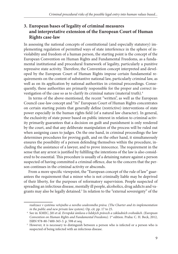## **3. European bases of legality of criminal measures and interpretative extension of the European Court of Human Rights case-law**

In assessing the national concepts of constitutional (and especially statutory) implementing regulation of permitted ways of state interference in the sphere of inviolability and freedom of a human person, the starting point is the concept of the European Convention on Human Rights and Fundamental Freedoms, as a fundamental institutional and procedural framework of legality, particularly a punitive repressive state activity. Therefore, the Convention concept interpreted and developed by the European Court of Human Rights impose certain fundamental requirements on the content of substantive national law, particularly criminal law, as well as on its application by national authorities in criminal proceedings. Consequently, these authorities are primarily responsible for the proper and correct investigation of the case so as to clarify its criminal nature (material truth).4

In terms of the above-mentioned, the recent "written", as well as the European Council case-law concept and "its" European Court of Human Rights concentrates on certain starting points that generally define (restrictive) interventions of state power especially in the human rights field (of a natural law character). In general, the exclusivity of state power based on public interest in relation to criminal activity primarily guarantees that a decision on guilt and punishment is only rendered by the court, and that any deliberate manipulation of the process will be ruled out when assigning cases to judges. On the one hand, in criminal proceedings the law determines procedures for proving guilt, and on the other hand, it simultaneously ensures the possibility of a person defending themselves within the procedure, including the assistance of a lawyer, and to prove innocence. The requirement in the sense that any arrest is justified by fulfilling the intentions of the law is also considered to be essential. This procedure is usually of a detaining nature against a person suspected of having committed a criminal offence, due to the concern that the person continues in the criminal activity or absconds.

From a more specific viewpoint, the "European concept of the rule of law" guarantees the requirement that a minor who is not criminally liable may be deprived of their liberty, for the purposes of reformatory supervision. People suspected of spreading an infectious disease, mentally ill people, alcoholics, drug addicts and vagrants may also be legally detained.<sup>5</sup> In relation to the "external sovereignty" of the

*realizace v systému veřejného a nového soukromého práva. (The Charter and its implementation in the public and new private law system).* Op. cit. pp. 17 to 25. 4 See in: KMEC, Jiří et al. *Evropská úmluva o lidských právech a základních svobodách. (European* 

Convention on Human Rights and Fundamental Freedoms). 1<sup>st</sup> edition. Praha: C. H. Beck, 2012, ISBN 978-80-7400-365-3. p. 598 et seq.<br><sup>5</sup> However, it is necessary to distinguish between a person who is infected or a person who is

suspected of being infected with an infectious disease.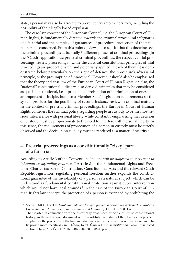state, a person may also be arrested to prevent entry into the territory, including the possibility of their legally based expulsion.

The case-law concept of the European Council, i.e. the European Court of Human Rights, is fundamentally directed towards the criminal procedural safeguards of a fair trial and the complex of guarantees of procedural protection of the natural persons concerned. From this point of view, it is essential that this doctrine sees the criminal proceedings as basically 3 different phases of criminal proceedings (in the "Czech" application as: pre-trial criminal proceedings, the respective trial proceedings, review proceedings), while the classical constitutional principles of trial proceedings are proportionately and potentially applied in each of them (it is demonstrated below particularly on the right of defence, the procedure's adversarial principle, or the presumption of innocence). However, it should also be emphasised that the theory and case law of the European Court of Human Rights, or, also, the "national" constitutional judiciary, also derived principles that may be considered as quasi-constitutional, i.e. – principle of prohibition of incrimination of oneself is an important principle, but also a Member State's legislation requirements so the system provides for the possibility of second-instance review in criminal matters. In the context of pre-trial criminal proceedings, the European Court of Human Rights considers the criminal policy regarding people in custody to be the most serious interference with personal liberty, while constantly emphasising that decision on custody must be proportionate to the need to interfere with personal liberty. In this sense, the requirements of prosecution of a person in custody must be strictly observed and the decision on custody must be rendered as a matter of priority.6

## **4. Pre-trial proceedings as a constitutionally "risky" part of a fair trial**

According to Article 3 of the Convention, "*no one will be subjected to torture or to inhuman or degrading treatment."* Article 8 of the Fundamental Rights and Freedoms Charter (as part of Constitution, Constitutional Acts and the relevant Czech Republic legislation) regulating personal freedom further expands the constitutional guarantee of the inviolability of a person as a natural subject, which can be understood as fundamental constitutional protection against public intervention which would not have legal grounds.<sup>7</sup> In the case of the European Court of Human Rights law concept, the protection of a person is extended by prohibiting the

 <sup>6</sup> See in: KMEC, Jiří et al. *Evropská úmluva o lidských právech a základních svobodách. (European* 

*Convention on Human Rights and Fundamental Freedoms).* Op. cit. p. 508 et seq. 7 The Charter, in connection with the historically established principle of British constitutional history, in the well-known document of the constitutional nature of the "Habeas Corpus act" emphasises the protection of the human individual against the usual risk of misconduct in public power, more specifically in: KLÍMA, Karel. *Ústavní právo*. *(Constitutional law).* 5th updated edition. Plzeň: Aleš Čeněk, 2016, ISBN -80-7380-606-4, p. 496.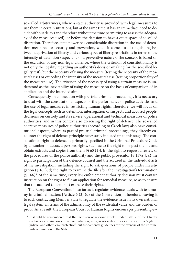so-called arbitrariness, where a state authority is provided with legal measures to use them in certain situations, but at the same time, it has an immediate need to decide without delay (and therefore without the time permitting to assess the adequacy of the measures used), or before the decision to have a quiet space of so-called discretion. Therefore, state power has considerable discretion in the use of detention measures for security and prevention, when it comes to distinguishing between deprivation of liberty and various types of liberty restrictions in terms of the intensity of detention (especially of a preventive nature). The concept is based on the exclusion of any non-legal violence, where the criterion of constitutionality is not only the legality regarding an authority's decision-making (or the so-called legality test), but the necessity of using the measure (testing the necessity of the measure's use) or exceeding the intensity of the measure's use (testing proportionality of the measure's use). The criterion of the necessity of using a certain measure is understood as the inevitability of using the measure on the basis of comparison of its application and the intended aim.

Consequently, in connection with pre-trial criminal proceedings, it is necessary to deal with the constitutional aspects of the performance of police activities and the use of legal measures in restricting human rights. Therefore, we will focus on the legal concepts such as detention, interrogation of suspects and accused people, decisions on custody and its service, operational and technical measures of police authorities, and in this context also exercising the right of defence. The so-called coercive measures of police authorities (according to Czech law) also have constitutional aspects, where as part of pre-trial criminal proceedings, they directly encounter the right of defence principle necessarily induced up to this stage. The constitutional right to defence is primarily specified in the Criminal Procedure Code by a number of accused person's rights, such as: a) the right to inspect the file and obtain extracts and copies from them [§ 65 (1)], b) the right to request a review of the procedures of the police authority and the public prosecutor [§ 157a)], c) the right to participation of the defence counsel and the accused in the individual acts of the investigation, including the right to ask questions of people under investigation  $(\S 165)$ , d) the right to examine the file after the investigation's termination (§ 166).<sup>8</sup> At the same time, every law enforcement authority decision must contain instruction on the right to file an application for remedial measure, so as to ensure that the accused (defendant) exercise their rights.

The European Convention, in so far as it regulates evidence, deals with testimony in criminal matters [Article  $6(3)(d)$  of the Convention]. Therefore, leaving it to each contracting Member State to regulate the evidence issue in its own national legal system, in terms of the admissibility of the evidential value and the burden of proof. As a result, the European Court of Human Rights encourages presenting ev-

 <sup>8</sup> It should be remembered that the inclusion of relevant articles under Title V of the Charter contains a certain conceptual contradiction, as *expressis verbis* it does not concern a "right to judicial and other legal protection" but fundamental guidelines for the exercise of the criminal judicial function of the State.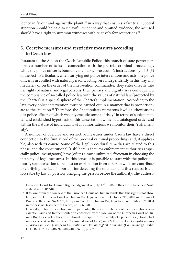idence in favour and against the plaintiff in a way that ensures a fair trial.<sup>9</sup> Special attention should be paid to unlawful evidence and omitted evidence, the accused should have a right to summon witnesses with relatively few restrictions.<sup>10</sup>

## **5. Coercive measures and restrictive measures according to Czech law**

Pursuant to the Act on the Czech Republic Police, this branch of state power performs a number of tasks in connection with the pre-trial criminal proceedings, while the police officer is bound by the public prosecutor's instructions. [cf.  $\frac{1}{2}$  3 (3) of the Act]. Particularly, when carrying out police interventions and acts, the police officer is in conflict with natural persons, acting very independently in this way, immediately or on the order of the intervention commander. They enter directly into the rights of natural and legal persons, their privacy and dignity. As a consequence, the compliance of so-called police law with the values of natural law (protected by the Charter) is a special sphere of the Charter's implementation. According to the law, every police intervention must be carried out in a manner that is proportionate to the situation.<sup>11</sup> Therefore, the Act stipulates numerous lawful authorisations of a police officer, of which we only exclude some as "risky" in terms of subject matter and established hypothesis of this dissertation, while in a catalogued order and within the nature of individual lawful authorisations we monitor their "risk intensity".

A number of coercive and restrictive measures under Czech law have a direct connection to the "initiation" of the pre-trial criminal proceedings and, if applicable, also with its course. Some of the legal procedural remedies are related to this phase, and the constitutional "risk" here is that law enforcement authorities (especially police investigators) have (often) almost unlimited *discretion* in choosing the intensity of legal measures. In this sense, it is possible to start with the police authority's authorisation to request an explanation from a person who can contribute to clarifying the facts important for detecting the offender, and this request is enforceable by law by possibly bringing the person before the authority. The authori-

<sup>&</sup>lt;sup>9</sup> European Court for Human Rights judgement on July 12<sup>th</sup>, 1988 in the case of Schenk v. Swit-

zerland no. 10862/84.<br><sup>10</sup> It follows from the case law of the European Court of Human Rights that this right is not absolute, see the European Court of Human Rights judgement on October 24<sup>th</sup>, 2002 in the case of Pisano v. Italy, no. 36732/97, European Court for Human Rights judgement on May 18<sup>th</sup>, 2004 in the case of Destrehem v. France, no. 56651/00.<br><sup>11</sup> Generally, police intervention and in particular, the issue of intensity of its interventions is an

essential issue and frequent criterion addressed by the case law of the European Court of Human Rights, as part of the constitutional principle of "inviolability of a person", see J. Kratochvíl under clause 4, as the so-called "permitted use of force", in: KMEC, Jiří et al. *Evropská úmluva o lidských právech. (European Convention on Human Rights). Komentář (Commentary).* Praha: C. H. Beck, 2013, ISBN 978-80-7400-365-3, p. 357.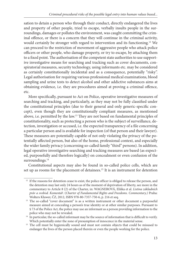sation to detain a person who through their conduct, directly endangered the lives and property of other people, tried to escape, verbally insults people in the surroundings, damages or pollutes the environment, was caught committing the criminal offence, or there is a concern that they will continue in the criminal activity, would certainly be stronger with regard to intervention and its functioning.12 We can proceed to the restriction of movement of aggressive people who attack police officers or other people, who damage property, or try to escape, by attaching them to a fixed point. The authorisation of the competent state authorities to use supportive investigative means for searching and tracking such as cover documents, conspiratorial measures, security technology, using informants etc. may be considered as certainly constitutionally incidental and as a consequence, potentially "risky". Legal authorisation for requiring various professional medical examinations, blood sampling and urine tests to detect alcohol and other addictive substances aims at obtaining evidence, i.e. they are procedures aimed at proving a criminal offence, etc.

More specifically, pursuant to Act on Police, operative investigative measures of searching and tracking, and particularly, as they may not be fully classified under the constitutional principles (due to their general and only generic-specific concept), even though they are constitutionally compliant measures, as mentioned above, i.e. permitted by the law.<sup>13</sup> They are not based on fundamental principles of constitutionality, such as protecting a person who is the subject of surveillance, detection, investigation or accused, i.e. the expected transparency of a file concerning a particular person and is available for inspection (of that person and their lawyer). These measures are potentially capable of not only violating the privacy of the potentially affected person, but also of the home, professional context, and especially the wider family privacy (concerning so-called family "third" persons). In addition, legal operative investigative searching and tracking measures are based (as expected, purposefully and therefore logically) on concealment or even confusion of the surroundings.<sup>14</sup>

Constitutional aspects may also be found in so-called police cells, which are set up as rooms for the placement of detainees.<sup>15</sup> It is an instrument for detention

<sup>&</sup>lt;sup>12</sup> If the reasons for detention cease to exist, the police officer is obliged to release the person, and the detention may last only 24 hours as of the moment of deprivation of liberty, see more in the commentary to Article 8 (2) of the Charter, in: WAGNEROVÁ, Eliška et al. *Listina základních práv a svobod. Komentář*. (*Charter of Fundamental Rights and Freedoms. Commentary.)* Praha:

<sup>&</sup>lt;sup>13</sup> The so-called "cover document" is as a written instrument or other document a purposeful measure aimed at concealing a person's true identity or at other similar purposes. Pursuant to § 73 of the Police Act, the police may use an informant as a person providing information to the police who may not be revealed.<br><sup>14</sup> In particular, the so-called informant may be the source of information that is difficult to verify.

Which potentially enter the zone of presumption of innocence in the material sense. 15 The cell must be hygienically sound and must not contain objects that could be misused to endanger the lives of the person placed therein or even the people working for the police.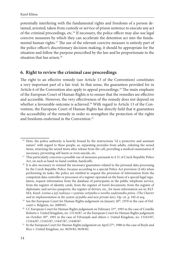potentially interfering with the fundamental rights and freedoms of a person detained, arrested, taken from custody or service of prison sentence to execute any act of the criminal proceedings, etc.<sup>16</sup> If necessary, the police officer may also use legal coercive measures by which they can accelerate the detention act into the fundamental human rights.<sup>17</sup> The use of the relevant coercive measure is entirely part of the police officer's discretionary decision-making, it should be appropriate for the situation and follow the purpose prescribed by the law and be proportionate to the situation that has arisen.<sup>18</sup>

## **6. Right to review the criminal case proceedings**

The right to an effective remedy (see Article 13 of the Convention) constitutes a very important part of a fair trial. In that sense, the guarantees provided for in Article 6 of the Convention also apply to appeal proceedings.<sup>19</sup> The main emphasis of the European Court of Human Rights is to ensure that the remedies are effective and accessible. However, the very effectiveness of the remedy does not depend on whether a favourable outcome is achieved.<sup>20</sup> With regard to Article 13 of the Convention, the European Court of Human Rights has directly held that it guarantees the accessibility of the remedy in order to strengthen the protection of the rights and freedoms enshrined in the Convention.<sup>21</sup>

<sup>&</sup>lt;sup>16</sup> Here, the police authority is heavily bound by the instructions "of a protective and assistant nature" with regard to these people, as: separating juveniles from adults, enlisting the seized items, returning the seized items after release from the cell, providing a medical examination if

necessary, preventing self-harm or even suicide, etc.<br><sup>17</sup> This particularly concerns a possible use of measures pursuant to § 51 of Czech Republic Police

Act, on such as hand-to-hand combat, handcuffs.<br><sup>18</sup> It is also necessary to remind the necessary guarantees related to the personal data processing by the Czech Republic Police, because according to a special Police Act provision (§ 66) when performing its tasks, the police are entitled to request the provision of information from the competent data controller or processor of a register operated on the basis of a special legal regulation, request information from the database of participants in the public telephone service, from the register of identity cards, from the register of travel documents, from the register of diplomatic and service passports, the register of drivers, etc., for more information see in: KLÍ-MA, Karel. *Listina a její realizace v systému veřejného a nového soukromého práva. (The Charter* 

*and its implementation in the system of public and new private law)*. Op. cit. p. 185 et seq. <sup>19</sup> See the European Court for Human Rights judgement on January 20<sup>th</sup>, 1970 in the case of Del-

court v. Belgium, no. 2689/65.<br><sup>20</sup> Cf. European Court for Human Rights judgement on February 23<sup>rd</sup>, 1993 in the case of Costello Roberts v. United Kingdom, no. 13134/87, or the European Court for Human Rights judgement on October 30<sup>th</sup>, 1991 in the case of Vilvarajah and others v. United Kingdom, no. 13163/87;

<sup>13164/87; 13165/87; 13447/87; 13448/87.&</sup>lt;br><sup>21</sup> In the European Court for Human Rights judgement on April 27<sup>th</sup>, 1988 in the case of Boyle and Rice v. United Kingdom, no. 9659/82; 9658/82.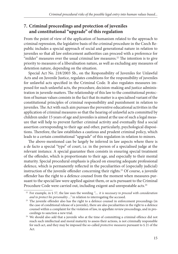## **7. Criminal proceedings and protection of juveniles and constitutional "upgrade" of this regulation**

From the point of view of the application of humanism related to the approach to criminal repression, the legislative basis of the criminal procedure in the Czech Republic includes a special approach of social and generational nature in relation to juveniles so that all law enforcement authorities can proceed with a preference for "milder" measures over the usual criminal law measures.<sup>22</sup> The intention is to give priority to measures of a liberalisation nature, as well as excluding any measures of detention nature, depending on the situation.

Special Act No. 218/2003 Sb., on the Responsibility of Juveniles for Unlawful Acts and on Juvenile Justice, regulates conditions for the responsibility of juveniles for unlawful acts specified in the Criminal Code. It also regulates measures imposed for such unlawful acts, the procedure, decision-making and justice administration in juvenile matters. The relationship of this law to the constitutional protection of human values consists in the fact that its matter is a specialised variant of the constitutional principles of criminal responsibility and punishment in relation to juveniles. The Act with such aim pursues the preventive educational activities in the application of criminal measures so that the hearing of unlawful acts committed by children under 15 years of age and juveniles is aimed at the use of such a legal measure that will help to prevent further criminal activity and eventually find a social assertion corresponding to their age and other, particularly, psychological dispositions. Therefore, the law establishes a cautious and prudent criminal policy, which leads to a certain constitutional "upgrade" of this regulation in relation to minors.

The above-mentioned can be largely be inferred in law aspects where there is a de facto a special "type" of court, i.e. in the person of a specialised judge at the relevant instance. A special guarantee then consists in ensuring special treatment of the offender, which is proportionate to their age, and especially to their mental maturity. Special procedural emphasis is placed on ensuring adequate professional defence, which is permanently reflected in the peculiarities of (especially judicial) instruction of the juvenile offender concerning their rights.<sup>23</sup> Of course, a juvenile offender has the right to a defence counsel from the moment when measures pursuant to the special law were applied against them, or acts pursuant to the Criminal Procedure Code were carried out, including exigent and unrepeatable acts.<sup>24</sup>

 <sup>22</sup> For example, in § 57, the law uses the wording *".... it is necessary to proceed with consideration* 

*and to protect his personality ..."* in relation to interrogating the accused. 23 The juvenile offender also has the right to a defence counsel in enforcement proceedings (in the case of conditional release of a juvenile), there are also peculiarities in the right to a defence counsel within a complaint for the violation of law, in appellate review proceedings, and in proceedings to sanction a new trial. 24 We should also add that a juvenile who at the time of committing a criminal offence did not

reach such intellectual and moral maturity to assess their actions, is not criminally responsible for such act, and they may be imposed the so-called *protective measures* pursuant to § 21 of the Act.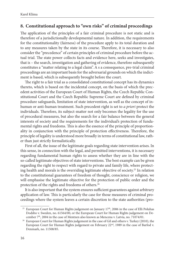## **8. Constitutional approach to "own risks" of criminal proceedings**

The application of the principles of a fair criminal procedure is not static and is therefore of a jurisdictionally developmental nature. In addition, the requirements for the constitutionality (fairness) of the procedure apply to its total duration and to any measures taken by the state in its course. Therefore, it is necessary to also consider the "precedence" of certain principles of criminal procedure before the actual trial. The state power collects facts and evidence here, seeks and investigates, that is – the search, investigation and gathering of evidence, therefore subsequently constitutes a "matter relating to a legal claim". A s a consequence, pre-trial criminal proceedings are an important basis for the adversarial grounds on which the indictment is based, which is subsequently brought before the court.

The right to a fair trial as a consolidated constitutional concept has its dynamics thereto, which is based on the incidental concept, on the basis of which the precedent activities of the European Court of Human Rights, the Czech Republic Constitutional Court and the Czech Republic Supreme Court are defined by criminal procedure safeguards, limitation of state intervention, as well as the concept of inhuman or anti-human treatment. Such precedent right is set to *a priori* protect the individuals. Therefore, its subject-matter not only becomes the legality for the use of procedural measures, but also the search for a fair balance between the general interests of society and the requirements for the individual's protection of fundamental rights and freedoms. This is also the essence of the principle of proportionality in conjunction with the principle of protection effectiveness. Therefore, the principle of legality is understood more broadly in terms of constitutional law, rather than just strictly formalistically.

First of all, the issue of the legitimate goals regarding state intervention arises. In this sense, in connection with the legal, and permitted interventions, it is necessary regarding fundamental human rights to assess whether they are in line with the so-called legitimate objectives of state interventions. The best example can be given regarding the right to respect with regard to private and family life, where protecting health and morals is the overriding legitimate objective of society.<sup>25</sup> In relation to the constitutional guarantees of freedom of thought, conscience or religion, we will emphasise the legitimate objective for the protection of public order and the protection of the rights and freedoms of others.<sup>26</sup>

It is also important that the system ensures sufficient guarantees against arbitrary application of law. This is particularly the case for those measures of criminal proceedings where the system leaves a certain discretion to the state authorities (pro-

<sup>&</sup>lt;sup>25</sup> European Court for Human Rights judgement on January  $17<sup>th</sup>$ , 2006 in the case of Elli Poluhas Dodsbo v. Sweden, no. 61564/00, or the European Court for Human Rights judgement on De-

cember 7<sup>th</sup>, 2004 in the case of Mentzen also known as Mencena v. Latvia, no. 71074/01.<br><sup>26</sup> European Court for Human Rights judgement in the case of Gil and others v. Turkey (2010), the European Court for Human Rights judgement on February 22<sup>nd</sup>, 1989 in the case of Barfod v. Denmark, no. 11508/85.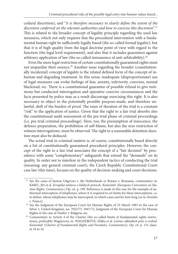cedural discretion), and "*it is therefore necessary to clearly define the extent of the discretion conferred on the relevant authorities and how to exercise this discretion"*. 27 This is related to the broader concept of legality principle regarding the used law measures, which not only requires that the procedural intervention with a fundamental human right be sufficiently legally based (the so-called formal legality), but that it is of high quality from the legal doctrine point of view with regard to the function (the legal level requirement), and also that it includes guarantees against arbitrary application of law (the so-called immanence of anti-arbitrability).<sup>28</sup>

Even the mere legal restriction of certain constitutionally guaranteed rights must not jeopardise their essence.<sup>29</sup> Another issue regarding the broader (constitutionally incidental) concept of legality is the related defined form of the concept of inhuman and degrading treatment. In this sense, inadequate (disproportionate) use of legal measures can evoke feelings of fear, anxiety, inferiority, coercion, mental blackmail, etc. There is a constitutional guarantee of possible refusal to give testimony but conducted interrogation and operative coercive circumstances and the facts presented by police may as a result discourage exercising this right. It is also necessary to object to the potentially possible purpose-made, and therefore unlawful, shift of the burden of proof. The issue of duration of the trial is a constant "risk" to the application of justice. Given that the right to a fair trial absorbs also the constitutional-audit assessment of the pre-trial phase of criminal proceedings (i.e. pre-trial criminal proceedings). Here, too, the presumption of innocence, the defence preparation, the prohibition of self-blame, but also the non-restriction of witness interrogations, must be observed. The right to a reasonable detention duration must also be deduced.

The actual trial in criminal matters is, of course, constitutionally based directly on a list of constitutionally guaranteed procedural principles. However, the concept of the right to a fair trial associates the concept of a "fair decision" by precedence with some "complementary" safeguards that extend the "demands" on its quality. In order not to interfere in the independent tactics of conducting the trial (meaning: any general criminal court), the Czech Republic Constitutional Court case law (this time), focuses on the quality of decision-making and court decisions.

<sup>&</sup>lt;sup>27</sup> See the cases of Samon Uitgevers v. the Netherlands or Rotaru v. Romania, commentary in: KMEC, Jiří et al. *Evropská úmluva o lidských právech. Komentář. (European Convention on Human Rights. Commentary.)* Op. cit. p. 109. Reference is made in this way for the example of authorised interception of telephones, where it is required to set limits for these interceptions, i.e. to define: whose telephones may be intercepted, in which cases and for how long (so in: Kruslin

v. France). 28 See the Judgment of the European Court for Human Rights of 25 March 1983 in the case of Silver v. United Kingdom, no. 7052/75, 5947/72, Judgment of the European Court for Human Rights in the case al-Nashiv v. Bulgaria, etc. 29 Commentary to Article 4 of the Charter (the so-called limits of fundamental rights restric-

tions), preferably Wagnerová, in. WAGNEROVÁ, Eliška et al. *Listina základnch práv a svobod. Komentář.* (*Charter of Fundamental Rights and Freedoms. Commentary).* Op. cit. p. 131 clauses 34 to 42.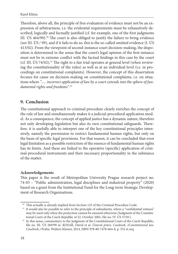Therefore, above all, the principle of free evaluation of evidence must not be an expression of arbitrariness, i.e. the evidential requirements must be exhaustively described, logically and factually justified (cf. for example, one of the first judgments III. ÚS  $464/99$ ).<sup>30</sup> The court is also obliged to justify the failure to bring evidence (see III. ÚS / 99), and if it fails to do so, this is the so-called omitted evidence (I. ÚS 413/02). From the viewpoint of second-instance court decision-making, the disposition is determined in the sense that the court's legal opinion of the first instance must not be in extreme conflict with the factual findings in this case by the court (cf. III. ÚS 74/02).<sup>31</sup> The right to a fair trial operates at general level (when reviewing the constitutionality of the rules) as well as at an individual level (i.e. in proceedings on constitutional complaints). However, the concept of this dissertation focuses for cause on decision-making on constitutional complaints, i.e. on situations where *"..... incorrect application of law by a court extends into the sphere of fundamental rights and freedoms"*. 32

## **9. Conclusion**

The constitutional approach to criminal procedure clearly enriches the concept of the rule of law and simultaneously makes it a judicial-procedural application model. As a consequence, the concept of applied justice has a dynamic nature, therefore not only developing legislation but also its own constitutional safeguards. Therefore, it is usefully able to interpret one of the key constitutional principles intensively, namely the permission to restrict fundamental human rights, but only on the basis of specific legal provisions. For that reason, it can be concluded that even legal limitation as a possible restriction of the essence of fundamental human rights has its limits. And these are linked to the operative (specific) application of criminal-procedural instruments and their necessary proportionality in the substance of the matter.

#### **Acknowledgements**

This paper is the result of Metropolitan University Prague research project no. 74-03 – "Public administration, legal disciplines and industrial property" (2020) based on a grant from the Institutional Fund for the Long-term Strategic Development of Research Organisations.

<sup>&</sup>lt;sup>30</sup> This actually is already implied from Section 125 of the Criminal Procedure Code.<br><sup>31</sup> It would also be possible to refer to the principle of subsidiarity, where a "confidential witness" may be used only when the protection cannot be ensured otherwise (Judgment of the Constitu-

tional Court of the Czech Republic of 22. October 2001, file no. IV. ÚS 37/01). 32 In this sense, commentary to the Judgment of the Constitutional Court of the Czech Republic, file no. III. ÚS 269/99 in. KOSAŘ, David et al. *Ústavní právo. Casebook. (Constitutional law. Casebook.)* Praha: Wolters Kluwer, 2014, ISBN 978-80-7478-664-8, p. 552 et seq.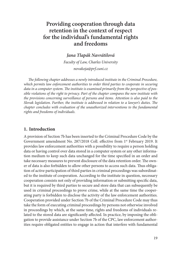# <span id="page-18-0"></span>**Providing cooperation through data retention in the context of respect for the individual's fundamental rights and freedoms**

## *Jana Tlapák Navrátilová*

*Faculty of Law, Charles University novakoja@prf.cuni.cz*

The following chapter addresses a newly introduced institute in the Criminal Procedure, *which permits law enforcement authorities to order third parties to cooperate in securing*  data in a computer system. The institute is examined primarily from the perspective of pos*sible violations of the right to privacy. Part of the chapter compares the new institute with the provisions concerning surveillance of persons and items. Attention is also paid to the Slovak legislation. Further, the institute is addressed in relation to a lawyer's duties. The chapter concludes with evaluation of the unauthorized interventions to the fundamental rights and freedoms of individuals.*

#### **1. Introduction**

A provision of Section 7b has been inserted to the Criminal Procedure Code by the Government amendment No. 287/2018 Coll. effective from 1<sup>st</sup> February 2019. It provides law enforcement authorities with a possibility to require a person holding data or having control over data stored in a computer system or any other information medium to keep such data unchanged for the time specified in an order and take necessary measures to prevent disclosure of the data retention order. The owner of data is also forbidden to allow other persons to access such data. Thus obligation of active participation of third parties in criminal proceedings was subordinated to the institute of cooperation. According to the institute in question, necessary cooperation consists not only of providing information or submitting specifi c data, but it is required by third parties to secure and store data that can subsequently be used in criminal proceedings to prove crime, while at the same time the cooperating party is forbidden to disclose the activity of the law enforcement authorities. Cooperation provided under Section 7b of the Criminal Procedure Code may thus take the form of executing criminal proceedings by persons not otherwise involved in proceedings by which, at the same time, rights and freedoms of individuals related to the stored data are significantly affected. In practice, by imposing the obligation to provide assistance under Section 7b of the CPC, law enforcement authorities require obligated entities to engage in action that interfere with fundamental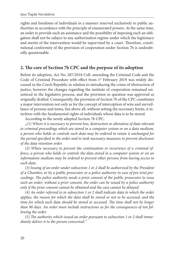rights and freedoms of individuals in a manner reserved exclusively to public authorities in accordance with the principle of enumerated powers. At the same time, an order to provide such an assistance and the possibility of imposing such an obligation shall not be subject to any authorization regime under which the legitimacy and merits of the intervention would be supervised by a court. Therefore, constitutional conformity of the provision of cooperation under Section 7b is undoubtedly questionable.

### 2. The core of Section 7b CPC and the purpose of its adoption

Before its adoption, Act No. 287/2018 Coll. amending the Criminal Code and the Code of Criminal Procedure with effect from 1<sup>st</sup> February 2019 was widely discussed in the Czech Republic in relation to introducing the crime of obstruction of justice, however the changes regarding the institute of cooperation remained unnoticed in the legislative process, and the provision in question was approved as originally drafted. Consequently, the provision of Section 7b of the CPC constitutes a major intervention not only as for the concept of interception of wire and surveillance of persons and items, but above all, without setting the necessary limits, it interferes with the fundamental rights of individuals whose data is to be stored.

According to the newly adopted Section 7b CPC:

"*(1) Where it is necessary to prevent loss, destruction or alteration of data relevant to criminal proceedings which are stored in a computer system or on a data medium, a person who holds or controls such data may be ordered to retain it unchanged for the period specified in the order and to took necessary measures to prevent disclosure of the data retention order.*

*(2) Where necessary to prevent the continuation or recurrence of a criminal offence, a person who holds or controls the data stored in a computer system or on an information medium may be ordered to prevent other persons from having access to such data.*

*(3) Issuing of an order under subsection 1 or 2 shall be authorized by the President of a Chamber, or by a public prosecutor or a police authority in case of pre-trial proceedings. The police authority needs a prior consent of the public prosecutor to issue such an order; without a prior consent, the order can be issued by a police authority only if the prior consent cannot be obtained and the case cannot be delayed.*

*(4) An order referred to in subsection 1 or 2 shall indicate data to which the order applies, the reason for which the data shall be stored or not to be accessed, and the time for which such data should be stored or accessed. The time shall not be longer than 90 days. An order must include instructions as for the consequences of not following the order.*

(5) The authority which issued an order pursuant to subsection 1 or 2 shall imme*diately deliver it to the person concerned."*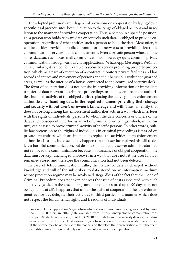The adopted provision extends general provisions on cooperation by laying down specific legal prerequisites, both in relation to the range of obliged persons and in relation to the manner of providing cooperation. Thus, a person in a specific position, i.e. a person who holds relevant data or controls such data, is obliged to provide cooperation, regardless of what entitles such a person to hold the data. Most often, it will be entities providing public communication networks or providing electronic communication services, but it can be anyone. Even a private person whose phone stores data such as photos, mail communication, or nowadays quite common private communication through various chat applications (WhatsApp, Messenger, WeChat, etc.). Similarly, it can be, for example, a security agency providing property protection, which, as a part of execution of a contract, monitors private facilities and has records of entries and movement of persons and their behaviour within the guarded areas, as well as the interior of a house, connected to the centralized security desk.<sup>1</sup> The form of cooperation does not consist in providing information or immediate transfer of data relevant to criminal proceedings to the law enforcement authorities, but in an activity of the obliged entity replacing the activity of law enforcement authorities, **i.e. handling data in the required manner, providing their storage**  and security without user's or owner's knowledge and will. Thus, an entity that does not belong among law enforcement authorities acts in a way which interferes with the rights of individuals, persons to whom the data concerns or owners of the data, and consequently performs an act of criminal proceedings, which, in the future, can be used to prove criminal activity of specific persons. In other words, public-law pretension to the rights of individuals in criminal proceedings is passed on private-law entities, which are intended to replace the activities of law enforcement authorities. In a specific case, it may happen that the user has realized his will to delete a harmful communication, but despite of that fact the server administrator had not removed the communication because, in pursuance of obliged cooperation, the data must be kept unchanged, moreover in a way that does not let the user know it remained stored and therefore the communication had not been deleted.

In case of telecommunication traffic, the nature of data is changed without knowledge and will of the subscriber, to data stored on an information medium whose protection regime may be weakened. Regardless of the fact that the Code of Criminal Procedure does not even address the issue of costs associated with such an activity (which in the case of large amounts of data stored up to 90 days may not be negligible at all). It appears that under the guise of cooperation, the law enforcement authorities delegate their activities to third parties in a manner which does not respect the fundamental rights and freedoms of individuals.

 <sup>1</sup> For example the application MyJablotron which allows remote monitoring was used by more [than 100,000 users in 2016 \(data available from: https://www.jablotron.com/en/aboutron](https://www.jablotron.com/en/aboutroncompany/#jablotron-v-cislach)company/#jablotron-v-cislach, as of 11. 3. 2020) The data from their security devices, including cameras, are stored in the cloud storage of Jablotron, i.e. even this data in relation to any user of the service may be of interest to the police, and therefore their preservation and subsequent extradition may be requested only on the basis of a request for cooperation.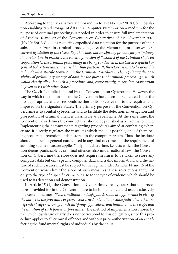According to the Explanatory Memorandum to Act No. 287/2018 Coll., legislation enabling rapid storage of data in a computer system or on a medium for the purpose of criminal proceedings is needed in order to ensure full implementation of Articles 16 and 29 of the Convention on Cybercrime of 23rd November 2001 (No 104/2013 Coll. i.t.) requiring expedited data retention for the purpose of their subsequent seizure in criminal proceedings. As the Memorandum observes: *"the current legislation of the Czech Republic does not specifi cally provide for preliminary data retention. In practice, the general provision of Section 8 of the Criminal Code on cooperation (if the criminal proceedings are being conducted in the Czech Republic) or general police procedures are used for that purpose. It, therefore, seems to be desirable*  to lay down a specific provision in the Criminal Procedure Code, regulating the pos*sibility of preliminary storage of data for the purpose of criminal proceedings, which would clearly allow for such a procedure, and, consequently, to regulate cooperation in given cases with other States."*

The Czech Republic is bound by the Convention on Cybercrime. However, the way in which the obligations of the Convention have been implemented is not the most appropriate and corresponds neither to its objective nor to the requirements imposed on the signatory States. The primary purpose of the Convention on Cybercrime is to combat cybercrime and to facilitate the detection, investigation and prosecution of criminal offences classifiable as cybercrime. At the same time, the Convention also defines the conduct that should be punished as a criminal offence. Implementing the commitments regarding procedures aimed at combating cybercrime, it directly regulates the institutes which make it possible, one of them being accelerated retention of data stored in the computer system. Thus, the institute should not be of a general nature used in any kind of crime, but the requirement of adopting such a measure applies "only" to cybercrime, i.e. acts which the Convention deems punishable as criminal offences also under national law. The Convention on Cybercrime therefore does not require measures to be taken to store any computer data but only specific computer data and traffic information, and the nature of such measures must be subject to the regime under Articles 14 and 15 of the Convention which limit the scope of such measures. These restrictions apply not only to the type of a specific crime but also to the type of evidence which should be used to its detection and demonstration.

In Article 15 (1), the Convention on Cybercrime directly states that the procedures provided for in the Convention are to be implemented and used exclusively in a certain manner: *"Such conditions and safeguards shall, as appropriate in view of the nature of the procedure or power concerned, inter alia, include judicial or other independent supervision, grounds justifying application, and limitation of the scope and the duration of such power or procedure.*" The method of implementation chosen by the Czech legislature clearly does not correspond to this obligation, since this procedure applies to all criminal offences and without prior authorization of an act affecting the fundamental rights of individuals by the court.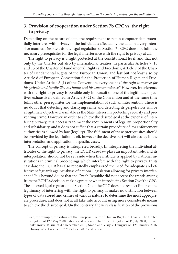## **3. Provision of cooperation under Section 7b CPC vs. the right to privacy**

Depending on the nature of data, the requirement to retain computer data potentially interferes with privacy of the individuals affected by the data in a very intensive manner. Despite this, the legal regulation of Section 7b CPC does not fulfi l the necessary prerequisites for the legal interference with the right to privacy at all.

The right to privacy is a right protected at the constitutional level, and that not only by the Charter but also by international treaties, in particular Articles 7, 10 and 13 of the Charter of Fundamental Rights and Freedoms, Article 7 of the Charter of Fundamental Rights of the European Union, and last but not least also by Article 8 of European Convention for the Protection of Human Rights and Freedoms. Under Article 8 (1) of the Convention, everyone has "*the right to respect for his private and family life, his home and his correspondence*." However, interference with the right to privacy is possible only in pursuit of one of the legitimate objectives exhaustively defined in Article 8 (2) of the Convention and at the same time fulfils other prerequisites for the implementation of such an intervention. There is no doubt that detecting and clarifying crime and detecting its perpetrators will be a legitimate objective classifiable as the State interest in protecting security and preventing crime. However, in order to achieve the desired goal at the expense of interfering privacy, it is necessary to meet the requirements of legality, proportionality and subsidiarity, and it does not suffice that a certain procedure of law enforcement authorities is allowed by law (legality). The fulfilment of these prerequisites should be provided by the legislation itself, however the decisive part will always lay in the interpretation and application in specific cases.

The concept of privacy is interpreted broadly. In interpreting the individual attributes of the right to privacy, the ECHR case-law plays an important role, and its interpretation should not be set aside when the institute is applied by national institutions in criminal proceedings which interfere with the right to privacy. In its case-law, the ECHR has also repeatedly emphasized the need for adequate and effective safeguards against abuse of national legislation allowing for privacy interference.<sup>2</sup> It is beyond doubt that the Czech Republic did not accept the trends arising from the ECHR's decision-making practice when introducing Section 7b of the CPC. The adopted legal regulation of Section 7b of the CPC does not respect limits of the legitimacy of interfering with the right to privacy. It makes no distinction between types of data stored and crimes of various natures to determine the most appropriate procedure, and does not at all take into account using more considerate means to achieve the desired goal. On the contrary, the very classification of the provisions

 <sup>2</sup> See, for example, the rulings of the European Court of Human Rights in Khan v. The United Kingdom of 12<sup>th</sup> May 2000, Liberty and others v. The United Kingdom of 1<sup>st</sup> July 2008, Roman Zakharov v. Russia of 4<sup>th</sup> December 2015, Szabó and Vissy v. Hungary on 12<sup>th</sup> January 2016, Dragojević v. Croatia on 25<sup>th</sup> October 2016 and others.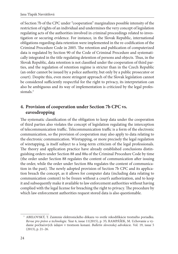of Section 7b of the CPC under "cooperation" marginalizes possible intensity of the restriction of rights of an individual and undermines the very concept of legislation regulating acts of the authorities involved in criminal proceedings related to investigation or securing evidence. For instance, in the Slovak Republic, international obligations regarding data retention were implemented in the re-codification of the Criminal Procedure Code in 2005. The retention and publication of computerized data is regulated by Section 90 of the Code of Criminal Procedure and systematically integrated in the title regulating detention of persons and objects. Thus, in the Slovak Republic, data retention is not classified under the cooperation of third parties, and the regulation of retention regime is stricter than in the Czech Republic (an order cannot be issued by a police authority, but only by a public prosecutor or court). Despite this, even more stringent approach of the Slovak legislation cannot be considered sufficiently respectful for the right to privacy, its interpretation can also be ambiguous and its way of implementation is criticized by the legal professionals<sup>3</sup>

## **4. Provision of cooperation under Section 7b CPC vs. eavesdropping**

The systematic classification of the obligation to keep data under the cooperation of third parties also violates the concept of legislation regulating the interception of telecommunication traffic. Telecommunication traffic is a form of the electronic communication, so the provision of cooperation may also apply to data relating to the electronic communication. Wiretapping, or more precisely the legal regulation of wiretapping, is itself subject to a long-term criticism of the legal professionals. The theory and application practice have already established conclusions distinguishing orders under Section 88 and 88a of the Criminal Procedure Code by time (the order under Section 88 regulates the content of communication after issuing the order, while the order under Section 88a regulates the content of communication in the past). The newly adopted provision of Section 7b CPC and its application breach the concept, as it allows for computer data (including data relating to communication content) to be frozen without a court's authorization, and to keep it and subsequently make it available to law enforcement authorities without having complied with the legal license for breaching the right to privacy. The procedure by which law enforcement authorities request stored data is also questionable.

 <sup>3</sup> ABELOVSKÝ, T. Zaistenie elektronického dôkazu vo svetle rekodifikácie trestného poriadku. *Revue pro právo a technologie.* Year 6, issue 11(2015), p. 35; RAMPÁŠEK, M. Uchovanie a vydanie počítačových údajov v trestnom konaní. *Bulletin slovenskej advokácie*. Vol. 19, issue 5 (2013), p. 21–26.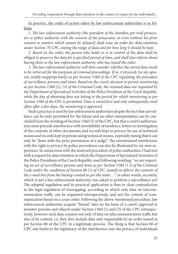In practice, the order of action taken by law enforcement authorities is as follows:

1. The law enforcement authority (the president of the chamber, pre-trial prosecu*tor or police authority with the consent of the prosecutor, or even without his prior consent in matters which cannot be delayed) shall issue an order for data retention under Section 7b CPC, stating the range of data and for how long it should be kept.*

*2. Based on the order, the person who holds or is in control of the data shall be obliged to preserve the data for a specified period of time, and shall also inform about having done so the law enforcement authority who has issued the order.*

3. The law enforcement authority will then consider whether the stored data needs *to be retrieved for the purposes of criminal proceedings. If so, it proceeds (in my opinion, totally inappropriately) as per Section 158d of the CPC regulating the procedure of surveillance persons and items. Based on the court's decision to permit monitoring as per Section 158d (1), (3) of the Criminal Code, the retained data are requested by the Department of Specialized Activities of the Police Presidium of the Czech Republic, while the day of obtaining does not belong to the period for which monitoring as per*  Section 158d of the CPC is permitted. Data is stored first and only subsequently, most often after a few days, the monitoring is approved.

Such a practice is used by law enforcement authorities despite the fact that surveillance can be only permitted for the future and no other interpretation can be concluded from the wording of Section 158d (3) of the CPC, but that a court's authorization must precede interference with inviolability of residence, letters or investigation of the contents of other documents and records kept in privacy by use of technical means and records kept in private using technical means, expressly stating that it can only be "done with the prior permission of a judge". The unrestrained interference with the right to privacy by police procedures can also be illustrated by my own experience. In connection with the analysed procedure of police authorities, I had met with a request for data retention in which the Department of Specialized Activities of the Police Presidium of the Czech Republic used following wording: "*we are requesting an act of surveillance persons and items as per Section 158d (1.3) of the Criminal Code under the conditions of Section 88 (1) of CPC, namely to deliver the contents of the e-mail box from the backup created as per the order…."*, in other words, an entity, which is not a law enforcement authority, was asked to perform a surveillance act! The adopted regulation and its practical application is thus in clear contradiction to the legal regulation of wiretapping, according to which only data on telecommunication traffic can be requested retrospectively, and not the content of communication based on a court order. Following the above-mentioned procedure, law enforcement authorities acquire "frozen" data on the basis of a court's approval to monitor persons and objects under Section 158d (1) and (3) of the CPC retrospectively, however such data consists not only of data on telecommunication traffic but also of its content, i.e. they also include data only requestable by an order issued as per Section 88 of the CPC in a legitimate process. The thing is that Section 88 of CPC sets limits to the legitimacy of the interference into the privacy of individuals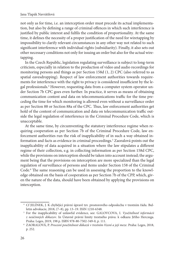not only as for time, i.e. an interception order must precede its actual implementation, but also by defining a range of criminal offences in which such interference is justified by public interest and fulfils the condition of proportionality. At the same time, it defines the necessity of a proper justification of the need for wiretapping by impossibility to clarify relevant circumstances in any other way not related to such significant interference with individual rights (subsidiarity). Finally, it also sets out other necessary conditions not only for issuing an order but also for the actual wiretapping.

In the Czech Republic, legislation regulating surveillance is subject to long-term criticism, especially in relation to the production of video and audio recordings for monitoring persons and things as per Section 158d (1, 2) CPC (also referred to as spatial eavesdropping). Respect of law enforcement authorities towards requirements for interference with the right to privacy is considered insufficient by the legal professionals.<sup>4</sup> However, requesting data from a computer system operator under Section 7b CPC goes even further. In practice, it serves as means of obtaining communication content and data on telecommunications traffic for the time preceding the time for which monitoring is allowed even without a surveillance order as per Section 88 or Section 88a of the CPC. Thus, law enforcement authorities get hold of the content of communication and data on telecommunication traffic outside the legal regulation of interference in the Criminal Procedure Code, which is unacceptable.

At the same time, by circumventing the statutory interference regime when requiring cooperation as per Section 7b of the Criminal Procedure Code, law enforcement authorities run the risk of inapplicability of in such a way obtained information and facts as evidence in criminal proceedings.<sup>5</sup> Zaoralová points out the inapplicability of data acquired in a situation where the law stipulates a different regime of their collection, e.g. in collecting information as per Section 158d CPC, while the provisions on interception should be taken into account instead; the argument being that the provisions on interception are more specialized than the legal regulation of surveillance of persons and items under Section 158 of the Criminal Code.<sup>6</sup> The same reasoning can be used in assessing the proportion to the knowledge obtained on the basis of cooperation as per Section 7b of the CPP, which, given the nature of the data, should have been obtained by applying the provisions on interception.

 <sup>4</sup> Cf JELÍNEK, J. K chybějící právní úpravě tzv. prostorového odposlechu v trestním řádu. Bul-

letin advokacie, 2018, (7–8), pp. 13–19. ISSN 1210-6348. 5 For the inapplicability of unlawful evidence, see: GALOVCOVA, I. *Využiteľnosť informácii z neúčinných dôkazov*. In Ústavně právní limity trestného práva: k odkazu Jiřího Herczega. Praha: Leges, 2019, 198 p. ISBN 978-80-7502-349-0, p. 111. 6 ZAORALOVÁ, P. *Procesní použitelnost důkazů v trestním řízení a její meze*. Praha: Leges, 2018,

p. 252.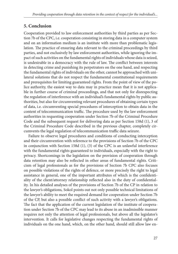## **5. Conclusion**

Cooperation provided to law enforcement authorities by third parties as per Section 7b of the CPC, i.e. cooperation consisting in storing data in a computer system and on an information medium is an institute with more than problematic legislation. The practice of ensuring data relevant to the criminal proceedings by third parties, and not exclusively by law enforcement authorities, while ignoring the impact of such activities on the fundamental rights of individuals whose data is seized, is undesirable in a democracy with the rule of law. The conflict between interests in detecting crime and punishing its perpetrators on the one hand, and respecting the fundamental rights of individuals on the other, cannot be approached with unilateral solutions that do not respect the fundamental constitutional requirements and prerequisites for limiting guaranteed rights. From the point of view of the police authority, the easiest way to data may in practice mean that it is not applicable in further course of criminal proceedings, and that not only for disrespecting the regulation of interference with an individual's fundamental rights by public authorities, but also for circumventing relevant procedures of obtaining certain types of data, i.e. circumventing special procedures of interception to obtain data in the content of telecommunication traffic. The procedure used by the law enforcement authorities in requesting cooperation under Section 7b of the Criminal Procedure Code and the subsequent request for delivering data as per Section 158d (1), 3 of the Criminal Procedure Code described in the previous chapter, completely circumvents the legal regulation of telecommunication traffic data seizure.

Failure to observe legal procedures and conditions of conducting interception and their circumvention with reference to the provisions of Section 7b of the CPC in conjunction with Section 158d (1), (3) of the CPC is an unlawful interference with the fundamental rights guaranteed to individuals, especially with the right to privacy. Shortcomings in the legislation on the provision of cooperation through data retention may also be reflected in other areas of fundamental rights. Criticism of legal professionals as for the provisions of Section 7b CPC also focuses on possible violations of the rights of defence, or more precisely the right to legal assistance in general, one of the important attributes of which is the confidentiality of the client/attorney relationship reflected also in the duty of confidentiality. In his detailed analyses of the provisions of Section 7b of the CP in relation to the lawyer's obligations, Sokol points out not only possible technical limitations of the lawyer's ability to meet the required demand for cooperation under Section 7b of the CP, but also a possible conflict of such activity with a lawyer's obligations. The fact that the application of the current legislation of the institute of cooperation under Section 7b of the CPC may lead to its abuse in an inadmissible manner requires not only the attention of legal professionals, but above all the legislator's intervention. It calls for legislative changes respecting the fundamental rights of individuals on the one hand, which, on the other hand, should still allow law en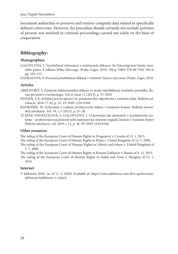forcement authorities to preserve and retrieve computer data related to specifically defined cybercrime. However, the procedure should certainly not include activities of persons not involved in criminal proceedings carried out solely on the basis of cooperation.

## **Bibliography:**

#### **Monographies**

GALOVCOVA, I. Využiteľnosť informácii z neúčinných dôkazov. In Ústavněprávní limity trestného práva: k odkazu Jiřího Herczega. Praha: Leges, 2019, 198 p. ISBN 978-80-7502-349-0, pp. 104–115.

ZAORALOVÁ, P. Procesní použitelnost důkazů v trestním řízení a její meze. Praha: Leges, 2018.

#### **Articles**

- ABELOVSKÝ, T. Zaistenie elektronického dôkazu vo svetle rekodifikácie trestného poriadku. Revue pro právo a technologie. Vol. 6, issue 11 (2015), p. 35. ISSN
- JELÍNEK, J. K chybějící právní úpravě tzv. prostorového odposlechu v trestním řádu. Bulletin advokacie, 2018, (7–8), p. 13–19. ISSN 1210-6348
- RAMPÁŠEK, M. Uchovanie a vydanie počítačových údajov v trestnom konaní. Bulletin slovenskej advokácie. Vol. 19, i. 5 (2013), p. 21–26.
- TLAPÁK NAVRÁTILOVÁ, J.; GALOVCOVÁ, I. Uchovávání dat uložených v počítačovém systému – poskytování součinnosti nebo nahrazování činnosti orgánů činných v trestním řízení? *Bulletin advokacie*, vol. 2019, i. 11, p. 36–39. ISSN 1210-6348.

#### **Other resources**

The ruling of the European Court of Human Rights in Dragojević v. Croatia of 15. 1. 2015. The ruling of the European Court of Human Rights in Khan v. United Kingdom of 12. 5. 2000.

The ruling of the European Court of Human Rights in Liberty and others v. United Kingdom of 1. 7. 2008.

The ruling of the European Court of Human Rights in Roman Zakharov v. Russia of 4. 12. 2015. The ruling of the European Court of Human Rights in Szabó and Vissy v. Hungary of 12. 1. 2016.

#### **Internet**

© [Jablotron 2020. \[as of 11. 3. 2020\] Available at: https://www.jablotron.com/sk/o-spolocnosti](https://www.jablotron.com/sk/o-spolocnosti-jablotron/#jablotron-v-cislach)jablotron/#jablotron-v-cislach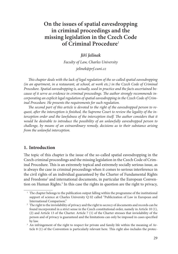# <span id="page-28-0"></span>**On the issues of spatial eavesdropping in criminal proceedings and the missing legislation in the Czech Code of Criminal Procedure**<sup>1</sup>

## *Jiří Jelínek*

*Faculty of Law, Charles University jelinek@prf.cuni.cz*

*This chapter deals with the lack of legal regulation of the so-called spatial eavesdropping (in an apartment, in a restaurant, at school, at work etc.) in the Czech Code of Criminal Procedure. Spatial eavesdropping is, actually, used in practice and the facts ascertained be*cause of it serve as evidence in criminal proceedings. The author strongly recommends in*corporating an explicit legal regulation of spatial eavesdropping in the Czech Code of Criminal Procedure. He presents the requirements for such regulation.* 

The second part of this article is devoted to the right of the eavesdropped person to request, after the interception is finished, the Supreme Court to review the legality of the interception order and the lawfulness of the interception itself. The author considers that it *would be desirable to introduce the possibility of an unlawfully eavesdropped person to challenge, by means of an extraordinary remedy, decisions as to their substance arising from the unlawful interception.*

## **1. Introduction**

The topic of this chapter is the issue of the so-called spatial eavesdropping in the Czech criminal proceedings and the missing legislation in the Czech Code of Criminal Procedure. This is an extremely topical and extremely socially serious issue, as is always the case in criminal proceedings when it comes to serious interference in the civil rights of an individual guaranteed by the Charter of Fundamental Rights and Freedoms<sup>2</sup> and international documents, in particular the European Convention on Human Rights.<sup>3</sup> In this case the rights in question are the right to privacy,

<sup>&</sup>lt;sup>1</sup> The chapter belongs to the publication output falling within the programme of the institutional support of science at Charles University Q 02 called "Publicization of Law in European and International Comparison." 2 The right to the inviolability of privacy and the right to secrecy of documents and records can be

found incorporated in a strict sense in the Czech constitutional order, namely in Article 10 (1), (2) and Article 13 of the Charter. Article 7 (1) of the Charter stresses that inviolability of the person and of privacy is guaranteed and the limitations can only be imposed in cases specified by law. 3 An infringement of the right to respect for private and family life within the meaning of Ar-

ticle 8 (1) of the Convention is particularly relevant here. This right also includes the protec-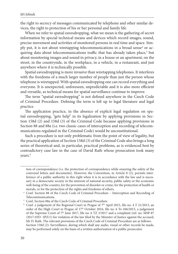the right to secrecy of messages communicated by telephone and other similar devices, the right to protection of his or her personal and family life.

When we refer to spatial eavesdropping, what we mean is the gathering of secret information by special technical means and devices which record images, sound, precise movement and activities of monitored persons in real time and space. Simply put, it is not about wiretapping telecommunications in a broad sense<sup>4</sup> or acquiring data about telecommunications traffic that has already taken place,<sup>5</sup> but about monitoring images and sound in privacy, in a house or an apartment, on the street, in the countryside, in the workplace, in a vehicle, in a restaurant, and just anywhere where it is technically possible.

Spatial eavesdropping is more invasive than wiretapping telephones. It interferes with the freedoms of a much larger number of people than just the person whose telephone is wiretapped. With spatial eavesdropping one can record everything and everyone. It is unexpected, unforeseen, unpredictable and it is also more efficient and versatile, as technical means for spatial surveillance continue to improve.

The term "spatial eavesdropping" is not defined anywhere in the Czech Code of Criminal Procedure. Defining the term is left up to legal literature and legal practice.

The application practice, in the absence of explicit legal regulation on spatial eavesdropping, "gets help" in its legalization by applying provisions in Section 158d (2) and 158d (3) of the Criminal Code because applying provisions in Section 88 and 88a (i.e. two classic cases of interception and recording of telecommunications regulated in the Criminal Code) would be unconstitutional.

Such a procedure is not only problematic from the point of view of legality, but the practical application of Section 158d (3) of the Criminal Code also brings a long series of theoretical and, in particular, practical problems, as is evidenced best by contradictory case law in the case of David Rath whose prosecution took many years.<sup>6</sup>

tion of correspondence (i.e. the protection of correspondence while ensuring the safety of the conveyed letters and documents). However, the Convention, in Article 8 (2), permits interference of a public authority in this right when it is in accordance with the law and is necessary in a democratic society in the interests of national security, public safety or the economic well-being of the country, for the prevention of disorder or crime, for the protection of health or morals, or for the protection of the rights and freedoms of others.<br>
4 Conf. Section 88 of the Czech Code of Criminal Procedure – Interception and Recording of

Telecommunications.<br>
<sup>5</sup> Conf. Section 88a of the Czech Code of Criminal Procedure.<br>
<sup>6</sup> Conf. a judgement of the Regional Court in Prague of 7<sup>th</sup> April 2015, file no. 4 T 21/2013, an

order of the High Court in Prague of 17<sup>th</sup> October 2016, file no. 6 To 106/2015, a judgement of the Supreme Court of 7<sup>th</sup> June 2017, file no. 6 TZ 3/2017 and a complaint (ref. no. MSP-87 /2017-03D- SPZ/1) for violation of the law filed by the Minister of Justice against the accused, Mr D. Rath. The relevant provisions of the Czech Code of Criminal Procedure are as follows: Section 158d (2): Surveillance, during which shall any audio, visual or other records be made, may be performed solely on the basis of a written authorization of a public prosecutor.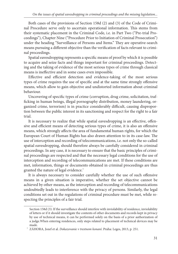Both cases of the provisions of Section 158d (2) and (3) of the Code of Criminal Procedure serve only to ascertain operational information. This stems from their systematic placement in the Criminal Code, i.e. in Part Two ("Pre-trial Proceedings"), Chapter Nine ("Procedure Prior to Initiation of Criminal Prosecution") under the heading "Surveillance of Persons and Items." They are operative-search means pursuing a different objective than the verification of facts relevant to criminal proceedings.

Spatial eavesdropping represents a specific means of proof by which it is possible to acquire and seize facts and things important for criminal proceedings. Detecting and the taking of evidence of the most serious types of crime through classical means is ineffective and in some cases even impossible.

Effective and efficient detection and evidence-taking of the most serious types of crime requires the use of specific and at the same time strongly offensive means, which allow to gain objective and undistorted information about criminal behaviour.

Uncovering of specific types of crime (corruption, drug crime, solicitation, trafficking in human beings, illegal pornography distribution, money laundering, organized crime, terrorism) is in practice considerably difficult, causing disproportion between the public interest in its sanctioning and respect for the right to a fair trial.

It is necessary to realize that while spatial eavesdropping is an effective, offensive and efficient means of detecting serious types of crime, it is also an offensive means, which strongly affects the area of fundamental human rights, for which the European Court of Human Rights has also drawn attention to in its case-law. The use of interception and recording of telecommunications, i.e. not only the so-called spatial eavesdropping, should therefore always be carefully considered in criminal proceedings. In any case, it is necessary to ensure that the basic principles of criminal proceedings are respected and that the necessary legal conditions for the use of interception and recording of telecommunications are met. If these conditions are met, information, things or documents obtained in criminal proceedings are thus granted the nature of legal evidence.<sup>7</sup>

It is always necessary to consider carefully whether the use of such offensive means in a given situation is imperative, whether the set objective cannot be achieved by other means, as the interception and recording of telecommunications undoubtedly leads to interference with the privacy of persons. Similarly, the legal conditions set out in the regulations of criminal procedure must be met, while respecting the principles of a fair trial.

Section 158d (3): If the surveillance should interfere with inviolability of residence, inviolability of letters or if it should investigate the contents of other documents and records kept in privacy by use of technical means, it can be performed solely on the basis of a prior authorization of a judge.When entering residences, only steps related to placement of technical devices may be made. 7 ZÁHORA, Jozef et al. *Dokazovanie v trestnom konaní*. Praha: Leges, 2013, p. 251.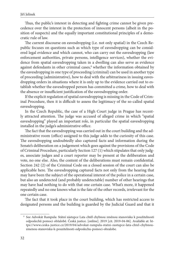Thus, the public's interest in detecting and fighting crime cannot be given precedence over the interest in the protection of innocent persons (albeit in the position of suspects) and the equally important constitutional principles of a democratic rule of law.

The current discourse on eavesdropping (i.e. not only spatial) in the Czech Republic focuses on questions such as which type of eavesdropping can be considered legal evidence and which cannot, who can carry out the eavesdropping (law enforcement authorities, private persons, intelligence services), whether the evidence from spatial eavesdropping taken in a dwelling can also serve as evidence against defendants in other criminal cases,<sup>8</sup> whether the information obtained by the eavesdropping in one type of proceeding (criminal) can be used in another type of proceeding (administrative), how to deal with the arbitrariness in issuing eavesdropping orders in situations where it is only up to the evidence carried out to establish whether the eavesdropped person has committed a crime, how to deal with the absence or insufficient justification of the eavesdropping order.

If the explicit regulation of spatial eavesdropping is missing in the Code of Criminal Procedure, then it is difficult to assess the legitimacy of the so-called spatial eavesdropping.

In the Czech Republic, the case of a High Court judge in Prague has recently attracted attention. The judge was accused of alleged crime in which "spatial eavesdropping" played an important role, in particular the spatial eavesdropping installed in the judge's administrative office.

The fact that the eavesdropping was carried out in the court building and the administrative room (office) assigned to this judge adds to the curiosity of this case. The eavesdropping undoubtedly also captured facts and information during the Senate's deliberation on a judgement which goes against the provisions of the Code of Criminal Procedure, particularly Section 127 (1) which stipulates that only judges, associate judges and a court reporter may be present at the deliberation and vote, no one else. Also, the content of the deliberations must remain confidential. Section 242 (2) of the Criminal Code on a closed session of the court can also be applicable here. The eavesdropping captured facts not only from the hearing that may have been the subject of the operational interest of the police in a certain case, but also an undetected (and probably undetectable) number of other hearings that may have had nothing to do with that one certain case. What's more, it happened repeatedly and no one knows what is the fate of the other records, irrelevant for the one certain case.

The fact that it took place in the court building, which has restricted access to designated persons and the building is guarded by the Judicial Guard and that it

 <sup>8</sup> See Advokát Rampula: Státní zástupce Lata chtěl chybnou změnou stanoviska k použitelnosti [odposlechů pomoci obžalobě. Česká justice. \[online\]. 2019 \[cit. 2019-04-06\]. Available at: ht](https://www.ceska-justice.cz/2019/04/advokat-rampula-statni-zastupce-lata-chtel-chybnou-zmenou-stanoviska-k-pouzitelnosti-odposlechu-pomoci-obzalobe)tps://www.ceska-justice.cz/2019/04/advokat-rampula-statni-zastupce-lata-chtel-chybnouzmenou-stanoviska-k-pouzitelnosti-odposlechu-pomoci-obzalobe.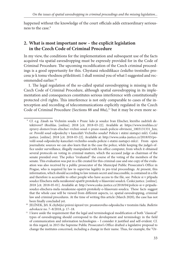happened without the knowledge of the court officials adds extraordinary seriousness to the case.9

## **2. What is most important now – the explicit legislation in the Czech Code of Criminal Procedure**

In my view, the conditions for the implementation and subsequent use of the facts acquired via spatial eavesdropping must be expressly provided for in the Code of Criminal Procedure. The upcoming recodification of the Czech criminal proceedings is a good opportunity for this. Chystaná rekodifikace českého trestního procesu je k tomu vhodnou příležitostí. I shall remind you of what I suggested and recommended earlier.10

1. The legal regulation of the so-called spatial eavesdropping is missing in the Czech Code of Criminal Procedure, although spatial eavesdropping in its implementation and consequences constitutes serious interference with constitutionally protected civil rights. This interference is not only comparable to cases of the interception and recording of telecommunications explicitly regulated in the Czech Code of Criminal Procedure (Sections 88 and 88a),<sup>11</sup> but it may be even more se-

 <sup>9</sup> Cf. e.g. Zásah na Vrchním soudu v Praze: kdo je soudce Ivan Elischer, kterého zadrželi de[tektivové? iRozhlas. \[online\]. 2018 \[cit. 2018-03-22\]. Available at: https://www.irozhlas.cz/](https://www.irozhlas.cz/zpravy-domov/ivan-elischer-vrchni-soud-v-praze-zasah-policie-obvineni_1803131331_hm) zpravy-domov/ivan-elischer-vrchni-soud-v-praze-zasah-policie-obvineni\_1803131331\_hm; or: Povolil soud odposlechy v kanceláři Vrchního soudu? Policie i státní zástupci mlčí. Česká [justice. \[online\]. 2018 \[cit. 2018-03-22\]. Available at: http://www.ceska-justice.cz/2018/03/po](http://www.ceska-justice.cz/2018/03/povolil-soud-odposlechy-kancelari-vrchniho-soudu-policie-i-statni-zastupci-mlci/)volil-soud-odposlechy-kancelari-vrchniho-soudu-policie-i-statni-zastupci-mlci/. From open journalistic sources we can also learn that in the case the police, while keeping the judge's office under surveillance, illegally manipulated with his office computer, from which it obtained several protocols on voting in criminal matters, which the accused judge as chairman of the senate presided over. The police "evaluated" the course of the voting of the members of the senate. This evaluation was put in a file created for this criminal case and one copy of the evaluation was also received by a public prosecutor of the Municipal Public Prosecutor's Office in Prague, who is required by law to supervise legality in pre-trial proceedings. At present, this information, which should according to law remain secret and inaccessible, is contained in a file and therefore is accessible to other people who have access to the file, see: Policie si v případu soudce Elischera měla nezákonně opatřit protokoly o hlasování soudců. Česká justice. [online]. [2018 \[cit. 2018-05-01\]. Available at: http://www.ceska-justice.cz/2018/04/policie-si-v-pripadu](http://www.ceska-justice.cz/2018/04/policie-si-v-pripadu-soudce-elischera-mela-nezakonne-opatrit-protokoly-o-hlasovani-soudcu)soudce-elischera-mela-nezakonne-opatrit-protokoly-o-hlasovani-soudcu. These facts suggest that the whole case will be viewed from different aspects, i.e. spatial eavesdropping, criminal law and criminal procedures. At the time of writing this article (March 2020), the case has not been finally concluded yet. 10 JELÍNEK, Jiří. K chybějící právní úpravě tzv. prostorového odposlechu v trestním řádu. *Bulletin* 

*advokacie* no. 7–8/2018, p. 17–18.<br><sup>11</sup> I leave aside the requirement that the legal and terminological modification of both "classical" types of eavesdropping should correspond to the development and terminology in the field of communication and information technologies – I consider it justified and self-evident. Cf. in this regard, in 2015 the Supreme Public Prosecutor's Office drafted a legislative proposal to change the institutes concerned, including a change in their name. Thus, for example, the "Or-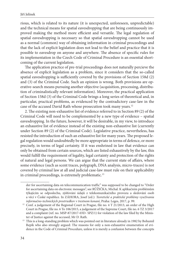rious, which is related to its nature (it is unexpected, unforeseen, unpredictable) and the technical means for spatial eavesdropping that are being continuously improved making the method more efficient and versatile. The legal regulation of spatial eavesdropping is necessary so that spatial eavesdropping cannot be used as a normal (common) way of obtaining information in criminal proceedings and that the lack of explicit legislation does not lead to the belief and practice that it is possible to eavesdrop on anyone and anywhere. The absence of specific rules for its implementation in the Czech Code of Criminal Procedure is an essential shortcoming of the current legislation.

The application practice of pre-trial proceedings does not naturally percieve the absence of explicit legislation as a problem, since it considers that the so-called spatial eavesdropping is sufficiently covered by the provisions of Section 158d  $(2)$ and (3) of the Criminal Code. Such an opinion is wrong. Both provisions are operative-search means pursuing another objective (acquisition, processing, distribution of criminalistically relevant information). Moreover, the practical application of Section 158d (3) of the Criminal Code brings a long series of theoretical and, in particular, practical problems, as evidenced by the contradictory case-law in the case of the accused David Rath whose prosecution took many years.12

2. The existing non-exhaustive list of evidence referred to in Section 89 (2) of the Criminal Code will need to be complemented by a new type of evidence – spatial eavesdropping. In the future, however, it will be desirable, in my view, to introduce an exhaustive list of evidence instead of the existing non-exhaustive list (currently under Section 89 (2) of the Criminal Code). Legislative practice, nevertheless, has resisted the introduction of such an exhaustive list for many years. The proposed legal regulation would undoubtedly be more appropriate in terms of defence, or more precisely, in terms of legal certainty. If it was enshrined in law that evidence can only be obtained from certain sources, which are listed exhaustively by the law, this would fulfill the requirement of legality, legal certainty and protection of the rights of natural and legal persons. We can argue that the current state of affairs, where some evidence (such as scent traces, polygraph, DNA analysis, micro-traces) is not covered by criminal law at all and judicial case-law must rule on their applicability in criminal proceedings, is extremely problematic.<sup>13</sup>

der for ascertaining data on telecommunication traffic" was supposed to be changed to "Order for ascertaining data on electronic messages", see RŮŽIČKA, Michal. K aplikačním problémům týkajícím se odposlechu, zjišťování údajů z telekomunikačního provozu a sledování osob a věcí v České republice. In ZÁHORA, Josef (ed.): *Teoretické a praktické problémy využívania* 

*informačno-technických prostriedkov v trestnom konaní*, Praha: Leges, 2017, p. 99. 12 Conf. a judgement of the Regional Court in Prague, file no. 4 T 21/2013, an order of the High Court in Prague, file no. 6 To 106/2015, a judgement of the Supreme Court, file no. 6 TZ 3/2017 and a complaint (ref. no. MSP-87/2017-03D- SPZ/1) for violation of the law filed by the Minis-

ter of Justice against the accused, Mr D. Rath. 13 This is a long-standing problem which was pointed out in literature already in 1982 by Bohumil Repík who also strongly argued: The reasons for only a non-exhaustive enumeration of evidence in the Code of Criminal Procedure, unless it is merely a confusion between the concepts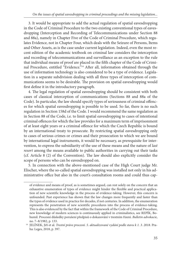3. It would be appropriate to add the actual regulation of spatial eavesdropping in the Code of Criminal Procedure to the two existing conventional types of eavesdropping (Interception and Recording of Telecommunications under Section 88 and 88a), namely in Chapter Five of the Code of Criminal Procedure, which regulates Evidence, not in Chapter Four, which deals with the Seizure of Persons, Items and Other Assets, as is the case under current legislation. Indeed, even the most recent edition of the academic textbook on criminal law considers the interception and recording of telecommunications and surveillance as an exception to the rule that individual means of proof are placed in the fifth chapter of the Code of Criminal Procedure, entitled "Evidence."<sup>14</sup> After all, information obtained through the use of information technology is also considered to be a type of evidence. Legislation in a separate subdivision dealing with all three types of interception of communications seems to be desirable. The provision on spatial eavesdropping would first define it in the introductory paragraph.

4. The legal regulation of spatial eavesdropping should be consistent with both cases of classical interception of communications (Sections 88 and 88a of the Code). In particular, the law should specify types of seriousness of criminal offences for which spatial eavesdropping is possible to be used. So far, there is no such regulation in Section 158d of the Code. I would recommend the same regulation as in Section 88 of the Code, i.e. to limit spatial eavesdropping to cases of intentional criminal offences for which the law provides for a maximum term of imprisonment of at least eight years or a criminal offence for which the Czech Republic is bound by an international treaty to prosecute. By restricting spatial eavesdropping only to cases of serious crimes or crimes and their prosecution to which we are bound by international legal instruments, it would be necessary, as prerequisite for intervention, to express the subsidiarity of the use of these means and the nature of *last resort* among the means available to public authorities in carrying out their tasks (cf. Article  $8$  (2) of the Convention). The law should also explicitly consider the scope of persons who can be eavesdropped on.

5. In connection with the above-mentioned case of the High Court judge Mr. Elischer, where the so-called spatial eavesdropping was installed not only in his administrative office but also in the court's consultation rooms and could thus cap-

of evidence and means of proof, as is sometimes argued, can rest solely on the concern that an exhaustive enumeration of types of evidence might hinder the flexible and practical application of new scientific knowledge in the process of evidence-taking. However, this concern is unfounded. Past experience has shown that the law changes more frequently and faster than the types of evidence used in practice for decades, if not centuries. In addition, the enumeration represents the penetration of new scientific procedures into the process of evidence-taking. This is also evidenced by the fact that within the framework of the Code of Criminal Procedure, new knowledge of modern sciences is continuously applied in criminalistics, see REPÍK, Bohumil. Procesní důsledky porušení předpisů o dokazování v trestním řízení. *Bulletin advokacie*,

no. 7–8/1982, p. 133. 14 JELÍNEK, Jiří et al. *Trestní právo procesní. 5. aktualizované vydání podle stavu k 1. 3. 2018*. Praha: Leges, 2018, p. 397.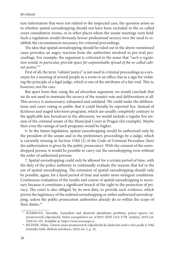ture information that were not related to the inspected case, the question arises as to whether spatial eavesdropping should not have been excluded in the so-called court consultation rooms, or in other places where the senate meetings were held. Such a regulation would obviously favour professional secrecy over the need to establish the circumstances necessary for criminal proceedings.

The idea that spatial eavesdropping should be ruled out in the above-mentioned cases provokes an angry reaction from the authorities involved in pre-trial proceedings. For example, the argument is criticized in the sense that "*such a regulation would, in particular, provide space for unpunishable spread of the so-called cabinet justice."*<sup>15</sup>

First of all, the term "cabinet justice" is not used in criminal proceedings as a synonym for a meeting of several people in a room or an office, but as a sign for violating the principle of a legal judge, which is one of the attributes of a fair trial. This is, however, not the case.

But apart from that, using the *ad absurdum* argument, we would conclude that we do not need to maintain the secrecy of the senate's vote and deliberations at all. This secrecy is unnecessary, exhausted and outdated. We could make the deliberations and court voting so public that it could literally be reported live. Instead of fictitious and staged television programs, which are usually completely contrary to the applicable law, broadcast in the afternoon, we would include a regular live session of the criminal senate of the Municipal Court in Prague (for example). Maybe then even the ratings of such programs would be higher.

6. In the future legislation, spatial eavesdropping would be authorized only by the president of the senate and in the preliminary proceedings by a judge, which is currently missing in Section 158d (2) of the Code of Criminal Procedure (here the authorization is given by the public prosecutor). With the consent of the eavesdropped person, it would be possible to carry out the eavesdropping even without the order of authorized persons.

7. Spatial eavesdropping could only be allowed for a certain period of time, with the duty of the police authority to continually evaluate the reasons that led to the use of spatial eavesdropping. The extension of spatial eavesdropping should only be possible, again, for a fixed period of time and under more stringent conditions. Continuous evaluation of the results and course of spatial eavesdropping is necessary because it constitutes a significant breach of the right to the protection of privacy. The court is also obliged, by its own duty, to provide such evidence, which proves the legitimacy of the ordered eavesdropping or rather authorized eavesdropping, unless the public prosecution authorities already do so within the scope of their duties.<sup>16</sup>

<sup>&</sup>lt;sup>15</sup> ŠČERBOVÁ, Veronika. Zamyšlení nad skutečně aktuálními problémy právní úpravy tzv. prostorových odposlechů, *Státní zastupitelství* no. 4/2019. ISSN 1214-3758. [online]. 2019 [cit.

<sup>2020-03-10].</sup> Available at: [https://www.noveaspi.cz.](https://www.noveaspi.cz) 16 Je<br/>alování osob a věcí podle $\S$ 158d $^{16}$ JELÍNEK, Milan. Ústavní meze prostorových odposlechů ke sledování osob a věcí podle $\S$ 158d trestního řádu, *Bulletin advokacie*, 2010, no. 5, p. 32.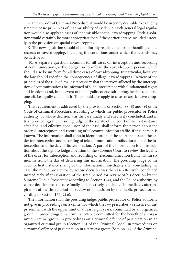8. In the Code of Criminal Procedure, it would be urgently desirable to explicitly state the basic principles of inadmissibility of evidence. Such general legal regulation would also apply to cases of inadmissible spatial eavesdropping. Such a solution would certainly be more appropriate than if these criteria were included directly in the provision on spatial eavesdropping.

9. The new legislation should also uniformly regulate the further handling of the records of eavesdropping, including the conditions under which the records may be destroyed.

10. A separate question, common for all cases on interception and recording of communications, is the obligation to inform the eavesdropped person, which should also be uniform for all three cases of eavesdropping. In particular, however, the law should redefine the consequences of illegal eavesdropping. In view of the principles of the rule of law, it is necessary that the person affected by the interception of communications be informed of such interference with fundamental rights and freedoms and, in the event of the illegality of eavesdropping, be able to defend oneself, i.e. legally challenge it. This should also apply to cases of spatial eavesdropping.

This requirement is addressed by the provisions of Section 88 (8) and (9) of the Code of Criminal Procedure, according to which the public prosecutor or Police authority, by whose decision was the case finally and effectively concluded, and in trial proceedings the presiding judge of the senate of the court of the first instance after final and effective conclusion of the case, shall inform the person about the ordered interception and recording of telecommunication traffic, if this person is known. The information shall contain identification of the court that issued the order for interception and recording of telecommunication traffic, duration of the interception and the date of its termination. A part of the information is an instruction about the right to lodge a petition to the Supreme Court to review the legality of the order for interception and recording of telecommunication traffic within six months from the day of delivering this information. The presiding judge of the court of first instance shall give the information immediately after concluding the case, the public prosecutor by whose decision was the case effectively concluded immediately after expiration of the time period for review of his decision by the Supreme Public Prosecutor according to Section 174a, and the Police authority, by whose decision was the case finally and effectively concluded, immediately after expiration of the time period for review of its decision by the public prosecutor according to Section 174 (2) e).

The information shall the presiding judge, public prosecutor or Police authority not give in proceedings on a crime, for which the law prescribes a sentence of imprisonment with the upper limit of at least eight years, committed by an organized group, in proceedings on a criminal offence committed for the benefit of an organized criminal group, in proceedings on a criminal offence of participation in an organized criminal group (Section 361 of the Criminal Code), in proceedings on a criminal offence of participation in a terrorist group (Section 312 of the Criminal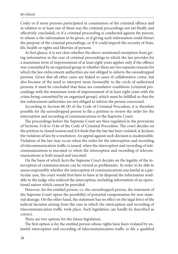Code) or if more persons participated in commission of the criminal offence and in relation to at least one of them was the criminal proceedings not yet finally and effectively concluded, or if a criminal proceeding is conducted against the person, to whom is the information to be given, or if giving such information could thwart the purpose of the criminal proceedings, or if it could imperil the security of State, life, health or rights and liberties of persons.

At first glance, it is not clear whether the above-mentioned exemption from giving information in the case of criminal proceedings to which the law provides for a maximum term of imprisonment of at least eight years applies only if the offence was committed by an organized group or whether these are two separate reasons for which the law enforcement authorities are not obliged to inform the eavesdropped persons. Given that all other cases are linked to cases of collaborative crime, but also because of the need to interpret more favourably to the circle of authorized persons, it must be concluded that these are cumulative conditions (criminal proceedings with the maximum term of imprisonment of at least eight years with the crime being committed by an organized group), which must be fulfilled so that the law enforcement authorities are not obliged to inform the person concerned.

According to Section 88 (8) of the Code of Criminal Procedure, it is therefore possible for the eavesdropped person to file a petition to review the order for the interception and recording of communications to the Supreme Court.

The proceedings before the Supreme Court are then regulated in the provisions of Sections 314l to 314n of the Code of Criminal Procedure. The court decides on the petition in closed session and if it finds that the law has been violated, it declares the violation of law by a resolution. An appeal against such decision is inadmissible. Violation of the law may occur when the order for the interception and recording of telecommunication traffic is issued, when the interception and recording of telecommunications is executed or when the interception and recording of telecommunications is both issued and executed.

On the basis of which facts the Supreme Court decides on the legality of the interception of communications can be viewed as problematic. In order to be able to assess responsibly whether the interception of communications was lawful in a particular case, the court would first have to have at its disposal the information available to the judge who ordered the interception, including information of an operational nature which cannot be provided.

However, for the entitled person, i.e. the eavesdropped person, the statement of the Supreme Court opens the possibility of potential compensation for non-material damage. On the other hand, the statement has no effect on the legal force of the judicial decision arising from the case in which the interception and recording of telecommunication traffic took place. Such legislation can hardly be described as correct.

There are two options for the future legislation.

The first option is for the entitled person whose rights have been violated by unlawful interception and recording of telecommunication traffic to file a qualified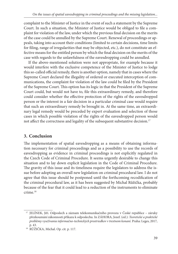complaint to the Minister of Justice in the event of such a statement by the Supreme Court. In such a situation, the Minister of Justice would be obliged to file a complaint for violation of the law, under which the previous final decision on the merits of the case could be annulled by the Supreme Court. Renewal of proceedings or appeals, taking into account their conditions (limited to certain decisions, time limits for filing, range of irregularities that may be objected, etc.), do not constitute an effective means for the entitled person by which the final decision on the merits of the case with regards to the unlawfulness of the eavesdropping could be annulled.

If the above-mentioned solution were not appropriate, for example because it would interfere with the exclusive competence of the Minister of Justice to lodge this so-called official remedy, there is another option, namely that in cases where the Supreme Court declared the illegality of ordered or executed interception of communications, the complaint for violation of the law could be filed by the President of the Supreme Court. This option has its logic in that the President of the Supreme Court could, but would not have to, file this extraordinary remedy, and therefore could consider whether the effective protection of the rights of the eavesdropped person or the interest in a fair decision in a particular criminal case would require that such an extraordinary remedy be brought in. At the same time, an extraordinary legal remedy would be preceded by expert evaluation and selection of those cases in which possible violation of the rights of the eavesdropped person would not affect the correctness and legality of the subsequent substantive decision.<sup>17</sup>

# **3. Conclusion**

The implementation of spatial eavesdropping as a means of obtaining information necessary for criminal proceedings and as a possibility to use the records of eavesdropping as evidence in criminal proceedings is not explicitly regulated in the Czech Code of Criminal Procedure. It seems urgently desirable to change this situation and to lay down explicit legislation in the Code of Criminal Procedure. The gravity of this issue and its timeliness require the legislators to address the issue before adopting an overall new legislation on criminal procedural law. I do not agree that this issue should be postponed until the forthcoming recodification of the criminal procedural law, as it has been suggested by Michal Růžička, probably because of the fear that it could lead to a reduction of the instruments to eliminate crime.18

<sup>&</sup>lt;sup>17</sup> JELÍNEK, Jiří. Odposlech a záznam telekomunikačního provozu v České republice - záruky přezkoumání zákonnosti příkazu k odposlechu. In ZÁHORA, Jozef. (ed.): *Teoretické a praktické problémy využívania informačno-technických prostriedkov v trestnom konaní.* Praha: Leges, 2017,

p. 43. 18 RŮŽIČKA, Michal. Op. cit. p. 117.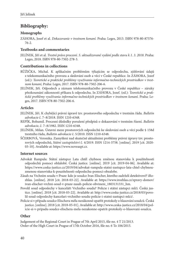## **Bibliography:**

### **Monographs**

ZÁHORA, Josef et al. *Dokazovanie v trestnom konaní*. Praha: Leges, 2013. ISBN 978-80-87576- 76-2.

### **Textbooks and commentaries**

JELÍNEK, Jiří et al. *Trestní právo procesní. 5. aktualizované vydání podle stavu k 1. 3. 2018*. Praha: Leges, 2018. ISBN 978-80-7502-278-3.

### **Contributions in collections**

- RŮŽIČKA, Michal. K aplikačním problémům týkajícím se odposlechu, zjišťování údajů z telekomunikačního provozu a sledování osob a věcí v České republice. In ZÁHORA, Jozef (ed.): *Teoretické a praktické problémy využívania informačno-technických prostriedkov v trestnom konaní*, Praha: Leges, 2017. ISBN 978-80-7502-206-6.
- JELÍNEK, Jiří. Odposlech a záznam telekomunikačního provozu v České republice záruky přezkoumání zákonnosti příkazu k odposlechu. In ZÁHORA, Jozef. (ed.): *Teoretické a praktické problémy využívania informačno-technických prostriedkov v trestnom konaní.* Praha: Leges, 2017. ISBN 978-80-7502-206-6.

### **Articles**

- JELÍNEK, Jiří. K chybějící právní úpravě tzv. prostorového odposlechu v trestním řádu. *Bulletin advokacie* č. 7–8/2018. ISSN 1210-6348.
- REPÍK, Bohumil. Procesní důsledky porušení předpisů o dokazování v trestním řízení. *Bulletin advokacie*, č. 7–8/1982. ISSN 1210-6348.
- JELÍNEK, Milan. Ústavní meze prostorových odposlechů ke sledování osob a věcí podle § 158d trestního řádu, *Bulletin advokacie* č. 5/2010. ISSN 1210-6348.
- ŠČERBOVÁ, Veronika. Zamyšlení nad skutečně aktuálními problémy právní úpravy tzv. prostorových odposlechů, *Státní zastupitelství* č. 4/2019. ISSN 1214-3758. [online]. 2019 [cit. 2020- 03-10]. Available at: [https://www.noveaspi.cz.](https://www.noveaspi.cz)

#### **Internet sources**

- Advokát Rampula: Státní zástupce Lata chtěl chybnou změnou stanoviska k použitelnosti odposlechů pomoci obžalobě. Česká justice. [online]. 2019 [cit. 2019-04-06]. Available at: [https://www.ceska-justice.cz/2019/04/advokat-rampula-statni-zastupce-lata-chtel-chybnou](https://www.ceska-justice.cz/2019/04/advokat-rampula-statni-zastupce-lata-chtel-chybnou-zmenou-stanoviska-k-pouzitelnosti-odposlechu-pomoci-obzalobe)zmenou-stanoviska-k-pouzitelnosti-odposlechu-pomoci-obzalobe.
- Zásah na Vrchním soudu v Praze: kdo je soudce Ivan Elischer, kterého zadrželi detektivové? iRo[zhlas. \[online\]. 2018 \[cit. 2018-03-22\]. Available at: https://www.irozhlas.cz/zpravy-domov/](https://www.irozhlas.cz/zpravy-domov/ivan-elischer-vrchni-soud-v-praze-zasah-policie-obvineni_1803131331_hm) ivan-elischer-vrchni-soud-v-praze-zasah-policie-obvineni\_1803131331\_hm.
- Povolil soud odposlechy v kanceláři Vrchního soudu? Policie i státní zástupci mlčí. Česká jus[tice. \[online\]. 2018 \[cit. 2018-03-22\]. Available at: http://www.ceska-justice.cz/2018/03/povo](http://www.ceska-justice.cz/2018/03/povolil-soud-odposlechy-kancelari-vrchniho-soudu-policie-i-statni-zastupci-mlci/)lil-soud-odposlechy-kancelari-vrchniho-soudu-policie-i-statni-zastupci-mlci/.
- Policie si v případu soudce Elischera měla nezákonně opatřit protokoly o hlasování soudců. Česká [justice. \[online\]. 2018 \[cit. 2018-05-01\]. Available at: http://www.ceska-justice.cz/2018/04/pol](http://www.ceska-justice.cz/2018/04/policie-si-v-pripadu-soudce-elischera-mela-nezakonne-opatrit-protokoly-o-hlasovani-soudcu)icie-si-v-pripadu-soudce-elischera-mela-nezakonne-opatrit-protokoly-o-hlasovani-soudcu.

### **Other**

Judgement of the Regional Court in Prague of 7th April 2015, file no. 4 T 21/2013. Order of the High Court in Prague of 17th October 2016, file no. 6 To 106/2015.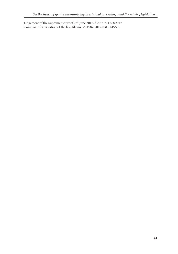Judgement of the Supreme Court of 7th June 2017, file no. 6 TZ 3/2017. Complaint for violation of the law, file no. MSP-87/2017-03D- SPZ/1.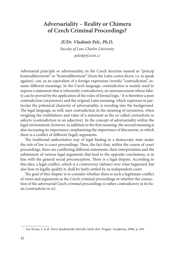# **Adversariality – Reality or Chimera of Czech Criminal Proceedings?**

*JUDr. Vladimír Pelc, Ph.D.*

*Faculty of Law, Charles University pelc@prf.cuni.cz*

Adversarial principle or adversariality, in the Czech doctrine named as "princip kontradiktornosti" or "kontradiktornost" (from the Latin *contra dicere,* i.e. to speak against), can, as an equivalent of a foreign expression (words) "contradiction", assume different meanings. In the Czech language, contradiction is mainly used to express a statement that is inherently contradictory, an announcement whose falsity can be proved by the application of the rules of formal logic.<sup>1</sup> It is therefore a pure contradiction (oxymoron) and the original Latin meaning, which expresses in particular the polemical character of adversariality, is receding into the background. The legal language, as well, uses contradiction in the meaning of oxymoron, when weighing the truthfulness and value of a statement as the so-called *contradictio in adiecto* (contradiction in an adjective). In the concept of adversariality within the legal environment, however, in addition to the first meaning, the second meaning is also increasing its importance, emphasizing the importance of discussion, in which there is a conflict of different (legal) arguments.

The traditional authoritative way of legal finding in a democratic state under the rule of law is court proceedings. Then, the fact that, within the course of court proceedings, there are conflicting different statements, their interpretation and the submission of various legal arguments that lead to the opposite conclusions, is in line with the general social preconception. There is a legal dispute. According to this idea, a legal conflict, which is a controversy (debate) over what happened, but also how to legally qualify it, shall be fairly settled by an independent court.

The goal of this chapter is to consider whether there is such a legitimate conflict of views and arguments in the Czech criminal proceedings or whether the connection of the adversarial Czech criminal proceedings is rather contradictory at its basis (*contradictio in se*).

<sup>&</sup>lt;sup>1</sup> See Kraus, J. et al. Nový akademický slovník cizích slov. Prague: Academia, 2006, p. 436.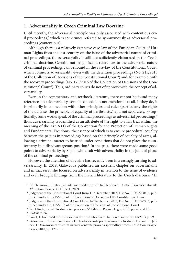## **1. Adversariality in Czech Criminal Law Doctrine**

Until recently, the adversarial principle was only associated with contentious civil proceedings,<sup>2</sup> which is sometimes referred to synonymously as adversarial proceedings (contentious).

Although there is a relatively extensive case-law of the European Court of Human Rights from the last century on the issue of the adversarial nature of criminal proceedings, the adversariality is still not sufficiently elaborated in the Czech criminal doctrine. Certain, not insignificant, references to the adversarial nature of criminal proceedings can be found in the case-law of the Constitutional Court, which connects adversariality even with the detention proceedings (No. 215/2013 of the Collection of Decisions of the Constitutional Court<sup>3</sup>) and, for example, with the recovery proceedings (No. 175/2016 of the Collection of Decisions of the Constitutional Court<sup>4</sup>). Thus, ordinary courts do not often work with the concept of adversariality.

Even in the commentary and textbook literature, there cannot be found many references to adversariality, some textbooks do not mention it at all. If they do, it is primarily in connection with other principles and rules (particularly the rights of the defense, the principle of equality of parties, etc.) and not separately. Exceptionally, some works speak of the criminal proceedings as adversarial proceedings,<sup>5</sup> thus, adversariality is identified as an attribute of the right to a fair trial within the meaning of the Art. 6 (1) of the Convention for the Protection of Human Rights and Fundamental Freedoms, the essence of which is to ensure procedural equality between the parties in proceedings based on the principle of equality of arms, allowing a criminal matter to be tried under conditions that do not place the counterparty in a disadvantageous position.<sup>6</sup> In the past, there were made some good points to adversariality by Sokol, who dealt with adversariality in the judicial phase of the criminal proceedings.7

However, the attention of doctrine has recently been increasingly turning to adversariality. In 2018, Galovcová published an excellent chapter on adversariality and in that essay she focused on adversariality in relation to the issue of evidence and even brought findings from the French literature to the Czech discourse.<sup>8</sup> In

<sup>&</sup>lt;sup>2</sup> Cf. Stavinová, J. Entry "Zásada kontradiktornosti" In: Hendrych, D. et al. Právnický slovník. 3<sup>rd</sup> Edition. Prague: C. H. Beck, 2009.<br><sup>3</sup> Judgment of the Constitutional Court from 11<sup>th</sup> December 2013, File No. I. ÚS 2208/13, pub-

lished under No. 215/2013 of the Collections of Decisions of the Constitutional Court. 4 Judgment of the Constitutional Court form 14th September 2016, File No. I. ÚS 1377/16, pub-

lished under No. 175/2016 of the Collection of Decisions of Constitutional Court. 5 See Jelínek, J. et al. Trestní právo procesní. 5th Edition. Prague: Leges, 2018, pp. 48 and 161.

<sup>&</sup>lt;sup>6</sup> *Ibidem*, p. 365.<br>7 Sokol, T. Kontradiktornost v soudní fázi trestního řízení. In: Právní rádce No. 10/2003, p. 59.<br><sup>8</sup> Galovcová, I. Uplatnenie zásady kontradiktórnosti pri dokazovaní v trestnom konaní. In: Jelí-

nek, J. Dokazování v trestním řízení v kontextu práva na spravedlivý proces. 1<sup>st</sup> Edition. Prague: Leges, 2018, pp. 128–138.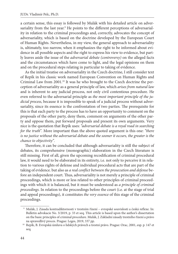a certain sense, this essay is followed by Mulák with his detailed article on adversariality from the last year.<sup>9</sup> He points to the different perceptions of adversariality in relation to the criminal proceedings and, correctly, advocates the concept of adversariality, which is based on the doctrine developed by the European Court of Human Rights. Nevertheless, in my view, the general approach to adversariality is, ultimately, too narrow, when it emphasizes the right to be informed about evidence in all possible aspects and the right to express his view to evidence, but partly leaves aside the issue of the *adversarial debate (controversy)* on the alleged facts and the circumstances which have come to light, and the legal opinions on them and on the procedural steps relating in particular to taking of evidence.

As the initial treatise on adversariality in the Czech doctrine, I still consider text of Repík in his classic work named European Convention on Human Rights and Criminal Law from 2001.<sup>10</sup> It was he who brought to the Czech doctrine the perception of adversariality as a general principle of law, which *arises from natural law* and is inherent to any judicial process, not only civil contentious procedure. He even referred to the adversarial principle as *the most important principle of the judicial process*, because it is impossible to speak of a judicial process without adversariality, since its essence is the confrontation of two parties. The prerequisite for this is that each party to the process has to have an opportunity to comment on the proposals of the other party, deny them, comment on arguments of the other party and oppose them, put forward proposals and present its own arguments. Very nice is the quotation that Repík uses: *"adversarial debate is a royal road in searching for the truth"*. More important than the above quoted argument is this one: *"there is no justice without the adversarial debate and the sooner it occurs, the greater is the chance to objectivity"*.

Therefore, it can be concluded that although adversariality is still the subject of debates, its comprehensive (monographic) elaboration in the Czech literature is still missing. First of all, given the upcoming recodification of criminal procedural law, it would need to be elaborated in its entirety, i.e. not only to perceive it in relation to various rights of defense and individual procedural acts that are part of the taking of evidence. but also as *a real conflict between the prosecution and defense* before an independent court. Thus, adversariality is not merely a principle of criminal proceedings, which is more or less related to other principles of criminal proceedings with which it is balanced, but it must be understood as *a principle of criminal proceedings*. In relation to the proceedings before the court (i.e. at the stage of trial and appeal proceedings), it constitutes *the very essence* of this stage of the criminal proceedings.

 <sup>9</sup> Mulák, J. Zásada kontradiktornosti v trestním řízení – evropské souvislosti a česká reflexe. In: Bulletin advokacie No. 3/2019, p. 33 et seq. This article is based upon the author's dissertation on the basic principles of criminal procedure. Mulák, J. Základní zásady trestního řízení a právo na spravedlivý proces. Prague: Leges, 2019, 337 pp. 10 Repík, B. Evropská úmluva o lidských právech a trestní právo. Prague: Orac, 2001, esp. p. 147 et

seq.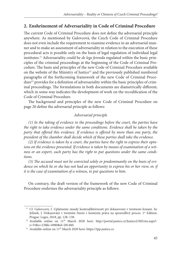## **2. Enshrinement of Adversariality in Code of Criminal Procedure**

The current Code of Criminal Procedure does not define the adversarial principle anywhere. As mentioned by Galovcová, the Czech Code of Criminal Procedure does not even include the requirement to examine evidence in an adversarial manner and to make an assessment of adversariality in relation to the execution of these procedural acts is possible only on the basis of legal regulation of individual legal institutes.<sup>11</sup> Adversariality could be *de lege ferenda* regulated within the basic principles of the criminal proceedings at the beginning of the Code of Criminal Procedure. The basis and principles of the new Code of Criminal Procedure available on the website of the Ministry of Justice<sup>12</sup> and the previously published numbered paragraphs of the forthcoming framework of the new Code of Criminal Procedure<sup>13</sup> provides for a definition of adversariality within the basic principles of criminal proceedings. The formulations in both documents are diametrically different, which in some way indicates the development of work on the recodification of the Code of Criminal Procedure.

The background and principles of the new Code of Criminal Procedure on page 20 define the adversarial principle as follows:

### *Adversarial principle*

*(1) In the taking of evidence in the proceedings before the court, the parties have the right to take evidence under the same conditions. Evidence shall be taken by the party that offered this evidence. If evidence is offered by more than one party, the presi dent of the chamber shall decide which of these parties shall take the evidence.*

*(2) If evidence is taken by a court, the parties have the right to express their opinions on the evidence presented. If evidence is taken by means of examination of a witness or an expert, each party has the right to put questions under the same conditions.*

(3) The accused must not be convicted solely or predominantly on the basis of evi*dence on which he or she has not had an opportunity to express his or her view, or, if it is the case of examination of a witness, to put questions to him.*

On contrary, the draft version of the framework of the new Code of Criminal Procedure enshrines the adversariality principle as follows:

<sup>&</sup>lt;sup>11</sup> Cf. Galovcová, I. Uplatnenie zásady kontradiktórnosti pri dokazovaní v trestnom konaní. In: Jelínek, J. Dokazování v trestním řízení v kontextu práva na spravedlivý proces. 1st Edition.

[Prague: Leges, 2018, pp. 128–138.](http://portal.justice.cz/Justice2/MS/ms.aspx?j=33&o=23&k=4980&d=281460)<br><sup>12</sup> Available online on 11<sup>th</sup> March 2020 here: http://portal.justice.cz/Justice2/MS/ms.aspx?-j=33&o=23&k=4980&d=281460.<br><sup>13</sup> Available online on 11<sup>th</sup> March 2020 here[: https://tpp.justice.cz.](https://tpp.justice.cz)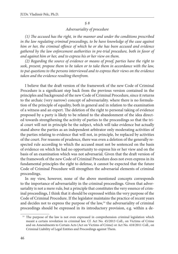### *§ 8*

## *Adversariality of procedure*

(1) The accused has the right, in the manner and under the conditions prescribed *in the law regulating criminal proceedings, to be have knowledge of the case against him or her, the criminal offence of which he or she has been accused and evidence gathered by the law enforcement authorities in pre-trial procedure, both in favor of and against him or her, and to express his or her view on them.*

*(2) Regarding the source of evidence or means of proof, parties have the right to seek, present, propose them to be taken or to take them in accordance with the law, to put questions to the persons interviewed and to express their views on the evidence taken and the evidence resulting therefrom.*

I believe that the draft version of the framework of the new Code of Criminal Procedure is a significant step back from the previous version contained in the principles and background of the new Code of Criminal Procedure, since it returns to the archaic (very narrow) concept of adversariality. where there is no formulation of the principle of equality, both in general and in relation to the examination of a witness and an expert. The deletion of the right to personal taking of evidence proposed by a party is likely to be related to the abandonment of the idea directed towards strengthening the activity of parties to the proceedings so that the trial court will not in principle be the subject, which will take evidence but actually stand above the parties as an independent arbitrator only moderating activities of the parties relating to evidence that will not, in principle, be replaced by activities of the court. For reasons of prudence, there was even a deletion of the generally respected rule according to which the accused must not be sentenced on the basis of evidence on which he had no opportunity to express his or her view and on the basis of an examination which was not adversarial. Given that the draft version of the framework of the new Code of Criminal Procedure does not even express in its fundamental principles the right to defense, it cannot be expected that the future Code of Criminal Procedure will strengthen the adversarial elements of criminal proceedings.

In my view, however, none of the above mentioned concepts corresponds to the importance of adversariality in the criminal proceedings. Given that adversariality is not a mere rule, but a principle that constitutes the very essence of criminal proceedings, I think that it should be expressed within the very purpose of the Code of Criminal Procedure. If the legislator maintains the practice of recent years and decides not to express the purpose of the  $law$ ,<sup>14</sup> the adversariality of criminal proceedings should be expressed in its introductory provision, e.g. within a de-

<sup>&</sup>lt;sup>14</sup> The purpose of the law is not even expressed in comprehension criminal legislation which meant a certain revolution in criminal law. Cf. Act No. 45/2013 Coll., on Victims of Crime and on Amendments to Certain Acts (Act on Victims of Crime) or Act No. 418/2011 Coll., on Criminal Liability of Legal Entities and Proceedings against Them.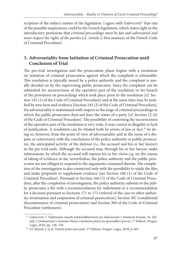scription of the subject matter of the legislation. I agree with Galovcová<sup>15</sup> that one of the possible inspirations could be the French legislation, which states right in the introductory provisions that *criminal proceedings must be fair and adversarial and must respect the rights of the parties* (cf. Article I, first sentence of the French Code of Criminal Procedure).

# **3. Adversariality from Initiation of Criminal Prosecution until Conclusion of Trial**

The pre-trial investigation and the prosecution phase begins with a resolution on initiation of criminal prosecution against which the complaint is admissible. This resolution is typically issued by a police authority and the complaint is usually decided on by the supervising public prosecutor. Since the complaint can be submitted for incorrectness of the operative part of the resolution or for breach of the provisions on proceedings which took place prior to the resolution [cf. Section 145 (1) of the Code of Criminal Procedure] and at the same time may be justified by new facts and evidence [Section 145 (2) of the Code of Criminal Procedure], the adversariality is maintained with respect to the stage of criminal proceedings in which the public prosecutor does not have the status of a party [cf. Section 12 (6) of the Code of Criminal Procedure]. The possibility of contesting the incorrectness of the operative part of the resolution is very wide, it may consist in illegality or lack of justification. A resolution can be vitiated both by errors of law or fact.<sup>16</sup> In doing so, however, from the point of view of adversariality and in the sense of a dispute or controversy with the conclusions of the police authority or public prosecutor, the anticipated activity of the defense (i.e. the accused and his or her lawyer) in the pre-trial ends. Although the accused may, through his or her lawyer, make submissions, by which the accused will express his or her views e.g. on the course of taking of evidence so far, nevertheless, the police authority and the public prosecutor are not obliged to respond to the arguments contained therein. The completion of the investigation is also connected only with the possibility to study the files and make proposals to supplement evidence [see Section 166 (1) of the Code of Criminal Procedure]. Pursuant to Section 166 (3) of the Code of Criminal Procedure, after the completion of investigation, the police authority submits to the public prosecutor a file with a recommendation for indictment or a recommendation for a decision pursuant to Sections 171 to 173 (referral of the case to other authority, termination and suspension of criminal prosecution), Section 307 (conditional discontinuance of criminal prosecution) and Section 309 of the Code of Criminal Procedure (settlement).

<sup>&</sup>lt;sup>15</sup> Galovcová, I. Uplatnenie zásady kontradiktórnosti pri dokazovaní v trestnom konaní. In: Jelínek, J. Dokazování v trestním řízení v kontextu práva na spravedlivý proces. 1<sup>st</sup> Edition. Prague: Leges, 2018, pp. 128–138.<br><sup>16</sup> Cf. Jelínek, J. et al. Trestní právo procesní. 5<sup>th</sup> Edition. Prague: Leges, 2018, p. 665.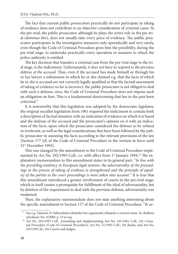The fact that current public prosecutors practically do not participate in taking of evidence does not contribute to an objective consideration of criminal cases. In the pre-trial, the public prosecutor, although he plays the active role in the pre-trial (dominus litis), does not usually take every piece of evidence. The public prosecutor participates in the investigative measures only sporadically and very rarely, even though the Code of Criminal Procedure gives him the possibility, during the pre-trial stage, to undertake practically every operation or measure to which the police authority is entitled.

The key decision that transfers a criminal case from the pre-trial stage to the trial stage, is the indictment. Unfortunately, *it does not have to respond to the previous defense of the accused*. Thus, even if the accused has made himself or through his or her lawyer a submission in which he or she claimed e.g. that the facts of which he or she is accused are not correctly legally qualified or that the factual assessment of taking of evidence so far is incorrect, the public prosecutor is not obliged to deal with such a defense, since the Code of Criminal Procedure does not impose such an obligation on him. This is a fundamental shortcoming that has in the past been criticized.17

It is noteworthy that this legislation was adopted by the democratic legislator, the original socialist legislation from 1961 required the indictment to contain both a description of factual situation with an indication of evidence on which it is based and the defense of the accused and the prosecutor's opinion on it with an indication of the facts, upon which the prosecutor considered the defense to be refuted or irrelevant, as well as the legal considerations that have been followed by the public prosecutor in assessing the facts according to the relevant provisions of the law [Section 177 (d) of the Code of Criminal Procedure in the version in force until 31st December 1993].

This was changed by the amendment to the Code of Criminal Procedure implemented by Act No. 292/1993 Coll., i.e. with effect from 1<sup>st</sup> January 1994.<sup>18</sup> The explanatory memorandum to this amendment states in its general part: "*In line with the prevailing tendency in European legal systems, the adversariality of the proceedings in the process of taking of evidence is strengthened and the principle of equality of the parties to the court proceedings is more taken into account.*" It is true that this amendment introduced a greater involvement of courts in the pre-trial stage, which in itself creates a prerequisite for fulfillment of the ideal of adversariality, but by deletion of the requirement to deal with the previous defense, adversariality was weakened.

Then, the explanatory memorandum does not state anything interesting about the specific amendment to Section 177 of the Code of Criminal Procedure: "In ac-

<sup>&</sup>lt;sup>17</sup> See e.g. Vantuch, P. Odůvodnění obžaloby bez argumentů obhajoby a rovnost stran. In: Bulletin

advokacie No. 4/2009, p. 19 et seq.<br><sup>18</sup> Act No. 292/1993 Coll., Amending and Supplementing Act No. 141/1961 Coll., On Criminal Procedure (Code of Criminal Procedure), Act No. 21/1992 Coll., On Banks, and Act No. 335/1991 Sb., On Courts and Judges.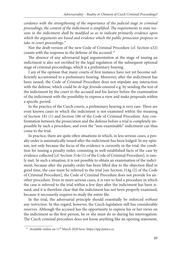*cordance with the strengthening of the importance of the judicial stage in criminal* proceedings, the content of the indictment is simplified. The requirements to state reasons in the indictment shall be modified so as to indicate primarily evidence upon *which the arguments are based and evidence which the public prosecutor proposes to take in court proceedings.*"

Nor the draft version of the new Code of Criminal Procedure (cf. Section x32) counts with the response to the defense of the accused.19

The absence of any adversarial legal argumentation at the stage of issuing an indictment is also not rectified by the legal regulation of the subsequent optional stage of criminal proceedings, which is a preliminary hearing.

I am of the opinion that many courts of first instance have not yet become sufficiently accustomed to a preliminary hearing. Moreover, after the indictment has been issued, the Code of Criminal Procedure does not stipulate any interaction with the defense, which could be *de lege ferenda* ensured e.g. by sending the text of the indictment by the court to the accused and his lawyer before the examination of the indictment with the possibility to express a view and make proposals within a specific period.

In the practice of the Czech courts, a preliminary hearing is very rare. There are even known cases in which the indictment is not examined within the meaning of Section 181 (1) and Section 186 of the Code of Criminal Procedure. Any confrontation between the prosecution and the defense before a trial is completely impossible by such a procedure, and even the "non-examinable" indictment can thus come to the trial.

In practice, there are quite often situations in which, in less serious cases, a penalty order is automatically issued after the indictment has been lodged. In my opinion, not only because the focus of the evidence is currently in the trial, the condition for issuing a penalty order, consisting in well-established facts of the case by evidence collected [cf. Section 314e (1) of the Code of Criminal Procedure], is rarely met. In such a situation, it is not possible to obtain an examination of the indictment, because after the penalty order has been lifted due to the objection filed in good time, the case must be referred to the trial [see Section 314g (2) of the Code of Criminal Procedure], the Code of Criminal Procedure does not provide for another procedure. Even in more serious cases, it is rare to find a procedure in which the case is referred to the trial within a few days after the indictment has been issued, and it is therefore clear that the indictment has not been properly examined, because it necessarily requires to study the entire file.

In the trial, the adversarial principle should essentially be enforced *without any restriction*. In this regard, however, the Czech legislation still has considerable reserves. Although the accused has the opportunity to express his or her views on the indictment as the first person, he or she must do so during his interrogation. The Czech criminal procedure does not know anything like an opening statement,

<sup>&</sup>lt;sup>19</sup> Available online on 11<sup>th</sup> March 2020 here[: https://tpp.justice.cz.](https://tpp.justice.cz)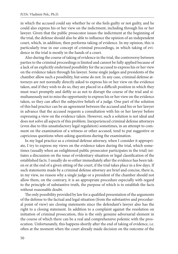in which the accused could say whether he or she feels guilty or not guilty, and he could also express his or her view on the indictment, including through his or her lawyer. Given that the public prosecutor issues the indictment at the beginning of the trial, the defense should also be able to influence the opinion of an independent court, which, in addition, then performs taking of evidence. In my opinion, this is particularly true in our concept of criminal proceedings, in which taking of evidence in the trial is mostly in the hands of a court.

Also during the course of taking of evidence in the trial, the controversy between parties to the criminal proceedings is limited and cannot be fully applied because of a lack of an explicitly enshrined possibility for the accused to express his or her view on the evidence taken through his lawyer. Some single judges and presidents of the chamber allow such a possibility, but some do not. In any case, criminal defense attorneys are not normally directly asked to express his or her view on the evidence taken, and if they wish to do so, they are placed in a difficult position in which they must react promptly and deftly so as not to disrupt the course of the trial and simultaneously not to miss the opportunity to express his or her view on the evidence taken, so they can affect the subjective beliefs of a judge. One part of the solution of this bad practice can be an agreement between the accused and his or her lawyer in advance that the accused requests a consultation with his or her lawyer before expressing a view on the evidence taken. However, such a solution is not ideal and does not solve all aspects of this problem. Inexperienced criminal defense attorneys (even due to this unsatisfactory legal regulation) sometimes, in an attempt to comment on the examination of a witness or other accused, tend to put suggestive or capricious questions when asking questions during the examination.

In my legal practice as a criminal defense attorney, when I consider it appropriate, I try to express my views on the evidence taken during the trial, which sometimes (usually when an enlightened public prosecutor participates in the trial) initiates a discussion on the issue of evidentiary situation or legal classification of the established facts. I usually do so either immediately after the evidence has been taken or at the end of a given sitting of the court, if the trial takes place in a few days. If such statements made by a criminal defense attorney are brief and concise, there is, in my view, no reason why a single judge or a president of the chamber should not allow them, on the contrary, it is an appropriate procedure especially with regard to the principle of substantive truth, the purpose of which is to establish the facts without reasonable doubt.

The only possibility provided by law for a qualified presentation of the arguments of the defense to the factual and legal situation (from the substantive and procedural point of view) are closing statements since the defendant's lawyer also has the right to a closing statement. In addition to a complaint against the resolution on initiation of criminal prosecution, this is the only genuine adversarial element in the course of which there can be a real and comprehensive polemic with the prosecution. Unfortunately, this happens shortly after the end of taking of evidence, i.e. often at the moment when the court already made decision on the outcome of the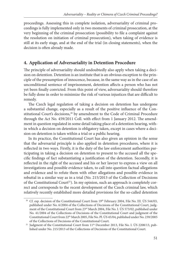proceedings. Assessing this in complete isolation, adversariality of criminal proceedings is fully implemented only in two moments of criminal prosecution, at the very beginning of the criminal prosecution (possibility to file a complaint against the resolution on initiation of criminal prosecution), when taking of evidence is still at its early stage, and at the end of the trial (in closing statements), when the decision is often already made.

# **4. Application of Adversariality in Detention Procedure**

The principle of adversariality should undoubtedly also apply when taking a decision on detention. Detention is an institute that is an obvious exception to the principle of the presumption of innocence, because, in the same way as in the case of an unconditional sentence of imprisonment, detention affects a person who has not yet been finally convicted. From this point of view, adversariality should therefore be fully done in order to minimize the risk of various injustices that are difficult to remedy.

The Czech legal regulation of taking a decision on detention has undergone a substantial change, especially as a result of the positive influence of the Constitutional Court's decisions,<sup>20</sup> by amendment to the Code of Criminal Procedure through the Act No. 459/2011 Coll. with effect from 1 January 2012. The amendment in question regulated in some detail taking place of a detention hearing, within which a decision on detention is obligatory taken, except in cases where a decision on detention is taken within a trial or a public hearing.

In its practice, the Constitutional Court has also given an opinion in the sense that the adversarial principle is also applied in detention procedures, where it is reflected in two ways. Firstly, it is the duty of the law enforcement authorities participating in taking a decision on detention to present to the accused all the specific findings of fact substantiating a justification of the detention. Secondly, it is reflected in the right of the accused and his or her lawyer to express a view on all investigations and possible evidence taken, to call into question factual allegations and evidence and to refute them with other allegations and possible evidence in rebuttal in a similar way as in a trial (No. 215/2013 of the Collection of Decisions of the Constitutional Court<sup>21</sup>). In my opinion, such an approach is completely correct and corresponds to the recent development of the Czech criminal law, which relatively recently established more detailed provisions for the so-called detention

<sup>&</sup>lt;sup>20</sup> Cf. esp. decision of the Constitutional Court from 19<sup>th</sup> February 2004, File No. III. ÚS 544/03, published under No. 6/2004 of the Collections of Decisions of the Constitutional Court, judgment of the Constitutional Court from 23rd March 2004, File No. I. ÚS 573/02, published under No. 41/2004 of the Collections of Decisions of the Constitutional Court and judgment of the Constitutional Court from 22<sup>th</sup> March 2005, File No. Pl. ÚS 45/04, published under No. 239/2005

of the Collections of Decisions of the Constitutional Court.<br><sup>21</sup> Judgment of the Constitutional Court from 11<sup>th</sup> December 2013, File No. I. ÚS 2208/13, published under No. 215/2013 of the Collections of Decisions of the Constitutional Court.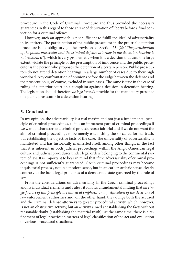procedure in the Code of Criminal Procedure and thus provided the necessary guarantees in this regard to those at risk of deprivation of liberty before a final conviction for a criminal offence.

However, such an approach is not sufficient to fulfill the ideal of adversariality in its entirety. The participation of the public prosecutor in the pre-trial detention procedure is not obligatory [cf. the provisions of Section 73f (2): "*The participation of the public prosecutor and the criminal defense attorney in the detention hearing is not necessary.*"], which is very problematic when it is a decision that can, to a large extent, violate the principle of the presumption of innocence and the public prosecutor is the person who proposes the detention of a certain person. Public prosecutors do not attend detention hearings in a large number of cases due to their high workload. Any confrontation of opinions before the judge between the defense and the prosecution is, of course, excluded in such cases. The same is true in the case of ruling of a superior court on a complaint against a decision in detention hearing. The legislation should therefore *de lege ferenda* provide for the mandatory presence of a public prosecutor in a detention hearing

## **5. Conclusion**

In my opinion, the adversariality is a real maxim and not just a fundamental principle of criminal proceedings, as it is an immanent part of criminal proceedings if we want to characterize a criminal procedure as a fair trial and if we do not want the aim of criminal proceedings to be merely establishing the so-called formal truth, but establishing the objective facts of the case. The universality of adversariality is manifested and has historically manifested itself, among other things, in the fact that it is inherent in both judicial proceedings within the Anglo-American legal culture and judicial procedures under legal orders belonging to the continental system of law. It is important to bear in mind that if the adversariality of criminal proceedings is not sufficiently guaranteed, Czech criminal proceedings may become inquisitorial process, not in a modern sense, but in an earlier, archaic sense, clearly contrary to the basic legal principles of a democratic state governed by the rule of law.

From the considerations on adversariality in the Czech criminal proceedings and its individual elements and rules, it follows a fundamental finding that *all single factors of this principle are aimed at emphasis on a justifi cation of the decisions* of law enforcement authorities and, on the other hand, they oblige both the accused and the criminal defense attorneys to greater procedural activity, which, however, is not an obstructive activity, but an activity aimed at establishing the facts without reasonable doubt (establishing the material truth). At the same time, there is a refinement of legal practice in matters of legal classification of the act and evaluation of various procedural situations.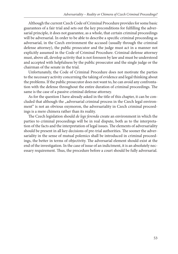Although the current Czech Code of Criminal Procedure provides for some basic guarantees of a fair trial and sets out the key preconditions for fulfilling the adversarial principle, it does not guarantee, as a whole, that certain criminal proceedings will be adversarial. In order to be able to describe a specific criminal proceeding as adversarial, in the Czech environment the accused (usually through the criminal defense attorney), the public prosecutor and the judge must act in a manner not explicitly assumed in the Code of Criminal Procedure. Criminal defense attorney must, above all, develop activity that is not foreseen by law and must be understood and accepted with helpfulness by the public prosecutor and the single judge or the chairman of the senate in the trial.

Unfortunately, the Code of Criminal Procedure does not motivate the parties to the necessary activity concerning the taking of evidence and legal thinking about the problems. If the public prosecutor does not want to, he can avoid any confrontation with the defense throughout the entire duration of criminal proceedings. The same is the case of a passive criminal defense attorney.

As for the question I have already asked in the title of this chapter, it can be concluded that although the "adversarial criminal process in the Czech legal environment" is not an obvious oxymoron, the adversariality in Czech criminal proceedings is a mere chimera rather than its reality.

The Czech legislation should *de lege ferenda* create an environment in which the parties to criminal proceedings will be in real dispute, both as to the interpretation of the facts and the interpretation of legal issues. The elements of adversariality should be present in all key decisions of pre-trial authorities. The sooner the adversariality in the sense of mutual polemics shall be introduced in criminal proceedings, the better in terms of objectivity. The adversarial element should exist at the end of the investigation. In the case of issue of an indictment, it is an absolutely necessary requirement. Thus, the procedure before a court should be fully adversarial.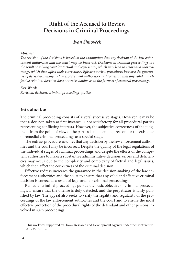# **Right of the Accused to Review Decisions in Criminal Proceedings**<sup>1</sup>

# *Ivan Šimovček*

### *Abstract*

The revision of the decisions is based on the assumption that any decision of the law enfor*cement authorities and the court may be incorrect. Decisions in criminal proceedings are the result of solving complex factual and legal issues, which may lead to errors and shortco*mings, which then affect their correctness. Effective review procedures increase the guaran*tee of decision-making by law enforcement authorities and courts, so that any valid and effective criminal decision does not raise doubts as to the fairness of criminal proceedings.*

### *Key Words*

*Revision, decision, criminal proceedings, justice.*

## **Introduction**

The criminal proceeding consists of several successive stages. However, it may be that a decision taken at first instance is not satisfactory for all procedural parties representing conflicting interests. However, the subjective correctness of the judgment from the point of view of the parties is not a enough reason for the existence of remedial criminal proceedings as a special stage.

The redress procedure assumes that any decision by the law enforcement authorities and the court may be incorrect. Despite the quality of the legal regulations of the individual stages of criminal proceedings and despite the efforts of the competent authorities to make a substantive administrative decision, errors and deficiencies may occur due to the complexity and complexity of factual and legal issues, which then affect the correctness of the criminal decision.

Effective redress increases the guarantee in the decision-making of the law enforcement authorities and the court to ensure that any valid and effective criminal decision is correct as a result of legal and fair criminal proceedings.

Remedial criminal proceedings pursue the basic objective of criminal proceedings, i. ensure that the offense is duly detected, and the perpetrator is fairly punished by law. The appeal also seeks to verify the legality and regularity of the proceedings of the law enforcement authorities and the court and to ensure the most effective protection of the procedural rights of the defendant and other persons involved in such proceedings.

<sup>&</sup>lt;sup>1</sup> This work was supported by Slovak Research and Development Agency under the Contract No. APVV-16-0106.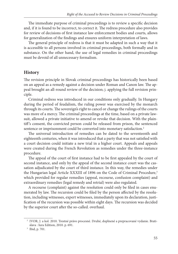The immediate purpose of criminal proceedings is to review a specific decision and, if it is found to be incorrect, to correct it. The redress procedure also provides for review of decisions of first instance law enforcement bodies and courts, allows for generalization of the findings and ensures uniform interpretation of laws.

The general principle of redress is that it must be adapted in such a way that it is accessible to all persons involved in criminal proceedings, both formally and in substance. On the other hand, the use of legal remedies in criminal proceedings must be devoid of all unnecessary formalism.

## **History**

The revision principle in Slovak criminal proceedings has historically been based on an appeal as a remedy against a decision under Roman and Canon law. The appeal brought an all-round review of the decision; j. applying the full revision principle.

Criminal redress was introduced in our conditions only gradually. In Hungary during the period of feudalism, the ruling power was exercised by the monarch through its courts. The sovereign's right to cancel or change the rulings of the courts was more of a mercy. The criminal proceedings at the time, based on a private lawsuit, allowed a private initiative to amend or revoke that decision. With the plaintiff's consent, the convicted person could be released from prison, the sentenced sentence or imprisonment could be converted into monetary satisfaction.<sup>2</sup>

The universal introduction of remedies can be dated to the seventeenth and eighteenth centuries, when it was introduced that a party that was not satisfied with a court decision could initiate a new trial in a higher court. Appeals and appeals were created during the French Revolution as remedies under the three-instance procedure.

The appeal of the court of first instance had to be first appealed by the court of second instance, and only by the appeal of the second instance court was the cassation adjudicated by the court of third instance. In this way, the remedies under the Hungarian legal Article XXXIII of 1896 on the Code of Criminal Procedure,<sup>3</sup> which provided for regular remedies (appeal, recourse, confusion complaint) and extraordinary remedies (legal remedy and retrial) were also regulated.

A recourse (complaint) against the resolution could only be filed in cases enumerated by law. The recursion could be filed by the person affected by the resolution, including witnesses, expert witnesses, immediately upon its declaration, justification of the recursion was possible within eight days. The recursion was decided by the superior court after the so-called. overhaul.

 <sup>2</sup> IVOR, J. a kol. 2010. Trestné právo procesné. Druhé, doplnené a prepracované vydanie. Bratislava : Iura Edition, 2010. p. 691. 3 Ibid, p. 701.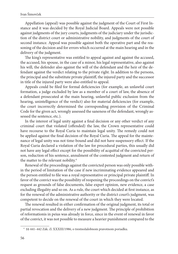Appellation (appeal) was possible against the judgment of the Court of First Instance and it was decided by the Royal Judicial Board. Appeals were not possible against judgments of the jury courts, judgments of the judiciary under the jurisdiction of the district court or administrative nobility, and judgments of the court of second instance. Appeal was possible against both the operative part and the reasoning of the decision and for errors which occurred at the main hearing and in the delivery of the judgment.

The king's representative was entitled to appeal against and against the accused, the accused, his spouse, in the case of a minor, his legal representative, also against his will, the defender also against the will of the defendant and the heir of the defendant against the verdict relating to the private right. In addition to the persons, the principal and the substitute private plaintiff, the injured party and the successor in title of the injured party were also entitled to appeal.

Appeals could be filed for formal deficiencies (for example, an unlawful court formation, a judge excluded by law as a member of a court of law, the absence of a defendant prosecuted at the main hearing, unlawful public exclusion from the hearing, unintelligence of the verdict) also for material deficiencies (for example, the court incorrectly determined the corresponding provision of the Criminal Code for the given act, wrongly assessed the saneness of the defendant, wrongly assessed the sentence, etc.).

In the interest of legal unity against a final decision or any other verdict of any criminal court that violated (offended) the law, the Crown representative could have recourse to the Royal Curia to maintain legal unity. The remedy could not be applied against the final decision of the Royal Curia. The appeal for the maintenance of legal unity was not time-bound and did not have suspensory effect. If the Royal Curia declared a violation of the law for procedural parties, this usually did not have any legal effect except for the possibility of acquittal of the convicted person, reduction of his sentence, annulment of the contested judgment and return of the matter to the relevant nobility.<sup>4</sup>

Renewal of the proceedings against the convicted person was only possible within the period of limitation of the case if new incriminating evidence appeared and the person entitled to file was a royal representative or principal private plaintiff. In favor of the convict was the possibility of reopening the proceedings on the convict's request as grounds of false documents, false expert opinion, new evidence, a case excluding illegality and so on. As a rule, the court which decided at first instance, as for the renewal of the administrative authority or the district court's judgment, was competent to decide on the renewal of the court in which they were located.

The renewal resulted in either confirmation of the original judgment, its total or partial revocation and the delivery of a new judgment. The principle of prohibition of reformationis in peius was already in force, since in the event of renewal in favor of the convict, it was not possible to measure a heavier punishment compared to the

 <sup>4 §§ 441–442</sup> Zák. čl. XXXIII/1986, o trestnožalobnom pravotnom poriadku.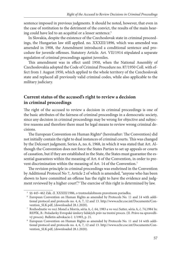sentence imposed in previous judgments. It should be noted, however, that even in the case of restitution to the detriment of the convict, the results of the main hearing could have led to an acquittal or a lesser sentence.<sup>5</sup>

In Slovakia, despite the existence of the Czechoslovak state in criminal proceedings, the Hungarian law still applied. no. XXXIII/1896, which was amended was amended in 1908, the Amendment introduced a conditional sentence and procedure for juvenile offenses. Statutory Article. Art. VII/1914 stipulated a separate regulation of criminal proceedings against juveniles.

This amendment was in effect until 1950, when the National Assembly of Czechoslovakia adopted the Code of Criminal Procedure no. 87/1950 Coll. with effect from 1 August 1950, which applied to the whole territory of the Czechoslovak state and replaced all previously valid criminal codes, while also applicable to the military judiciary.

# **Current status of the accused's right to review a decision in criminal proceedings**

The right of the accused to review a decision in criminal proceedings is one of the basic attributes of the fairness of criminal proceedings in a democratic society, since any decision in criminal proceedings may be wrong for objective and subjective reasons and therefore there must be legal means to review wrong criminal decisions.

The European Convention on Human Rights<sup>6</sup> (hereinafter: The Convention) did not initially contain the right to dual instances of criminal courts. This was changed by the Delcourt judgment, Series A, no. 6, 1968, in which it was stated that Art. Although the Convention does not force the States Parties to set up appeals or courts of cassation, but if they are established in the State, the States must guarantee the essential guarantees within the meaning of Art. 6 of the Convention, in order to prevent discrimination within the meaning of Art. 14 of the Convention.7

The revision principle in criminal proceedings was enshrined in the Convention by Additional Protocol No 7, Article 2 of which is amended, "anyone who has been shown to have committed an offense has the right to have the evidence and judgment reviewed by a higher court".<sup>8</sup> The exercise of this right is determined by law.

 <sup>5 §§ 445–462</sup> Zák. čl. XXXIII/1986, o trestnožalobnom pravotnom poriadku. 6 European Convention on Human Rights as amended by Protocols No. 11 and 14 with additional protocol and protocols no. 4, 6, 7, 12 and 13. http://www.echr.coe.int/Documents/Con[vention\\_SLK.pdf, \(downloaded 28.1.2020\).](http://www.echr.coe.int/Documents/Convention_SLK.pdf) 7 Rozhodnutie vo veci Monel a Morris, séria A, č. 64, 1983 a vo veci Sutter, séria A, č. 74,1984 In:

REPÍK, B.: Požadavky Evropské úmluvy lidských práv na trestní proces. (II. Právo na spravedlivý proces). Bulletin advokacie č. 1/1993, p. 21.<br>8 European Convention on Human Rights as amended by Protocols No. 11 and 14 with addi-

[tional protocol and protocols no. 4, 6, 7, 12 and 13. http://www.echr.coe.int/Documents/Con](http://www.echr.coe.int/Documents/Convention_SLK.pdf)vention\_SLK.pdf, (downloaded 28.1.2020).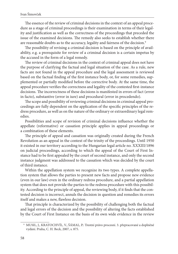The essence of the review of criminal decisions in the context of an appeal procedure as a stage of criminal proceedings is their examination in terms of their legality and justification as well as the correctness of the proceedings that preceded the issue of the examined decisions. The remedy also seeks to establish whether there are reasonable doubts as to the accuracy, legality and fairness of the decision.<sup>9</sup>

The possibility of revising a criminal decision is based on the principle of availability, e.g. a prerequisite for review of a criminal decision is a certain impetus by the accused in the form of a legal remedy.

The review of criminal decisions in the context of criminal appeal does not have the purpose of clarifying the factual and legal situation of the case. As a rule, new facts are not found in the appeal procedure and the legal assessment is reviewed based on the factual finding of the first instance body, or, for some remedies, supplemented or partially modified before the corrective body. At the same time, the appeal procedure verifies the correctness and legality of the contested first-instance decisions. The incorrectness of these decisions is manifested in errors of fact (error in facto), substantive (error in iure) and procedural (error in procedendo).

The scope and possibility of reviewing criminal decisions in criminal appeal proceedings are fully dependent on the application of the specific principles of the redress procedure, as well as on the nature of the ordinary or extraordinary legal remedies.

Possibilities and scope of revision of criminal decisions influence whether the appellate (reformative) or cassation principle applies in appeal proceedings or a combination of these elements.

The principle of appeal and cassation was originally created during the French Revolution as an appeal in the context of the trinity of the proceedings. Until 1950 it existed in our territory according to the Hungarian legal article no. XXXIII/1896 on judicial proceedings, according to which the appeal of the Court of First Instance had to be first appealed by the court of second instance, and only the second instance judgment was addressed to the cassation which was decided by the court of third instance.

Within the appellation system we recognize its two types. A complete appellation system that allows the parties to present new facts and propose new evidence (even in our law) even in the ordinary redress procedure, and a partial appellation system that does not provide the parties to the redress procedure with this possibility. According to the principle of appeal, the reviewing body, if it finds that the contested decision is incorrect, annuls the decision in question and remedies its errors itself and makes a new, flawless decision.

That principle is characterized by the possibility of challenging both the factual and legal errors of the decision and the possibility of altering the facts established by the Court of First Instance on the basis of its own wide evidence in the review

 <sup>9</sup> MUSIL, J., KRATOCHVÍL, V., ŠÁMAL, P.: Trestní právo procesní. 3. přepracované a doplněné vydání. Praha, C. H. Beck, 2007, s. 875.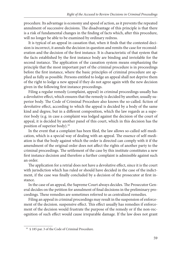procedure. Its advantage is economy and speed of action, as it prevents the repeated annulment of successive decisions. The disadvantage of this principle is that there is a risk of fundamental changes in the finding of facts which, after this procedure, will no longer be able to be examined by ordinary redress.

It is typical of an appeal in cassation that, when it finds that the contested decision is incorrect, it annuls the decision in question and remits the case for reconsideration and the decision of the first instance. It is characteristic of that system that the facts established by the first instance body are binding and inviolable for the second instance. The application of the cassation system means emphasizing the principle that the most important part of the criminal procedure is in proceedings before the first instance, where the basic principles of criminal procedure are applied as fully as possible. Persons entitled to lodge an appeal shall not deprive them of the right to lodge a new appeal if they do not agree again with the new decision given in the following first instance proceedings.

Filing a regular remedy (complaint, appeal) in criminal proceedings usually has a devolutive effect, which ensures that the remedy is decided by another, usually superior body. The Code of Criminal Procedure also knows the so-called. fiction of devolutive effect, according to which the appeal is decided by a body of the same kind and degree, but in a different composition, which the law regards as a superior body (e.g. in case a complaint was lodged against the decision of the court of appeal, it is decided by another panel of this court, which in this decision has the position of superior body).10

In the event that a complaint has been filed, the law allows so-called self-medication, which is a special way of dealing with an appeal. The essence of self-mediation is that the body against which the order is directed can comply with it if the amendment of the original order does not affect the rights of another party to the criminal proceedings. The settlement of the case by this institute constitutes a new first instance decision and therefore a further complaint is admissible against such an order.

The application for a retrial does not have a devolutive effect, since it is the court with jurisdiction which has ruled or should have decided in the case of the indictment, if the case was finally concluded by a decision of the prosecutor at first instance.

In the case of an appeal, the Supreme Court always decides. The Prosecutor General decides on the petition for annulment of final decisions in the preliminary proceedings. These remedies are sometimes referred to as centralized remedies.

Filing an appeal in criminal proceedings may result in the suspension of enforcement of the decision. suspensive effect. This effect usually has remedies if enforcement of the decision would frustrate the purpose of the remedy or if the non-recognition of such effect would cause irreparable damage. If the law does not grant

 <sup>10 § 185</sup> par. 3 of the Code of Criminal Procedure.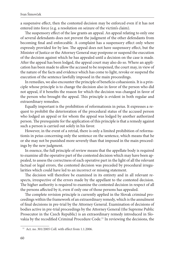a suspensive effect, then the contested decision may be enforced even if it has not entered into force (e.g. a resolution on seizure of the victim's claim).

The suspensory effect of the law grants an appeal. An appeal relating to only one of several defendants does not prevent the judgment of the other defendants from becoming final and enforceable. A complaint has a suspensory effect only where expressly provided for by law. The appeal does not have suspensory effect, but the Minister of Justice or the Attorney General may postpone or suspend the execution of the decision against which he has appealed until a decision on the case is made. After the appeal has been lodged, the appeal court may also do so. Where an application has been made to allow the accused to be reopened, the court may, in view of the nature of the facts and evidence which has come to light, revoke or suspend the execution of the sentence lawfully imposed in the main proceedings.

In remedies, we also encounter the principle of beneficio cohaesionis. It is a principle whose principle is to change the decision also in favor of the person who did not appeal, if it benefits the reason for which the decision was changed in favor of the person who brought the appeal. This principle is evident in both regular and extraordinary remedies.

Equally important is the prohibition of reformationis in peius. It expresses a request to prohibit the deterioration of the procedural status of the accused person who lodged an appeal or for whom the appeal was lodged by another authorized person. The prerequisite for the application of this principle is that a remedy against such a person is carried out solely in his favor.

However, in the event of a retrial, there is only a limited prohibition of reformationis in peius concerning only the sentence on the sentence, which means that he or she may not be punished more severely than that imposed in the main proceedings by the new judgment.

In essence, the full principle of review means that the appellate body is required to examine all the operative part of the contested decision which may have been appealed, to assess the correctness of each operative part in the light of all the relevant factual or legal errors, the contested decision was preceded by procedural irregularities which could have led to an incorrect or missing statement.

The decision will therefore be examined in its entirety and in all relevant respects, irrespective of the errors made by the appellant to the contested decision. The higher authority is required to examine the contested decision in respect of all the persons affected by it, even if only one of those persons has appealed.

The complete revision principle is currently applied in the Slovak criminal proceedings within the framework of an extraordinary remedy, which is the annulment of final decisions in pre-trial by the Attorney General. Examination of decisions of bodies active in pre-trial proceedings by the Attorney General (the Supreme Public Prosecutor in the Czech Republic) is an extraordinary remedy introduced in Slovakia by the recodified Criminal Procedure Code.<sup>11</sup> In reviewing the decisions, the

 <sup>11</sup> Act. no. 301/2005 Coll. with effect from 1.1.2006.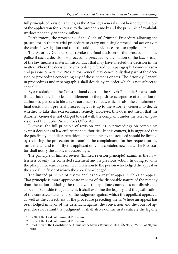full principle of revision applies, as the Attorney General is not bound by the scope of the application for recourse to the present remedy and the principle of availability does not apply either ex-officio.

Furthermore, the provisions of the Code of Criminal Procedure allowing the prosecutor in the pre-trial procedure to carry out a single procedural act or even the entire investigation and thus the taking of evidence are also applicable.<sup>12</sup>

The Attorney General shall revoke the final decision of the prosecutor or the police if such a decision or proceeding preceded by a violation of the law. Breach of the law means a material misconduct that may have affected the decision in the matter. Where the decision or proceeding referred to in paragraph 1 concerns several persons or acts, the Prosecutor General may cancel only that part of the decision or proceeding concerning any of those persons or acts. The Attorney General in proceedings under paragraph 1 shall decide by an order which is not subject to appeal.<sup>13</sup>

By a resolution of the Constitutional Court of the Slovak Republic<sup>14</sup> it was established that there is no legal entitlement to the positive acceptance of a petition of authorized persons to file an extraordinary remedy, which is also the annulment of final decisions in pre-trial proceedings. It is up to the Attorney General to decide whether to take this extraordinary remedy. However, this does not mean that the Attorney General is not obliged to deal with the complaint under the relevant provisions of the Public Prosecutor's Office Act.

Likewise, the full principle of revision applies in proceedings on complaints against decisions of law enforcement authorities. In this context, it is suggested that the possibility of endless repetition of complaints by the accused should be limited by requiring the prosecutor to examine the complainant's further request on the same matter and to notify the applicant only if it contains new facts. The Prosecutor shall notify the applicant accordingly.

The principle of limited review (limited revision principle) examines the flawlessness of only the contested statement and its previous action. In doing so, only the plea put forward is examined in relation to the person who lodged the appeal or the appeal. in favor of which the appeal was lodged.

The limited principle of review applies to a regular appeal such as an appeal. That principle is more appropriate in view of the disposable nature of the remedy than the action initiating the remedy. If the appellate court does not dismiss the appeal or set aside the judgment, it shall examine the legality and the justification of the contested statements of the judgment against which the appellant appealed, as well as the correctness of the procedure preceding them. Where an appeal has been lodged in favor of the defendant against the conviction and the court of appeal does not annul that judgment, it shall also examine in its entirety the legality

<sup>&</sup>lt;sup>12</sup> § 230 of the Code of Criminal Procedure.<br><sup>13</sup> § 363 of the Code of Criminal Procedure.<br><sup>14</sup> Resolution of the Constitutional Court of the Slovak Republic File I. ÚS No. 252/2010 of 30 June 2010.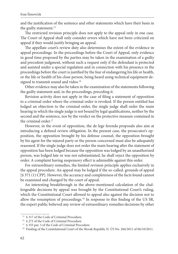and the justification of the sentence and other statements which have their basis in the guilty statement.<sup>15</sup>

The restricted revision principle does not apply to the appeal only in one case. The Court of Appeal shall only consider errors which have not been criticized on appeal if they would justify bringing an appeal.

The appellate court's review duty also determines the extent of the evidence in appeal proceedings. In the proceedings before the Court of Appeal, only evidence in good time proposed by the parties may be taken in the examination of a guilty and precedent judgment, without such a request only if the defendant is protected and assisted under a special regulation and in connection with his presence in the proceedings before the court is justified by the fear of endangering his life or health, or the life or health of his close person, being heard using technical equipment designed to transmit sound and video.<sup>16</sup>

Other evidence may also be taken in the examination of the statements following the guilty statement and, in the proceedings, preceding it.

Revision activity does not apply in the case of filing a statement of opposition to a criminal order where the criminal order is revoked. If the person entitled has lodged an objection to the criminal order, the single judge shall order the main hearing in which the single judge is not bound by legal qualifications, neither by the second and the sentence, nor by the verdict on the protective measure contained in the criminal order<sup>17</sup>

However, in the event of opposition, the de lege ferenda proposals also aim at introducing a defined review obligation. In the present case, the prosecutor's opposition, the opposition brought by his defense counsel, the opposition brought by his agent for the injured party or the person concerned must also be adequately reasoned. If the single judge does not order the main hearing after the statement of opposition has been lodged because the opposition was lodged by an unauthorized person, was lodged late or was not substantiated, he shall reject the opposition by order. A complaint having suspensory effect is admissible against this order.

For extraordinary remedies, the limited revision principle applies exclusively in the appeal procedure. An appeal may be lodged if the so-called. grounds of appeal [§ 371 (1) CPP]. However, the accuracy and completeness of the facts found cannot be examined and changed by the court of appeal.

An interesting breakthrough in the above-mentioned calculation of the challengeable decisions by appeal was brought by the Constitutional Court's ruling, which the Constitutional Court allowed to appeal also against the decision not to allow the resumption of proceedings.<sup>18</sup> In response to this finding of the US SR, the expert public believed any review of extraordinary remedies decisions by other

<sup>&</sup>lt;sup>15</sup> § 317 of the Code of Criminal Procedure.<br><sup>16</sup> § 273 of the Code of Criminal Procedure.<br><sup>17</sup> § 355 par. 3 of the Code of Criminal Procedure.<br><sup>17</sup> § 355 par. 3 of the Constitutional Court of the Slovak Republic II. ÚS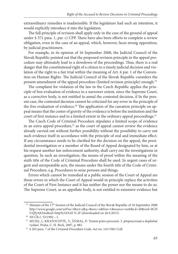extraordinary remedies is inadmissible. If the legislature had such an intention, it would explicitly introduce it into the legislation.

The full principle of revision shall apply only in the case of the ground of appeal under § 371 para. 1, par. c) CPP. There have also been efforts to complete a review obligation, even in the case of an appeal, which, however, faces strong opposition, by judicial practitioners.

For example, in its opinion of 16 September 2008, the Judicial Council of the Slovak Republic pointed out that the proposed revision principle in the appeal procedure may ultimately lead to a slowdown of the proceedings. Thus, there is a real danger that the constitutional right of a citizen to a timely judicial decision and violation of the right to a fair trial within the meaning of Art. 6 par. 1 of the Convention on Human Rights. The Judicial Council of the Slovak Republic considers the present amendment of the appeal procedure (limited revision principle) enough.19

The complaint for violation of the law in the Czech Republic applies the principle of free evaluation of evidence to a narrower extent, since the Supreme Court, as a corrective body, is not entitled to annul the contested decision, if In the present case, the contested decision cannot be criticized for any error in the principle of the free evaluation of evidence.<sup>20</sup> The application of the cassation principle on appeal means that the center of gravity of the evidence is before the institution and the court of first instance and to a limited extent in the ordinary appeal proceedings.<sup>21</sup>

The Czech Code of Criminal Procedure stipulates a limited scope of evidence in an extra appeal procedure, $22$  as the court of appeal cannot review the evidence already carried out without further possibility without the possibility to carry out such evidence itself in accordance with the principle of oral and immediate effect. If any circumstance needs to be clarified for the decision on the appeal, the presidential investigation or a member of the Board of Appeal designated by him, or at his request another law enforcement authority, shall carry out the investigations in question. In such an investigation, the means of proof within the meaning of the sixth title of the Code of Criminal Procedure shall be used. In urgent cases of urgent and unrepeatable acts, the means under the fourth title of the Code of Criminal Procedure, e.g. Procedures to seize persons and things.

Errors which cannot be remedied at a public session of the Court of Appeal are those errors in which the Court of Appeal would in principle replace the activities of the Court of First Instance and it has neither the power nor the means to do so. The Supreme Court, as an appellate body, is not entitled to extensive evidence but

<sup>&</sup>lt;sup>19</sup> Minutes of the 17<sup>th</sup> Session of the Judicial Council of the Slovak Republic of 16 September 2008 http://www.google.com/url?sa=t&rct=j&q=&esrc=s&frm=1&source=web&cd=20&ved=0CH [UQFjAJOAo&url=http%3A%2F % 2F \(downloaded on 26.9.2013\).](http://www.google.com/url?sa=t&rct=j&q=&esrc=s&frm=1&source=web&cd=20&ved=0CHUQFjAJOAo&url=http%3A%2F%2F)<br><sup>20</sup> NS ČR č. 53/1992 – I.<br><sup>21</sup> MUSIL, J., KRATOCHVÍL, V., ŠÁMAL, P.: Trestní právo procesní. 3. přepracované a doplněné

vydání. Praha, C. H. Beck, 2007, p. 882. 22 § 265 para. 7 of the Criminal Procedure Code, Act no. 141/1961 Coll.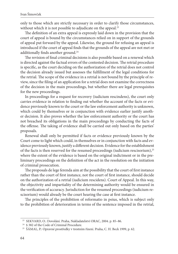only to those which are strictly necessary in order to clarify those circumstances, without which it is not possible to adjudicate on the appeal.<sup>23</sup>

The definition of an extra appeal is expressly laid down in the provision that the court of appeal is bound by the circumstances relied on in support of the grounds of appeal put forward by the appeal. Likewise, the ground for refusing an appeal is introduced if the court of appeal finds that the grounds of the appeal are not met or additionally finds another ground.<sup>24</sup>

The revision of final criminal decisions is also possible based on a renewal which is directed against the factual errors of the contested decision. The retrial procedure is specific, as the court deciding on the authorization of the retrial does not control the decision already issued but assesses the fulfillment of the legal conditions for the retrial. The scope of the evidence in a retrial is not bound by the principle of review, since the filing of an application for a retrial does not examine the correctness of the decision in the main proceedings, but whether there are legal prerequisites for the new proceedings.

In proceedings for a request for recovery (iudicium rescindens), the court only carries evidence in relation to finding out whether the account of the facts or evidence previously known to the court or the law enforcement authority is unknown, which could by themselves or in conjunction with evidence earlier justify another decision. It also proves whether the law enforcement authority or the court has not breached its obligations in the main proceedings by conducting the facts of the offense. The taking of evidence shall be carried out only based on the parties' proposals.

Renewal shall only be permitted if facts or evidence previously known by the Court come to light which could, in themselves or in conjunction with facts and evidence previously known, justify a different decision. Evidence for the establishment of the facts is then reserved for the resumed proceedings (iudicium rescisorium),<sup>25</sup> where the extent of the evidence is based on the original indictment or in the preliminary proceedings on the definition of the act in the resolution on the initiation of criminal prosecution.

The proposals de lege ferenda aim at the possibility that the court of first instance rather than the court of first instance, not the court of first instance, should decide on the authorization of a retrial (iudicium rescidens). Court of Appeal. In this way, the objectivity and impartiality of the determining authority would be ensured in the verification of accuracy. Jurisdiction for the resumed proceedings (iudicium rescisorium) would already be the court hearing the case at first instance.

The principles of the prohibition of reformatio in peius, which is subject only to the prohibition of deterioration in terms of the sentence imposed in the retrial,

<sup>&</sup>lt;sup>23</sup> SEKVARD, O.: Dovolání. Praha, Nakladatelství ORAC, 2004. p. 85–86.<br><sup>24</sup> § 382 of the Code of Criminal Procedure.<br><sup>25</sup> ŠÁMAL, P.: Opravné prostředky v trestním řízení. Praha, C. H. Beck 1999, p. 62.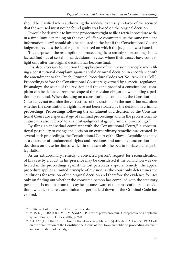should be clarified when authorizing the renewal expressly in favor of the accused that the accused must not be found guilty was based on the original decision.

It would be desirable to limit the prosecutor's right to file a retrial procedure within a time-limit depending on the type of offense committed. At the same time, the information duty<sup>26</sup> should also be adjusted to the fact if the Constitutional Court's judgment revokes the legal regulation based on which the judgment was issued.

The purpose of the resumption of proceedings is to remedy shortcomings in the factual findings of certain final decisions, in cases where their causes have come to light only after the original decision has become final.

It is also necessary to mention the application of the revision principle when filing a constitutional complaint against a valid criminal decision in accordance with the amendment to the Czech Criminal Procedure Code (Act No. 265/2001 Coll.). Proceedings before the Constitutional Court are governed by a special regulation. By analogy, the scope of the revision and thus the proof of a constitutional complaint can be deduced from the scope of the revision obligation when filing a petition for renewal. When deciding on a constitutional complaint, the Constitutional Court does not examine the correctness of the decision on the merits but examines whether the constitutional rights have not been violated by the decision in criminal proceedings. Proceedings following the annulment of a decision by the Constitutional Court are a special stage of criminal proceedings and in the professional literature it is also referred to as a post-judgment stage of criminal proceedings.<sup>27</sup>

By filing an individual complaint with the Constitutional Court, $28$  a constitutional possibility to change the decision on extraordinary remedies was created. In several such proceedings, the Constitutional Court of the Slovak Republic has acted as a defender of fundamental rights and freedoms and annulled unconstitutional decisions on these institutes, which in one case also helped to initiate a change in legislation.

As an extraordinary remedy, a convicted person's request for reconsideration of his case by a court in his presence may be considered if the conviction was delivered in the proceedings against the lost person as a special remedy. The appeal procedure applies a limited principle of revision, as the court only determines the conditions for revision of the original decision and therefore the evidence focuses only on finding out whether the convicted person has complied with the statutory period of six months from the day he became aware of the prosecution and conviction . whether the relevant limitation period laid down in the Criminal Code has expired.

<sup>&</sup>lt;sup>26</sup> § 396 par 4 of the Code of Criminal Procedure.<br><sup>27</sup> MUSIL, J., KRATOCHVÍL, V., ŠÁMAL, P.: Trestní právo procesní. 3. přepracované a doplněné vydání. Praha, C. H. Beck, 2007, p. 920.<br><sup>28</sup> Art. 127 (1) of the Constitution of the Slovak Republic and §§ 49–56 of Act no. 38/1993 Coll.

on the organization of the Constitutional Court of the Slovak Republic on proceedings before it and on the status of its judges.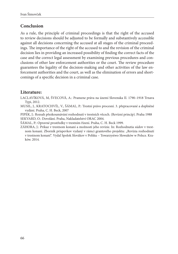# **Conclusion**

As a rule, the principle of criminal proceedings is that the right of the accused to review decisions should be adjusted to be formally and substantively accessible against all decisions concerning the accused at all stages of the criminal proceedings. The importance of the right of the accused to and the revision of the criminal decision lies in providing an increased possibility of finding the correct facts of the case and the correct legal assessment by examining previous procedures and conclusions of other law enforcement authorities or the court. The review procedure guarantees the legality of the decision-making and other activities of the law enforcement authorities and the court, as well as the elimination of errors and shortcomings of a specific decision in a criminal case.

## **Literature:**

LACLAVÍKOVÁ, M, ŠVECOVÁ, A.: Pramene práva na území Slovenska II. 1790–1918 Trnava Typi, 2012.

MUSIL, J., KRATOCHVÍL, V., ŠÁMAL, P.: Trestní právo procesní. 3. přepracované a doplněné vydání. Praha, C. H. Beck, 2007

PIPEK, J.: Rozsah přezkoumávání rozhodnutí v trestních věcech. (Revízní princíp). Praha 1988 SEKVARD, O.: Dovolání. Praha, Nakladatelství ORAC 2004.

ŠÁMAL, P.: Opravné prostředky v trestním řízení. Praha, C. H. Beck 1999.

ZÁHORA, J.: Príkaz v trestnom konaní a možnosti jeho revízie. In: Rozhodnutia súdov v trestnom konaní. Zborník príspevkov vydaný v rámci grantového projektu: "Revízia rozhodnutí v trestnom konaní". Vydal Spolok Slovákov v Poľsku – Towarzystwo Slowaków w Polsce. Kraków. 2014.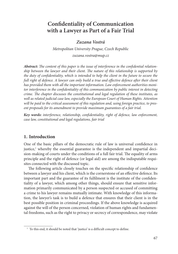# **Confidentiality of Communication with a Lawyer as Part of a Fair Trial**

### *Zuzana Vostrá*

*Metropolitan University Prague, Czech Republic zuzana.vostra@mup.cz* 

Abstract: The content of this paper is the issue of interference in the confidential relation*ship between the lawyer and their client. The nature of this relationship is supported by the duty of confidentiality, which is intended to help the client in the future to secure the full right of defence. A lawyer can only build a true and effective defence after their client has provided them with all the important information. Law enforcement authorities monitor interference in the confidentiality of this communication by public interest in detecting crime. The chapter discusses the constitutional and legal regulation of these institutes, as well as related judicial case law, especially the European Court of Human Rights. Attention will be paid to the critical assessment of this regulation and, using foreign practice, to present proposals for its amendment to provide maximum guarantees of a fair trial.*

Key words: interference, relationship, confidentiality, right of defence, law enforcement, *case law, constitutional and legal regulations, fair trial*

## **1. Introduction**

One of the basic pillars of the democratic rule of law is universal confidence in justice,<sup>1</sup> whereby the essential guarantee is the independent and impartial decision-making of courts under the conditions of a full fair trial. The equality of arms principle and the right of defence (or legal aid) are among the indisputable requisites connected with the discussed topic.

The following article closely touches on the specific relationship of confidence between a lawyer and his client, which is the cornerstone of an effective defence. Its important part and the guarantee of its fulfilment is the institute of the confidentiality of a lawyer, which among other things, should ensure that sensitive information primarily communicated by a person suspected or accused of committing a crime to his lawyer remains mutually intimate. With knowledge of this information, the lawyer's task is to build a defence that ensures that their client is in the best possible position in criminal proceedings. If the above knowledge is acquired against the will of the person concerned, violation of human rights and fundamental freedoms, such as the right to privacy or secrecy of correspondence, may violate

<sup>&</sup>lt;sup>1</sup> To this end, it should be noted that 'justice' is a difficult concept to define.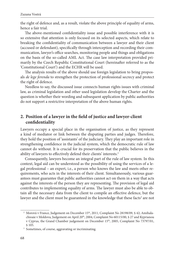the right of defence and, as a result, violate the above principle of equality of arms, hence a fair trial.

The above-mentioned confidentiality issue and possible interference with it is so extensive that attention is only focused on its selected aspects, which relate to breaking the confidentiality of communication between a lawyer and their client (accused or defendant), specifically through interception and recording their communication, lawyer's office searches, monitoring people and things and obligations on the basis of the so-called AML Act. The case law interpretation provided primarily by the Czech Republic Constitutional Court (hereinafter referred to as the 'Constitutional Court') and the ECHR will be used.

The analysis results of the above should use foreign legislation to bring proposals *de lege ferenda* to strengthen the protection of professional secrecy and protect the right of defence.

Needless to say, the discussed issue connects human rights issues with criminal law, as criminal legislation and other used legislation develop the Charter and the question is whether their wording and subsequent application by public authorities do not support a restrictive interpretation of the above human rights.

## **2. Position of a lawyer in the field of justice and lawyer-client** confidentiality

Lawyers occupy a special place in the organisation of justice, as they represent a kind of mediator or link between the disputing parties and judges. Therefore, they hold the position of 'assistants' of the judiciary. They play an important role in strengthening confidence in the judicial system, which the democratic rule of law cannot do without. It is crucial for its preservation that the public believes in the ability of lawyers to effectively defend their clients' interests.<sup>2</sup>

Consequently, lawyers become an integral part of the rule of law system. In this context, legal aid can be understood as the possibility of using the services of a legal professional – an expert, i.e., a person who knows the law and meets other requirements, who acts in the interests of their client. Simultaneously, various guarantees must guarantee that public authorities cannot act on them in a way that acts against the interests of the person they are representing. The provision of legal aid contributes to implementing equality of arms. The lawyer must also be able to obtain all the necessary data from the client to compile an effective defence, but the lawyer and the client must be guaranteed in the knowledge that these facts<sup>3</sup> are not

<sup>&</sup>lt;sup>2</sup> Morová v France, Judgement on December 15<sup>th</sup>, 2011, Complaint No 28198/09, § 42; Amihalachioaie v Moldova, Judgement on April 20<sup>th</sup>, 2004, Complaint No 60115/00, § 27 and Kyprianou v Cyprus, the Grand Chamber judgement on December 15<sup>th</sup>, 2005, Complaint No 73797/01, § 105. 3 Sometimes, of course, aggravating or incriminating.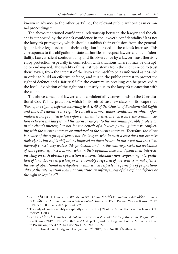known in advance to the 'other party', i.e., the relevant public authorities in criminal proceedings.4

The above-mentioned confidential relationship between the lawyer and the client is supported by the client's confidence in the lawyer's confidentiality.<sup>5</sup> It is not the lawyer's prerogative, which should establish their exclusion from the generally applicable legal order, but their obligation imposed in the client's interests. This corresponds to the obligation of state authorities to respect lawyer-client confidentiality. Lawyer-client confidentiality and its observance by a lawyer must therefore enjoy protection, especially in connection with situations where it may be disrupted or endangered. The validity of this institute stems from the client's need to trust their lawyer, from the interest of the lawyer themself to be as informed as possible in order to build an effective defence, and it is in the public interest to protect the right of defence and a fair trial.<sup>6</sup> On the contrary, its breaking can be perceived at the level of violation of the right not to testify due to the lawyer's connection with the client.

The above concept of lawyer-client confidentiality corresponds to the Constitutional Court's interpretation, which in its settled case law states on its scope that: *'Part of the right of defence according to Art. 40 of the Charter of Fundamental Rights and Basic Freedoms is the right to consult a lawyer under conditions in which information is not provided to law enforcement authorities. In such a case, the communication between the lawyer and the client is subject to the maximum possible protection*  in the client's interest, but not for the benefit of a lawyer pursuing interests conflicting with the client's interests or unrelated to the client's interests. Therefore, the client *is holder of the right of defence, not the lawyer, who in such a case does not exercise their rights, but fulfils obligations imposed on them by law. In the event that the client themself consciously waives this protection and, on the contrary, seeks the assistance of state power against a lawyer who, in their opinion, does not defend their interests, insisting on such absolute protection is a constitutionally non-conforming interpreta*tion of laws. However, if a lawyer is reasonably suspected of a serious criminal offence, *the use of operational investigative means which respects the principle of proportionality of the intervention shall not constitute an infringement of the right of defence or*  the right to legal aid.'7

 <sup>4</sup> See BAŇOUCH, Hynek. In *WAGNEROVÁ, Eliška, ŠIMÍČEK, Vojtěch, LANGÁŠEK, Tomáš,*  POSPÍŠIL, Ivo. Listina základních práv a svobod. Komentář. 1<sup>st</sup> ed. Prague: Wolters Kluwer, 2012. ISBN 978-80-7357-750-6, pp. 774–776.<br><sup>5</sup> The duty of confidentiality is explicitly enshrined in § 21 of the Act on the Legal Profession (No

<sup>85/1996</sup> Coll.). 6 See KOVÁŘOVÁ, Daniela et al. *Zákon o advokacii a stavovské předpisy. Komentář*. Prague: Wol-

ters Kluwer, 2017. ISBN 978-80-7552-631-1, p. 315, and the Judgement of the Municipal Court in Prague on June  $4<sup>th</sup>$ , 2014, Case No 11 A 62/2013 - 22.<br><sup>7</sup> Constitutional Court judgement on January 3<sup>rd</sup>, 2017, Case No III. ÚS 2847/14.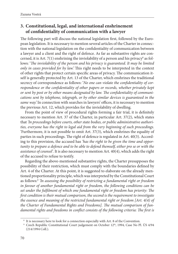# **3. Constitutional, legal, and international enshrinement of confi dentiality of communication with a lawyer**

The following part will discuss the national legislation first, followed by the European legislation. It is necessary to mention several articles of the Charter in connection with the national legislation on the confidentiality of communication between a lawyer and a client and the right of defence. As far as substantive rights are concerned, it is Art. 7(1) enshrining the inviolability of a person and his privacy<sup>8</sup> as follows: 'The inviolability of the person and his privacy is guaranteed. It may be limited *only in cases provided for by law.*' This right needs to be interpreted in the context of other rights that protect certain specific areas of privacy. The communication itself is generally protected by Art. 13 of the Charter, which enshrines the traditional secrecy of correspondence as follows: '*No one can violate the confidentiality of correspondence or the confidentiality of other papers or records, whether privately kept* or sent by post or by other means designated by law. The confidentiality of communi*cations sent by telephone, telegraph, or by other similar devices is guaranteed in the*  same way.' In connection with searches in lawyers' offices, it is necessary to mention the previous Art. 12, which provides for the inviolability of dwelling.

From the point of view of procedural rights forming a fair trial, it is definitely necessary to mention Art. 37 of the Charter, in particular Art. 37(2), which states that *'In proceedings before courts, other state bodies, or public administrative authorities, everyone has the right to legal aid from the very beginning of such proceedings.*  'Furthermore, it is not possible to omit Art. 37(3), which enshrines the equality of parties in such proceedings. The right of defence is regulated in Art. 40(3). According to this provision, the accused has *'has the right to be given the time and opportunity to prepare a defence and to be able to defend themself, either pro se or with the assistance of counsel'.* It is also necessary to mention Art. 40(4), which adds the right of the accused to refuse to testify.

Regarding the above-mentioned substantive rights, the Charter presupposes the possibility of their restriction, which must comply with the boundaries defined by Art. 4 of the Charter. At this point, it is suggested to elaborate on the already mentioned proportionality principle, which was interpreted by the Constitutional Court as follows:9 *'In assessing the possibility of restricting a fundamental right or freedom in favour of another fundamental right or freedom, the following conditions can be set under the fulfilment of which one fundamental right or freedom has priority: The* first condition is their mutual comparison, the second is the requirement to investigate *the essence and meaning of the restricted fundamental right or freedom [Art. 4(4) of*  the Charter of Fundamental Rights and Freedoms]. The mutual comparison of fun*damental rights and freedoms in conflict consists of the following criteria: The first is* 

<sup>&</sup>lt;sup>8</sup> It is necessary here to look for a connection especially with Art. 8 of the Convention.<br><sup>9</sup> Czech Republic Constitutional Court judgement on October 12<sup>th</sup>, 1994, Case No Pl. ÚS 4/94 (214/1994 Coll.).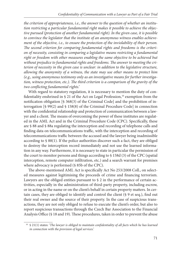*the criterion of appropriateness, i.e., the answer to the question of whether an institution restricting a particular fundamental right makes it possible to achieve the objective pursued (protection of another fundamental right). In the given case, it is possible to convince the legislator that the institute of an anonymous witness enables achievement of the objective, i.e., to ensure the protection of the inviolability of their person.*  The second criterion for comparing fundamental rights and freedoms is the criteri*on of necessity, consisting in comparing a legislative means restricting a fundamental right or freedom with other measures enabling the same objective to be achieved but*  without prejudice to fundamental rights and freedoms. The answer to meeting the cri*terion of necessity in the given case is unclear: in addition to the legislative structure, allowing the anonymity of a witness, the state may use other means to protect him (e.g., using anonymous testimony only as an investigative means for further investigation, witness protection, etc.). The third criterion is a comparison of the gravity of the two confl icting fundamental rights.'*

With regard to statutory regulation, it is necessary to mention the duty of confidentiality enshrined in  $\S 21$  of the Act on Legal Profession,<sup>10</sup> exemption from the notification obligation  $[§ 368(3)$  of the Criminal Code] and the prohibition of interrogation [§ 99(2) and § 158(8) of the Criminal Procedure Code] in connection with the confidential relationship and protection of communication between a lawyer and a client. The means of overcoming the power of these institutes are regulated in the AML Act and in the Criminal Procedure Code (CPC). Specifically, these are § 88 and § 88a regulating the interception and recording of telephone calls and finding data on telecommunications traffic, with the interception and recording of telecommunications traffic between the accused and the lawyer being inadmissible according to § 88(1). If the police authorities discover such a fact, they are obliged to destroy the interception record immediately and not use the learned information in any way. Furthermore, it is necessary to state in particular the permission of the court to monitor persons and things according to § 158d (3) of the CPC (spatial interception, remote computer infiltration, etc.) and a search warrant for premises where advocacy is performed (§ 85b of the CPC).

The above-mentioned AML Act is specifically Act No 253/2008 Coll., on selected measures against legitimising the proceeds of crime and financing terrorism. Lawyers are the obliged entities pursuant to § 2 in the performance of certain activities, especially in the administration of third-party property, including escrow, or in acting in the name or on the client's behalf in certain property matters. In certain cases, they are obliged to identify and control the client  $(\S 9$  et seq.), find out their real owner and the source of their property. In the case of suspicious transactions, they are not only obliged to refuse to execute the client's order, but also to report suspicious transactions through the Czech Bar Association to the Financial Analysis Office (§ 18 and 19). These procedures, taken in order to prevent the abuse

 <sup>10 § 21(1)</sup> states: '*The lawyer is obliged to maintain confidentiality of all facts which he has learned in connection with the provision of legal services.'*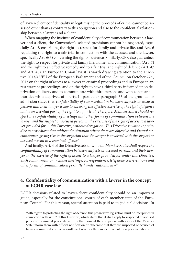of lawyer-client confidentiality in legitimising the proceeds of crime, cannot be assessed other than as contrary to this obligation and also to the confidential relationship between a lawyer and a client.

When mapping the institute of confidentiality of communication between a lawyer and a client, the Convention's selected provisions cannot be neglected, especially Art. 8 enshrining the right to respect for family and private life, and Art. 6 regulating the right to a fair trial in connection with the accused and the lawyer, specifically Art. 6(3) concerning the right of defence. Similarly, CFR also guarantees the right to respect for private and family life, home, and communication (Art. 7) and the right to an effective remedy and to a fair trial and right of defence (Art. 47 and Art. 48). In European Union law, it is worth drawing attention to the Directive 2013/48/EU of the European Parliament and of the Council on October 22<sup>nd</sup>, 2013 on the right of access to a lawyer in criminal proceedings and in European arrest warrant proceedings, and on the right to have a third party informed upon deprivation of liberty and to communicate with third persons and with consular authorities while deprived of liberty. In particular, paragraph 33 of the grounds for admission states that 'confidentiality of communication between suspects or accused *persons and their lawyer is key to ensuring the effective exercise of the right of defence* and is an essential part of the right to a fair trial. Therefore, Member States should respect the confidentiality of meetings and other forms of communication between the *lawyer and the suspect or accused person in the exercise of the right of access to a law*yer provided for in this Directive, without derogation. This Directive is without preju*dice to procedures that address the situation where there are objective and factual circumstances giving rise to the suspicion that the lawyer is involved with the suspect or accused person in a criminal offence.*'

And finally, Art. 4 of the Directive sets down that 'Member States shall respect the confidentiality of communication between suspects or accused persons and their law*yer in the exercise of the right of access to a lawyer provided for under this Directive. Such communication includes meetings, correspondence, telephone conversations and other forms of communication permitted under national law.'* <sup>11</sup>

# **4. Confidentiality of communication with a lawyer in the concept of ECHR case law**

ECHR decisions related to lawyer-client confidentiality should be an important guide, especially for the constitutional courts of each member state of the European Council. For this reason, special attention is paid to its judicial decisions. In

 $^{\rm 11}$  With regard to protecting the right of defence, this progressive legislation must be interpreted in connection with Art. 2 of this Directive, which states that it shall apply to suspected or accused persons in criminal proceedings from the moment the competent authorities of the Member State inform them with official notification or otherwise that they are suspected or accused of having committed a crime, regardless of whether they are deprived of their personal liberty.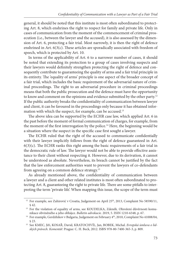general, it should be noted that this institute is most often subordinated to protecting Art. 8, which enshrines the right to respect for family and private life. Only in cases of communication from the moment of the commencement of criminal prosecution (i.e., between the lawyer and the accused), it is also assessed by the dimension of Art. 6, protecting a fair trial. Most narrowly, it is then the right of defence enshrined in Art.  $6(3(c)$ . These articles are sporadically associated with freedom of speech, which is protected by Art. 10.

In terms of the applicability of Art. 6 to a narrower number of cases, it should be noted that extending its protection to a group of cases involving suspects and their lawyers would definitely strengthen protecting the right of defence and consequently contribute to guaranteeing the quality of arms and a fair trial principle in its entirety. The 'equality of arms' principle is one aspect of the broader concept of a fair trial, which includes the basic requirement of the adversarial nature of criminal proceedings. The right to an adversarial procedure in criminal proceedings means that both the public prosecution and the defence must have the opportunity to know and comment on the opinions and evidence submitted by the other party.<sup>12</sup> If the public authority breaks the confidentiality of communication between lawyer and client, it can be favoured in the proceedings only because it has obtained information with which the suspect, for example, can be accused.<sup>13</sup>

The above idea can be supported by the ECHR case law, which applied Art. 6 in the past before the moment of formal communication of charges, for example, from the moment of the first interrogation by the police.<sup>14</sup> Here, the beginning would be a situation where the suspect in the specific case first sought a lawyer.

The ECHR ruled that the right of the accused to communicate confidentially with their lawyer implicitly follows from the right of defence guaranteed in Art.  $6(3)(c)$ . The ECHR ranks this right among the basic requirements of a fair trial in the democratic rule of law. The lawyer would not be able to provide effective assistance to their client without respecting it. However, due to its derivation, it cannot be understood as absolute. Nevertheless, its breach cannot be justified by the fact that the law enforcement authorities want to prevent the lawyers of co-defendants from agreeing on a common defence strategy.15

As already mentioned above, the confidentiality of communication between a lawyer and a client and other related institutes is most often subordinated to protecting Art. 8, guaranteeing the right to private life. There are some pitfalls to interpreting the term 'private life'. When mapping this issue, the scope of the term must

<sup>&</sup>lt;sup>12</sup> For example, see Zahirović v Croatia, Judgement on April 25<sup>th</sup>, 2013, Complaint No 58590/11,

<sup>§ 42.&</sup>lt;br><sup>13</sup> For the violation of equality of arms, see KOUDELKA, Zdeněk. Ohrožení důvěrnosti komunikace obviněného a jeho obhájce. *Bulletin advokacie*. 2019, 5. ISSN 1210-6348, p. 67. 14 For example, Gerdzhikov v Bulgaria, Judgement on February 4th, 2010, Complaint No 41008/04,

<sup>§ 23. 15</sup> See KMEC, Jiří, KOSAŘ, David, KRATOCHVÍL, Jan, BOBEK, Michal. *Evropská úmluva o lidských právech. Komentář.* Prague: C. H. Beck, 2012. ISBN 978-80-7400-365-3, p. 809.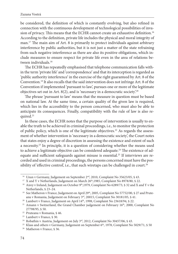be considered, the definition of which is constantly evolving, but also refined in connection with the continuous development of technological possibilities of invasion of privacy. This means that the ECHR cannot create an exhaustive definition.<sup>16</sup> According to the definition, private life includes the physical and moral integrity of man.<sup>17</sup> The main aim of Art. 8 is primarily to protect individuals against arbitrary interference by public authorities, but it is not just a matter of the state refraining from such negative interference as there are also its positive obligations, which include measures to ensure respect for private life even in the area of relations between individuals.18

The ECHR has repeatedly emphasised that telephone communication falls within the term 'private life' and 'correspondence' and that its interception is regarded as 'public authority interference' in the exercise of the right guaranteed by Art. 8 of the Convention.19 It also recalls that the said intervention does not infringe Art. 8 of the Convention if implemented 'pursuant to law', pursues one or more of the legitimate objectives set out in Art.  $8(2)$ , and is 'necessary in a democratic society.<sup>20</sup>

The phrase 'pursuant to law' means that the measure in question must be based on national law. At the same time, a certain quality of the given law is required, which lies in the accessibility to the person concerned, who must also be able to anticipate its consequences. Finally, compatibility with the rule of law is also required.21

In these cases, the ECHR notes that the purpose of intervention is usually to enable the truth to be achieved in criminal proceedings, i.e., to monitor the protection of public policy, which is one of the legitimate objectives.<sup>22</sup> As regards the assessment of whether intervention is 'necessary in a democratic society', the Court notes that states enjoy a degree of discretion in assessing the existence and extent of such a necessity.23 In principle, it is a question of considering whether the means used to achieve a legitimate objective can be considered adequate.<sup>24</sup> The existence of adequate and sufficient safeguards against misuse is essential.<sup>25</sup> If interviews are recorded and used in criminal proceedings, the persons concerned must have the possibility of 'effective control', i.e., that such wiretaps can be challenged in court.<sup>26</sup>

<sup>&</sup>lt;sup>16</sup> Uzun v Germany, Judgement on September 2<sup>nd</sup>, 2010, Complaint No 35623/05, § 43.<br><sup>17</sup> X and Y v Netherlands, Judgement on March 26<sup>th</sup>, 1985, Complaint No 8978/80, § 22.<br><sup>18</sup> Airey v Ireland, Judgement on October 9<sup>t</sup> Netherlands, § 23–24.<br><sup>19</sup> See Matheron v France, Judgement on April 29<sup>th</sup>, 2005, Complaint No 57752/00, § 27 and Prute-

anu v Romania, Judgement on February 3<sup>rd</sup>, 20015, Complaint No 30181/05, § 41.<br><sup>20</sup> Lambert v France, Judgement on April 14<sup>th</sup>, 1998, Complaint No 23618/94, § 22.<br><sup>21</sup> Amann v Switzerland, the Grand Chamber judgement on

<sup>27798/95, § 50.&</sup>lt;br>
<sup>22</sup> Pruteanu v Romania, § 46.<br>
<sup>23</sup> Lambert v France, § 30.<br>
<sup>24</sup> Robathin v Austria, Judgement on July 3<sup>rd</sup>, 2012, Complaint No 30457/06, § 43.<br>
<sup>25</sup> Klass and others v Germany, Judgement on September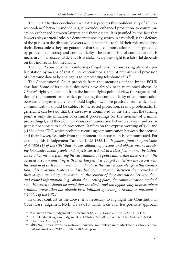The ECHR further concludes that if Art. 8 protects the confidentiality of all 'correspondence' between individuals, it provides 'enhanced protection' to communication exchanged between lawyers and their clients. It is justified by the fact that lawyers play a crucial role in a democratic society, which in a nutshell, is the defence of the parties to the dispute. Lawyers would be unable to fulfi l their role and defend their clients unless they can guarantee that such communication remains protected by professional secrecy and confidentiality. The relationship of confidence that is necessary for a successful defence is at stake. Everyone's right to a fair trial depends on this indirectly, but inevitably.27

The ECHR considers the monitoring of legal consultations taking place at a police station by means of spatial interception<sup>28</sup> or search of premises and provision of electronic data to be analogous to intercepting telephone calls.29

The Constitutional Court proceeds from the intentions defined by the ECHR case law. Some of its judicial decisions have already been mentioned above. As Gřivna<sup>30</sup> rightly points out, from the human rights point of view, the vague definition of the moment from which protecting the confidentiality of communication between a lawyer and a client should begin, i.e., more precisely from which such communication should be subject to increased protection, seems problematic. In general, it can be said that the case law is dominated by the view that the turning point is only the initiation of criminal proceedings (or the moment of criminal proceedings), and therefore, previous communication between a lawyer and a suspect is not subject to such protection. It relies on the express wording of § 88 and § 158d of the CPC, which prohibits recording communication between the accused and their lawyer, i.e., only from the moment the accusation is communicated. For example, this is Judgement Case No I. ÚS 1638/14: *'It follows from the provisions of § 158d (1) of the CPC that the surveillance of persons and objects means acquir*ing knowledge about people and objects carried out in a classified manner by techni*cal or other means. If during the surveillance, the police authorities discovers that the accused is communicating with their lawyer, it is obliged to destroy the record with the content of such communication and not use the learned knowledge in this connec*tion. This provision protects undisturbed communication between the accused and *their lawyer, including information on the content of the conversation between them and related information (e.g., about the meeting place, the communication method, etc.). However, it should be noted that the cited provision applies only to cases where criminal prosecution has already been initiated by issuing a resolution pursuant to § 160(1) of the CPC.'*

In direct contrast to the above, it is necessary to highlight the Constitutional Court Case Judgement No II. ÚS 889/10, which takes a far less positivist approach

<sup>&</sup>lt;sup>27</sup> Michaud v France, Judgement on December 6<sup>th</sup>, 2012, Complaint No 12323/11, § 118.<br><sup>28</sup> R. E. v United Kingdom, Judgement on October 27<sup>th</sup>, 2015, Complaint No 62498/11, § 131.<br><sup>29</sup> Robathin v Austria, § 39.<br><sup>30</sup> GŘI *Bulletin advokacie*. 2017, 6. ISSN 1210-6348, p. 62.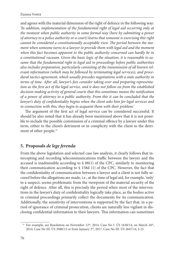and agrees with the material dimension of the right of defence in the following way: *'In addition, implementation of the fundamental right of legal aid occurring only at the moment when public authority in some formal way (here by submitting a power of attorney to a police authority or a court) learns that someone is exercising this right*  cannot be considered a constitutionally acceptable view. The period between the mo*ment when someone turns to a lawyer to provide them with legal aid and the moment*  when this fact becomes apparent to the public authority concerned can hardly be in *a constitutional vacuum. Given the basic logic of the situation, it is reasonable to assume that the fundamental right to legal aid in proceedings before public authorities also includes preparation, particularly consisting of the transmission of all known relevant information (which may be followed by terminating legal services), and procedural tactics agreement, which usually precedes negotiations with a state authority in*  terms of time. After all, lawyer's fees consider taking over and preparing representation as the first act of the legal service, and it does not follow on from the established decision-making activity of general courts that this sometimes means the notification *of a power of attorney to a public authority. From this it can be concluded that the*  lawyer's duty of confidentiality begins when the client asks him for legal services and *in connection with this, they begin to acquaint them with their problem.'*

The argument of the first act of legal service can be considered successful. It should be also noted that it has already been mentioned above that it is not possible to include the possible commission of a criminal offence by a lawyer under this term, either to the client's detriment or in complicity with the client to the detriment of other people.31

## **5. Proposals** *de lege ferenda*

From the above legislation and selected case law analysis, it clearly follows that intercepting and recording telecommunications traffic between the lawyer and the accused is inadmissible according to § 88(1) of the CPC, similarly to monitoring their communication according to § 158d (1) of the CPC. However, the fact that the confidentiality of communication between a lawyer and a client is not fully secured before the allegations are made, i.e., at the time of legal aid, for example, 'only' to a suspect, seems problematic from the viewpoint of the material security of the right of defence. After all, this is precisely the period when most of the interventions in the lawyer's duty of confidentiality logically take place, as the bodies active in criminal proceedings primarily collect the documents for its communication. Additionally, the sensitivity of interventions is supported by the fact that, in a period of ignorance of criminal prosecution, clients are naturally less vigilant in disclosing confidential information to their lawyers. This information can sometimes

<sup>&</sup>lt;sup>31</sup> For example, see Resolution on November 12<sup>th</sup>, 2014, Case No I. ÚS 1638/14, on March 24<sup>th</sup>, 2014, Case No III. ÚS 3988/13 or from January 3rd, 2017, Case No III. ÚS 2847/14, § 23.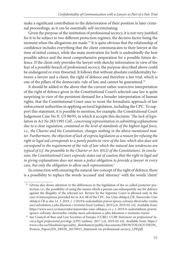make a significant contribution to the deterioration of their position in later criminal proceedings, as it can be essentially self-incriminating.

Given the purpose of the institution of professional secrecy, it is not very justified for it to be subject to two different protection regimes, the decisive factor being the moment when the allegations are made.<sup>32</sup> It is quite obvious that the relationship of confidence includes everything that the client communicates to their lawyer at the time of initial contact, while the main motivation for both is undoubtedly the best possible advice and the most comprehensive preparation for a possible future defence. If the client only provides the lawyer with sketchy information in view of the fear of a possible breach of professional secrecy, the purpose described above could be endangered or even thwarted. It follows that without absolute confidentiality between a lawyer and a client, the right of defence and therefore a fair trial, which is one of the pillars of the democratic rule of law, and cannot be guaranteed.<sup>33</sup>

It should be added to the above that the current rather restrictive interpretation of the right of defence given in the Constitutional Court's selected case law is quite surprising in view of the persistent demand for a broader interpretation of human rights, that the Constitutional Court uses to resist the formalistic approach of law enforcement authorities in applying sectoral legislation, including the CPC. To support this statement, it is possible to mention, for example, the Constitutional Court Judgement Case No II. ÚS 98/95, in which it accepts this decision: 'The lack of legis*lation in Act No 283/1991 Coll., concerning representation in submitting explanations due to a clear regulation, contained at the level of standards of the highest legal force, i.e., the Charter and the Constitution, changes nothing in the above-mentioned matter. Furthermore, the objection of lack of express legislation as a reason for refusing the right to legal aid corresponds to a purely positivist view of the law, which also does not correspond to the requirement of the rule of law which the natural-law tendencies are typical of (cf. the preamble to the Charter or Art. 85(2) of the Constitution). In conclusion, the Constitutional Court expressly states out of caution that the right to legal aid in giving explanations does not mean a police obligation to provide a lawyer in every case, but only the obligation to allow such representation.'*

In connection with ensuring the natural-law concept of the right of defence, there is a possibility to replace the words 'accused' and 'attorney' with the words 'client'

<sup>&</sup>lt;sup>32</sup> Gřivna also draws attention to the differences in the legislation of the so-called posterior protection, i.e., the possibility of using the means which a person can subsequently use for defence against the illegality of the relevant act. Review by the Supreme Court is allowed only in the case of interceptions provided for in Art. 88 of the CPC. See Unie obhájců ČR. *Stanovisko Unie obhájců ČR ze dne 14. 3. 2019, č. 1/2019 k nedostatkům právní úpravy ochrany důvěrného vztahu mezi advokátem a jeho klientem v trestním řízení* [online]. 2019 [cit. 2019-02-14]. Available from: https://www.uocr.cz/stanoviska/stanovisko-unie-obhajcu-cr-c-1-2019-k-nedostatkum-pravni-

[upravy-ochrany-duverneho-vztahu-mezi-advokatem-a-jeho-klientem-v-trestnim-rizeni/.](https://www.uocr.cz/stanoviska/stanovisko-unie-obhajcu-cr-c-1-2019-k-nedostatkum-pravni-upravy-ochrany-duverneho-vztahu-mezi-advokatem-a-jeho-klientem-v-trestnim-rizeni/) 33 See Council of Bars and Law Societies of Europe (CCBE). *CCBE Statement on professional Secrecy/legal professional privilege (LPP)* [online]. 2017 [cit. 2019-02-16]. Available from: https:// [www.ccbe.eu/fileadmin/speciality\\_distribution/public/documents/DEONTOLOGY/DEON\\_](https://www.ccbe.eu/fileadmin/speciality_distribution/public/documents/DEONTOLOGY/DEON_Postion_Papers/EN_DEON_20170915_Statement-on-professional-secrecy_LPP.pdf) Postion\_Papers/EN\_DEON\_20170915\_Statement-on-professional-secrecy\_LPP.pdf.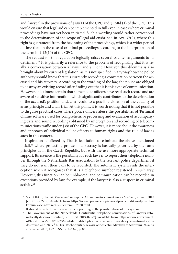and 'lawyer' in the provisions of  $\frac{6}{88(1)}$  of the CPC and  $\frac{6}{8}$  158d (1) of the CPC. This would ensure that legal aid can be implemented in full even in cases where criminal proceedings have not yet been initiated. Such a wording would rather correspond to the determination of the scope of legal aid enshrined in Art. 37(2), where this right is guaranteed from the beginning of the proceedings, which is a wider period of time than in the case of criminal proceedings according to the interpretation of the term in § 12(10) of the CPC.

The request for this regulation logically raises several counter-arguments to its detriment.34 It is primarily a reference to the problem of recognising that it is really a conversation between a lawyer and a client. However, this dilemma is also brought about by current legislation, as it is not specified in any way how the police authority should know that it is currently recording a conversation between the accused and his attorney. According to the wording of the law, the police are obliged to destroy an existing record after finding out that it is this type of communication. However, it is almost certain that some police officers have read such record and are aware of sensitive information, which significantly contributes to the deterioration of the accused's position and, as a result, to a possible violation of the equality of arms principle and a fair trial. At this point, it is worth noting that it is not possible to disguise practical cases where police officers abuse the possibilities of Terminal Online software used for comprehensive processing and evaluation of accompanying data and sound recordings obtained by interception and recording of telecommunications traffic under § 88 of the CPC. However, it is more about the awareness and approach of individual police officers to human rights and the rule of law as such in this context.

Inspiration is offered by Dutch legislation to eliminate the above-mentioned pitfall,<sup>35</sup> where protecting professional secrecy is basically governed by the same principles as in the Czech Republic, but with the use more appropriate technical support. Its essence is the possibility for each lawyer to report their telephone number through the Netherlands Bar Association to the relevant police department if they do not want their calls to be recorded. The automatic system ends the interception when it recognises that it is a telephone number registered in such way. However, this function can be unblocked, and communication can be recorded in exceptions provided by law, for example, if the lawyer is also a suspect in criminal activity.36

 <sup>34</sup> See SOKOL, Tomáš. *Problematika odposlechů komunikace advokáta s klientem* [online]. 2018 [cit. 2019-02-19]. Available from: https://www.epravo.cz/top/clanky/problematika-odposlechu-

[komunikace-advokata-s-klientem-107528.html.](https://www.epravo.cz/top/clanky/problematika-odposlechu-komunikace-advokata-s-klientem-107528.html)<br><sup>35</sup> It should be noted that there are voices pointing to the possible abuse of this system.<br><sup>36</sup> The Government of the Netherlands. Confidential telephone conversations of lawy [matically destroyed \[online\]. 2010 \[cit. 2019-02-27\]. Available from: https://www.government.](https://www.government.nl/latest/news/2010/08/23/confidential-telephone-conversations-of-lawyers-automatically-destroyed) nl/latest/news/2010/08/23/confidential-telephone-conversations-of-lawyers-automaticallydestroyed and NOVÁK. Jiří. Rozhodnutí o zákazu odposlechu advokátů v Nizozemí. *Bulletin advokacie*. 2016, 1–2. ISSN 1210-6348, p. 86.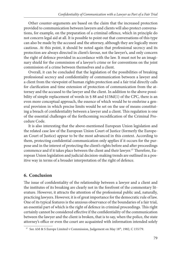Other counter-arguments are based on the claim that the increased protection provided to communication between lawyers and clients will also protect conversations, for example, on the preparation of a criminal offence, which in principle do not concern legal aid at all. It is possible to point out that conversations of this type can also be made by the accused and the attorney, although they are logically more cautious. At this point, it should be noted again that professional secrecy and its protection are always directed in client's favour, not the lawyer's, and only concern the right of defence provided in accordance with the law. It must not be an imaginary shield for the commission of a lawyer's crime or for conventions on the joint commission of a crime between themselves and a client.

Overall, it can be concluded that the legislation of the possibilities of breaking professional secrecy and confidentiality of communication between a lawyer and a client from the viewpoint of human rights protection and a fair trial directly calls for clarification and time extension of protection of communication from the attorney and the accused to the lawyer and the client. In addition to the above possibility of simple replacement of words in § 88 and §158d(1) of the CPC, there is an even more conceptual approach, the essence of which would be to enshrine a general provision in which precise limits would be set on the use of means constituting a breach of confidentiality between a lawyer and a client. This regulation is one of the essential challenges of the forthcoming recodification of the Criminal Procedure Code.

It is also interesting that the above-mentioned European Union legislation and the related case law of the European Union Court of Justice (formerly the European Court of Justice) appear to be the most advanced in this context. According to them, protecting confidential communication only applies if it occurs for the purpose and in the interest of protecting the client's rights before and after proceedings commence and if it takes place between the client and their lawyer.<sup>37</sup> Therefore, European Union legislation and judicial decision-making trends are outlined in a positive way in terms of a broader interpretation of the right of defence.

# **6. Conclusion**

The issue of confidentiality of the relationship between a lawyer and a client and the institutes of its breaking are clearly not in the forefront of the commentary literature. However, it attracts the attention of the professional public and, naturally, practicing lawyers. However, it is of great importance for the democratic rule of law. One of its typical features is the anxious observance of the boundaries of a fair trial, an essential part of which is the right of defence in criminal proceedings. This right certainly cannot be considered effective if the confidentiality of the communication between the lawyer and the client is broken, that is to say, when the police, the state attorney's office or even the court are acquainted with information intended solely

<sup>&</sup>lt;sup>37</sup> See AM & S Europe Limited v Commission, Judgement on May 18<sup>th</sup>, 1982, C 155/79.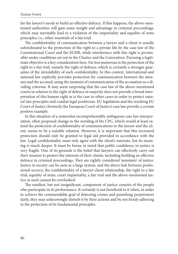for the lawyer's needs to build an effective defence. If this happens, the above-mentioned authorities will gain some insight and advantage in criminal proceedings, which may inevitably lead to a violation of the impartiality and equality of arms principles, i.e., other essentials of a fair trial.

The confidentiality of communication between a lawyer and a client is usually subordinated to the protection of the right to a private life by the case law of the Constitutional Court and the ECHR, while interference with this right is permissible under conditions set out in the Charter and the Convention. Pursuing a legitimate objective is a key consideration here. Far less numerous is the protection of the right to a fair trial, namely the right of defence, which is certainly a stronger guarantee of the inviolability of such confidentiality. In this context, international and national law explicitly provides protection for communication between the attorney and the accused, using the moment of communication of the accusation as a dividing criterion. It may seem surprising that the case law of the above-mentioned courts in relation to the right of defence in majority does not provide a broad interpretation of this human right as is the case in other cases in order to protect natural-law principles and combat legal positivism. EU legislation and the resulting EU Court of Justice (formerly the European Court of Justice) case law provide a certain positive example.

In this situation of a somewhat incomprehensibly ambiguous case law interpretation, often proposed change in the wording of the CPC, which would at least extend the protection of confidentiality of communications to the lawyer and the client, seems to be a suitable solution. However, it is important that this increased protection should only be granted to legal aid provided in accordance with the law. Legal confidentiality must only agree with the client's interests, but its meaning is much deeper. It must be borne in mind that public confidence in justice is very fragile. One of its grounds is the belief that lawyers can effectively carry out their mission to protect the interests of their clients, including building an effective defence in criminal proceedings. They are rightly considered 'assistants' of justice. Justice in society can be seen as a large system, and the direct link between professional secrecy, the confidentiality of a lawyer-client relationship, the right to a fair trial, equality of arms, court impartiality, a fair trial and the above-mentioned justice as such cannot be overlooked.

The smallest, but not insignificant, component of justice consists of the people who participate in its performance. It certainly is not beneficial to it when, in order to achieve the commendable goal of detecting crimes and punishing perpetrators fairly, they may unknowingly disturb it by their actions and by not firmly adhering to the protection of its fundamental principles.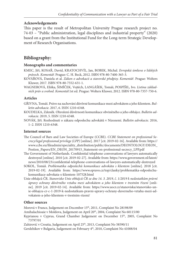#### **Acknowledgements**

This paper is the result of Metropolitan University Prague research project no. 74-03 – "Public administration, legal disciplines and industrial property" (2020) based on a grant from the Institutional Fund for the Long-term Strategic Development of Research Organisations.

# **Bibliography:**

#### **Monographs and commentaries**

- KMEC, Jiří, KOSAŘ, David, KRATOCHVÍL, Jan, BOBEK, Michal. *Evropská úmluva o lidských právech. Komentář.* Prague: C. H. Beck, 2012. ISBN 978-80-7400-365-3.
- KOVÁŘOVÁ, Daniela et al. *Zákon o advokacii a stavovské předpisy. Komentář*. Prague: Wolters Kluwer, 2017. ISBN 978-80-7552-631-1.
- WAGNEROVÁ, Eliška, ŠIMÍČEK, Vojtěch, LANGÁŠEK, Tomáš, POSPÍŠIL, Ivo. *Listina základních práv a svobod. Komentář.*1st ed. Prague: Wolters Kluwer, 2012. ISBN 978-80-7357-750-6.

#### **Articles**

- GŘIVNA, Tomáš. Právo na zachování důvěrné komunikace mezi advokátem a jeho klientem. *Bulletin advokacie*. 2017, 6. ISSN 1210-6348.
- KOUDELKA, Zdeněk. Ohrožení důvěrnosti komunikace obviněného a jeho obhájce. *Bulletin advokacie*. 2019, 5. ISSN 1210-6348.
- NOVÁK, Jiří. Rozhodnutí o zákazu odposlechu advokátů v Nizozemí. *Bulletin advokacie*. 2016, 1–2. ISSN 1210-6348.

#### **Internet sources**

- The Council of Bars and Law Societies of Europe (CCBE). *CCBE Statement on professional Secrecy/legal professional privilege (LPP)* [online]. 2017 [cit. 2019-02-16]. Available from: https:// www.ccbe.eu/fileadmin/speciality\_distribution/public/documents/DEONTOLOGY/DEON\_ Postion\_Papers/EN\_DEON\_20170915\_Statement-on-professional-secrecy\_LPP.pdf
- The Government of Netherlands. Confidential telephone conversations of lawyers automatically [destroyed \[online\]. 2010 \[cit. 2019-02-27\]. Available from: https://www.government.nl/latest/](https://www.government.nl/latest/news/2010/08/23/confidential-telephone-conversations-of-lawyers-automatically-destroyed) news/2010/08/23/confidential-telephone-conversations-of-lawyers-automatically-destroyed
- SOKOL, Tomáš. *Problematika odposlechů komunikace advokáta s klientem* [online]. 2018 [cit. [2019-02-19\]. Available from: https://www.epravo.cz/top/clanky/problematika-odposlechu](https://www.epravo.cz/top/clanky/problematika-odposlechu-komunikace-advokata-s-klientem-107528.html)komunikace-advokata-s-klientem-107528.html
- Unie obhájců ČR. *Stanovisko Unie obhájců ČR ze dne 14. 3. 2019, č. 1/2019 k nedostatkům právní úpravy ochrany důvěrného vztahu mezi advokátem a jeho klientem v trestním řízení* [online]. 2019 [cit. 2019-02-14]. Available from: https://www.uocr.cz/stanoviska/stanovisko-un[ie-obhajcu-cr-c-1-2019-k-nedostatkum-pravni-upravy-ochrany-duverneho-vztahu-mezi-ad](https://www.uocr.cz/stanoviska/stanovisko-unie-obhajcu-cr-c-1-2019-k-nedostatkum-pravni-upravy-ochrany-duverneho-vztahu-mezi-advokatem-a-jeho-klientem-v-trestnim-rizeni/)vokatem-a-jeho-klientem-v-trestnim-rizeni/

#### **Other sources**

Morová v France, Judgement on December 15<sup>th</sup>, 2011, Complaint No 28198/09

Amihalachioaie v Moldova, Judgement on April 20<sup>th</sup>, 2004, Complaint No 60115/00

Kyprianou v Cyprus, Grand Chamber Judgement on December 15th, 2005, Complaint No 73797/01

Zahirović v Croatia, Judgement on April 25<sup>th</sup>, 2013, Complaint No 58590/11

Gerdzhikov v Bulgaria, Judgement on February 4th, 2010, Complaint No 41008/04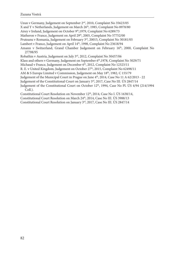Uzun v Germany, Judgement on September 2<sup>nd</sup>, 2010, Complaint No 35623/05 X and Y v Netherlands, Judgement on March 26<sup>th</sup>, 1985, Complaint No 8978/80 Airey v Ireland, Judgement on October 9th, 1979, Complaint No 6289/73 Matheron v France, Judgement on April 29<sup>th</sup>, 2005, Complaint No 57752/00 Pruteanu v Romania, Judgement on February 3rd, 20015, Complaint No 30181/05 Lambert v France, Judgement on April 14<sup>th</sup>, 1998, Complaint No 23618/94 Amann v Switzerland, Grand Chamber Judgement on February 16th, 2000, Complaint No 27798/95 Robathin v Austria, Judgement on July 3rd, 2012, Complaint No 30457/06 Klass and others v Germany, Judgement on September 6<sup>th</sup>,1978, Complaint No 5029/71 Michaud v France, Judgement on December 6<sup>th</sup>, 2012, Complaint No 12323/11 R. E. v United Kingdom, Judgement on October 27<sup>th</sup>, 2015, Complaint No 62498/11 AM & S Europe Limited v Commission, Judgement on May 18<sup>th</sup>, 1982, C 155/79 Judgement of the Municipal Court in Prague on June  $4<sup>th</sup>$ , 2014, Case No 11 A 62/2013 - 22 Judgement of the Constitutional Court on January 3rd, 2017, Case No III. ÚS 2847/14 Judgement of the Constitutional Court on October 12<sup>th</sup>, 1994, Case No Pl. ÚS 4/94 (214/1994 Coll.). Constitutional Court Resolution on November 12<sup>th</sup>, 2014, Case No I. ÚS 1638/14, Constitutional Court Resolution on March 24<sup>th</sup>, 2014, Case No III. ÚS 3988/13

Constitutional Court Resolution on January 3rd, 2017, Case No III. ÚS 2847/14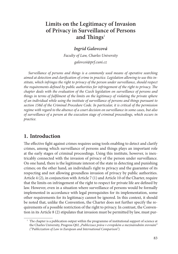# **Limits on the Legitimacy of Invasion of Privacy in Surveillance of Persons**  and Things<sup>1</sup>

### *Ingrid Galovcová*

*Faculty of Law, Charles University galovcoi@prf.cuni.cz*

*Surveillance of persons and things is a commonly used means of operative searching*  aimed at detection and clarification of crime in practice. Legislation allowing to use this in*stitute, which infringes the right to privacy of the person under surveillance, should respect the requirements defined by public authorities for infringement of the right to privacy. The chapter deals with the evaluation of the Czech legislation on surveillance of persons and things in terms of fulfilment of the limits on the legitimacy of violating the private sphere of an individual while using the institute of surveillance of persons and things pursuant to section 158d of the Criminal Procedure Code. In particular, it is critical of the permission regime with regard to the absence of a court decision on surveillance in some cases, but also of surveillance of a person at the execution stage of criminal proceedings, which occurs in practice.*

# **1. Introduction**

The effective fight against crimes requires using tools enabling to detect and clarify crimes, among which surveillance of persons and things plays an important role at the early stages of criminal proceedings. Using this institute, however, is inextricably connected with the invasion of privacy of the person under surveillance. On one hand, there is the legitimate interest of the state in detecting and punishing crimes; on the other hand, an individual's right to privacy and the guarantee of its respecting and not allowing groundless invasion of privacy by public authorities. Article 4 (2), in conjunction with Article 7 (1) and Article 10 of the Charter, require that the limits on infringement of the right to respect for private life are defined by law. However, even in a situation where surveillance of persons would be formally implemented in accordance with legal prerequisites for its implementation, some other requirements for its legitimacy cannot be ignored. In this context, it should be noted that, unlike the Convention, the Charter does not further specify the requirements of a possible restriction of the right to privacy. In contrast, the Convention in its Article 8 (2) stipulates that invasion must be permitted by law, must pur-

<sup>&</sup>lt;sup>1</sup> The chapter is a publication output within the programme of institutional support of science at the Charles University, Progress Q02 *"Publicizace práva v evropském a mezinárodním srovnání" ("Publicization of Law in European and International Comparison").*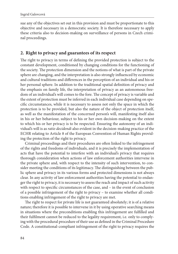sue any of the objectives set out in this provision and must be proportionate to this objective and necessary in a democratic society. It is therefore necessary to apply these criteria also to decision-making on surveillance of persons in Czech criminal proceedings.

## **2. Right to privacy and guarantees of its respect**

The right to privacy in terms of defining the provided protection is subject to the constant development, conditioned by changing conditions for the functioning of the society. The protection dimension and the notions of what is part of the private sphere are changing, and the interpretation is also strongly influenced by economic and cultural traditions and differences in the perception of an individual and his or her personal sphere. In addition to the traditional spatial definition of privacy and the emphasis on family life, the interpretation of privacy as an autonomous freedom of an individual's will comes to the fore. The concept of privacy is variable and the extent of protection must be inferred in each individual case depending on specific circumstances, while it is necessary to assess not only the space in which the protection is to be provided, but also the nature of the object of protection itself, as well as the manifestation of the concerned person's will, manifesting itself also in his or her behaviour, subject to his or her own decision-making on the extent to which his or her privacy is to be respected. Ensuring the autonomy of an individual's will is as *ratio decidendi* also evident in the decision-making practice of the ECHR relating to Article 8 of the European Convention of Human Rights providing the protection of the right to privacy.

Criminal proceedings and their procedures are often linked to the infringement of the rights and freedoms of individuals, and it is precisely the implementation of acts that have the potential to interfere with an individual's privacy that requires thorough consideration when actions of law enforcement authorities intervene in the private sphere and, with respect to the intensity of such intervention, to consider meeting the conditions of its legitimacy. The distinguishing between the public sphere and privacy in its various forms and protected dimensions is not always clear. In any activity of law enforcement authorities having the potential to endanger the right to privacy, it is necessary to assess the reach and impact of such activity with respect to specific circumstances of the case, and – in the event of conclusion of a possible infringement of the right to privacy – to examine whether all conditions enabling infringement of the right to privacy are met.

The right to respect for private life is not guaranteed absolutely; it is of a relative nature; therefore it is possible to intervene in it by using operative searching means in situations where the preconditions enabling this infringement are fulfilled and their fulfilment cannot be reduced to the legality requirement, i.e. only to complying with the procedural procedure of their use as defined in the Criminal Procedure Code. A constitutional-compliant infringement of the right to privacy requires the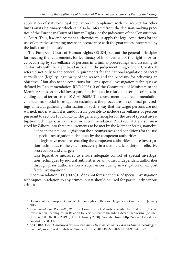application of statutory legal regulation in compliance with the respect for other limits on its legitimacy, which can also be inferred from the decision-making practice of the European Court of Human Rights, or the judicature of the Constitutional Court. Thus, law enforcement authorities must apply the legal conditions for the use of operative searching means in accordance with the guarantees interpreted by the judicature in question.

The European Court of Human Rights (ECRH) set out the general principles for meeting the requirements for legitimacy of infringement of the right to privacy occurring by surveillance of persons in criminal proceedings and assessing its conformity with the right to a fair trial, in the judgement Dragojevic v. Croatia. It referred not only to the general requirements for the national regulation of secret surveillance (legality, legitimacy of the reason and the necessity for achieving an  $objective$ ),<sup>2</sup> but also to the conditions for using special investigation techniques as defined by Recommendation REC(2005)10 of the Committee of Ministers to the Member States on special investigation techniques in relation to serious crimes, including acts of terrorism of 10 April 2005. $3$  The above-mentioned recommendation considers as special investigation techniques the procedures in criminal proceedings aimed at gathering information in such a way that the target persons are not warned, under which it is undoubtedly possible to include surveillance of persons pursuant to section 158d of CPC. The general principles for the use of special investigation techniques, as expressed in Recommendation REC(2005)10, are summarized by Záhora into three requirements to be met by the Member States, namely:

- define in the national legislation the circumstances and conditions for the use of special investigation techniques by the competent authorities;
- take legislative measures enabling the competent authorities to use investigation techniques to the extent necessary in a democratic society for effective prosecution and charges;
- take legislative measures to ensure adequate control of special investigation techniques by judicial authorities or any other independent authorities through prior authorization – supervision during investigation or ex post facto investigation.<sup>4</sup>

Recommendation REC(2005)10 does not foresee the use of special investigation techniques in relation to any crimes, but it should be used for particularly serious crimes.

 <sup>2</sup> Decision of the European Court of Human Rights in the case *Dragojevic v. Croatia* of 15 January 2015.

<sup>&</sup>lt;sup>3</sup> Recommendation Rec (2005)10 of the Committee of Ministers to Member States on "Special Investigation Techniques" in Relation to Serious Crimes Including Acts of Terrorism. [online]. [Copyright © UNHCR 2019. \[cit. 15 February 2020\]. Available from: http://www.refworld.org/](http://www.refworld.org/docid/43f5c6094.html)

docid/43f5c6094.html. 4 ZÁHORA, Jozef. *Obrazové a zvukové záznamy v trestnom konaní (Video and audio recordings in criminal proceedings).* Bratislava: Wolters Kluwer, 2018.ISBN 978-80-8168-957-4, p. 27.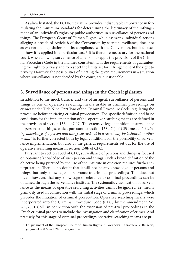As already stated, the ECHR judicature provides indisputable importance in formulating the minimum standards for determining the legitimacy of the infringement of an individual's rights by public authorities in surveillance of persons and things. The European Court of Human Rights, while assessing individual actions alleging a breach of Article 8 of the Convention by secret surveillance, does not assess national legislation and its compliance with the Convention, but it focuses on how it is applied in a particular case.<sup>5</sup> It is therefore necessary for the national court, when allowing surveillance of a person, to apply the provisions of the Criminal Procedure Code in the manner consistent with the requirements of guaranteeing the right to privacy and to respect the limits set for infringement of the right to privacy. However, the possibilities of meeting the given requirements in a situation where surveillance is not decided by the court, are questionable.

## **3. Surveillance of persons and things in the Czech legislation**

In addition to the mock transfer and use of an agent, surveillance of persons and things is one of operative searching means usable in criminal proceedings on crimes under Title Nine, Part Two of the Criminal Procedure Code, regulating the procedure before initiating criminal prosecution. The specific definition and basic conditions for the implementation of this operative searching means are defined in the provision of section 158d of CPC. The extensive legal definition of surveillance of persons and things, which pursuant to section 158d (1) of CPC means *"obtaining knowledge of a person and things carried out in a secret way by technical or other means"* is further corrected both by legal conditions for the possibility of surveillance implementation, but also by the general requirements set out for the use of operative searching means in section 158b of CPC.

Pursuant to section 158d of CPC, surveillance of persons and things is focused on obtaining knowledge of such person and things. Such a broad definition of the objective being pursued by the use of the institute in question requires further interpretation. There is no doubt that it will not be any knowledge of persons and things, but only knowledge of relevance to criminal proceedings. This does not mean, however, that any knowledge of relevance to criminal proceedings can be obtained through the surveillance institute. The systematic classification of surveillance as the means of operative searching activities cannot be ignored, i.e. means primarily used in connection with the initial stage of criminal proceedings, which precedes the initiation of criminal prosecution. Operative searching means were incorporated into the Criminal Procedure Code (CPC) by the amendment No. 265/2001 Coll., in connection with the extension of pre-trial proceedings in the Czech criminal process to include the investigation and clarification of crimes. And precisely for this stage of criminal proceedings operative searching means are pri-

 <sup>5</sup> Cf. judgment of the European Court of Human Rights in Goranova - Karaeneva v. Bulgaria, judgment of 8 March 2001, paragraph 48.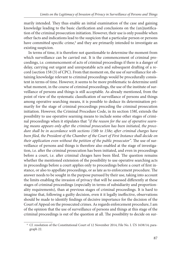marily intended. They thus enable an initial examination of the case and gaining knowledge leading to the basic clarification and conclusions on the (un)justification of the criminal prosecution initiation. However, their use is only possible when other facts and indications lead to the suspicion that a particular person or persons have committed specific crime,<sup>6</sup> and they are primarily intended to investigate an existing suspicion.

In terms of time, it is therefore not questionable to determine the moment from which surveillance can be carried out. It is the commencement of criminal proceedings, i.e. commencement of acts of criminal proceedings if there is a danger of delay, carrying out urgent and unrepeatable acts and subsequent drafting of a record (section 158 (3) of CPC). From that moment on, the use of surveillance for obtaining knowledge relevant to criminal proceedings would be procedurally consistent in terms of time. However, it seems to be more problematic to determine until what moment, in the course of criminal proceedings, the use of the institute of surveillance of persons and things is still acceptable. As already mentioned, from the point of view of the systematic classification of surveillance of persons and things among operative searching means, it is possible to deduce its determination primarily for the stage of criminal proceedings preceding the criminal prosecution initiation. However, the Criminal Procedure Code, in its section 158f, extends the possibility to use operative searning means to include some other stages of criminal proceedings when it stipulates that *"if the reason for the use of operative searn*ing means appears only after the criminal prosecution has been initiated, the proce*dure shall be in accordance with sections 158b to 158e; after criminal charges have* been filed, the President of the Chamber of the Court of First Instance shall decide on *their application even without the petition of the public prosecutor*". The use of surveillance of persons and things is therefore also enabled at the stage of investigation, i.e. after the criminal prosecution has been initiated, and even in proceedings before a court, i.e. after criminal chrages have been filed. The question remains whether the mentioned extension of the possibility to use operative searching acts in proceedings before a court applies only to proceedings before a court of first instance, or also to appellate proceedings, or as late as to enforcement procedure. The answer needs to be sought in the purpose pursued by their use, taking into account the limits enabling the invasion of privacy that will be assessed differently at these stages of criminal proceedings (especially in terms of subsidiarity and proportionality requirements), than at previous stages of criminal proceedings. It is hard to imagine that, following a guilty decision, even it it legally ineffective, observations should be made to identify findings of decisive importance for the decision of the Court of Appeal on the prosecuted crimes. As regards enforcement procedure, I am of the opinion that the use of surveillance of persons and things at this stage of the criminal proceedings is out of the question at all. The possibility to decide on sur-

 <sup>6</sup> Cf. resolution of the Constitutional Court of 12 November 2014, File No. I. ÚS 1638/14; paragraph 22.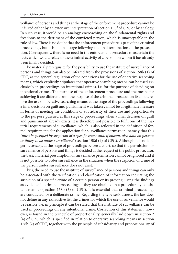veillance of persons and things at the stage of the enforcement procedure cannot be inferred either by an extensive interpretation of section 158f of CPC or by analogy. In such case, it would be an analogy encroaching on the fundamental rights and freedoms to the detriment of the convicted person, which is unacceptable in the rule of law. There is no doubt that the enforcement procedure is part of the criminal proceedings, but it is its final stage following the final termination of the prosecution. Consequently, there is no need in the enforcement procedure to ascertain the facts which would relate to the criminal activity of a person on whom it has already been finally decided.

The material prerequisite for the possibility to use the institute of surveillance of persons and things can also be inferred from the provisions of section 158b (1) of CPC, as the general regulation of the conditions for the use of operative searching means, which explicitly stipulates that operative searching means can be used exclusively in proceedings on intentional crimes, i.e. for the purpose of deciding on intentional crimes. The purpose of the enforcement procedure and the means for achieving it are different from the purpose of the criminal prosecution itself, therefore the use of operative searching means at the stage of the proceedings following a final decision on guilt and punishment was taken cannot be a legitimate measure in terms of meeting the conditions of subsidiarity of their use and proportionate to the purpose pursued at this stage of proceedings when a final decision on guilt and punishment already exists. It is therefore not possible to fulfil one of the material requirements of surveillance, which is also reflected in the definition of formal requirements for the application for surveillance permission, namely that this "must be justified by suspicion of a specific crime and, if known, also data on persons *or things to be under surveillance"* (section 158d (4) of CPC). Although it is no longer necessary, at the stage of proceedings before a court, so that the permission for surveillance of persons and things is decided at the request of the public prosecutor, the basic material presumption of surveillance permission cannot be ignored and it is not possible to order surveillance in the situation when the suspicion of crime of the person under surveillance does not exist.

Thus, the need to use the institute of surveillance of persons and things can only be associated with the verification and clarification of information indicating the suspicion of a specific crime of a certain person or its proving, using the findings as evidence in criminal proceedings if they are obtained in a procedurally consistent manner (section 158b (3) of CPC). It is essential that criminal proceedings are conducted for a deliberate crime. Regarding the type seriousness, the law does not define in any exhaustive list the crimes for which the use of surveillance would be feasible, i.e. in principle it can be stated that the institute of surveillance can be used in proceedings on any intentional crime. Correction of this statement, however, is found in the principle of proportionality, generally laid down in section 2 (4) of CPC, which is specified in relation to operative searching means in section 158b (2) of CPC, together with the principle of subsidiarity and proportionality of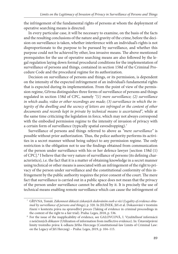the infringement of the fundamental rights of persons at whom the deployment of operative searching means is directed.

In every particular case, it will be necessary to examine, on the basis of the facts and the resulting conclusions of the nature and gravity of the crime, before the decision on surveillance is taken, whether interference with an individual's rights is not disproportionate to the purpose to be pursued by surveillance, and whether this purpose could not be achieved by other, less invasive means. The above mentioned prerequisites for the use of operative searching means are also followed by the legal regulation laying down formal procedural conditions for the implementation of surveillance of persons and things, contained in section 158d of the Criminal Procedure Code and the procedural regime for its authorization.

Decision on surveillance of persons and things, or its permission, is dependent on the intensity of the expected infringement of an individual's fundamental rights that is expected during its implementation. From the point of view of the permission regime, Gřivna distinguishes three forms of surveillance of persons and things regulated in section 158d of CPC, namely *"(1) mere surveillance; (2) surveillance in which audio, video or other recordings are made; (3) surveillance in which the integrity of the dwelling and the secrecy of letters are infringed or the content of other documents and records kept in private by technical means is ascertained"*, while at the same time criticizing the legislation in force, which may not always correspond with the embodied permission regime to the intensity of invasion of privacy with a certain form of surveillance (typically spatial eavesdropping).7

Surveillance of persons and things referred to above as *"mere surveillance"* is possible without prior authorization. Thus, the police authority performs its activities in a secret manner without being subject to any permission regime. The only restriction is the obligation not to use the findings obtained from communication of the person under surveillance with his or her defence lawyer [section 158d (1) of CPC].<sup>8</sup> I believe that the very nature of surveillance of persons (its defining characteristics), i.e. the fact that it is a matter of obtaining knowledge in a secret manner using technical or other means is associated with an infringement of the right to privacy of the person under surveillance and the constitutional conformity of this infringement by the public authority requires the prior consent of the court. The mere fact that surveillance is carried out in a public space does not mean that the privacy of the person under surveillance cannot be affected by it. It is precisely the use of technical means enabling remote surveillance which can cause the infringement of

 <sup>7</sup> GŘIVNA, Tomáš. *Zákonnost důkazů získaných sledováním osob a věcí (Legality of evidence obtained by surveillance of persons and things),* p. 320. In JELÍNEK, Jiří et al. Dokazování v trestním řízení v kontextu práva na spravedlivý proces (Taking of evidence in criminal proceedings in the context of the right to a fair trial). Praha: Leges, 2018, p. 536.<br><sup>8</sup> For the issue of the inapplicability of evidence, see GALOVCOVÁ, I. Využiteľnosť informácii

z neúčinných dôkazov (Utilization of information from ineffective evidence). In: Ústavněprávní limity trestního práva: k odkazu Jiřího Herczega (Constitutional-law Limits of Criminal Law: on the Legacy of Jiří Herczeg) – Praha: Leges, 2019, p. 104–115.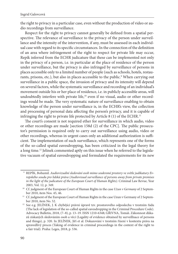the right to privacy in a particular case, even without the production of video or audio recordings from surveillance.

Respect for the right to privacy cannot generally be defined from a spatial perspective. The relevance of surveillance to the privacy of the person under surveillance and the intensity of the intervention, if any, must be assessed in each individual case with regard to its specific circumstances. In the connection of the definition of an area where infringement of the right to respect for private life may occur, Repík inferred from the ECHR judicature that these can be implemented not only in the privacy of a person, i.e. in particular at the place of residence of the person under surveillance, but the privacy is also infringed by surveillance of persons in places accessible only to a limited number of people (such as schools, hotels, restaurants, prisons, etc.), but also in places accessible to the public.<sup>9</sup> When carrying out surveillance in a public space, the invasion of privacy and its intensity will depend on several factors, while the systematic surveillance and recording of an individual's movement outside his or her place of residence, i.e. in publicly accessible areas, will undoubtedly interfere with private life,<sup>10</sup> even if no visual, audio or other recordings would be made. The very systematic nature of surveillance enabling to obtain knowledge of the person under surveillance is, in the ECHR's view, the collection and processing of personal data affecting the person's privacy, and it is capable of infringing the right to private life protected by Article 8 (1) of the ECHR.<sup>11</sup>

The court's consent is not required ether for surveillance in which audio, video or other recordings are made [section 158d (2) of the CPC]. The public prosecutor's permission is required only to carry out surveillance using audio, video or other recordings, whereas in urgent cases only an additional authorization is sufficient. The implementation of such surveillance, which represents one of the forms of the so-called spatial eavesdropping, has been criticized in the legal theory for a long time.12 Jelinek commented aptly on this issue when he referred to the legislative vacuum of spatial eavesdropping and formulated the requirements for its new

 <sup>9</sup> REPÍK, Bohumil. *Audiovizuální sledování osob mimo soukromé prostory ve světle judikatury Evropského soudu pro lidská práva (Audiovisual surveillance of persons away from private premises in the light of the judicature of the European Court of Human Rights)*. Criminal Law Revue, Year

<sup>2003,</sup> Vol. 12, p. 349. 10 Cf. judgment of the European Court of Human Rights in the case *Uzun v Germany* of 2 Septem-

ber 2010, item Nos. 45, 46.<br><sup>11</sup> Cf. judgment of the European Court of Human Rights in the case Uzun v Germany of 2 September 2010, item No. 52. 12 See e.g. JELÍNEK, J. K chybějící právní úpravě tzv. prostorového odposlechu v trestním řádu

<sup>(</sup>The lack of legislation of the so-called spatial eavesdropping in the Criminal Procedure Code). Advocacy Bulletin, 2018, (7–8), p. 13–19. ISSN 1210-6348; GŘIVNA, Tomáš. Zákonnost důkazů získaných sledováním osob a věcí (Legality of evidence obtained by surveillnace of persons and things), p. 320. In JELÍNEK, Jiří et al. Dokazování v trestním řízení v kontextu práva na spravedlivý proces (Taking of evidence in criminal proceedings in the context of the right to a fair trial). Praha: Leges, 2018, p. 536.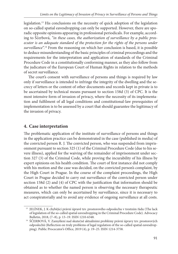legislation.13 His conclusions on the necessity of quick adoption of the legislation on so-called spatial eavesdropping can only be supported. However, there are sporadic opposite opinions appearing in professional periodicals. For example, according to Ščerbová, *"in these cases, the authorization of surveillance by a public prosecutor is an adequate standard of the protection for the rights of the persons under surveillance*".14 From the reasoning on which her conclusion is based, it is possible to deduce misunderstanding of the basic principles of criminal proceedings and the requirements for the interpretation and application of standards of the Criminal Procedure Code in a constitutionally conforming manner, as they also follow from the judicature of the European Court of Human Rights in relation to the methods of secret surveillance.

The court's consent with surveillance of persons and things is required by law only if surveillance is intended to infringe the integrity of the dwelling and the secrecy of letters or the content of other documents and records kept in private is to be ascertained by technical means pursuant to section 158d (3) of CPC. It is the most intensive form of invasion of privacy, where the necessity of its implementation and fulfilment of all legal conditions and constitutional-law prerequisites of implementation is to be assessed by a court that should guarantee the legitimacy of the invasion of privacy.

# **4. Case interpretation**

The problematic application of the institute of surveillance of persons and things in the application practice can be demonstrated in the case (published in media) of the convicted person R. J. The convicted person, who was suspended from imprisonment pursuant to section 325 (1) of the Criminal Procedure Code (due to his severe illness), applied for the waiving of the remainder of imprisonment under section 327 (3) of the Criminal Code, while proving the incurability of his illness by expert opinions on his health condition. The court of first instance did not comply with his motion and the case was decided, on the convicted person's complaint, by the High Court in Prague. In the course of the complaint proceedings, the High Court in Prague decided to carry out surveillance of the convicted person under section 158d  $(2)$  and  $(4)$  of CPC with the justification that information should be obtained as to whether the named person is observing the necessary therapeutic measures, which can only be ascertained by surveillance, since it is necessary to act conspiratorially and to avoid any evidence of ongoing surveillance at all costs.

<sup>&</sup>lt;sup>13</sup> JELÍNEK, J. K chybějící právní úpravě tzv. prostorového odposlechu v trestním řádu (The lack of legislation of the so-called spatial eavesdropping in the Criminal Procedure Code). Advocacy Bulletin, 2018, (7–8), p. 13–19. ISSN 1210-6348.<br><sup>14</sup> ŠČERBOVÁ, V. Zamyšlení nad skutečně aktuálními problémy právní úpravy tzv. prostorových

odposlechů (Reflection on truly problems of legal regulation of the so-called spatial eavesdropping). Public Procecutor's Office, 2019 (4), p. 19–25. ISSN 1214-3758.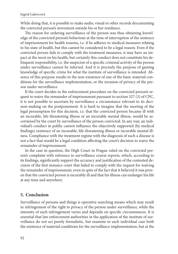While doing that, it is possible to make audio, visual or other records documenting the convicted person's movement outside his or her residence.

The reason for ordering surveillance of the person was thus obtaining knowledge of the convicted person's behaviour at the time of interruption of the sentence of imprisonment for health reasons, i.e. if he adheres to medical measures relating to his state of health, but this cannot be considered to be a legal reason. Even if the convicted person fails to comply with the treatment measures, it may have an impact at the most on his health, but certainly this conduct does not constitute his delinquent responsibility, i.e. the suspicion of a specific criminal activity of the person under surveillance cannot be inferred. And it is precisely the purpose of gaining knowledge of specific crime for what the institute of surveillance is intended. Absence of this purpose results in the non-existence of one of the basic material conditions for the surveillance implementation, or the invasion of privacy of the person under surveillance.

If the court decides in the enforcement procedure on the convicted person's request to waive the remainder of imprisonment pursuant to section 327 (3) of CPC, it is not possible to ascertain by surveillance a circumstance relevant to its decision-making on the postponement. It is hard to imagine that the meeting of the legal presumption for this decision, i.e. that the convicted person became ill with an incurable, life-threatening illness or an incurable mental illness, would be ascertained by the court by surveillance of the person convicted. In any way, an individual's conduct in public cannot influence the objectively supported (by medical findings) existence of an incurable, life-threatening illness or incurable mental illness. Compliance with the treatment regime with the diagnosis of such a disease is not a fact that would be a legal condition affecting the court's decision to waive the remainder of imprisonment.

In the case in question, the High Court in Prague ruled on the convicted person's complaint with reference to surveillance course reports, which, according to its findings, significantly support the accuracy and justification of the contested decision of the first instance court that failed to comply with the request for waiving the remainder of imprisonment, even in spite of the fact that it believed it was proven that the convicted person is incurably ill and that his illness can endanger his life at any time and anywhere.

### **5. Conclusion**

Surveillance of persons and things is operative searching means which may result in infringement of the right to privacy of the person under surveillance, while the intensity of such infringement varies and depends on specific circumstances. It is essential that law enforcement authorities in the application of the institute of surveillance do not act purely formalistic, but examine in each individual case both the existence of material conditions for the surveillance implementation, but at the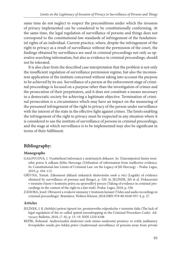same time do not neglect to respect the preconditions under which the invasion of privacy implemented can be considered to be constitutionally conforming. At the same time, the legal regulation of surveillance of persons and things does not correspond to the constitutional-law standards of infringement of the fundamental rights of an individual. Current practice, where, despite the infringement of the right to privacy as a result of surveillance without the permission of the court, the findings obtained by surveillance are used in criminal proceedings not only as operative searching information, but also as evidence in criminal proceedings, should not be tolerated.

It is also clear from the described case interpretation that the problem is not only the insufficient regulation of surveillance permission regime, but also the inconsistent application of the institute concerned without taking into account the purpose to be achieved by its use. Surveillance of a person at the enforcement stage of criminal proceedings is focused on a purpose other than the investigation of crimes and the prosecution of their perpetrators, and it does not constitute a means necessary in a democratic society for achieving a legitimate objective. Termination of criminal prosecution is a circumstance which may have an impact on the measuring of the presumed infringement of the right to privacy of the person under surveillance with the interest of the state in the effective fight against crimes. The limits enabling the infringement of the right to privacy must be respected in any situation where it is considered to use the institute of surveillance of persons in criminal proceedings, and the stage at which surveillance is to be implemented may also be significant in terms of their fulfilment.

# **Bibliography:**

### **Monographs**

- GALOVCOVÁ, I. Využiteľnosť informácii z neúčinných dôkazov. In: Ústavněprávní limity trestního práva: k odkazu Jiřího Herczega (Utilization of information from ineffective evidence. In: Constitutional-law Limits of Criminal Law: on the Legacy of Jiří Herczeg) – Praha: Leges, 2019, p. 104–115.
- GŘIVNA, Tomáš. Zákonnost důkazů získaných sledováním osob a věcí (Legality of evidence obtained by surveillance of persons and things), p. 320. In JELÍNEK, Jiří et al. Dokazování v trestním řízení v kontextu práva na spravedlivý proces (Taking of evidence in criminal proceedings in the context of the right to a fair trial). Praha: Leges, 2018, p. 536.
- ZÁHORA, Jozef. Obrazové a zvukové záznamy v trestnom konaní (Video and audio recordings in criminal proceedings). Bratislava: Wolters Kluwer, 2018.ISBN 978-80-8168-957-4, p. 27.

### **Articles**

- JELÍNEK, J. K chybějící právní úpravě tzv. prostorového odposlechu v trestním řádu (The lack of legal regulation of the so-called spatial eavesdropping in the Criminal Procedure Code). Advocacy Bulletin, 2018, (7–8), p. 13–19. ISSN 1210-6348
- REPÍK, Bohumil. Audiovizuální sledování osob mimo soukromé prostory ve světle judikatury Evropského soudu pro lidská práva (Audiovisual surveillance of persons away from private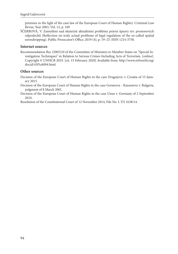premises in the light of the case law of the European Court of Human Rights). Criminal-Law Revue, Year 2003, Vol. 12, p. 349

ŠČERBOVÁ, V. Zamyšlení nad skutečně aktuálními problémy právní úpravy tzv. prostorových odposlechů (Reflection on truly actual problems of legal regulation of the so-called spatial eavesdropping). Public Prosecutor's Office, 2019 (4), p. 19-25. ISSN 1214-3758.

#### **Internet sources**

Recommendation Rec (2005)10 of the Committee of Ministers to Member States on "Special Investigation Techniques" in Relation to Serious Crimes Including Acts of Terrorism. [online]. [Copyright © UNHCR 2019. \[cit. 15 February 2020\] Available from: http://www.refworld.org/](http://www.refworld.org/docid/43f5c6094.html) docid/43f5c6094.html.

#### **Other sources**

Decision of the European Court of Human Rights in the case Dragojevic v. Croatia of 15 January 2015.

- Decision of the European Court of Human Rights in the case Goranova Karaeneva v. Bulgaria, judgment of 8 March 2001.
- Decision of the European Court of Human Rights in the case Uzun v. Germany of 2 September 2010.

Resolution of the Constitutional Court of 12 November 2014, File No. I. ÚS 1638/14.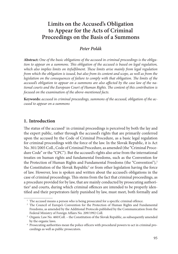# **Limits on the Accused's Obligation to Appear for the Acts of Criminal Proceedings on the Basis of a Summons**

## *Peter Polák*

**Abstract:** *One of the basic obligations of the accused in criminal proceedings is the obligation to appear on a summons. This obligation of the accused is based on legal regulation,* which also implies limits on itsfulfilment. These limits arise mainly from legal regulation *from which the obligation is issued, but also from its content and scope, as well as from the legislation on the consequences of failure to comply with that obligation. The limits of the* accused's obligation to appear on a summons are also affected by the case law of the na*tional courts and the European Court of Human Rights. The content of this contribution is focused on the examination of the above-mentioned facts.*

**Keywords:** *accused in criminal proceedings, summons of the accused, obligation of the accused to appear on a summons* 

### **1. Introduction**

The status of the accused<sup>1</sup> in criminal proceedings is perceived by both the lay and the expert public, rather through the accused's rights that are primarily conferred upon the accused by the Code of Criminal Procedure, as a basic legal regulation for criminal proceedings with the force of the law. In the Slovak Republic, it is Act No. 301/2005 Coll., Code of Criminal Procedure, as amended (the "Criminal Procedure Code" or the "CPC"). But the accused's rights also arise from the international treaties on human rights and fundamental freedoms, such as the Convention for the Protection of Human Rights and Fundamental Freedoms (the "Convention"),<sup>2</sup> the Constitution of the Slovak Republic<sup>3</sup> or from other legislation having the force of law. However, less is spoken and written about the accused's obligations in the case of criminal proceedings. This stems from the fact that criminal proceedings, as a procedure provided for by law, that are mainly conducted by prosecuting authorities<sup>4</sup> and courts, during which criminal offences are intended to be properly identified and their perpetrators fairly punished by law, must meet, both formally and

<sup>&</sup>lt;sup>1</sup> The accused means a person who is being prosecuted for a specific criminal offence.<br><sup>2</sup> The Council of Europe's Convention for the Protection of Human Rights and Fundamental

Freedoms, as amended by the Additional Protocols published by the Communication from the Federal Ministry of Foreign Affairs No. 209/1992 Coll.<br><sup>3</sup> Organic Law No. 460/Coll. – the Constitution of the Slovak Republic, as subsequently amended

by the organic laws. 4 Prosecuting authorities mean the police officers with procedural powers to act in criminal pro-

ceedings as well as public prosecutors.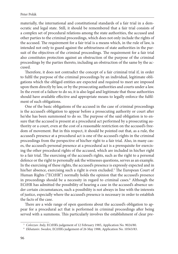materially, the international and constitutional standards of a fair trial in a democratic and legal state. Still, it should be remembered that a fair trial consists of a complex set of procedural relations among the state authorities, the accused and other parties to the criminal proceedings, which does not only include the rights of the accused. The requirement for a fair trial is a means which, in the rule of law, is intended not only to guard against the arbitrariness of state authorities in the pursuit of the objectives of the criminal proceedings. The requirement for a fair trial also constitutes protection against an obstruction of the purpose of the criminal proceedings by the parties thereto, including an obstruction of the same by the accused.

Therefore, it does not contradict the concept of a fair criminal trial if, in order to fulfil the purpose of the criminal proceedings by an individual, legitimate obligations which the obliged entities are expected and required to meet are imposed upon them directly by law, or by the prosecuting authorities and courts under a law. In the event of a failure to do so, it is also legal and legitimate that those authorities should have available effective and appropriate means to legally enforce the fulfilment of such obligations.

One of the basic obligations of the accused in the case of criminal proceedings is the accused's obligation to appear before a prosecuting authority or court after he/she has been summoned to do so. The purpose of the said obligation is to ensure that the accused is present at a procedural act performed by a prosecuting authority or a court, even at the cost of a reasonable restriction on the accused's freedom of movement. But in this respect, it should be pointed out that, as a rule, the accused's presence at a procedural act is one of the accused's rights in the criminal proceedings from the perspective of his/her right to a fair trial. Also, in many cases, the accused's personal presence at a procedural act is a prerequisite for exercising the other procedural rights of the accused, which are included in his/her right to a fair trial. The exercising of the accused's rights, such as the right to a personal defence or the right to personally ask the witnesses questions, serves as an example. In the exercising of these rights, the accused's presence is expressly expected and in his/her absence, exercising such a right is even excluded.<sup>5</sup> The European Court of Human Rights ("ECtHR") normally holds the opinion that the accused's presence in proceedings should be a necessity in regard to criminal cases.<sup>6</sup> Although the ECtHR has admitted the possibility of hearing a case in the accused's absence under certain circumstances, such a possibility is not always in line with the interests of justice, especially where the accused's presence is necessary in order to establish the facts of the case.

There are a wide range of open questions about the accused's obligation to appear for a procedural act that is performed in criminal proceedings after being served with a summons. This particularly involves the establishment of clear pre-

<sup>5</sup> *Colozzav. Italy,* ECtHR's judgement of 12 February 1985, Application No. 9024/80.

<sup>6</sup> *Ekbataniv. Sweden,* ECtHR's judgement of 26 May 1988, Application No. 10563/83.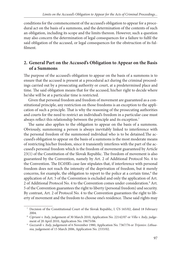conditions for the commencement of the accused's obligation to appear for a procedural act on the basis of a summons, and the determination of the contents of such an obligation, including its scope and the limits thereon. However, such a question may also concern the determination of legal consequences for a failure to fulfil the said obligation of the accused, or legal consequences for the obstruction of its fulfilment

# **2. General Part on the Accused's Obligation to Appear on the Basis of a Summons**

The purpose of the accused's obligation to appear on the basis of a summons is to ensure that the accused is present at a procedural act during the criminal proceedings carried out by a prosecuting authority or court, at a predetermined place and time. The said obligation means that for the accused, his/her right to decide where he/she will be at a particular time is restricted.

Given that personal freedom and freedom of movement are guaranteed as a constitutional principle, any restriction on those freedoms is an exception to the application of such a principle. That is why the reasoning of the prosecuting authorities and courts for the need to restrict an individual's freedom in a particular case must always reflect this relationship between the principle and its exception.<sup>7</sup>

The same also applies to the obligation to appear on the basis of a summons. Obviously, summoning a person is always inevitably linked to interference with the personal freedom of the summoned individual who is to be detained. The accused's obligation to appear on the basis of a summons is the most moderate means of restricting his/her freedom, since it transiently interferes with the part of the accused's personal freedom which is the freedom of movement guaranteed by Article  $23(1)$  of the Constitution of the Slovak Republic. The freedom of movement is also guaranteed by the Convention, namely by Art. 2 of Additional Protocol No. 4 to the Convention. The ECtHR's case-law stipulates that, if interference with personal freedom does not reach the intensity of the deprivation of freedom, but it merely concerns, for example, the obligation to report to the police at a certain time,<sup>8</sup> the application of Art. 5 of the Convention is excluded and only the application of Art. 2 of Additional Protocol No. 4 to the Convention comes under consideration.<sup>9</sup> Art. 5 of the Convention guarantees the right to liberty (personal freedom) and security. By contrast, Art. 2 of Protocol No. 4 to the Convention guarantees the right to liberty of movement and the freedom to choose one's residence. These said rights may

 <sup>7</sup> Decision of the Constitutional Court of the Slovak Republic, I. ÚS 165/02, dated 18 February 2004.

<sup>8</sup> *Cipriani v. Italy,* judgement of 30 March 2010, Application No. 22142/07 or *Villa v. Italy*, judgement of 20 April 2010, Application No. 19675/06.

<sup>9</sup> *Guzzardi v. Italy,* judgement of 6 November 1980, Application No. 7367/76 or *Trijonisv. Lithuania,* judgement of 15 March 2006, Application No. 2333/02.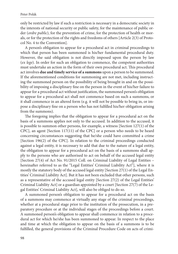only be restricted by law if such a restriction is necessary in a democratic society in the interests of national security or public safety, for the maintenance of public order (*ordre public*), for the prevention of crime, for the protection of health or morals, or for the protection of the rights and freedoms of others [Article 2(3) of Protocol No. 4 to the Convention].

A person's obligation to appear for a procedural act in criminal proceedings to which that person has been summoned is his/her fundamental procedural duty. However, the said obligation is not directly imposed upon the person by law (*ex lege*). In order for such an obligation to commence, the competent authorities must undertake an action in the form of their own procedural act. This procedural act involves **due and timely service of a summons** upon a person to be summoned. If the aforementioned conditions for summoning are not met, including instructing the summoned person on the possibility of being brought in and on the possibility of imposing a disciplinary fine on the person in the event of his/her failure to appear for a procedural act without justification, the summoned person's obligation to appear for a procedural act shall not commence based on such a summons, or it shall commence in an altered form (e.g. it will not be possible to bring in, or impose a disciplinary fine on a person who has not fulfilled his/her obligation arising from the summons).

The foregoing implies that the obligation to appear for a procedural act on the basis of a summons applies not only to the accused. In addition to the accused, it is possible to summon other persons, for example, a witness [Section 127(1) of the CPC], an agent [Section 117(11) of the CPC] or a person who needs to be heard concerning circumstances suggesting that he/she could have committed a crime [Section 196(2) of the CPC]. In relation to the criminal proceedings conducted against a legal entity, it is necessary to add that due to the nature of a legal entity, the obligation to appear for a procedural act on the basis of a summons shall apply to the persons who are authorised to act on behalf of the accused legal entity [Section 27(4) of Act No. 91/2015 Coll. on Criminal Liability of Legal Entities – hereinafter referred to as the "Legal Entities' Criminal Liability Act"], where it is mostly the statutory body of the accused legal entity [Section 27(1) of the Legal Entities' Criminal Liability Act]. But it has not been excluded that other persons, such as a representative of the accused legal entity [Section 27(2) of the Legal Entities' Criminal Liability Act] or a guardian appointed by a court [Section 27(7) of the Legal Entities' Criminal Liability Act], will also be obliged to do so.

A summoned person's obligation to appear for a procedural act on the basis of a summons may commence at virtually any stage of the criminal proceedings, whether at a procedural stage prior to the institution of the prosecution, in a preparatory procedure or at the individual stages of the proceedings before a court. A summoned person's obligation to appear shall commence in relation to a procedural act for which he/she has been summoned to appear. In respect to the place and time at which the obligation to appear on the basis of a summons is to be fulfilled, the general provisions of the Criminal Procedure Code on acts of crimi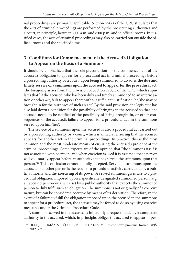nal proceedings are primarily applicable. Section 55(2) of the CPC stipulates that the acts of criminal proceedings are performed by the prosecuting authorities and a court, in principle, between 7:00 a.m. and 8:00 p.m. and in official rooms. In justified cases, the acts of criminal proceedings may also be carried out outside the official rooms and the specified time.

# **3. Conditions for Commencement of the Accused's Obligation to Appear on the Basis of a Summons**

It should be emphasised that the sole precondition for the commencement of the accused's obligation to appear for a procedural act in criminal proceedings before a prosecuting authority or a court, upon being summoned to do so, is **the due and timely service of a summons upon the accused to appear for the procedural act**. The foregoing arises from the provision of Section 120(1) of the CPC, which stipulates that "if the accused, who has been duly and timely summoned to an interrogation or other act, fails to appear there without sufficient justification, he/she may be brought in for the purposes of such an act". By the said provision, the legislator has also laid down a condition for the possibility of bringing in the accused so that "the accused needs to be notified of the possibility of being brought in, or other consequences of the accused's failure to appear for a procedural act, in the summons served upon him/her".

The service of a summons upon the accused is also a procedural act carried out by a prosecuting authority or a court, which is aimed at ensuring that the accused appears for another act in the criminal proceedings. In practice, this is the most common and the most moderate means of ensuring the accused's presence at the criminal proceedings. Some experts are of the opinion that "the summons itself is not associated with coercion, and when coercion is used it is assumed that a person will voluntarily appear before an authority that has served the summons upon that person."<sup>10</sup> This conclusion cannot be fully accepted. Serving a summons upon the accused or another person is the result of a procedural activity carried out by a public authority and the exercising of its power. A served summons gives rise to a procedural obligation imposed upon a specifically designated summoned person (e.g. an accused person or a witness) by a public authority that expects the summoned person to duly fulfil such an obligation. The summons is not originally of a coercive nature, but can be considered coercive by means of its derivation. Therefore, in the event of a failure to fulfil the obligation imposed upon the accused in the summons to appear for a procedural act, the accused may be forced to do so by using coercive measures under the Criminal Procedure Code.

A summons served to the accused is inherently a request made by a competent authority to the accused, which, in principle, obliges the accused to appear in per-

<sup>&</sup>lt;sup>10</sup> OLEJ, J. – ROMŽA, S. – ČOPKO, P. – PUCHALLA, M.: Trestné právo procesné. Košice: UPJŠ, 2012, s. 73.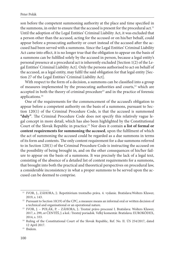son before the competent summoning authority at the place and time specified in the summons, in order to ensure that the accused is present for the procedural act.<sup>11</sup> Until the adoption of the Legal Entities' Criminal Liability Act, it was excluded that a person other than the accused, acting for the accused or on his/her behalf, could appear before a prosecuting authority or court instead of the accused after the accused had been served with a summons. Since the Legal Entities' Criminal Liability Act came into effect, it is no longer true that the obligation to appear on the basis of a summons can be fulfilled solely by the accused in person, because a legal entity's personal presence at a procedural act is inherently excluded [Section 1(2) of the Legal Entities' Criminal Liability Act]. Only the persons authorised to act on behalf of the accused, as a legal entity, may fulfil the said obligation for that legal entity [Section 27 of the Legal Entities' Criminal Liability Act].

With respect to the form of a decision, a summons can be classified into a group of measures implemented by the prosecuting authorities and courts,<sup>12</sup> which are accepted in both the theory of criminal procedure<sup>13</sup> and in the practice of forensic applications.14

One of the requirements for the commencement of the accused's obligation to appear before a competent authority on the basis of a summons, pursuant to Section 120(1) of the Criminal Procedure Code, is that the accused is summoned "duly". The Criminal Procedure Code does not specify this relatively vague legal concept in more detail, which has also been highlighted by the Constitutional Court of the Slovak Republic in practice.15 Nor does it contain **a list of formal or**  content requirements for summoning the accused, upon the fulfilment of which the act of summoning the accused could be regarded as a due summons in terms of its form and contents. The only content requirement for a due summons referred to in Section 120(1) of the Criminal Procedure Code is instructing the accused on the possibility of being brought in, and on the other consequences of his/her failure to appear on the basis of a summons. It was precisely the lack of a legal text, consisting of the absence of a detailed list of content requirements for a summons, that brought into both the practical and theoretical perspectives on procedural law, a considerable inconsistency in what a proper summons to be served upon the accused can be deemed to comprise.

<sup>&</sup>lt;sup>11</sup> IVOR, J., ZÁHORA, J.: Repetitórium trestného práva. 4. vydanie. Bratislava:Wolters Kluwer,

<sup>2019,</sup> s. 143. 12 Pursuant to Section 10(19) of the CPC, a measure means an informal oral or written decision of

a technical and organisational or an operational nature. 13 IVOR, J. – POLÁK, P. – ZÁHORA, J.: Trestné právo procesné I. Bratislava: Wolters Kluwer, 2017, s. 299, or ČENTÉŠ, J. a kol.: Trestný poriadok. Veľký komentár. Bratislava: EUROKÓDEX,

<sup>2014,</sup> s. 333. 14 Ruling of the Constitutional Court of the Slovak Republic, Ref. No. II. ÚS 254/2017, dated 12 April 2017. 15 Ibidem.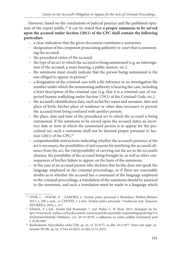However, based on the conclusions of judicial practice and the published opinions of the expert public,<sup>16</sup> it can be stated that **a proper summons to be served upon the accused under Section 120(1) of the CPC shall contain the following particulars**:

- a clear indication that the given document constitutes a summons;
- designation of the competent prosecuting authority or court that is summoning the accused;
- the procedural status of the accused;
- the type of an act to which the accused is being summoned (e.g. an interrogation of the accused, a main hearing, a public session, etc.);
- the summons must clearly indicate that the person being summoned is the one obliged to appear in person;<sup>17</sup>
- a designation of the criminal case with a file reference or an investigation file number under which the summoning authority is hearing the case, including a brief description of the criminal case [e.g. that it is a criminal case of suspected human trafficking under Section 179(1) of the Criminal Code, etc.];
- the accused's identification data, such as his/her name and surname, date and place of birth, his/her place of residence or other data necessary to prevent the accused from being confused with another person;
- the place, date and time of the procedural act to which the accused is being summoned. If the summons to be served upon the accused states an incorrect date or time at which the summoned person is to appear for the procedural act, such a summons shall not be deemed proper pursuant to Section  $120(1)$  of the CPC;<sup>18</sup>
- comprehensible instructions indicating whether the accused's presence at the act is necessary, the possibilities of and reasons for justifying the accused's absence from the act, the (im)possibility of carrying out the act in the accused's absence, the possibility of the accused being brought in, as well as other consequences of his/her failure to appear on the basis of the summons;
- in the case of an accused person who declares that he/she does not speak the language employed in the criminal proceedings, or if there are reasonable doubts as to whether the accused has a command of the language employed in the criminal proceedings, a translation of the summons should be annexed to the summons, and such a translation must be made in a language which

 <sup>16</sup> IVOR, J. – POLÁK, P. – ZÁHORA, J.: Trestné právo procesné I. Bratislava: Wolters Kluwer, 2017, s. 299 a nasl., or ČENTÉŠ, J. a kol.: Trestné právo procesné. Všeobecná časť. Šamorín:

[HEURÉKA, 2016, s. 217.](https://www.beck-online.cz/bo/document-wiew.seam?documentId=nnptembrgnpwk5tlge3c443cl4ytsnrrl4ytimk-7obtdsma) 17 [ŠÁMAL, P. a kol.: Trestní řád. Komentář. 7. vyd. Praha: C. H. Beck, 2013, dostupné na: ht](https://www.beck-online.cz/bo/document-wiew.seam?documentId=nnptembrgnpwk5tlge3c443cl4ytsnrrl4ytimk-7obtdsma)tps://www.beck-online.cz/bo/document-wiew.seam?documentId=nnptembrgnpwk5tlge3c4 43cl4ytsnrrl4ytimk-7obtdsma. [cit. 20-10-2019] ,s odkazom na český judikát uverejnený pod

č. R 29/1997. 18 Rozhodnutie Najvyššieho súdu ČSR, sp. zn. 11 Tz 9/77, zo dňa 10.3.1977. Pozri tiež napr. uznesenie NS SR, sp. zn. 4 Tost 41/2012, zo dňa 13.11.2012.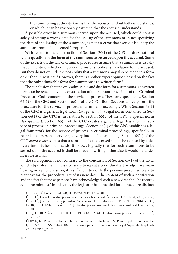the summoning authority knows that the accused undoubtedly understands, or which it can be reasonably assumed that the accused understands.

A possible error in a summons served upon the accused, which could consist solely of stating a wrong date for the issuing of the summons or in not specifying the date of the issuing of the summons, is not an error that would disqualify the summons from being deemed "proper".<sup>19</sup>

With regard to the construction of Section 120(1) of the CPC, it does not deal with a **question of the form of the summons to be served upon the accused.** Some of the experts on the law of criminal procedures assume that a summons is usually made in writing, whether in general terms or specifically in relation to the accused. But they do not exclude the possibility that a summons may also be made in a form other than in writing.20 However, there is another expert opinion based on the fact that the only admissible form for a summons is a written form.<sup>21</sup>

The conclusion that the only admissible and due form for a summons is a written form can be reached by the construction of the relevant provisions of the Criminal Procedure Code concerning the service of process. These are, specifically, Section 65(1) of the CPC and Section 66(1) of the CPC. Both Sections above govern the procedure for the service of process in criminal proceedings. While Section 65(1) of the CPC is a general legal norm (*lex generalis*), a legal norm contained in Section 66(1) of the CPC is, in relation to Section 65(1) of the CPC, a special norm (*lex specialis*). Section 65(1) of the CPC creates a general legal basis for the service of process in criminal proceedings. Section 66(1) of the CPC establishes a legal framework for the service of process in criminal proceedings, specifically in regards to a personal service (delivery into one's own hands). Section 66(1) of the CPC *expresisverbis*states that a summons is also served upon the accused by a delivery into his/her own hands. It follows logically that for such a summons to be served upon the accused it shall be made in writing, otherwise it would be undeliverable as mail.<sup>22</sup>

The said opinion is not contrary to the conclusion of Section  $65(1)$  of the CPC, which stipulates that "If it is necessary to repeat a procedural act or adjourn a main hearing or a public session, it is sufficient to notify the persons present who are to reappear for the procedural act of its new date. The content of such a notification and the fact that these persons have acknowledged such a new date shall be recorded in the minutes." In this case, the legislator has provided for a procedure distinct

<sup>&</sup>lt;sup>19</sup> Uznesenie Ústavného súdu SR, II. ÚS 254/2017, 12.04.2017.<br><sup>20</sup> ČENTÉŠ, J. a kol.: Trestné právo procesné. Všeobecná časť. Šamorín: HEURÉKA, 2016, s. 217., ČENTÉŠ, J. a kol.: Trestný poriadok. Veľkýkomentár. Bratislava: EUROKÓDEX, 2014, s. 333., IVOR, J. – POLÁK, P. – ZÁHORA, J.: Trestné právo procesné I. Bratislava: WoltersKluwer, 2017,

s. 300. 21 OLEJ, J. – ROMŽA, S. – ČOPKO, P. – PUCHALLA, M.: Trestné právo procesné. Košice: UPJŠ, 2012, s. 73. 22 ČOPÁK, K.: Povinnosťobvineného dostaviťsa na predvolanie. IN: Paneurópske právnické lis-

[ty č. 02/2019. ISSN 2644-450X, https://www.paneuropskepravnickelisty.sk/wpcontent/uploads](https://www.paneuropskepravnickelisty.sk/wpcontent/uploads /2019 12/PPL_2019) /2019 12/PPL\_2019.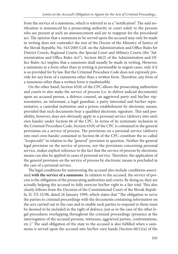from the service of a summons, which is referred to as a "notification". The said notification is announced by a prosecuting authority or court solely to the persons who are present at such an announcement and are to reappear for the procedural act. The opinion that a summons to be served upon the accused may only be made in writing does not contradict the text of the Decree of the Ministry of Justice of the Slovak Republic No. 543/2005 Coll. on the Administration and Office Rules for District Courts, Regional Courts, the Special Court and Military Courts (the "Administration and Office Rules Act"). Section 46(2) of the Administration and Office Rules Act implies that a summons shall usually be made in writing. However, a summons in a form other than in writing is permissible in urgent cases, only if it is so provided for by law. But the Criminal Procedure Code does not expressly provide for any form of a summons other than a written form. Therefore, any form of a summons other than a written form is inadmissible.

On the other hand, Section 65(8) of the CPC allows the prosecuting authorities and courts to also make the service of process (i.e. to deliver judicial documents) upon an accused person, a defence counsel, an aggrieved party and his/her representative, an informant, a legal guardian, a party interested and his/her representative, a custodial institution and a prison establishment by electronic means, provided that such documents bear a qualified electronic signature. This said possibility, however, does not obviously apply to a personal service (delivery into one's own hands) under Section 66 of the CPC. In terms of its systematic inclusion in the Criminal Procedure Code, Section 65(8) of the CPC is contained in the general provisions on a service of process. The provisions on a personal service (delivery into one's own hands) contained in Section 66 of the CPC constitute the so-called "*lexspecialis*" in relation to the "general" provision in question. Neither the general legal provision on the service of process, nor the provisions concerning personal service, makes explicit reference to the fact that the service of process by electronic means can also be applied in cases of personal service. Therefore, the application of the general provision on the service of process by electronic means is precluded in the case of a personal service.

The legal conditions for summoning the accused also include conditions associated **with the service of a summons**. In relation to the accused, the service of process is the obligation of the prosecuting authorities and courts. By doing so, they are actually helping the accused to fully exercise his/her right to a fair trial. This also clearly follows from the Decision of the Constitutional Court of the Slovak Republic II. ÚS 52/98, dated 26 January 1999, which states that "The obligation to serve the parties to criminal proceedings with the documents containing information on the acts carried out in the case and to enable such parties to respond to them must be deemed to be included in the right of defence, just as in the case of the other legal procedures overlapping throughout the criminal proceedings (presence at the interrogation of the accused persons, witnesses, aggrieved parties, confrontations, etc.)." The said obligation of the state to the accused is also fulfilled when a summons is served upon the accused into his/her own hands [Section 66(1)(a) of the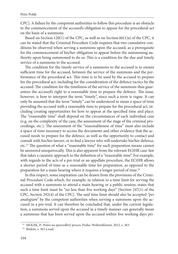CPC]. A failure by the competent authorities to follow this procedure is an obstacle to the commencement of the accused's obligation to appear for the procedural act on the basis of a summons.

Based on Section 120(1) of the CPC, as well as on Section 66(1)a) of the CPC, it can be stated that the Criminal Procedure Code requires that two cumulative conditions be observed when serving a summons upon the accused, as a prerequisite for the commencement of his/her obligation to appear before the summoning authority upon being summoned to do so. This is a condition for the due and timely service of a summons to the accused.

The condition for the timely service of a summons to the accused is to ensure sufficient time for the accused, between the service of the summons and the performance of the procedural act. This time is to be used by the accused to prepare for the procedural act, including for the consideration of the defence tactics by the accused. The condition for the timeliness of the service of the summons thus guarantees the accused's right to a reasonable time to prepare the defence. The issue, however, is how to interpret the term "timely", since such a term is vague. It can only be assumed that the term "timely" can be understood to mean a space of time providing the accused with a reasonable time to prepare for the procedural act, including creating opportunities for how to appear at the specified time and place. The "reasonable time" shall depend on the circumstances of each individual case (e.g. on the complexity of the case, the assessment of the stage of the criminal proceedings, etc.). The assessment of the "reasonableness of time" must also include a space of time necessary to access the documents and other evidence that the accused needs to prepare for the defence, as well as the opportunity to contact and consult with his/her lawyer, or to find a lawyer who will undertake his/her defence, etc.<sup>23</sup> The question of what a "reasonable time" for such preparation means cannot be answered unequivocally. This is also apparent from the relevant ECtHR case-law that takes a casuistic approach to the definition of a "reasonable time". For example, with regards to the acts of a pre-trial or an appellate procedure, the ECtHR allows a shorter period of time as a reasonable time for preparation, as opposed to the preparation for a main hearing where it requires a longer period of time.<sup>24</sup>

In this respect, some inspiration can be drawn from the provisions of the Criminal Procedure Code which, for example, in relation to a time limit for serving the accused with a summons to attend a main hearing or a public session, states that such a time limit must be "no less than five working days" [Section  $247(1)$  of the CPC, Section 292(4) of the CPC]. Th e said time limit should also be accepted *"per analogiam"* by the competent authorities when serving a summons upon the accused in a pre-trial. It can therefore be concluded that, under the current legislation, a summons served upon the accused in a timely manner can generally mean a summons that has been served upon the accused within five working days pri-

<sup>&</sup>lt;sup>23</sup> MOLEK, P.: Právo na spravedlivý proces. Praha: WoltersKluwer, 2012, s. 363.<br><sup>24</sup> Ibidem, s. 363 a nasl.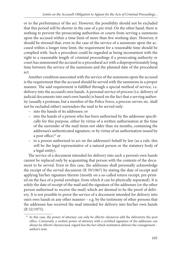or to the performance of the act. However, the possibility should not be excluded that this period will be shorter in the case of a pre-trial. On the other hand, there is nothing to prevent the prosecuting authorities or courts from serving a summons upon the accused within a time limit of more than five working days. However, it should be stressed that, even in the case of the service of a summons upon the accused within a longer time limit, the requirement for a reasonable time should be complied with. Such a procedure could be regarded as being inconsistent with the right to a reasonable length of criminal proceedings if a prosecuting authority or court has summoned the accused to a procedural act with a disproportionately long time between the service of the summons and the planned date of the procedural act.

Another condition associated with the service of the summons upon the accused is the requirement that the accused should be served with the summons in a proper manner. The said requirement is fulfilled through a special method of service, i.e. delivery into the accused's own hands. A personal service of process (i.e. delivery of judicial documents into one's own hands) is based on the fact that a serving authority (usually a postman, but a member of the Police Force, a process-server, etc. shall not be excluded either) surrenders the mail to be served only:

- into the hands of its addressee; or
- into the hands of a person who has been authorised by the addressee specifi cally for this purpose, either by virtue of a written authorisation at the time of the surrender of the mail items not older than six months, containing the addressee's authenticated signature, or by virtue of an authorisation issued by a post office; $25$  or
- to a person authorised to act on the addressee's behalf by law (as a rule, this will be the legal representative of a natural person or the statutory body of a legal entity).

The service of a document intended for delivery into such a person's own hands cannot be replaced only by acquainting that person with the contents of the document to be served. Even in this case, the addressee shall personally acknowledge the receipt of the served document (R 59/1967) by stating the date of receipt and applying his/her signature thereto (mostly on a so-called return receipt, pre-printed on the face of a postal envelope, from which it can be physically separated). It is solely the date of receipt of the mail and the signature of the addressee (or the other person authorised to receive the mail) which are deemed to be the proof of delivery. It is not possible to prove the service of a document intended for delivery into one's own hands in any other manner – e.g. by the testimony of other persons that the addressee has received the mail intended for delivery into his/her own hands (R 52/1975).

<sup>&</sup>lt;sup>25</sup> In this case, the power of attorney can only be effectiv elyexercis edif the delivereris the post office. Conversely, a written power of attorney with a certified signature of the addressee can always be effectiv elyexercised, regard less the fact which institution delivers the consignment – author's note.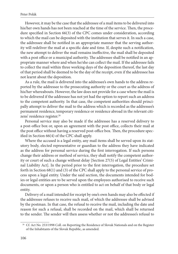However, it may be the case that the addressee of a mail items to be delivered into his/her own hands has not been reached at the time of the service. Then, the procedure specified in Section 66(3) of the CPC comes under consideration, according to which the mail can be deposited with the institution that serves it. In such a case, the addressee shall be notified in an appropriate manner that the serving authority will redeliver the mail at a specific date and time. If, despite such a notification, the new attempt to deliver the mail remains ineffective, the mail shall be deposited with a post office or a municipal authority. The addressee shall be notified in an appropriate manner where and when he/she can collect the mail. If the addressee fails to collect the mail within three working days of the deposition thereof, the last day of that period shall be deemed to be the day of the receipt, even if the addressee has not learnt about the deposition.

As a rule, the mail is delivered into the addressee's own hands to the address reported by the addressee to the prosecuting authority or the court as the address of his/her whereabouts. However, the law does not provide for a case where the mail is to be delivered if the addressee has not yet had the option to report such an address to the competent authority. In that case, the competent authorities should principally attempt to deliver the mail to the address which is recorded as the addressee's permanent residence, temporary residence or residence abroad in the relevant citizens' residence register.<sup>26</sup>

Personal service may also be made if the addressee has a reserved delivery to a post-office box or, upon an agreement with the post office, collects their mail at the post office without having a reserved post-office box. Then, the procedure specified in Section  $66(4)$  of the CPC shall apply.

Where the accused is a legal entity, any mail items shall be served upon its statutory body, elected representative or guardian to the address they have indicated as the address for personal service during the first interrogation. If such persons change their address or method of service, they shall notify the competent authority or court of such a change without delay [Section 27(5) of Legal Entities' Criminal Liability Act]. In the period prior to the first interrogation, the procedure set forth in Section 68(1) and (3) of the CPC shall apply to the personal service of process upon a legal entity. Under the said section, the documents intended for bodies or legal entities are to be served upon the employees authorised to receive such documents, or upon a person who is entitled to act on behalf of that body or legal entity.

Delivery of a mail intended for receipt by one's own hands may also be effected if the addressee refuses to receive such mail, of which the addressee shall be advised by the postman. In that case, the refusal to receive the mail, including the date and reason for such a refusal, shall be recorded on the mail, which shall be returned to the sender. The sender will then assess whether or not the addressee's refusal to

<sup>&</sup>lt;sup>26</sup> Cf. Act No. 253/1998 Coll. on Reporting the Residence of Slovak Nationals and on the Register of the Inhabitants of the Slovak Republic, as amended.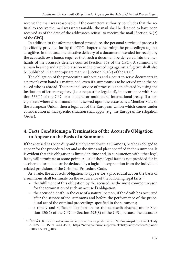receive the mail was reasonable. If the competent authority concludes that the refusal to receive the mail was unreasonable, the mail shall be deemed to have been received as of the date of the addressee's refusal to receive the mail [Section 67(2) of the CPC].

In addition to the aforementioned procedure, the personal service of process is specifically provided for by the CPC chapter concerning the proceedings against a fugitive. In that case, the effective delivery of a document intended for receipt by the accused's own hands requires that such a document be delivered into the own hands of the accused's defence counsel (Section 359 of the CPC). A summons to a main hearing and a public session in the proceedings against a fugitive shall also be published in an appropriate manner [Section 361(2) of the CPC].

The obligation of the prosecuting authorities and a court to serve documents in a person's own hands is maintained, even if a summons is to be served upon the accused who is abroad. The personal service of process is then effected by using the institution of letters rogatory (i.e. a request for legal aid), in accordance with Section 536(1) of the CPC or a bilateral or multilateral international treaty. If a foreign state where a summons is to be served upon the accused is a Member State of the European Union, then a legal act of the European Union which comes under consideration in that specific situation shall apply (e.g. the European Investigation Order).

# **4. Facts Conditioning a Termination of the Accused's Obligation to Appear on the Basis of a Summons**

If the accused has been duly and timely served with a summons, he/she is obliged to appear for the procedural act and at the time and place specified in the summons. It is evident that this obligation is limited in time and, in conjunction with other legal facts, will terminate at some point. A list of these legal facts is not provided for in a coherent form, but can be deduced by a logical interpretation from the individual related provisions of the Criminal Procedure Code.

As a rule, the accused's obligation to appear for a procedural act on the basis of a summons shall terminate on the occurrence of the following legal facts:<sup>27</sup>

- the fulfilment of this obligation by the accused, as the most common reason for the termination of such an accused's obligation;
- the accused's death in the case of a natural person, if the death has occurred after the service of the summons and before the performance of the procedural act of the criminal proceedings specified in the summons;
- a timely and sufficient justification for the accused's absence under Section 120(2) of the CPC or Section 293(8) of the CPC, because the accused's

<sup>&</sup>lt;sup>27</sup> ČOPÁK, K.: Povinnosť obvineného dostaviť sa na predvolanie. IN: Paneurópske právnickél isty [č. 02/2019. ISSN 2644-450X, https://www.paneuropskepravnickelisty.sk/wpcontent/uploads](https://www.paneuropskepravnickelisty.sk/wpcontent/uploads /2019 12/PPL_2019)  /2019 12/PPL\_2019.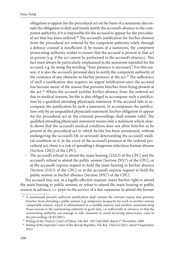obligation to appear for the procedural act on the basis of a summons also entails the obligation to duly and timely justify the accused's absence to the competent authority, if it is impossible for the accused to appear for the procedural act that has been ordered.<sup>28</sup> The accused's justification for his/her absence from the procedural act ordered by the competent authority solely through a defence counsel is insufficient if, by means of a summons, the competent prosecuting authority wishes to ensure that the accused is present at that act in person (e.g. if the act cannot be performed in the accused's absence). This fact must always be particularly emphasised in the summons intended for the accused, e.g. by using the wording "Your presence is necessary". For this reason, it is also the accused's personal duty to notify the competent authority of the existence of any obstacles to his/her presence at the act.<sup>29</sup> The sufficiency of such a justification also requires an urgent notification once the accused has become aware of the reason that prevents him/her from being present at the act.<sup>30</sup> Where the accused justifies his/her absence from the ordered act due to medical reasons, he/she is also obliged to accompany such a justification by a qualified attending physician's statement. If the accused fails to accompany the justification by such a statement, or accompanies the justification only by an unqualified physician's statement, his/her obligation to appear for the procedural act in the criminal proceedings shall remain valid. The qualified attending physician's statement means only a statement which clearly shows that the accused's medical condition does not allow him/her to be present at the procedural act to which he/she has been summoned, without endangering the accused's life or seriously deteriorating the accused's medical condition or if, in the event of the accused's presence at the ordered procedural act, there is a risk of spreading a dangerous infectious human disease [Section 120(2) of the CPC];

– The accused's refusal to attend the main hearing  $[252(3)$  of the CPC] and the accused's refusal to attend the public session [Section 293(7) of the CPC], or at the accused's express request to hold the main hearing in his/her absence [Section 252(3) of the CPC] or at the accused's express request to hold the public session in his/her absence [Section 293(7) of the CPC].

The accused may not, in a legally effective manner, waive his/her right to attend the main hearing or public session, or refuse to attend the main hearing or public session in advance, i.e. prior to the service of a due summons to attend the former

 <sup>28</sup> A summoned person's sufficient justification shall contain the relevant reason that prevents him/her from attending a public session (e.g. temporary incapacity for work or another serious comparable reason), which is substantiated in a credible manner and involves communicating those reasons to the summoning authority in good time, i.e. sufficiently in advance, so that the summoning authority can manage to take measures to avoid incurring unnecessary costs in

the proceedings (R 83/2001).<br><sup>29</sup> Ruling of the District Court of Žilina, File Ref. 34T/146/2009, dated 27 November 2009.<br><sup>30</sup> Ruling of the Supreme Court of the Slovak Republic, File Ref. 3Tdo/32/2015, dated 9 September 2015.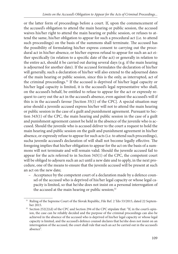or the latter form of proceedings before a court. If, upon the commencement of the accused's obligation to attend the main hearing or public session, the accused waives his/her right to attend the main hearing or public session, or refuses to attend the same, his/her obligation to appear for such a procedural act (i.e. to attend such proceedings) on the basis of the summons shall terminate. The accused has the possibility of formulating his/her express consent to carrying out the procedural act in his/her absence, or his/her express refusal to appear for such an act either specifically (in relation to a specific date of the act) or generally in relation to the entire act, should it be carried out during several days (e.g. if the main hearing is adjourned for another date). If the accused formulates the declaration of his/her will generally, such a declaration of his/her will also extend to the adjourned dates of the main hearing or public session, since this is the only, as interrupted, act of the criminal proceedings.31 If the accused is deprived of his/her legal capacity or his/her legal capacity is limited, it is the accused's legal representative who shall, on the accused's behalf, be entitled to refuse to appear for the act or expressly request to carry out the act in the accused's absence, even against the accused's will if this is in the accused's favour [Section 35(1) of the CPC]. A special situation may arise should a juvenile accused express his/her will not to attend the main hearing or public session in the case of a guilt and punishment agreement. Pursuant to Section 343(1) of the CPC, the main hearing and public session in the case of a guilt and punishment agreement cannot be held in the absence of the juvenile who is accused. Should the juvenile who is accused deliver to the court a request to hold the main hearing and public session on the guilt and punishment agreement in his/her absence, or expressly refuse to appear for such acts (i.e. to attend such proceedings), sucha juvenile accused's declaration of will shall not become legally effective. The foregoing implies that his/her obligation to appear for the act on the basis of a summons will not terminate and will remain valid. Should the juvenile accused fail to appear for the acts referred to in Section 343(1) of the CPC, the competent court will be obliged to adjourn such an act until a new date and to apply, in the next procedure, one of the means to ensure that the juvenile accused will be present at such an act on the new date;

 – Acceptance by the competent court of a declaration made by a defence counsel of the accused who is deprived of his/her legal capacity or whose legal capacity is limited, so that he/she does not insist on a personal interrogation of the accused at the main hearing or public session;<sup>32</sup>

<sup>&</sup>lt;sup>31</sup> Ruling of the Supreme Court of the Slovak Republic, File Ref. 2 Tdo 53/2015, dated 22 Septem-

ber 2015.<br><sup>32</sup> Section 252(2)(d) of the CPC and Section 294 of the CPC stipulate that: "If, in the court's opinion, the case can be reliably decided and the purpose of the criminal proceedings can also be achieved in the absence of the accused who is deprived of his/her legal capacity or whose legal capacity is limited, and the accused's defence counsel declares that he/she does not insist on an interrogation of the accused, the court shall rule that such an act be carried out in the accused's absence".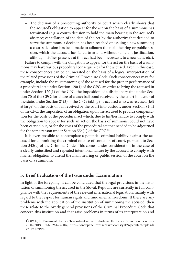- The decision of a prosecuting authority or court which clearly shows that the accused's obligation to appear for the act on the basis of a summons has terminated (e.g. a court's decision to hold the main hearing in the accused's absence; cancellation of the date of the act by the authority that decided to serve the summons; a decision has been reached on issuing a new summons; a court's decision has been made to adjourn the main hearing or public session, which the accused has failed to attend without sufficient justification, although his/her presence at this act had been necessary, to a new date, etc.).

Failure to comply with the obligation to appear for the act on the basis of a summons may have various procedural consequences for the accused. Even in this case, these consequences can be enumerated on the basis of a logical interpretation of the related provisions of the Criminal Procedure Code. Such consequences may, for example, include the re-summoning of the accused for the proper performance of a procedural act under Section 120(1) of the CPC; an order to bring the accused in under Section  $120(1)$  of the CPC; the imposition of a disciplinary fine under Section 70 of the CPC; forfeiture of a cash bail bond received by the court in favour of the state, under Section 81(3) of the CPC; taking the accused who was released (left at large) on the basis of bail received by the court into custody, under Section 81(4) of the CPC; the imposition of an obligation upon the accused to provide compensation for the costs of the procedural act which, due to his/her failure to comply with the obligation to appear for such an act on the basis of summons, could not have been carried out, or for the costs of the procedural act that needed to be adjourned for the same reason under Section 554(1) of the CPC.<sup>33</sup>

It is even possible to contemplate a potential criminal liability against the accused for committing the criminal offence of contempt of court, pursuant to Section  $343(c)$  of the Criminal Code. This comes under consideration in the case of a clearly unjustified and repeated intentional failure by the accused to comply with his/her obligation to attend the main hearing or public session of the court on the basis of a summons.

#### **5. Brief Evaluation of the Issue under Examination**

In light of the foregoing, it can be concluded that the legal provisions in the institution of summoning the accused in the Slovak Republic are currently in full compliance with the requirements of the relevant international legislation, mainly with regard to the respect for human rights and fundamental freedoms. If there are any problems with the application of the institution of summoning the accused, then these relate to the overly general provisions of the Criminal Procedure Code that concern this institution and that raise problems in terms of its interpretation and

<sup>&</sup>lt;sup>33</sup> ČOPÁK, K.: Povinnosť obvineného dostaviť sa na predvolanie. IN: Paneurópske právnické listy [č. 02/2019. ISSN 2644-450X, https://www.paneuropskepravnickelisty.sk/wpcontent/uploads](https://www.paneuropskepravnickelisty.sk/wpcontent/uploads /2019 12/PPL_2019) /2019 12/PPL.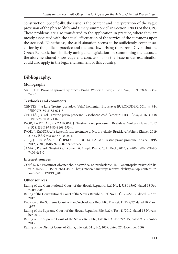construction. Specifically, the issue is the content and interpretation of the vague provision of the phrase "duly and timely summoned" in Section 120(1) of the CPC. These problems are also transferred to the application in practice, where they are mostly associated with the actual effectuation of the service of the summons upon the accused. Nonetheless, the said situation seems to be sufficiently compensated for by the judicial practice and the case-law arising therefrom. Given that the Czech Republic has similarly ambiguous legislation on summoning the accused, the aforementioned knowledge and conclusions on the issue under examination could also apply in the legal environment of this country.

# **Bibliography:**

#### **Monographs**

#### **Textbooks and comments**

- ČENTÉŠ, J. a kol.: Trestný poriadok. Veľký komentár. Bratislava: EUROKÓDEX, 2014, s. 944, ISBN 978-80-8155-021-8
- ČENTÉŠ, J. a kol.: Trestné právo procesné. Všeobecná časť. Šamorín: HEURÉKA, 2016, s. 438, ISBN 978-80-8173-020-7
- IVOR, J. POLÁK, P. ZÁHORA, J.: Trestné právo procesné I. Bratislava: Wolters Kluwer, 2017, s. 528, ISBN 978-80-8168-593-4
- IVOR, J., ZÁHORA, J.: Repetitórium trestného práva. 4. vydanie. Bratislava:Wolters Kluwer, 2019, 218 s., ISBN 978-80-571-0025-6
- OLEJ, J. ROMŽA, S. ČOPKO, P. PUCHALLA, M.: Trestné právo procesné. Košice: UPJŠ, 2012, s. 300, ISBN 978-80-7097-965-5
- ŠÁMAL, P. a kol.: Trestní řád. Komentář. 7. vyd. Praha: C. H. Beck, 2013, s. 4700, ISBN 978-80- 7400-465-0

#### **Internet sources**

ČOPÁK, K.: Povinnosť obvineného dostaviť sa na predvolanie. IN: Paneurópske právnické lis[ty č. 02/2019. ISSN 2644-450X, https://www.paneuropskepravnickelisty.sk/wp-content/up](https://www.paneuropskepravnickelisty.sk/wpcontent/uploads /2019/12/PPL_2019)loads/2019/12/PPL\_2019

#### **Other sources**

- Ruling of the Constitutional Court of the Slovak Republic, Ref. No. I. ÚS 165/02, dated 18 February 2004
- Ruling of the Constitutional Court of the Slovak Republic, Ref. No. II. ÚS 254/2017, dated 12 April 2017
- Decision of the Supreme Court of the Czechoslovak Republic, File Ref. 11 Tz 9/77, dated 10 March 1977
- Ruling of the Supreme Court of the Slovak Republic, File Ref. 4 Tost 41/2012, dated 13 November 2012.
- Ruling of the Supreme Court of the Slovak Republic, File Ref. 3Tdo/32/2015, dated 9 September 2015.
- Ruling of the District Court of Žilina, File Ref. 34T/146/2009, dated 27 November 2009.

MOLEK, P.: Právo na spravedlivý proces. Praha: WoltersKluwer, 2012, s. 576, ISBN 978-80-7357- 748-3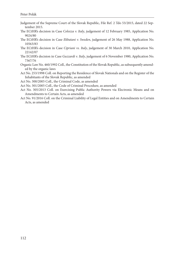- Judgement of the Supreme Court of the Slovak Republic, File Ref. 2 Tdo 53/2015, dated 22 September 2015.
- The ECtHR's decision in Case *Colozza v. Italy*, judgement of 12 February 1985, Application No. 9024/80
- The ECtHR's decision in Case *Ekbatani v. Sweden*, judgement of 26 May 1988, Application No. 10563/83
- The ECtHR's decision in Case *Cipriani vs. Italy*, judgement of 30 March 2010, Application No. 22142/07
- The ECtHR's decision in Case *Guzzardi v. Italy*, judgement of 6 November 1980, Application No. 7367/76
- Organic Law No. 460/1992 Coll., the Constitution of the Slovak Republic, as subsequently amended by the organic laws
- Act No. 253/1998 Coll. on Reporting the Residence of Slovak Nationals and on the Register of the Inhabitants of the Slovak Republic, as amended

Act No. 300/2005 Coll., the Criminal Code, as amended

Act No. 301/2005 Coll., the Code of Criminal Procedure, as amended

- Act No. 305/2013 Coll. on Exercising Public Authority Powers via Electronic Means and on Amendments to Certain Acts, as amended
- Act No. 91/2016 Coll. on the Criminal Liability of Legal Entities and on Amendments to Certain Acts, as amended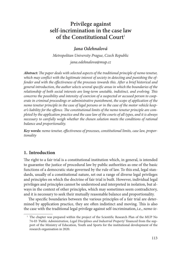# **Privilege against self-incrimination in the case law**  of the Constitutional Court<sup>1</sup>

### *Jana Odehnalová*

*Metropolitan University Prague, Czech Republic jana.odehnalova@mup.cz* 

Abstract: The paper deals with selected aspects of the traditional principle of nemo tenetur, which may conflict with the legitimate interest of society in detecting and punishing the of*fender and with the effectiveness of the processes towards this. After a brief historical and general introduction, the author selects several specifi c areas in which the boundaries of the*  relationship of both social interests are long-term unstable, indistinct, and evolving. This *concerns the possibility and intensity of coercion of a suspected or accused person to cooperate in criminal proceedings or administrative punishment, the scope of application of the nemo tenetur principle in the case of legal persons or in the case of the motor vehicle keep*er's liability for the offence. The constitutional limits of the nemo tenetur principle are com*pleted by the application practice and the case law of the courts of all types, and it is always necessary to carefully weigh whether the chosen solution meets the conditions of rational balance and proportionality.*

Key words: nemo tenetur, effectiveness of processes, constitutional limits, case law, propor*tionality*

## **1. Introduction**

The right to a fair trial is a constitutional institution which, in general, is intended to guarantee the justice of procedural law by public authorities as one of the basic functions of a democratic state governed by the rule of law. To this end, legal standards, usually of a constitutional nature, set out a range of diverse legal privileges and principles on which the doctrine of fair trial is built. However, individual legal privileges and principles cannot be understood and interpreted in isolation, but always in the context of other principles, which may sometimes seem contradictory, and it is necessary to seek their mutually reasonable balance and proportionality.

The specific boundaries between the various principles of a fair trial are determined by application practice, they are often indistinct and moving. This is also the case with the traditional legal privilege against self-incrimination,i.e., *nemo te-*

<sup>&</sup>lt;sup>1</sup> The chapter was prepared within the project of the Scientific Research Plan of the MUP No 74-03 *'Public Administration, Legal Disciplines and Industrial Property'* financed from the support of the Ministry of Education, Youth and Sports for the institutional development of the research organisation in 2020.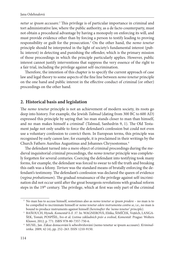netur se ipsum accusare.<sup>2</sup> This privilege is of particular importance in criminal and tort administrative law, where the public authority, as a de facto counterparty, must not obtain a procedural advantage by having a monopoly on enforcing its will, and must provide evidence other than by forcing a person to testify leading to proving responsibility or guilt for the prosecution.3 On the other hand, the *nemo tenetur* principle should be interpreted in the light of society's fundamental interest (public interest) in detecting and punishing the offender, which is the primary mission of those proceedings in which the principle particularly applies. However, public interest cannot justify interventions that suppress the very essence of the right to a fair trial, including the privilege against self-incrimination.

Therefore, the intention of this chapter is to specify the current approach of case law and legal theory to some aspects of the fine line between *nemo tenetur* principle on the one hand and public interest in the effective conduct of criminal (or other) proceedings on the other hand.

### **2. Historical basis and legislation**

The *nemo tenetur* principle is not an achievement of modern society, its roots go deep into history. For example, the Jewish *Talmud* (dating from 300 BC to 600 AD) expressed this principle by saying that 'no man stands closer to man than himself, and no man makes himself a criminal' (Talmud, Sanhedrin 9, 1). The Old Testament judge not only unable to force the defendant's confession but could not even use a voluntary confession to convict them. In European terms, this principle was recognised by early canon law; for example, it is proclaimed in their writings by the Church Fathers Aurelius Augustinus and Johannes Chrysostomus.4

The defendant turned into a mere object of criminal proceedings during the medieval inquisitorial criminal proceedings, the *nemo tenetur* principle was completely forgotten for several centuries. Coercing the defendant into testifying took many forms, for example, the defendant was forced to swear to tell the truth and breaking this oath was a felony. *Torture* was the standard means of brutally enforcing the defendant's testimony. The defendant's confession was declared the queen of evidence (*regina probationum*). The gradual renaissance of the privilege against self-incrimination did not occur until after the great bourgeois revolutions with gradual reform steps in the 19<sup>th</sup> century. The privilege, which at first was only part of the criminal

 <sup>2</sup> No man has to accuse himself, sometimes also as *nemo tenetur se ipsum prodere* – no man is to be compelled to incriminate himself or *nemo tenetur edere instrumenta contra se*, i.e., no man is bound to produce instruments against himself *(hereinafter the 'nemo tenetur' principle)*. 3 BAŇOUCH, Hynek. *Komentář k čl. 37.* In: WAGNEROVÁ, Eliška, ŠIMÍČEK, Vojtěch, LANGA-

ŠEK, Tomáš, POSPÍŠIL, Ivo et al. *Listina základních práv a svobod*, *Komentář.* Prague: Wolters Kluwer, 2012, p. 771. ISBN 978-80-7357-750-6. 4 MUSIL, Jan. Zákaz donucování k sebeobviňování (nemo tenetur se ipsum accusare). *Kriminal-*

*istika.* 2009, 42 (4), pp. 252–263. ISSN 1210-9150.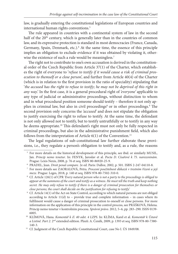law, is gradually entering the constitutional legislations of European countries and international human rights conventions.<sup>5</sup>

The rule appeared in countries with a continental system of law in the second half of the 20<sup>th</sup> century, which is generally later than in the countries of common law, and its expressive protection is standard in most democracies (France, Canada, Germany, Spain, Denmark, etc.).<sup>6</sup> At the same time, the essence of this principle implies an obligation to exclude evidence if it was obtained by violating it, otherwise the existence of such a rule would be meaningless.<sup>7</sup>

The right not to contribute to one's own accusation is derived in the constitutional order of the Czech Republic from Article 37(1) of the Charter, which establishes the right of everyone to '*refuse to testify if it would cause a risk of criminal prosecution to themself or a close person*', and further from Article 40(4) of the Charter (which is in relation to the first provision in the ratio of speciality) stipulating that '*the accused has the right to refuse to testify; he may not be deprived of this right in any way*.' In the first case, it is a general procedural right of 'everyone' applicable to any type of judicial or administrative proceedings, without distinction to whom and in what procedural position someone should testify – therefore it not only applies in criminal law, but also in civil proceedings<sup>8</sup> or in other proceedings.<sup>9</sup> The second provision only concerns the *'accused'* and does not stipulate the obligation to justify exercising the right to refuse to testify. At the same time, the defendant is not only allowed not to testify, but to testify untruthfully or to testify in any way he deems appropriate.<sup>10</sup> This defendant's right must not only be fully respected in criminal proceedings, but also in the administrative punishment field, which also follows from the interpretation of Article  $6(1)$  of the Convention.<sup>11</sup>

The legal regulations of sub-constitutional law further elaborate these provisions, i.e., they regulate a person's obligation to testify and, as a rule, the reasons

<sup>&</sup>lt;sup>5</sup> For more details on the historical development of this principle, see ibid. or similarly MUSIL, Jan. *Princip nemo tenetur*. In: FENYK, Jaroslav et al. *Pocta D. Císařové k 75. narozeninám*. Prague: Lexis Nexis, 2008, p. 76 et seq. ISBN 80-86920-25-9.<br>
6 PRADEL, Jean. *Droit penal compare*. 2e ed. Paris: Dalloz, 2002, p. 501. ISBN 2-247-04110-8.<br>
<sup>7</sup> For more details see ZAORALOVÁ, Petra. *Procesní použitelnos* 

*meze.* Prague: Leges, 2018, p. 140 et seq. ISBN 978-80-7502-310-0. 8 Cf. Article 126(1) of CPR *'Every natural person who is not a party to the proceedings is obliged to* 

*appear at the summons of the court and testify as a witness. He must tell the truth and keep nothing secret. He may only refuse to testify if there is a danger of criminal prosecution for themselves or close persons; the court shall decide on the justification for refusing to testify.'*

<sup>&</sup>lt;sup>9</sup> Cf. Article 14(1) of the Act on State Control, according to which natural persons are not obliged according to Article  $11(d)$  to – provide true and complete information – in cases where its fulfilment would cause a danger of criminal prosecution to oneself or close persons*.* For more information on the application of this principle in the control process, see PRÁŠKOVÁ, Helena. Princip nemo tenetur v kontrolním procesu. *Správní právo.* 2012, 5–6, pp. 283–290. ISSN 0139- 6005. 10 KLÍMOVÁ, Hana. *Komentář k čl. 40 odst. 4 LZPS*. In: KLÍMA, Karel et al. *Komentář k Ústavě* 

*a Listině. Part 2.* 2nd extended edition. Plzeň: A. Čeněk, 2009, p. 1393 et seq. ISBN 978-80-7380-

<sup>140-3. 11</sup> Cf. Judgment of the Czech Republic Constitutional Court, case No I. ÚS 1849/08.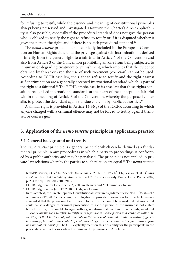for refusing to testify, while the essence and meaning of constitutional principles always being preserved and investigated. However, the Charter's direct applicability is also possible, especially if the procedural standard does not give the person who is obliged to testify the right to refuse to testify or if it is disputed whether it gives the person the right, and if there is no such procedural standard.<sup>12</sup>

The *nemo tenetur* principle is not explicitly included in the European Convention on Human Rights either, but the privilege against self-incrimination is derived primarily from the general right to a fair trial in Article 6 of the Convention and also from Article 3 of the Convention prohibiting anyone from being subjected to inhuman or degrading treatment or punishment, which implies that the evidence obtained by threat or even the use of such treatment (coercion) cannot be used. According to ECHR case law, the right to refuse to testify and the right against self-incrimination are a generally accepted international standard which is part of the right to a fair trial.<sup>13</sup> The ECHR emphasises in its case law that these rights constitute recognised international standards at the heart of the concept of a fair trial within the meaning of Article 6 of the Convention, whereby the purpose is, inter alia, to protect the defendant against undue coercion by public authorities.<sup>14</sup>

A similar right is provided in Article 14(3)(g) of the ICCPR according to which anyone charged with a criminal offence may not be forced to testify against themself or confess guilt.

#### **3. Application of the** *nemo tenetur* **principle in application practice**

#### **3.1 General background and trends**

The *nemo tenetur* principle is a general principle which can be defined as a fundamental principle in any proceedings in which a party to proceedings is confronted by a public authority and may be penalised. The principle is not applied in private-law relations whereby the parties to such relation are equal.<sup>15</sup> The *nemo tenetur* 

 <sup>12</sup> KNAPP, Viktor, SOVÁK, Zdeněk. *Komentář k čl. 37.* In: PAVLÍČEK, Václav et al.: *Ústava a ústavní řád České republiky. Komentář*. Part 2. Práva a svobody. Praha: Linde Praha, 2002,

p. 294 et seq. ISBN 80-7201-391-2.<br><sup>13</sup> ECHR judgment on December 21<sup>st</sup>, 2000 in Heaney and McGuinness v Ireland.<br><sup>14</sup> ECHR judgment on June 1<sup>st</sup>, 2010 in Gäfgen v Germany.<br><sup>15</sup> In this context, the Czech Republic Const on January 24th, 2013 concerning the obligation to provide information to the vehicle insurer concluded that the provision of information to the insurer cannot be considered testimony that could cause a danger of criminal prosecution to a close person as the insurer is not a state body. However, it is possible to argue with a generalising statement in the same judgement that *'… exercising the right to refuse to testify with reference to a close person in accordance with Article 37(1) of the Charter is appropriate only in the context of criminal or administrative (offence) proceedings, but not in the context of civil proceedings in which entities with equal status appear in a mutual relationship*.' The CPR explicitly mention this possibility for the participants in the proceedings and witnesses when testifying in the provisions of Article 126.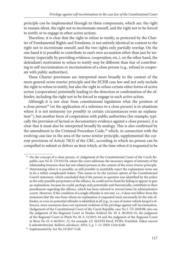principle can be implemented through its three components, which are: the right to remain silent, the right not to incriminate oneself, and the right not to be forced to testify or to engage in other active actions.

Therefore, it is clear that the right to refuse to testify, as protected by the Charter of Fundamental Rights and Freedoms, is not entirely identical in content to the right not to incriminate oneself, and the two rights only partially overlap. On the one hand it is possible to contribute to one's own accusation other than just by testimony (especially by providing evidence, cooperation, etc.), on the other hand, the defendant's motivation to refuse to testify may be different than fear of contributing to self-incrimination or incrimination of a close person (e.g., refusal to cooperate with public authorities).

These Charter provisions are interpreted more broadly in the context of the more general *nemo tenetur* principle and the ECHR case law and not only include the right to refuse to testify, but also the right to refuse certain other forms of active action (cooperation) potentially leading to the detection or confirmation of the offender, including the right not to be forced to engage in such active action.

Although it is not clear from constitutional legislation what the position of a close person<sup>16</sup> (or the application of a reference to a close person) is in situations where it is not testimony (or possibly in certain circumstances even an explanation<sup>17</sup>), but another form of cooperation with public authorities (for example, typically the provision of factual or documentary evidence against a close person), it is clear that it must also be interpreted broadly by analogy. This is also confirmed by the amendment to the Criminal Procedure Code,<sup>18</sup> which, in connection with the evolving case law in the area of the *nemo tenetur* principle, supplemented the current provisions of Article 78(3) of the CRC, according to which no person can be compelled to submit or deliver an item which, at the time when it is requested to be

<sup>&</sup>lt;sup>16</sup> On the concept of a close person, cf. Judgement of the Constitutional Court of the Czech Republic case No II. ÚS 955/18, where the court addresses the necessary degree of intensity of the

relationship between close but not related persons in the context of the *nemo tenetur* principle. 17 Determining when it is possible, or still possible to justifiably reject the explanation turns out to be a rather complicated matter. This seems to be the extreme option of the Constitutional Court's statement, which concluded that if the person in question was identified by the police as the only possible perpetrator of the offence, he could not be fined for failing to appear to give an explanation, because he could, perhaps only potentially and theoretically, contribute to their punishment regarding the offence, which has been referred to several times by administrative courts. However, if the condition of a single offender is not met, i.e., it does not follow from the summons that the one from whom an explanation is requested must necessarily be the sole offender, or even no potential offender is identified at all (e.g., in case of motor vehicle keeper's offences), mere summons does not represent violation of the privilege against self-incrimination. (Judgement of the Constitutional Court of the Czech Republic case No I. ÚS 1849/08; also see the judgment of the Regional Court in Hradec Králové No 30 A 38/2010-25, the judgment of the Regional Court in Plzeň No 30 A 12/2015-34 and the judgment of the Regional Court in Brno No 22 A 66/2014 -2), for example. Cf. MATES Pavel, PÚRY, František. Zákaz nucení k sebeobviňování. *Bulletin advokacie.* 2019, 3, p. 7–13. ISSN 1210-6348. 18 Implemented by Act No 55/2017 Coll.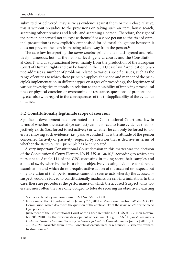submitted or delivered, may serve as evidence against them or their close relative; this is without prejudice to the provisions on taking such an item, house search, searching other premises and lands, and searching a person. Therefore, the right of the person concerned not to expose themself or a close person to the risk of criminal prosecution is now explicitly emphasised for editorial obligation; however, it does not prevent the item from being taken away from the person.<sup>19</sup>

The case law interpreting the *nemo tenetur* principle is multi-layered and relatively numerous, both at the national level (general courts, and the Constitutional Court) and at supranational level, mainly from the production of the European Court of Human Rights and can be found in the CJEU case law.20 Application practice addresses a number of problems related to various specific issues, such as the range of entities to which these principle applies, the scope and manner of the principle's implementation in different types or stages of proceedings, the legitimacy of various investigative methods, in relation to the possibility of imposing procedural fines or physical coercion or overcoming of resistance, questions of proportionality, etc., also with regard to the consequences of the (in)applicability of the evidence obtained.

#### **3.2 Constitutionally legitimate scope of coercion**

Significant development has been noted in the Constitutional Court case law in terms of whether the accused (or suspect) can be forced to issue evidence that objectively exists (i.e., forced to act actively) or whether he can only be forced to tolerate removing such evidence (i.e., passive conduct). It is the attitude of the person concerned (activity or passivity) required by coercion that is decisive in terms of whether the *nemo tenetur* principle has been violated.

A very important Constitutional Court decision in this matter was the decision of the Constitutional Court Plenum No Pl. ÚS-st. 30/10,<sup>21</sup> according to which acts pursuant to Article 114 of the CPC consisting in taking scent, hair samples and a buccal swab, whereby the is to obtain objectively existing evidence for forensic examination and which do not require active action of the accused or suspect, but only toleration of their performance, cannot be seen as acts whereby the accused or suspect would be forced to constitutionally inadmissible self-incrimination. In this case, these are procedures the performance of which the accused (suspect) only tolerates, most often they are only obliged to tolerate securing an objectively existing

<sup>&</sup>lt;sup>19</sup> See the explanatory memorandum to Act No 55/2017 Coll.<br><sup>20</sup> For example, the ECJ judgement on January 20<sup>th</sup>, 2001 in Mannesmannröhren-Werke AG v EC Commission, which dealt with the question of the applicability of the *nemo tenetur* principle to legal persons. 21 Judgement of the Constitutional Court of the Czech Republic No Pl. ÚS-st. 30/10 on Novem-

ber 30<sup>th</sup>, 2010. On the previous development of case law, cf. e.g. FRANĚK, Jan Zákaz nucení *k sebeobviňování v trestním řízení a jeho pojetí v judikatuře Ústavního soudu* [online] 2010. [cit. [20-02-2020\] Available from: https://www.bcak.cz/publikace/zakaz-nuceni-k-sebeovinovani-v](https://www.bcak.cz/publikace/zakaz-nuceni-k-sebeovinovani-v-trestnim-rizeni/)trestnim-rizeni/.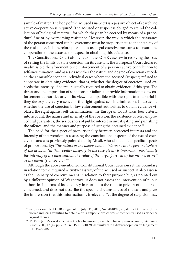sample of matter. The body of the accused (suspect) is a passive object of search, no active cooperation is required. The accused or suspect is obliged to attend the collection of biological material, for which they can be coerced by means of a procedural fine or by overcoming resistance. However, the way in which the resistance of the person concerned can be overcome must be proportionate to the intensity of the resistance. It is therefore possible to use legal coercive measures to ensure the cooperation of the accused or suspect in obtaining this evidence.

The Constitutional Court also relied on the ECHR case law in resolving the issue of setting the limits of state coercion. In its case law, the European Court declared inadmissible the aforementioned enforcement of a person's active contribution to self-incrimination, and assesses whether the nature and degree of coercion exceeded the admissible scope in individual cases where the accused (suspect) refused to cooperate in obtaining evidence, that is, whether the degree of coercion used exceeds the intensity of coercion usually required to obtain evidence of this type. The threat and the imposition of sanctions for failure to provide information to law enforcement authorities are, in its view, incompatible with the right to a fair trial if they destroy the very essence of the right against self-incrimination. In assessing whether the use of coercion by law enforcement authorities to obtain evidence violated the right against self-incrimination, the European Court takes four criteria into account: the nature and intensity of the coercion, the existence of relevant procedural guarantees, the seriousness of public interest in investigating and punishing the offence, and the manner and purpose of using the obtained evidence.<sup>22</sup>

The need for the aspect of proportionality between protected interests and the intensity of intervention in assessing the constitutional aspects of the use of coercive means was previously pointed out by Musil, who also defined specific aspects of proportionality: '*The nature or the means used to intervene in the personal sphere of the accused (in their bodily integrity in the case given) is important, particularly the intensity of the intervention, the value of the target pursued by the means, as well as the intensity of coercion.'*<sup>23</sup>

Although the above-mentioned Constitutional Court decision set the boundary in relation to the required activity/passivity of the accused or suspect, it also assesses the intensity of coercive means in relation to their purpose but, as pointed out by a different opinion of Wagnerová, it does not assess the intervention of public authorities in terms of its adequacy in relation to the right to privacy of the person concerned, and does not describe the specific circumstances of the case and gives the impression that this information is irrelevant. Yet the degree of suspicion may

<sup>&</sup>lt;sup>22</sup> See, for example, ECHR judgment on July  $11<sup>th</sup>$ , 2006, No 54810/00, in Jalloh v Germany. (It involved inducing vomiting to obtain a drug ampoule, which was subsequently used as evidence

against them.) 23 MUSIL, Jan. Zákaz donucování k sebeobviňování (nemo tenetur se ipsum accusare). *Kriminalistika.* 2009, 42 (4), pp. 252–263. ISSN 1210-9150, similarly in a different opinion on Judgement III. ÚS 655/06.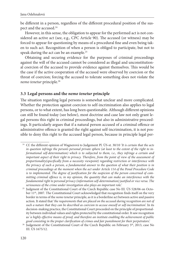be different in a person, regardless of the different procedural position of the suspect and the accused.<sup>24</sup>

However, in this sense, the obligation to appear for the performed act is not considered an active act (see, e.g., CPC Article 90). The accused (or witness) may be forced to appear for questioning by means of a procedural fine and even being taken to such act. Recognition of when a person is obliged to participate, but not to speak during the act can be an example.<sup>25</sup>

Obtaining and securing evidence for the purposes of criminal proceedings against the will of the accused cannot be considered as illegal and unconstitutional coercion of the accused to provide evidence against themselves. This would be the case if the active cooperation of the accused were observed by coercion or the threat of coercion; forcing the accused to tolerate something does not violate the *nemo tenetur* principle.26

#### **3.3 Legal persons and the** *nemo tenetur* **principle**

The situation regarding legal persons is somewhat unclear and more complicated. Whether the protection against coercion to self-incrimination also applies to legal persons, or to what extent, has long been questionable. Although different opinions can still be found today (see below), most doctrine and case law not only grant legal persons this right in criminal proceedings, but also in administrative proceedings. It particularly argues that if a natural person accused of a criminal offence or administrative offence is granted the right against self-incrimination, it is not possible to deny this right to the accused legal person, because in principle legal per-

 <sup>24</sup> Cf. the different opinion of Wagnerová to Judgement Pl. ÚS-st. 30/10 '*It is certain that the acts in question infringe the person's personal private sphere (at least to the extent of the right to informational self-determination) which is to subjected to them, i.e., they infringe a certain and important aspect of their right to privacy. Therefore, from the point of view of the assessment of proportionality(specifically from a necessity viewpoint) regarding restriction or interference with the privacy of such a person, a fundamental answer to the question of what their position is in criminal proceedings at the moment when the act under Article 114 of the Penal Procedure Code is to implemented. The degree of justification for the suspicion of the person concerned of committing criminal offence is, in my opinion, the quantity that can make an interference with the fundamental right to personal privacy (information self-determination) justified or vice versa. The seriousness of the crime under investigation also plays an important role.'* 

<sup>&</sup>lt;sup>25</sup> Judgment of the Constitutional Court of the Czech Republic case No III. ÚS 528/06 on October 11<sup>th</sup>, 2007. The Constitutional Court acknowledged that recognition finds itself on the very border in terms of the *nemo tenetur* principle, as it is a borderline act between active and passive action. It stated that '*the requirements that are placed on the accused during recognition are not of such a nature that they can be described as coercion to accuse oneself or self-incrimination*'. In its decision-making practice, the Constitutional Court proceeded on the principle of proportionality between individual values and rights protected by the constitutional order. It saw recognition as '*a highly effective means of proof, and therefore an institute enabling the achievement of public* 

*good consisting in the proper clarification of crimes and fair punishment for their perpetrators*.' 26 Judgement of the Constitutional Court of the Czech Republic on February 5th, 2013, case No III. ÚS 1675/12.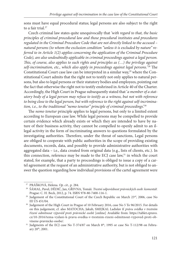sons must have equal procedural status; legal persons are also subject to the right to a fair trial.<sup>27</sup>

Czech criminal law states quite unequivocally that *'with regard to that, the basic principles of criminal procedural law and those procedural institutes and procedures regulated in the Criminal Procedure Code that are not directly linked to the accused – natural persons (to whom the exclusion condition "unless it is excluded by nature" referred to in Article 1(2) applies concerning the application of the Criminal Procedure Code), are also undoubtedly applicable in criminal proceedings against a legal person. This, of course, also applies to such rights and principles as (...) the privilege against* self-incrimination, etc., which also apply in proceedings against legal persons.<sup>'28</sup> The Constitutional Court case law can be interpreted in a similar way,<sup>29</sup> where the Constitutional Court admits that the right not to testify not only applies to natural persons, but also to legal persons or their statutory bodies and employees, pointing out the fact that otherwise the right not to testify enshrined in Article 40 of the Charter. Accordingly, the High Court in Prague subsequently stated that '*a member of a statutory body of a legal person may refuse to testify as a witness, but not with reference to being close to the legal person, but with reference to the right against self-incrimination, i.e., to the traditional "nemo tenetur" principle of criminal proceedings*.'30

The *nemo tenetur* principle applies to legal persons, but only to a limited extent according to European case law. While legal persons may be compelled to provide certain evidence which already exists or which they are intended to have by nature of their business activity, they cannot be compelled to openly admit to an illegal activity in the form of incriminating answers to questions formulated by the investigating authorities. Therefore, under the threat of sanctions, Legal persons are obliged to cooperate with public authorities in the scope of providing existing documents, records, data, and possibly to provide administrative authorities with aggregated data – i.e., data created from original data (e.g., lists of clients, etc.). In this connection, reference may be made to the ECJ case law,<sup>31</sup> in which the court stated, for example, that a party to proceedings is obliged to issue a copy of a cartel agreement at the request of an administrative authority, but is not obliged to answer the question regarding how individual provisions of the cartel agreement were

<sup>&</sup>lt;sup>27</sup> PRÁŠKOVÁ, Helena. *Op. cit.*, p. 284.<br><sup>28</sup> ŠÁMAL, Pavel, DĚDIČ, Jan, GŘIVNA, Tomáš. *Trestní odpovědnost právnických osob: komentář.* 

Prague: C. H. Beck, 2012, p. 74. ISBN 978-80-7400-116-1.<br><sup>29</sup> Judgement of the Constitutional Court of the Czech Republic on March 23<sup>rd</sup>, 2006, case No III ÚS 451/04. 30 Judgement of the High Court in Prague of 10 February 2016, case No 5 To 96/2015. For details

on this judgement, cf. also MATOCHA, Jakub, SMEJKAL Ladislav *K právu svědka v trestním řízení odmítnout výpověď proti právnické osobě* [online] Available from: https://tablet.epravo. cz/10-2016/tema-vydani-k-pravu-svedka-v-trestnim-rizeni-odmitnout-vypoved-proti-ob-

[vinene-pravnicke-osobe/.](https://tablet.epravo.cz/10-2016/tema-vydani-k-pravu-svedka-v-trestnim-rizeni-odmitnout-vypoved-proti-obvinene-pravnicke-osobe/)<br><sup>31</sup> Judgments of [th](https://tablet.epravo.cz/10-2016/tema-vydani-k-pravu-svedka-v-trestnim-rizeni-odmitnout-vypoved-proti-obvinene-pravnicke-osobe/)e ECJ case No T-374/87 on March 8<sup>th</sup>, 1995 or case No T-112/98 on February 20th, 2001.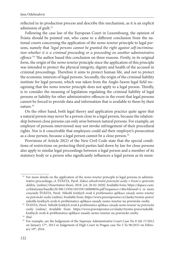reflected in its production process and describe this mechanism, as it is an explicit admission of guilt.<sup>32</sup>

Following the case law of the European Court in Luxembourg, the opinion of Švásta should be pointed out, who came to a different conclusion from the national courts concerning the application of the *nemo tenetur* principle to legal persons, namely that *'legal persons cannot be granted the right against self-incrimination whether it is a criminal proceeding or a proceeding on another administrative*  offence.<sup>'33</sup> The author based this conclusion on three reasons. Firstly, in its original form, the origin of the *nemo tenetur* principle since the application of this principle was intended to protect the physical integrity, dignity and health of the accused in criminal proceedings. Therefore it aims to protect human life, and not to protect the economic interests of legal persons. Secondly, the origin of the criminal liability institute for legal persons, which was taken from the Anglo-Saxon legal field recognising that the *nemo tenetur* principle does not apply to a legal person. Thirdly, is to consider the meaning of legislation regulating the criminal liability of legal persons or liability for other administrative offences in the event that legal persons cannot be forced to provide data and information that is available to them by their nature.34

On the other hand, both legal theory and application practice quite agree that a natural person may never be a person close to a legal person, because the relationship between close persons can only arise between natural persons. For example, an employer of persons interviewed may not invoke infringement of their procedural rights. Nor is it conceivable that employees could aid their employer's prosecution as a close person, because a legal person cannot be a close person.<sup>35</sup>

Provisions of Article 20(2) of the New Civil Code state that the special conditions of restrictions on protecting third parties laid down by law for close persons also apply to similar legal proceedings between a legal person and a member of its statutory body or a person who significantly influences a legal person as its mem-

<sup>&</sup>lt;sup>32</sup> For more details on the application of the *nemo tenetur* principle to legal persons in administrative proceedings, cf. ŠVÁSTA, Pavel. *Zákaz sebeobvinění právnické osoby v řízení o správním deliktu.* [online] Dissertation thesis. 2018. [cit. 20-02-2020] Available from: https://dspace.cuni. [cz/bitstream/handle/20.500.11956/105339/140068056.pdf?sequence=1&isAllowed=y or more](https://dspace.cuni.cz/bitstream/handle/20.500.11956/105339/140068056.pdf?sequence=1&isAllowed=y)  concisely ŠVÁSTA, Pavel. *Několik krátkých úvah k problematice aplikace zásady nemo tenetur na právnické osoby* [online] Available from: https://www.pravniprostor.cz/clanky/trestni-pravo/

[nekolik-kratkych-uvah-k-problematice-aplikace-zasady-nemo-tenetur-na-pravnicke-osoby.](https://www.pravniprostor.cz/clanky/trestni-pravo/nekolik-kratkych-uvah-k-problematice-aplikace-zasady-nemo-tenetur-na-pravnicke-osoby) 33 ŠVÁSTA, Pavel. *Několik krátkých úvah k problematice aplikace zásady nemo tenetur na právnické osoby* [\[online\] Available from: https://www.pravniprostor.cz/clanky/trestni-pravo/nekolik](https://www.pravniprostor.cz/clanky/trestni-pravo/nekolik-kratkych-uvah-k-problematice-aplikace-zasady-nemo-tenetur-na-pravnicke-osoby)kratkych-uvah-k-problematice-aplikace-zasady-nemo-tenetur-na-pravnicke-osoby.

<sup>34</sup> *Ibid.*

<sup>&</sup>lt;sup>35</sup> For example, see the Judgement of the Supreme Administrative Court Case No 8 Afs 17/2012 on January 17<sup>th</sup>, 2013 or Judgement of High Court in Prague case No 5 To 96/2015 on February 10th, 2016.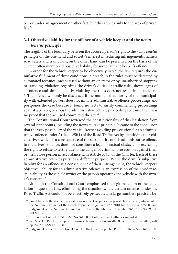ber or under an agreement or other fact*,* but this applies only to the area of private  $law<sup>36</sup>$ 

#### **3.4 Objective liability for the offence of a vehicle keeper and the** *nemo tenetur* **principle**

The fragility of the boundary between the accused person's right to the *nemo tenetur* principle on the one hand and society's interest in reducing infringements, namely road safety and traffic flow, on the other hand can be presented on the basis of the current often mentioned objective liability for motor vehicle keeper's offence.

In order for the vehicle keeper to be objectively liable, the law requires the cumulative fulfilment of three conditions: a breach in the rules must be detected by automated technical means used without an operator or by unauthorised stopping or standing; violation regarding the driver's duties or traffic rules shows signs of an offence and simultaneously, violating the rules does not result in an accident.  $37$  The offence will only be discussed if the municipal authority of the municipality with extended powers does not initiate administrative offence proceedings and postpones the case because it found no facts to justify commencing proceedings against a person, or stops the administrative offence proceedings because there was no proof that the accused committed the act.<sup>38</sup>

The Constitutional Court reviewed the constitutionality of this legislation from several standpoints, including the *nemo tenetur* principle. It came to the conclusion that the very possibility of the vehicle keeper avoiding prosecution for an administrative offence under Article  $125f(1)$  of the Road Traffic Act by identifying the vehicle driver, which is a consequence of the subsidiarity of this administrative offence to the driver's offence, does not constitute a legal or factual obstacle for exercising the right to refuse to testify due to the danger of criminal prosecution against them or their close person in accordance with Article 37(1) of the Charter. Each of these administrative offences pursues a different purpose. While the driver's subjective liability for an offence is a consequence of their infringement, the vehicle keeper's objective liability for an administrative offence is an expression of their wider responsibility as the vehicle owner or the person operating the vehicle with the owner's consent.39

Although the Constitutional Court emphasised the legitimate aim of the legislation in question (i.e., eliminating the situation where certain offences under the Road Traffic Act could not be effectively prosecuted in large numbers precisely be-

<sup>&</sup>lt;sup>36</sup> For details on the status of a legal person as a close person in private law, cf. also Judgement of the National Council of the Czech Republic on January 27<sup>th</sup>, 2010 No 29 Cdo 4822/2008 and Judgement of the National Council of the Czech Republic on November 26<sup>th</sup>, 2013 No 29 Cdo 1212/2012. 37 Provisions of Article 125f of Act No 361/2000 Coll., on road traffic, as amended. 38 See MATES, Pavel. Přestupek provozovatele motorového vozidla. *Bulletin advokacie.* 2018, 7–8.

pp. 24–27. ISSN 1210-6348.<br><sup>39</sup> Judgement of the Constitutional Court of the Czech Republic, Pl. ÚS 15/16 on May 16<sup>th</sup>, 2018.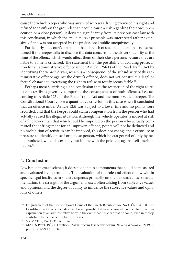cause the vehicle keeper who was aware of who was driving exercised his right and refused to testify on the grounds that it could cause a risk regarding their own prosecution or a close person), it deviated significantly from its previous case law with this conclusion, in which the *nemo tenetur* principle was interpreted rather extensively<sup>40</sup> and was not accepted by the professional public unequivocally.

Particularly, the court's statement that a breach of such an obligation is not sanctioned if the keeper fails to disclose the data concerning the driver's identity at the time of the offence which would affect them or their close persons because they are liable to a fine is criticised. The statement that the possibility of avoiding prosecution for an administrative offence under Article  $125f(1)$  of the Road Traffic Act by identifying the vehicle driver, which is a consequence of the subsidiarity of this administrative offence against the driver's offence, does not yet constitute a legal or factual obstacle to exercising the right to refuse to testify seems feeble.<sup>41</sup>

Perhaps most surprising is the conclusion that the restriction of the right to refuse to testify is given by comparing the consequences of both offences, i.e., according to Article 125c of the Road Traffic Act and the motor vehicle keeper. The Constitutional Court chose a quantitative criterion in this case when it concluded that an offence under Article 125f was subject to a lower fine and no points were recorded, and that the keeper could claim compensation from the person who had actually caused the illegal situation. Although the vehicle operator is indeed at risk of a fine lower than that which could be imposed on the person who actually committed the infringement for an unproven offence, points will not be deducted and no prohibition of activities can be imposed, this does not change their exposure to pressure to identify oneself or a close person, which he can get rid of only by being punished, which is certainly not in line with the privilege against self-incrimination.42

#### **4. Conclusion**

Law is not an exact science; it does not contain components that could be measured and evaluated by instruments. The evaluation of the role and effect of law within specific legal institutes in society depends primarily on the persuasiveness of argumentation, the strength of the arguments used often arising from subjective values and opinions, and the degree of ability to influence the subjective values and opinions of others.

 <sup>40</sup> Cf. Judgment of the Constitutional Court of the Czech Republic case No I. ÚS 1849/08. The Constitutional Court concludes that it is not possible to fine a person who refuses to provide an explanation to an administrative body in the event that it is clear that he could, even in theory,

contribute to their sanction for the offence. 41 See MATES, Pavel. *Op. cit.*, p. 26. 42 MATES Pavel, PÚRY, František. Zákaz nucení k sebeobviňování. *Bulletin advokacie.* 2019, 3, pp. 7–13. ISSN 1210-6348.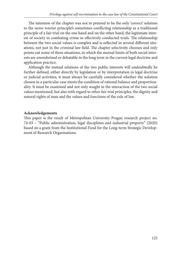The intention of the chapter was not to pretend to be the only 'correct' solution to the *nemo tenetur* principle's sometimes conflicting relationship as a traditional principle of a fair trial on the one hand and on the other hand, the legitimate interest of society in combating crime in effectively conducted trials. The relationship between the two social values is complex and is reflected in several different situations, not just in the criminal law field. The chapter selectively chooses and only points out some of these situations, in which the mutual limits of both social interests are unenshrined or debatable in the long term in the current legal doctrine and application practice.

Although the mutual relations of the two public interests will undoubtedly be further defined, either directly by legislation or by interpretation in legal doctrine or judicial activities, it must always be carefully considered whether the solution chosen in a particular case meets the condition of rational balance and proportionality. It must be examined and not only sought in the interaction of the two social values mentioned, but also with regard to other fair trial principles, the dignity and natural rights of man and the values and functions of the rule of law.

#### **Acknowledgements**

This paper is the result of Metropolitan University Prague research project no. 74-03 – "Public administration, legal disciplines and industrial property" (2020) based on a grant from the Institutional Fund for the Long-term Strategic Development of Research Organisations.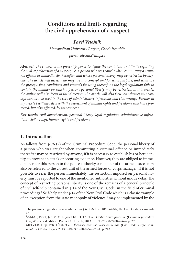# **Conditions and limits regarding the civil apprehension of a suspect**

# *Pavel Vetešník*

*Metropolitan University Prague, Czech Republic pavel.vetesnik@mup.cz*

Abstract: The subject of the present paper is to define the conditions and limits regarding *the civil apprehension of a suspect, i.e. a person who was caught when committing a crimi*nal offence or immediately thereafter, and whose personal liberty may be restricted by any*one. The article will assess who may use this concept and for what purpose, and what are the prerequisites, conditions and grounds for using thereof. As the legal regulation fails to contain the manner by which a person's personal liberty may be restricted, in this article,*  the author will also focus in this direction. The article will also focus on whether this con*cept can also be used in the case of administrative infractions and civil wrongs. Further in my article I will also deal with the assessment of human rights and freedoms which are protected, but also affected, by this concept.* 

*Key words: civil apprehension, personal liberty, legal regulation, administrative infractions, civil wrongs, human rights and freedoms*

# **1. Introduction**

As follows from § 76 (2) of the Criminal Procedure Code, the personal liberty of a person who was caught when committing a criminal offence or immediately thereafter may be restricted by anyone, if it is necessary to establish his or her identity, to prevent an attack or securing evidence. However, they are obliged to immediately refer this person to the police authority, a member of the armed forces may also be referred to the closest unit of the armed forces or corps manager. If it is not possible to refer the person immediately, the restriction imposed on personal liberty must be reported to one of the mentioned authorities without undue delay. The concept of restricting personal liberty is one of the remains of a general principle of civil self-help contained in § 14 of the New Civil Code<sup>1</sup> in the field of criminal proceedings.2 Self-help under § 14 of the New Civil Code which is a classic example of an exception from the state monopoly of violence,<sup>3</sup> may be implemented by the

<sup>&</sup>lt;sup>1</sup> The previous regulation was contained in § 6 of Act no. 40/1964 Sb., the Civil Code, as amend-

<sup>&</sup>lt;sup>2</sup> ŠÁMAL, Pavel, Jan MUSIL, Josef KUCHTA et al. *Trestní právo procesní*. *(Criminal procedure law.)* 4th revised edition. Praha: C. H. Beck, 2013. ISBN 978-80-7400-496-4. p. 273. 3 MELZER, Filip, Petr TÉGL et al. *Občanský zákoník: velký komentář*. *(Civil Code: Large Com-*

*mentary.)* Praha: Leges, 2013. ISBN 978-80-87576-73-1. p. 243.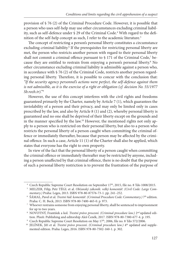provision of § 76 (2) of the Criminal Procedure Code. However, it is possible that a person who uses self-help may use other circumstances excluding criminal liability, such as self-defence under § 29 of the Criminal Code.<sup>4</sup> With regard to the definition of the self-help concept as such, I refer to the academic literature.5

The concept of restricting a person's personal liberty constitutes a circumstance excluding criminal liability.<sup>6</sup> If the prerequisites for restricting personal liberty are met, the person who restricts another person with regard to their personal liberty shall not commit a criminal offence pursuant to  $\frac{1}{2}$  171 of the Criminal Code,<sup>7</sup> because they are entitled to restrain from enjoying a person's personal liberty.<sup>8</sup> No other circumstance excluding criminal liability is admissible against a person who, in accordance with § 76 (2) of the Criminal Code, restricts another person regarding personal liberty. Therefore, it is possible to concur with the conclusion that: *"If the security agency personnel's actions were perfect, the self-defence against them is not admissible, as it is the exercise of a right or obligation (cf. decision No. 55/1977 Sb.rozh.tr)."*<sup>9</sup>

However, the use of this concept interferes with the civil rights and freedoms guaranteed primarily by the Charter, namely by Article 7 (1), which guarantees the inviolability of a person and their privacy, and may only be limited only in cases prescribed by the law, and also by Article 8 (1) and (2), whereby personal liberty is guaranteed and no one shall be deprived of their liberty except on the grounds and in the manner specified by the law.<sup>10</sup> However, the mentioned rights not only apply to a person who is restricted on their personal liberty, but also to a person who restricts the personal liberty of a person caught when committing the criminal offence or immediately thereafter, because that person may be affected by the criminal offence. In such a case, Article 11 (1) of the Charter shall also be applied, which states that everyone has the right to own property.

In view of the fact that the personal liberty of a person caught when committing the criminal offence or immediately thereafter may be restricted by anyone, including a person unaffected by that criminal offence, there is no doubt that the purpose of such a personal liberty restriction is to prevent the frustration of the purpose of

 <sup>4</sup> Czech Republic Supreme Court Resolution on September 17th, 2015, file no. 8 Tdo 1008/2015. 5 MELZER, Filip, Petr TÉGL et al. *Občanský zákoník: velký komentář*. *(Civil Code: Large Commentary.)* Praha: Leges, 2013. ISBN 978-80-87576-73-1. pp. 241–252. 6 ŠÁMAL, Pavel et al. *Trestní řád: komentář*. *(Criminal Procedure Code: Commentary.)* 7th edition.

Praha: C. H. Beck, 2013. ISBN 978-80-7400-465-0. p. 973. 7 Whoever restrains someone from enjoying personal liberty, shall be sentenced to imprisonment

for up to two years.<br><sup>8</sup> NOVOTNÝ, František a kol. *Trestní právo procesní*. *(Criminal procedure law.)* 2<sup>nd</sup> updated edi-<br>tion. Plzeň: Publishing and editorship Aleš Čeněk, 2017. ISBN 978-80-7380-677-4. p. 195.

<sup>&</sup>lt;sup>9</sup> Czech Republic Supreme Court Resolution on May  $17^{\text{th}}$ , 2006, file no. 8 Tdo 572/2006.<br><sup>10</sup> JELÍNEK, Jiří et al. *Trestní právo procesní. (Criminal procedure law.)* 4<sup>th</sup> updated and supplemented edition. Praha: Leges, 2016. ISBN 978-80-7502-160-1. p. 302.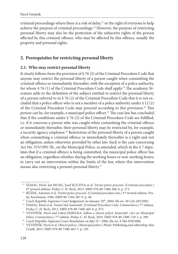criminal proceedings where there is a risk of delay,<sup>11</sup> or the right of everyone to help achieve the purpose of criminal proceedings.12 However, the purpose of restricting personal liberty may also be the protection of the subjective rights of the person affected by this criminal offence, who may be affected by this offence, usually the property and personal rights.

# **2. Prerequisites for restricting personal liberty**

#### **2.1. Who may restrict personal liberty**

It clearly follows from the provision of § 76 (2) of the Criminal Procedure Code that anyone may restrict the personal liberty of a person caught when committing the criminal offence or immediately thereafter, with the exception of a police authority, for whom  $\S 76 (1)$  of the Criminal Procedure Code shall apply.<sup>13</sup> The academic literature adds to the definition of the subject entitled to restrict the personal liberty of a person referred to in § 76 (2) of the Criminal Procedure Code that it is not excluded that a police officer who is not a member of a police authority under  $\S 12$  (2) of the Criminal Procedure Code may proceed according to this provision.<sup>14</sup> This person can be, for example, a municipal police officer.<sup>15</sup> The case law has concluded that if the conditions under  $\S 76 (2)$  of the Criminal Procedure Code are fulfilled, i.e. if it concerns a person who was caught when committing the criminal offence or immediately thereafter, their personal liberty may be restricted by, for example, a security agency employee.16 Restriction of the personal liberty of a person caught when committing a criminal offence or immediately thereafter is a right and not an obligation, unless otherwise provided by other law. Such is the case concerning Act No. 553/1991 Sb., on the Municipal Police, as amended, which in the § 7 stipulates that if a criminal offence is being committed, the municipal police officer has an obligation, regardless whether during the working hours or non-working hours, to carry out an intervention within the limits of the law, where this intervention means also restricting a person's personal liberty.17

 <sup>11</sup> ŠÁMAL, Pavel, Jan MUSIL, Josef KUCHTA et al. *Trestní právo procesní*. (*Criminal procedure.)*

<sup>4</sup>th revised edition. Praha: C. H. Beck, 2013. ISBN 978-80-7400-496-4. p. 273. 12 RŮŽEK, Antonín et al. *Trestní právo procesní*. *(Criminal procedure law.)* 3rd revised edition. Pra-

ha: Karolinum, 1996. ISBN 80-7184-207-9. p. 48.<br><sup>13</sup> Czech Republic Supreme Court Judgement on January 29<sup>th</sup>, 2004, file no. 30 Cdo 203/2003.<br><sup>14</sup> ŠÁMAL, Pavel et al. *Trestní řád: komentář. (Criminal Procedure Code: Comm* 

Praha: C. H. Beck, 2013. ISBN 978-80-7400-465-0. p. 973. 15 VETEŠNÍK, Pavel and Luboš JEMELKA. *Zákon o obecní policii: komentář*. *(Act on Municipal* 

*Police: Commentary.*)  $7^{\text{th}}$  edition. Praha: C. H. Beck, 2019. ISBN 978-80-7400-729-3. p. 309.<br><sup>16</sup> Czech Republic Supreme Court Resolution on July 21<sup>st</sup>, 2006, file no. 8 Tdo 838/2006.<br><sup>17</sup> VETEŠNÍK, Pavel et al. Ob Čeněk, 2013. ISBN 978-80-7380-463-3. p. 120.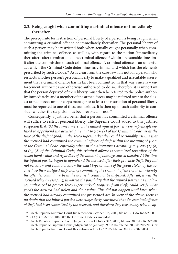## **2.2. Being caught when committing a criminal offence or immediately thereafter**

The prerequisite for restriction of personal liberty of a person is being caught when committing a criminal offence or immediately thereafter. The personal liberty of such a person may be restricted both when actually caught personally when committing the criminal offence, as well as, with regard to the notion "immediately thereafter", after termination of the criminal offence,<sup>18</sup> within a reasonable time limit after the commission of such criminal offence. A criminal offence is an unlawful act which the Criminal Code determines as criminal and which has the elements prescribed by such a Code.<sup>19</sup> As is clear from the case-law, it is not for a person who restricts another person's personal liberty to make a qualified and irrefutable assessment that a criminal offence has in fact been committed in that way, since law enforcement authorities are otherwise authorised to do so. Therefore it is important that the person deprived of their liberty must then be referred to the police authority immediately, and a member of the armed forces may be referred over to the closest armed forces unit or corps manager or at least the restriction of personal liberty must be reported to one of these authorities. It is then up to such authority to consider whether the suspicion has been revoked or not.<sup>20</sup>

Consequently, a justified belief that a person has committed a criminal offence will suffice to restrict personal liberty. The Supreme Court added to this justified suspicion that: *"At the same time, (…) the named injured parties were in principle entitled to apprehend the accused pursuant to § 76 (2) of the Criminal Code, as at the time of the theft of goods in the Tesco supermarket they could reasonably assume that the accused had committed the criminal offence of theft within the meaning of § 205 of the Criminal Code, especially when in the alternatives according to § 205 (1) (b)*  to (e), (2) of the Criminal Code, this criminal offence is committed regardless of the *stolen item's value and regardless of the amount of damage caused thereby. At the time the injured parties began to apprehend the accused after their provable theft, they did not yet know and could not know the exact type or value of the goods stolen by the accused, so their justified suspicion of committing the criminal offence of theft, whereby* the offender could have been the accused, could not be dispelled. After all, it was the *accused who, by escaping, thwarted the possibility that the injured parties, as employees authorized to protect Tesco supermarket's property from theft, could verify what goods the accused had stolen and their value. Th is did not happen until later, when the accused had already committed the prosecuted act. In view of the above, there is no doubt that the injured parties were subjectively convinced that the criminal offence of theft had been committed by the accused, and therefore they reasonably tried to ap-*

<sup>&</sup>lt;sup>18</sup> Czech Republic Supreme Court Judgement on October 31<sup>st</sup>, 2000, file no. 30 Cdo 1683/2000.<br><sup>19</sup> § 13 (1) of Act no. 40/2009, the Criminal Code, as amended.<br><sup>20</sup> Czech Republic Supreme Court Judgement on October 31<sup>st</sup>

Czech Republic Supreme Court Judgement on January 29<sup>th</sup>, 2004, file no. 30 Cdo 203/2003, or Czech Republic Supreme Court Resolution on July 15th, 2005, file no. 30 Cdo 2382/2004.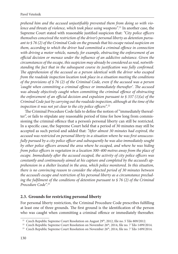prehend him and the accused unjustifiably prevented them from doing so with vio*lence and threats of violence, which took place using weapons".*21 In another case, the Supreme Court stated with reasonable justified suspicion that: "City police officers *themselves conceived the restriction of the driver's personal liberty as detention pursuant to § 76 (2) of the Criminal Code on the grounds that his escape raised suspicion on*  them, according to which the driver had committed a criminal offence in connection *with driving a motor vehicle, namely, for example, obstructing the enforcement of an offi cial decision or menace under the infl uence of an addictive substance. Given the circumstances of the escape, this suspicion may already be considered as real, notwithstanding the fact that in the subsequent course its justification was fully confirmed.* The apprehension of the accused as a person identical with the driver who escaped *from the roadside inspection location took place in a situation meeting the conditions of the provisions of § 76 (2) of the Criminal Code, even if the accused was a person*  'caught when committing a criminal offence or immediately thereafter'. The accused *was already objectively caught when committing the criminal offence of obstructing the enforcement of an official decision and expulsion pursuant to § 337 (1)(a) of the Criminal Code just by carrying out the roadside inspection, although at the time of the inspection it was not yet clear to the city police officers".*<sup>22</sup>

The Criminal Procedure Code fails to define the notion of "immediately thereafter", or fails to stipulate any reasonable period of time for how long from commissioning the criminal offence that a person's personal liberty can still be restricted. In a specific case, the Supreme Court held that a period of 30 minutes may still be accepted as such period and added that: "After almost 30 minutes had expired, the accused was restricted on personal liberty in a situation where he was first unsuccess*fully pursued by a city police officer and subsequently he was also immediately sought* by other police officers around the area where he escaped, and where he was hiding *from police officers in vegetation in a location 300–400 metres away from the place of escape. Immediately after the accused escaped, the activity of city police officers was constantly and continuously aimed at his capture and completed by the accused's apprehension in a shelter located in the area, which police monitored. In this situation, there is no convincing reason to consider the objected period of 30 minutes between the accused's escape and restriction of his personal liberty as a circumstance preclud*ing the fulfilment of the conditions of detention pursuant to § 76 (2) of the Criminal *Procedure Code".*<sup>23</sup>

#### **2.3. Grounds for restricting personal liberty**

For personal liberty restriction, the Criminal Procedure Code prescribes fulfilling at least one of three grounds. The first ground is the identification of the person who was caught when committing a criminal offence or immediately thereafter.

<sup>&</sup>lt;sup>21</sup> Czech Republic Supreme Court Resolution on August  $29^{\text{th}}$ , 2012, file no. 5 Tdo 809/2012.<br><sup>22</sup> Czech Republic Supreme Court Resolution on November 26<sup>th</sup>, 2014, file no. 7 Tdo 1499/2014.<br><sup>23</sup> Czech Republic Suprem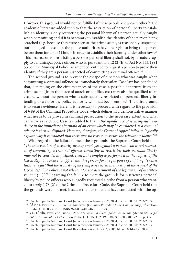However, this ground would not be fulfilled if these people knew each other.<sup>24</sup> The academic literature added thereto that the restriction of personal liberty to establish an identity is only restricting the personal liberty of a person actually caught when committing and if it is necessary to establish the identity of the person being searched (e.g. because they were seen at the crime scene, is reasonably suspected, but managed to escape), the police authorities have the right to bring this person before them for up to 24 hours in order to establish their identity under other laws.25 This first reason for restricting a person's personal liberty shall not, by its nature, apply to a municipal police officer, who is, pursuant to  $\S 12$  (2)(b) of Act No. 553/1991 Sb., on the Municipal Police, as amended, entitled to request a person to prove their identity if they are a person suspected of committing a criminal offence.<sup>26</sup>

The second ground is to prevent the escape of a person who was caught when committing a criminal offence or immediately thereafter. Case law has concluded that, depending on the circumstances of the case, a possible departure from the crime scene (from the place of attack or conflict, etc.) may also be qualified as an escape, without the person who is subsequently restricted on personal liberty intending to wait for the police authority who had been sent for.<sup>27</sup> The third ground is to secure evidence. Here, it is necessary to proceed with regard to the provision of § 89 of the Criminal Procedure Code, which defines in a demonstrative manner what needs to be proved in criminal prosecution to the necessary extent and what can serve as evidence. Case law added to that: "The significance of securing such evidence in the immediate aftermath of an event which may be considered as a criminal offence is then undisputed. Here too, therefore, the Court of Appeal failed to logically *explain why it considered that there was no reason to secure the relevant evidence"*. 28

With regard to the failure to meet these grounds, the Supreme Court held that: "The intervention of a security agency employee against a person who is not suspected of committing a criminal offence, consisting in restricting their personal liberty, *may not be considered justified, even if the employee performs it at the request of the Czech Republic Police to apprehend this person for the purposes of fulfilling its other* tasks. The fact that the security agency employee acted in this way at the request of the *Czech Republic Police is not relevant for the assessment of the legitimacy of his intervention (…)".*29 Regarding the failure to meet the grounds for restricting personal liberty by police officers who allegedly requested a bribe from a person who wanted to apply § 76 (2) of the Criminal Procedure Code, the Supreme Court held that the grounds were not met, because the person could have connected with the op-

<sup>&</sup>lt;sup>24</sup> Czech Republic Supreme Court Judgement on January 29<sup>th</sup>, 2004, file no. 30 Cdo 203/2003.<br><sup>25</sup> ŠÁMAL, Pavel et al. *Trestní řád: komentář. (Criminal Procedure Code: Commentary.)* 7<sup>th</sup> edition.

Praha: C. H. Beck, 2013. ISBN 978-80-7400-465-0. p. 973. 26 VETEŠNÍK, Pavel and Luboš JEMELKA. *Zákon o obecní policii: komentář*. *(Act on Municipal* 

Police: Commentary.) 2<sup>nd</sup> edition Praha: C. H. Beck, 2019. ISBN 978-80-7400-729-3. p. 309.<br><sup>27</sup> Czech Republic Supreme Court Judgement on January 29<sup>th</sup>, 2004, file no. 30 Cdo 203/2003.<br><sup>28</sup> Czech Republic Supreme Court J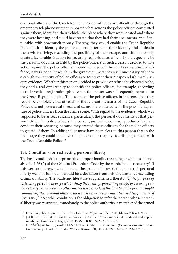erational officers of the Czech Republic Police without any difficulties through the emergency telephone number, reported what actions the police officers committed against them, identified their vehicle, the place where they were located and where they were heading, and could have stated that they had their documents, and if applicable, with how much money. Thereby, they would enable the Czech Republic Police both to identify the police officers in terms of their identity and to detain them while driving, excluding the possibility of their escape, and simultaneously create a favourable situation for securing real evidence, which should especially be the personal documents held by the police officers. If such a person decided to take action against the police officers by conduct in which the courts saw a criminal offence, it was a conduct which in the given circumstances was unnecessary either to establish the identity of police officers or to prevent their escape and ultimately secure evidence. Whether this person decided to provide or refuse the objected bribe, they had a real opportunity to identify the police officers, for example, according to their vehicle registration plate, when the matter was subsequently reported to the Czech Republic Police. The escape of the police officers in the sense that they would be completely out of reach of the relevant measures of the Czech Republic Police did not pose a real threat and cannot be confused with the possible departure of police officers from the crime scene. With regard to the evidence, which was supposed to be as real evidence, particularly, the personal documents of that person held by the police officers, the person, just to the contrary, precluded by their conduct their securing, because they created the conditions for the police officers to get rid of them. In additional, it must have been clear to this person that in the final stage they could not solve the matter other than by establishing contact with the Czech Republic Police.<sup>30</sup>

#### **2.4. Conditions for restricting personal liberty**

The basic condition is the principle of proportionality (restraint),<sup>31</sup> which is emphasised in § 76 (2) of the Criminal Procedure Code by the words "if it is necessary". If this were not necessary, i.e. if one of the grounds for restricting a person's personal liberty was not fulfilled, it would be a deviation from this circumstance excluding criminal liability. The academic literature supplemented thereto: "If the purpose of *restricting personal liberty (establishing the identity, preventing escape or securing evidence) may be achieved by other means less restricting the liberty of the person caught committing the criminal offence, then such other means must be used (arguments 'if necessary')."*32 Another condition is the obligation to refer the person whose personal liberty was restricted immediately to the police authority, a member of the armed

<sup>&</sup>lt;sup>30</sup> Czech Republic Supreme Court Resolution on 25 January 25<sup>th</sup>, 2005, file no. 7 Tdo 4/2005.<br><sup>31</sup> JELÍNEK, Jiří et al. *Trestní právo procesní*. (*Criminal procedure law.*) 4<sup>th</sup> updated and supple-

mented edition. Praha: Leges, 2016. ISBN 978-80-7502-160-1. p. 303. 32 DRAŠTÍK, Antonín, Jaroslav FENYK et al. *Trestní řád: komentář*. *(Criminal Procedure Code: Commentary.)* I. volume. Praha: Wolters Kluwer ČR, 2017. ISBN 978-80-7552-600-7. p. 613.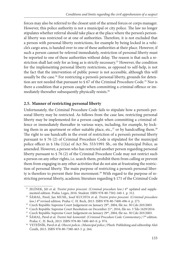forces may also be referred to the closest unit of the armed forces or corps manager. However, this police authority is not a municipal or city police. The law no longer stipulates whether referral should take place at the place where the person's personal liberty was restricted or at one of authorities. Therefore, it is not excluded that a person with personal liberty restrictions, for example by being locked in a vehicle's cargo area, is handed over to one of these authorities at their place. However, if such a person cannot be referred immediately, restriction of personal liberty must be reported to one of these authorities without delay. The reason is that such a restriction shall last only for as long as is strictly necessary.<sup>33</sup> However, the condition for the implementing personal liberty restrictions, as opposed to self-help, is not the fact that the intervention of public power is not accessible, although this will usually be the case.<sup>34</sup> For restricting a person's personal liberty, grounds for detention are not needed that pursuant to  $\S$  67 of the Criminal Procedure Code.<sup>35</sup> Nor is there a condition that a person caught when committing a criminal offence or immediately thereafter subsequently physically resists.<sup>36</sup>

# **2.5. Manner of restricting personal liberty**

Unfortunately, the Criminal Procedure Code fails to stipulate how a person's personal liberty may be restricted. As follows from the case law, restricting personal liberty may be implemented for a person caught when committing a criminal offence or immediately thereafter in various ways, including, for example, by locking them in an apartment or other suitable place, etc., $37$  or by handcuffing them. $38$ The right to use handcuffs in the event of restriction of a person's personal liberty pursuant to § 76 (2) of Criminal Procedure Code is stipulated for the municipal police officer in § 18a (1)(a) of Act No. 553/1991 Sb., on the Municipal Police, as amended. However, a person who has restricted another person regarding personal liberty pursuant to § 76 (2) of the Criminal Procedure Code may not restrict such a person on any other rights, i.e. search them, prohibit them from calling or prevent them from engaging in any other activities that do not aim at frustrating the restriction of personal liberty. The main purpose of restricting a person's personal liberty is therefore to prevent their free movement.<sup>39</sup> With regard to the purpose of restricting personal liberty, academic literature regarding § 171 of the Criminal Code

<sup>&</sup>lt;sup>33</sup> JELÍNEK, Jiří et al. *Trestní právo procesní*. *(Criminal procedure law.)* 4<sup>th</sup> updated and supplemented edition. Praha: Leges, 2016. Student. ISBN 978-80-7502-160-1. p. 312. 34 ŠÁMAL, Pavel, Jan MUSIL, Josef KUCHTA et al. *Trestní právo procesní*. (*Criminal procedure* 

*law.)* 4<sup>th</sup> revised edition. Praha: C. H. Beck, 2013. ISBN 978-80-7400-496-4. p. 273.<br><sup>35</sup> Czech Republic Supreme Court Judgement on January 29<sup>th</sup>, 2004, file no. 30 Cdo 203/2003.<br><sup>36</sup> Czech Republic Supreme Court Reso

Praha: C. H. Beck, 2013. ISBN 978-80-7400-465-0. p. 974. 39 VETEŠNÍK, Pavel et al. *Obecní policie*. *(Municipal police.)* Plzeň: Publishing and editorship Aleš

Čeněk, 2013. ISBN 978-80-7380-463-3. p. 264.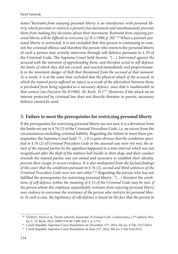states:*"Restraint from enjoying personal liberty is an interference with personal liberty, which prevents or restricts a person's free movement and simultaneously prevents them from making free decisions about their movement. Restraint from enjoying per*sonal liberty will be difficult to overcome (cf. R 1/1980, p. 20)".<del>"</del> When a person's personal liberty is restricted, it is not excluded that this person is continuing to commit the criminal offence and therefore the person who restricts the personal liberty of such a person may actively intervene through self-defence pursuant to § 29 of the Criminal Code. The Supreme Court held thereto: "(...) Intervened against the *accused with the intention of apprehending them, and therefore acted in self-defence, the limits of which they did not exceed, and reacted immediately and proportionately to the imminent danger of theft that threatened from the accused at that moment. As a result, it is at the same time excluded that the physical attack of the accused, in*  which the injured party suffered an injury as a result of the altercation between them, *is precluded from being regarded as a necessary defence, since that is inadmissible in that context (see Decision No 9/1980). Sb. Rozh. Tr.)41*". However, if the attack on an interest protected by criminal law does not directly threaten or persist, necessary defence cannot be used.

### **3. Failure to meet the prerequisites for restricting personal liberty**

If the prerequisites for restricting personal liberty are not met, it is a deviation from the limits set out in § 76 (2) of the Criminal Procedure Code, i.e. an excess from the circumstances excluding criminal liability. Regarding the failure to meet these prerequisites, the Supreme Court held: *"(…) It is quite obvious that the conditions speci*fied in § 76 (2) of Criminal Procedure Code in the assessed case were not met, the at*tack of the injured parties by the appellant happened in a time interval which was not insignificant after the theft of the military belt buckle in their shop, and their conduct towards the injured parties was not aimed and necessary to establish their identity, prevent their escape or secure evidence. It is also undisputed from the factual findings of the court that the conditions pursuant to § 76 (2), second and third sentences of the Criminal Procedure Code were not met either".*42 Regarding the person who has not fulfilled the prerequisites for restricting personal liberty: "(...) therefore the condi*tions of self-defence within the meaning of § 13 of the Criminal Code may be met, if the person whom this employee unjustifi ably restrains from enjoying personal liberty uses violence to overcome the resistance of the person who restricts his personal liberty. In such a case, the legitimacy of self-defence is based on the fact that the person in* 

 <sup>40</sup> ŠÁMAL, Pavel et al. *Trestní zákoník*, *komentář. (Criminal Code. Commentary.)* 2nd edition. Pra-

ha: C. H. Beck, 2012. ISBN 978-80-7400-428-5. p. 1713.<br><sup>41</sup> Czech Republic Supreme Court Resolution on December 17<sup>th</sup>, 2014, file no. 8 Tdo 1417/2014.<br><sup>42</sup> Czech Republic Supreme Court Resolution on June 25<sup>th</sup>, 2012, fi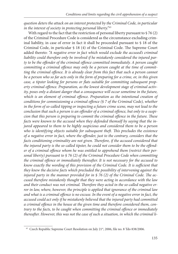*question deters the attack on an interest protected by the Criminal Code, in particular in the interest of society in protecting personal liberty."*<sup>43</sup>

With regard to the fact that the restriction of personal liberty pursuant to §76(2) of the Criminal Procedure Code is considered as the circumstance excluding criminal liability, in case of error in fact it shall be proceeded pursuant to § 18 of the Criminal Code, in particular  $\S$  18 (4) of the Criminal Code. The Supreme Court added thereto: *"A negative error in fact which would exclude the accused's criminal liability could therefore only be involved if he mistakenly considered the injured par*ty to be the offender of the criminal offence committed immediately. A person caught committing a criminal offence may only be a person caught at the time of committing the criminal offence. It is already clear from this fact that such a person cannot *be a person who so far acts only in the form of preparing for a crime, or, in this given*  case, a tipster looking for persons or flats suitable for committing subsequent property criminal offence. Preparation, as the lowest development stage of criminal activ*ity, poses only a distant danger that a consequence will occur sometime in the future,*  which is an element of criminal offence. Preparation as the intentional creation of *conditions for commissioning a criminal offence (§ 7 of the Criminal Code), whether in the form of so-called tipping or inspecting a future crime scene, may not lead to the*  conclusion that such a person is an offender of a criminal offence, but only to a suspi*cion that this person is preparing to commit the criminal offence in the future. These facts were known to the accused when they defended themself by saying that the injured appeared to them to be highly suspicious and considered them to be a person*  who is identifying objects suitable for subsequent theft. This precludes the existence *of a negative error in fact, where the offender, just to the contrary, considers that the facts conditioning criminality are not given. Therefore, if the accused considered that* the injured party is the so-called tipster, he could not consider them to be the offender of a criminal offence whom he was entitled to apprehend them (restrict their per*sonal liberty) pursuant to § 76 (2) of the Criminal Procedure Code when committing*  the criminal offence or immediately thereafter. It is not necessary for the accused to *know exactly the wording of this provision of the Criminal Code. It is sufficient that they knew the decisive facts which precluded the possibility of intervening against the*  injured party in the manner provided for in § 76 (2) of the Criminal Code. The ac*cused therefore mistakenly thought that they were acting in accordance with the law*  and their conduct was not criminal. Therefore they acted in the so-called negative er*ror in law, where, however, the principle is applied that ignorance of the criminal law*  and what is a criminal offence is no excuse. In the event of a negative error in fact, the *accused could act only if he mistakenly believed that the injured party had committed*  a criminal offence in the house at the given time and therefore considered them, con*trary to the facts, to be caught when committing the criminal offence or immediately* thereafter. However, this was not the case of such a situation, in which the criminal li-

<sup>&</sup>lt;sup>43</sup> Czech Republic Supreme Court Resolution on July 21<sup>st</sup>, 2006, file no. 8 Tdo 838/2006.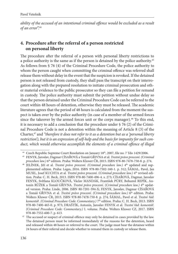*ability of the accused of an intentional criminal offence would be excluded as a result of an error*".44

# **4. Procedure after the referral of a person restricted on personal liberty**

The procedure after the referral of a person with personal liberty restrictions to a police authority is the same as if the person is detained by the police authority.45 As follows from § 76 (4) of the Criminal Procedure Code, the police authority to whom the person caught when committing the criminal offence was referred shall release them without delay in the event that the suspicion is revoked. If the detained person is not released from custody, they shall pass the transcript on their interrogation along with the prepared resolution to initiate criminal prosecution and other material evidence to the public prosecutor so they can file a petition for remand in custody. The police authority must submit the petition without undue delay so that the person detained under the Criminal Procedure Code can be referred to the court within 48 hours of detention, otherwise they must be released. The academic literature agrees that the period of 48 hours is calculated from the moment the suspect is taken over by the police authority (in case of a member of the armed forces since the takeover by the armed forces unit or the corps manager).<sup>46</sup> To this end, it is necessary to add a conclusion that the procedure under § 76 (2) of the Criminal Procedure Code is not a detention within the meaning of Article 8 (3) of the Charter,47 and *"therefore it does not refer to it as a detention but as a 'personal liberty restriction'), but it is an expression of self-help and the basis for impunity for such conduct, which would otherwise accomplish the elements of a criminal offence of illegal* 

 <sup>44</sup> Czech Republic Supreme Court Resolution on January 18th, 2007, file no. 7 Tdo 1429/2006. 45 FENYK, Jaroslav, Dagmar CÍSAŘOVÁ a Tomáš GŘIVNA et al. *Trestní právo procesní*. *(Criminal* 

*procedure law.)* 6th edition. Praha: Wolters Kluwer ČR, 2015. ISBN 978-80-7478-750-8. p. 274. 46 JELÍNEK, Jiří et al. *Trestní právo procesní*. *(Criminal procedure law.)* 4th updated and supplemented edition. Praha: Leges, 2016. ISBN 978-80-7502-160-1. p. 312; ŠÁMAL, Pavel, Jan MUSIL, Josef KUCHTA et al. *Trestní právo procesní*. (*Criminal procedure law.*) 4<sup>th</sup> revised edition. Praha: C. H. Beck, 2013. ISBN 978-80-7400-496-4. s. 273; CÍSAŘOVÁ, Dagmar, Jaroslav FENYK, Světlana KLOUČKOVÁ, Václav MANDÁK, František PÚRY, Bohumil REPÍK, Antonín RŮŽEK a Tomáš GŘIVNA. *Trestní právo procesní*. (*Criminal procedure law.)* 4th updated version. Praha: Linde, 2006. ISBN 80-7201-594-X; FENYK, Jaroslav, Dagmar CÍSAŘOVÁ a Tomáš GŘIVNA et al. *Trestní právo procesní*. (Criminal procedure law.) 6<sup>th</sup> edition. Praha: Wolters Kluwer ČR, 2015. ISBN 978-80-7478-750-8. p. 274; ŠÁMAL, Pavel et al. *Trestní řád: komentář*. *(Criminal Procedure Code: Commentary.)* 7th edition. Praha: C. H. Beck, 2013. ISBN 978-80-7400-465-0. p. 973; DRAŠTÍK, Antonín, Jaroslav FENYK et al. *Trestní řád: komentář*. *(Criminal Procedure Code: Commentary.)* I. volume. Praha: Wolters Kluwer CZ, 2017. ISBN

<sup>978-80-7552-600-7.</sup> p. 613. 47 The accused or suspect of criminal offence may only be detained in cases provided by the law. The detained person must be informed immediately of the reasons for the detention, heard and released within 48 hours or referred to the court. The judge must hear the detainee within 24 hours of their referral and decide whether to remand them in custody or release them.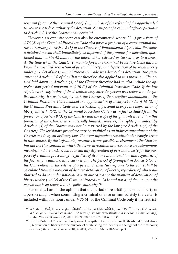*restraint (§ 171 of the Criminal Code). (…) Only as of the referral of the apprehended*  person to the police authority the detention of a suspect of a criminal offence pursuant *to Article 8 (3) of the Charter shall begin.*"48

However, an opposite view can also be encountered where: *"(…) provisions of § 76 (2) of the Criminal Procedure Code also poses a problem of a constitutional nature. According to Article 8 (3) of the Charter of Fundamental Rights and Freedoms a detained person shall immediately be informed of the grounds for detention, questioned and, within 48 hours at the latest, either released or turned over to a court. At the time when the Charter came into force, the Criminal Procedure Code did not know the so-called 'restriction of personal liberty', but deprivation of personal liberty*  under § 76 (2) of the Criminal Procedure Code was denoted as detention. The guarantees of Article 8 (3) of the Charter therefore also applied to this provision. The pe*riod laid down in Article 8 (3) of the Charter therefore had to also include the apprehension period pursuant to § 76 (2) of the Criminal Procedure Code. If the law*  stipulated the beginning of the detention only after the person was referred to the po*lice authority, it was in conflict with the Charter. If then another amendment to the Criminal Procedure Code denoted the apprehension of a suspect under § 76 (2) of the Criminal Procedure Code as a 'restriction of personal liberty', the deprivation of liberty under § 76(2) of the Criminal Procedure Code was in fact excluded from the protection of Article 8 (3) of the Charter and the scope of the guarantees set out in this provision of the Charter was materially limited. However, the rights guaranteed by Article 8 (3) of the Charter may not be restricted by the law (see Article 4 (2) of the Charter*). The legislator's procedure may be qualified as an indirect amendment of the *Charter made by an ordinary law. The term infraudem constitutionis strongly arises in this context. By the legislator's procedure, it was possible to circumvent the Charter, but not the Convention, in which the terms arrestation or arrest have an autonomous meaning and are understood to mean any deprivation of personal liberty for the purposes of criminal proceedings, regardless of its name in national law and regardless of*  the fact who is authorized to carry it out. The period of 'promptly' in Article 5 (3) of *the Convention for the release of a person or their turning over to the court shall be calculated from the moment of de facto deprivation of liberty, regardless of who is authorised to do so under national law, in our case as of the moment of deprivation of liberty under § 76 (2) of the Criminal Procedure Code and not as of the moment the person has been referred to the police authority."*<sup>49</sup>

Personally, I am of the opinion that the period of restricting personal liberty of a person caught when committing a criminal offence or immediately thereafter is included within 48 hours under § 76 (4) of the Criminal Code only if the restrict-

 <sup>48</sup> WAGNEROVÁ, Eliška, Vojtěch ŠIMÍČEK, Tomáš LANGÁŠEK, Ivo POSPÍŠIL et al. *Listina základních práv a svobod: komentář*. *(Charter of Fundamental Rights and Freedoms: Commentary.)*

Praha: Wolters Kluwer CZ, 2012. ISBN 978-80-7357-750-6. p. 236. 49 REPÍK, Bohumil. Zbavení svobody za účelem zjištění totožnosti ve světle štrasburské judikatury. (Deprivation of liberty for the purpose of establishing the identity in the light of the Strasbourg case law.) *Bulletin advokacie*. 2004, 4/2004, 27–31. ISSN 1210-6348. p. 30.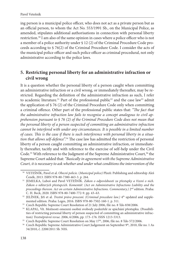ing person is a municipal police officer, who does not act as a private person but as an official person, to whom the Act No. 553/1991 Sb., on the Municipal Police, as amended, stipulates additional authorisations in connection with personal liberty restriction.<sup>50</sup> I am also of the same opinion in cases where a police officer who is not a member of a police authority under § 12 (2) of the Criminal Procedure Code proceeds according to § 76(2) of the Criminal Procedure Code. I consider the acts of the municipal police officer and such police officer as criminal procedural, not only administrative according to the police laws.

# **5. Restricting personal liberty for an administrative infraction or civil wrong**

It is a question whether the personal liberty of a person caught when committing an administrative infraction or a civil wrong, or immediately thereafter, may be restricted. Regarding the definition of the administrative infraction as such, I refer to academic literature.<sup>51</sup> Part of the professional public<sup>52</sup> and the case law<sup>53</sup> admit the application of § 76 (2) of the Criminal Procedure Code only when committing a criminal offence. Other part of the professional public states that: "The fact that *the administrative infraction law fails to recognise a concept analogous to civil apprehension pursuant to § 76 (2) of the Criminal Procedure Code does not mean that the personal liberty of a person suspected of committing an administrative infraction cannot be interfered with under any circumstances. It is possible in a limited number*  of cases. This is the case if there is such interference with personal liberty in a situa*tion that allows self-defence*".<sup>54</sup> The case law has admitted the restriction of personal liberty of a person caught committing an administrative infraction, or immediately thereafter, tacitly and with reference to the exercise of self-help under the Civil Code.<sup>55</sup> With reference to the Judgment of the Supreme Administrative Court,<sup>56</sup> the Supreme Court added that: *"Basically in agreement with the Supreme Administrative Court, it is necessary to ask whether and under what conditions the intervention of the* 

 <sup>50</sup> VETEŠNÍK, Pavel et al. *Obecní policie*. (*Municipal police)* Plzeň: Publishing and editorship Aleš

Čeněk, 2013. ISBN 978-80-7380-463-3. p. 264. 51 JEMELKA, Luboš and Pavel VETEŠNÍK. *Zákon o odpovědnosti za přestupky a řízení o nich. Zákon o některých přestupcích. Komentář*. *(Act on Administrative Infractions Liability and the proceedings thereon. Act on certain Administrative Infractions. Commentary.*) 2<sup>nd</sup> edition. Praha:

C. H. Beck, 2020. ISBN 978-80-7400-772-9. pp. 43–63. 52 JELÍNEK, Jiří et al. *Trestní právo procesní*. *(Criminal procedure law.)* 4th updated and supple-

mented edition. Praha: Leges, 2016. ISBN 978-80-7502-160-1. p. 311.<br><sup>53</sup> Czech Republic Supreme Court Resolution of 21 July 2006, file no. 8 Tdo 838/2006.<br><sup>54</sup> KLAPAL, Vít. Možnosti omezení osobní svobody podezřelé ze spác ties of restricting personal liberty of person suspected of committing an administrative infrac-

tion) Trestněprávní revue. 2006, 6/2006, pp. 173–176. ISSN 1213-5313.<br>
<sup>55</sup> Czech Republic Supreme Court Resolution on May 17<sup>th</sup>, 2006, file no. 8 Tdo 572/2006.<br>
<sup>56</sup> Czech Republic Supreme Administrative Court Judgement

<sup>34/2010,</sup> č. 2208/2011 Sb. NSS.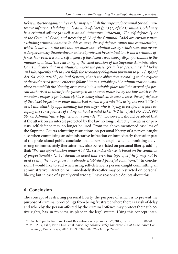*ticket inspector against a free rider may establish the inspector's criminal (or administrative infraction) liability*. *Only an unlawful act [§ 13 (1) of the Criminal Code] may be a criminal offence (as well as an administrative infraction). The self-defence (§ 29 of the Criminal Code) and necessity (§ 28 of the Criminal Code) are circumstances excluding criminal liability. In this context, the self-defence comes into consideration, which is based on the fact that an otherwise criminal act by which someone averts a danger directly threatening an interest protected by criminal law is not a criminal offence. However, it is not a self-defence if the defence was clearly disproportionate to the manner of attack. The reasoning of the cited decision of the Supreme Administrative Court indicates that in a situation where the passenger fails to present a valid ticket and subsequently fails to even fulfi l the secondary obligation pursuant to § 37 (5)(d) of Act No. 266/1994 Sb., on Rail Systems, that is the obligation according to the request of the authorised person either to follow him to a suitable public administration workplace to establish the identity, or to remain in a suitable place until the arrival of a person authorised to identify the passenger, an interest protected by the law which is the operator's property protection rights, is being attacked. In such a case, the self-defence of the ticket inspector or other authorised person is permissible, using the possibility to avert this attack by apprehending the passenger who is trying to escape, therefore escaping the consequences of riding without a valid ticket [§ 2 (a) of Act No. 200/1990 Sb., on Administrative Infractions, as amended]"*. 57 However, it should be added that if the attack on an interest protected by the law no longer directly threatens or persists, self-defence may no longer be used. From the above-mentioned case law of the Supreme Courts admitting restrictions on personal liberty of a person caught also when committing an administrative infraction or immediately thereafter part of the professional public concludes that a person caught when committing a civil wrong or immediately thereafter may also be restricted on personal liberty, adding that: *"Private apprehension under § 14 (2), second sentence, is based on the condition of proportionality. (…) It should be noted that even this type of self-help may not be used even if the wrongdoer has already established peaceful conditions.*"<sup>58</sup> In conclusion, I would like to add when using self-defence, a person caught committing an administrative infraction or immediately thereafter may be restricted on personal liberty, but in case of a purely civil wrong, I have reasonable doubts about this.

# **6. Conclusion**

The concept of restricting personal liberty, the purpose of which is to prevent the purpose of criminal proceedings from being frustrated where there is a risk of delay and whereby the person affected by the criminal offence may protect their subjective rights, has, in my view, its place in the legal system. Using this concept inter-

<sup>&</sup>lt;sup>57</sup> Czech Republic Supreme Court Resolution on September 17<sup>th</sup>, 2015, file no. 8 Tdo 1008/2015.<br><sup>58</sup> MELZER, Filip, Petr TÉGL et al. *Občanský zákoník: velký komentář. (Civil Code: Large Commentary.)* Praha: Leges, 2013. ISBN 978-80-87576-73-1. pp. 248–251.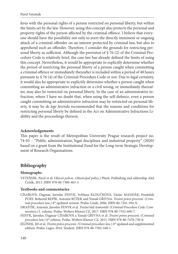feres with the personal rights of a person restricted on personal liberty, but within the limits set by the law. However, using this concept also protects the personal and property rights of the person affected by the criminal offence. I believe that everyone should have the possibility not only to avert the directly imminent or ongoing attack of a criminal offender on an interest protected by criminal law, but also to apprehend such an offender. Therefore, I consider the grounds for restricting personal liberty as sufficient. Although the provision of  $\frac{1}{2}$  76 (2) of the Criminal Procedure Code is relatively brief, the case law has already defined the limits of using this concept. Nevertheless, it would be appropriate to explicitly determine whether the period of restricting the personal liberty of a person caught when committing a criminal offence or immediately thereafter is included within a period of 48 hours pursuant to § 76 (4) of the Criminal Procedure Code or not. Due to legal certainty, it would also be appropriate to explicitly determine whether a person caught when committing an administrative infraction or a civil wrong, or immediately thereafter, may also be restricted on personal liberty. In the case of an administrative infraction, where I have no doubt that, when using the self-defence, even a person caught committing an administrative infraction may be restricted on personal liberty, it may be *de lege ferenda* recommended that the reasons and conditions for restricting personal liberty be defined in the Act on Administrative Infractions Liability and the proceedings thereon.

#### **Acknowledgements**

This paper is the result of Metropolitan University Prague research project no. 74-03 – "Public administration, legal disciplines and industrial property" (2020) based on a grant from the Institutional Fund for the Long-term Strategic Development of Research Organisations.

## **Bibliography**

#### **Monographs**

VETEŠNÍK, Pavel et al. *Obecní policie*. *(Municipal police.)* Plzeň: Publishing and editorship Aleš Čeněk, 2013. ISBN 978-80-7380-463-3.

#### **Textbooks and commentaries**

- CÍSAŘOVÁ, Dagmar, Jaroslav FENYK, Světlana KLOUČKOVÁ, Václav MANDÁK, František PÚRY, Bohumil REPÍK, Antonín RŮŽEK and Tomáš GŘIVNA. *Trestní právo procesní*. (*Criminal procedure law.)* 4<sup>th</sup> updated version. Praha: Linde, 2006. ISBN 80-7201-594-X.
- DRAŠTÍK, Antonín, Jaroslav FENYK et al. *Trestní řád: komentář. (Criminal Procedure Code: Commentary.)* I. volume. Praha: Wolters Kluwer CZ, 2017. ISBN 978-80-7552-600-7.
- FENYK, Jaroslav, Dagmar CÍSAŘOVÁ a Tomáš GŘIVNA et al. *Trestní právo procesní*. (*Criminal procedure law.)* 6th edition. Praha: Wolters Kluwer CZ, 2015. ISBN 978-80-7478-750-8.
- JELÍNEK, Jiří et al. *Trestní právo procesní*. *(Criminal procedure law.)* 4th updated and supplemented edition. Praha: Leges, 2016. Student. ISBN 978-80-7502-160-1.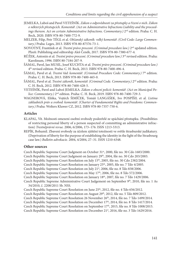- JEMELKA, Luboš and Pavel VETEŠNÍK. *Zákon o odpovědnosti za přestupky a řízení o nich. Zákon o některých přestupcích. Komentář*. *(Act on Administrative Infractions Liability and the proceedings thereon. Act on certain Administrative Infractions. Commentary.*) 2<sup>nd</sup> edition. Praha: C. H. Beck, 2020. ISBN 978-80-7400-772-9.
- MELZER, Filip, Petr TÉGL et al. *Občanský zákoník: velký komentář*. *(Civil Code: Large Commentary.)* Praha: Leges, 2013. ISBN 978-80-87576-73-1.
- NOVOTNÝ, František et al. *Trestní právo procesní*. *(Criminal procedure law.)* 2nd updated edition. Plzeň: Publishing and editorship Aleš Čeněk, 2017. ISBN 978-80-7380-677-4.
- RŮŽEK, Antonín et al. *Trestní právo procesní*. *(Criminal procedure law.)* 3rd revised edition. Praha: Karolinum, 1996. ISBN 80-7184-207-9.
- ŠÁMAL, Pavel, Jan MUSIL, Josef KUCHTA et al. *Trestní právo procesní*. *(Criminal procedure law.)* 4th revised edition. Praha: C. H. Beck, 2013. ISBN 978-80-7400-496-4.
- ŠÁMAL, Pavel et al. *Trestní řád: komentář. (Criminal Procedure Code: Commentary.)* 7<sup>th</sup> edition. Praha: C. H. Beck, 2013. ISBN 978-80-7400-465-0.
- ŠÁMAL, Pavel et al. *Trestní zákoník*, *komentář. (Criminal Code. Commentary.)* 2nd edition. Praha: C. H. Beck, 2012. ISBN 978-80-7400-428-5.
- VETEŠNÍK, Pavel and Luboš JEMELKA. *Zákon o obecní policii: komentář*. *(Act on Municipal Police: Commentary.)* 2nd edition. Praha: C. H. Beck, 2019. ISBN 978-80-7400-729-3.
- WAGNEROVÁ, Eliška, Vojtěch ŠIMÍČEK, Tomáš LANGÁŠEK, Ivo POSPÍŠIL et al. *Listina základních práv a svobod: komentář*. *(Charter of Fundamental Rights and Freedoms: Commentary.)* Praha: Wolters Kluwer CZ, 2012. ISBN 978-80-7357-750-6.

#### **Articles**

- KLAPAL, Vít. Možnosti omezení osobní svobody podezřelé ze spáchání přestupku. (Possibilities of restricting personal liberty of a person suspected of committing an administrative infraction) *Trestněprávní revue.* 2006, 6/2006, 173–176. ISSN 1213-5313.
- REPÍK, Bohumil. Zbavení svobody za účelem zjištění totožnosti ve světle štrasburské judikatury. (Deprivation of liberty for the purpose of establishing the identity in the light of the Strasbourg case law.) *Bulletin advokacie.* 2004, 4/2004, 27–31. ISSN 1210-6348.

#### **Other sources**

Czech Republic Supreme Court Judgment on October 31<sup>st</sup>, 2000, file no. 30 Cdo 1683/2000.

Czech Republic Supreme Court Judgment on January 29<sup>th</sup>, 2004, file no. 30 Cdo 203/2003.

- Czech Republic Supreme Court Resolution on July 15<sup>th</sup>, 2005, file no. 30 Cdo 2382/2004.
- Czech Republic Supreme Court Resolution on January 25<sup>th</sup>, 2005, file no. 7 Tdo 4/2005.
- Czech Republic Supreme Court Resolution on July 21<sup>st</sup>, 2006, file no. 8 Tdo 838/2006.
- Czech Republic Supreme Court Resolution on May 17<sup>th</sup>, 2006, file no. 8 Tdo 572/2006.

Czech Republic Supreme Court Resolution on January 18<sup>th</sup>, 2007, file no. 7 Tdo 1429/2006.

Czech Republic Supreme Administrative Court Judgement on September 9<sup>th</sup>, 2010, file no. 1 As 34/2010, č. 2208/2011 Sb. NSS.

Czech Republic Supreme Court Resolution on June 25<sup>th</sup>, 2012, file no. 4 Tdo 656/2012.

Czech Republic Supreme Court Resolution on August 29<sup>th</sup>, 2012, file no. 5 Tdo 809/2012.

Czech Republic Supreme Court Resolution 26 November 26<sup>th</sup>, 2014, file no. 7 Tdo 1499/2014.

Czech Republic Supreme Court Resolution on December 17th, 2014, file no. 8 Tdo 1417/2014.

Czech Republic Supreme Court Resolution on September 17<sup>th</sup>, 2015, file no. 8 Tdo 1008/2015.

Czech Republic Supreme Court Resolution on December 21<sup>st</sup>, 2016, file no. 3 Tdo 1629/2016.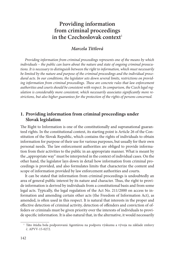# **Providing information from criminal proceedings**  in the Czechoslovak context<sup>1</sup>

# *Marcela Tittlová*

*Providing information from criminal proceedings represents one of the means by which individuals – the public can learn about the nature and state of ongoing criminal prosecutions. It is necessary to distinguish between the right to information, which must necessarily be limited by the nature and purpose of the criminal proceedings and the individual procedural acts. In our conditions, the legislator sets down several limits, restrictions on provid*ing information from criminal proceedings. These are concrete rules that law enforcement *authorities and courts should be consistent with respect. In comparison, the Czech legal reg*ulation is considerably more consistent, which necessarily associates significantly more re*strictions, but also higher guarantees for the protection of the rights of persons concerned.*

# **1. Providing information from criminal proceedings under Slovak legislation**

The Right to Information is one of the constitutionally and supranational guaranteed rights. In the constitutional context, its starting point is Article 26 of the Constitution of the Slovak Republic, which contains the rights of individuals to obtain information for purpose of their use for various purposes, but usually for their own personal needs. The law enforcement authorities are obliged to provide information from their activities to the public in an appropriate manner. What is meant by the "appropriate way" must be interpreted in the context of individual cases. On the other hand, the legislator lays down in detail how information from criminal proceedings is provided, and also formulates limits that characterize the content and scope of information provided by law enforcement authorities and courts.

It can be stated that information from criminal proceedings is undoubtedly an area of general public interest by its nature and character. Thus, the right to provide information is derived by individuals from a constitutional basis and from some legal acts. Typically, the legal regulation of the Act No. 211/2000 on access to information and amending certain other acts (the Freedom of Information Act), as amended, is often used in this respect. It is natural that interests in the proper and effective detection of criminal activity, detection of offenders and conviction of offeders or criminals must be given priority over the interests of individuals to provide specific information. It is also natural that, in the alternative, it would necessarily

 <sup>1</sup> Táto štúdia bola podporovaná Agentúrou na podporu výskumu a vývoja na základe zmluvy č. APVV-15-0272.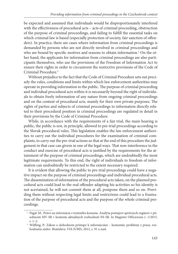be expected and assumed that individuals would be disproportionately interfered with the effectiveness of procedural acts – acts of criminal proceeding, obstruction of the purpose of criminal proceedings, and failing to fulfill the essential tasks on which criminal law is based (especially protection of society, fair sanction of offenders). In practice, there are cases where information from criminal proceedings is demanded by persons who are not directly involved in criminal proceedings and who are bound by specific motives and reasons to obtain information.<sup>2</sup> On the other hand, the applicants for information from criminal proceedings are also participants themselves, who use the provisions of the Freedom of Information Act to ensure their rights in order to circumvent the restrictive provisions of the Code of Criminal Procedure.3

Without prejudice to the fact that the Code of Criminal Procedure sets out precisely the rules, conditions and limits within which law enforcement authorities may operate in providing information to the public. The purpose of criminal proceeding and individual procedural acts within it is necessarily beyond the right of individuals to obtain freely information of any nature from ongoing criminal proceedings and on the content of procedural acts, mainly for their own private purposes. The rights of parties and subjects of criminal proceedings to information directly related to their procedural position in criminal proceedings are regulated in detail in their provisions by the Code of Criminal Procedure.

While, in accordance with the requirements of a fair trial, the main hearing is public, the public is not, in principle, allowed to pre-trial proceedings according to the Slovak procedural rules. This legislation enables the law enforcement authorities to carry out the individual procedures for the examination of criminal complaints, to carry out the pre-trial actions so that at the end of this procedure the judgement in that case can givem in one of the legal ways. That non-interference in the conduct and exercise of procedural acts is justified by the requirements for the attainment of the purpose of criminal proceedings, which are undoubtedly the most legitimate requirements. To this end, the right of individuals to freedom of information can undoubtedly be restricted to the extent necessary required.

It is evident that allowing the public to pre-trial proceedings could have a negative impact on the purpose of criminal proceedings and individual procedural acts. The dissemination of information of the procedural acts taken, on the planned procedural acts could lead to the real offender adapting his activities so his identity is not acertained, he will not commit them at all, postpone them and so on. Providing them without respecting legal limits and restrictions could lead to a frustration of the purpose of procedural acts and the purpose of the whole criminal proceedings.

 <sup>2</sup> Pagáč M.: Právo na informácie z trestného konania. Analýza postupov správnych orgánov v pôsobnosti MV SR v kontexte aktuálnych rozhodnutí NS SR. In Magister Officiorum č. 1/2015,

s. 1–2. 3 Wilfling, P.: Zákon o slobodnom prístupe k informáciám – komentár, problémy z praxe, rozhodnutia súdov. Bratislava: VIA JURIS, 2012, s. 91 a nasl.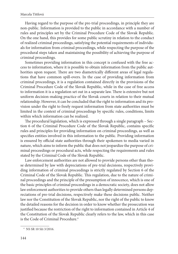Having regard to the purpose of the pre-trial proceedings, in principle they are non-public. Information is provided to the public in accordance with a number of rules and principles set by the Criminal Procedure Code of the Slovak Republic. On the one hand, this provides for some public scrutiny in relation to the conduct of realized criminal proceedings, satisfying the potential requirements of individuals for information from criminal proceedings, while respecting the purpose of the procedural steps taken and maintaining the possibility of achieving the purpose of criminal proceedings.

Sometimes providing information in this concept is confused with the free access to information, where it is possible to obtain information from the public authorities upon request. There are two diametrically different areas of legal regulations that have common spill-overs. In the case of providing information from criminal proceedings, it is a regulation contained directly in the provisions of the Criminal Procedure Code of the Slovak Republic, while in the case of free access to information it is a regulation set out in a separate law. There is extensive but not uniform decision-making practice of the Slovak courts in relation to their mutual relationship. However, it can be concluded that the right to information and its provision under the right to freely request information from state authorities must be limited in the context of criminal proceedings by specific rules, conditions, limits within which information can be realized.

The procedural legislation, which is expressed through a single paragraph – Section 6 of the Criminal Procedure Code of the Slovak Republic, contains specific rules and principles for providing information on criminal proceedings, as well as specifies entities involved in this information to the public. Providing information is ensured by official state authorities through their spokemen to media varied in nature, which aims to inform the public that does not jeopardize the purpose of criminal proceedings or procedural acts, while respecting the requirements and rules stated by the Criminal Code of the Slovak Republic.

Law enforcement authorities are not allowed to provide persons other than those determined by law with depreciations of pre-trial decisions, respectively providing information of criminal proceedings is strictly regulated by Section 6 of the Criminal Code of the Slovak Republic. This regulation, due to the nature of criminal proceedings and the principle of the presumption of innocence, which is one of the basic principles of criminal proceedings in a democratic society, does not allow law enforcement authorities to provide others than legally determined persons depreciations of pre-trial decisions, respectively make these decisions public. Neither law nor the Constitution of the Slovak Republic, nor the right of the public to know the detailed reasons for the decision in order to know whether the prosecution was justified because the restriction of the right to information contained in Article 4 of the Constitution of the Slovak Republic clearly refers to the law, which in this case is the Code of Criminal Procedure.<sup>4</sup>

 <sup>4</sup> NS SR 10 Sži 3/2016.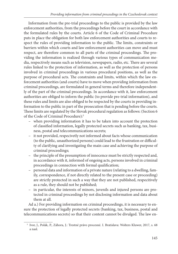Information from the pre-trial proceedings to the public is provided by the law enforcement authorities, from the proceedings before the court in accordance with the formulated rules by the courts. Article 6 of the Code of Criminal Procedure puts in place the obligation for both law enforcement authorities and courts to respect the rules of providing information to the public. The limits, constraints or barriers within which courts and law enforcement authorities can move and must respect, are therefore common to all parts of the criminal proceedings. The providing the information is realized through various types of communication media, respectively means such as television, newspapers, radio, etc. There are several rules linked to the protection of information, as well as the protection of persons involved in criminal proceedings in various procedural positions, as well as the purpose of procedural acts. The constraints and limits, within which the law enforcement authorities (and courts) have to move when providing information from criminal proceedings, are formulated in general terms and therefore independently of the part of the criminal proceedings. In accordance with it, law enforcement authorities are obliged to inform the public (to provide pre-trial information), and these rules and limits are also obliged to be respected by the courts in providing information to the public in part of the prosecution that is pending before the courts. These limits are regulated by the Slovak procedural regulation as follows: (Section 6 of the Code of Criminal Procedure):5

- when providing information it has to be taken into account the protection of classified information, legally protected secrets such as banking, tax, business, postal and telecommunications secrets;
- it not provided, respecivetly not informed about facts whose communication (to the public, unauthorized persons) could lead to the frustration or difficulty of clarifying and investigating the main case and achieving the purpose of criminal proceedings;
- the principle of the presumption of innocence must be strictly respected and, in accordance with it, informed of ongoing acts, persons involved in criminal proceedings in connection with formal qualification;
- personal data and information of a private nature (relating to a dwelling, family, correspondence, if not directly related to the present case or proceeding) are strictly protected in such a way that they are not published, respecitively as a rule, they should not be published;
- in particular, the interests of minors, juvenils and injured persons are protected in criminal proceedings by not disclosing information and data about them at all.

Ad a.) For providing information on criminal proceedings, it is necessary to ensure the protection of legally protected secrets (banking, tax, business, postal and telecommunications secrets) so that their content cannot be divulged. The law en-

 <sup>5</sup> Ivor, J., Polák, P., Záhora, J.: Trestné právo procesné. I. Bratislava: Wolters Kluwer, 2017, s. 68 a nasl.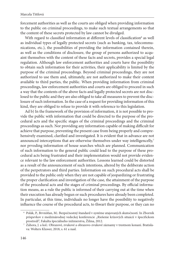forcement authorities as well as the courts are obliged when providing information to the public on criminal proceedings, to make such textual arrangements so that the content of these secrets protected by law cannot be divulged.

With regard to classified information at different levels of classification<sup>6</sup> as well as individual types of legally protected secrets (such as banking, tax, telecommunications, etc.), the possibilities of providing the information contained therein, as well as the conditions of disclosure, the group of persons authorized to acquaint themselves with the content of these facts and secrets, provides a special legal regulation. Although law enforcement authorities and courts have the possibility to obtain such information for their activities, their applicability is limited by the purpose of the criminal proceedings. Beyond criminal proceedings, they are not authorized to use them and, ultimately, are not authorized to make their content available to third parties, the public. When providing information from criminal proceedings, law enforcement authorities and courts are obliged to proceed in such a way that the contents of the above facts and legally protected secrets are not disclosed to the public and they are also obliged to take all measures to prevent the disclosure of such information. In the case of a request for providing information of this kind, they are obliged to refuse to provide it with reference to this legislation.

Ad b) In the framework of the provision of information, it is not possible to provide the public with information that could be directed to the purpose of the procedural acts and the specific stages of the criminal proceedings and the criminal proceedings as such. Nor providing any information capable of making difficult for achieve that purpose, preventing the present case from being properly and comprehensively examined, clarified and investigated. It is evident that in advance are not announced interceptions that are otherwise themselves under way intelligencelly,<sup>7</sup> nor prvoding information of house searches which are planned. Communication of such information to the general public could lead to the purpose of these procedural acts being frustrated and their implementation would not provide evidence relevant to the law enforcement authorities. Lessons learned could be distorted as a result of the announcement of such intentions, altered by the deliberate action of the perpetrators and third parties. Information on such procedural acts shall be provided to the public only when they are not capable of jeopardizing or frustrating the proper clarification and investigation of the case, the attainment of the purpose of the procedural acts and the stages of criminal proceedings. By official information means, as a rule the public is informed of their carrying out at the time when their execution has already begun or such procedures have already been completed. In particular, at this time, individuals no longer have the possibility to negatively influence the course of the procedural acts, to thwart their purpose, or they can no

 <sup>6</sup> Polák, P., Brvnišťan, M.: Bezpečnostný štandard v systéme utajovaných skutočností. In Zborník príspevkov z medzinárodnej vedeckej konferencie ,,Riešenie krízových situácií v špecifickom

prostredí", Fakulta špeciálneho inžinierstva, Žilina, 2012. <br/> 7 Záhora, J. a kol.: Obrazové, zvukové a obrazovo-zvukové záznamy v trestnom konaní. Bratisla-<br/>  $^7\,$  Záhora, J. a kol.: Obrazové, zvukové a obrazovova: Wolters Kluwer, 2018, s. 61 a nasl.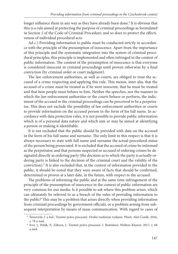longer influence them in any way as they have already been done.<sup>8</sup> It is obvious that this is a rule aimed at protecting the purpose of criminal proceedings as formulated in Section 1 of the Code of Criminal Procedure, and so does to protect the effectiveness of individual procedural acts.

Ad c.) Providing information to public must be conducted strictly in accordance with the principle of the presumption of innocence. Apart from the importance of this principle and the systematic integration into the system of criminal procedural principles, this principle is implemented and often infringed in the context of public information. The content of the presumption of innocence is that everyone is considered innocent in criminal proceedings until proven otherwise by a final conviction (by criminal order or court judgment).

The law enforcement authorities, as well as courts, are obliged to treat the accused of a crime respecting and applying this rule. This means, inter alia, that the accused of a crime must be treated as if he were innocent, that he must be treated and that how people must behave to him. Neither the speeches, nor the manner in which the law enforcement authorities or the courts behave or perform, the indictment of the accused in the criminal proceedings can be perceived to be a perpetrator. This does not exclude the possibility of law enforcement authorities or courts to provide information on the accused person in the form of his full name. In accordance with data protection rules, it is not possible to provide public information which is of a personal data nature and which aim or may be aimed at identifying a person or making it identifiable.

It is not excluded that the public should be provided with data on the accused in the form of his full name and surname. The only limit in this respect is that it is always necessary to state with full name and surname the actual procedural status of the person being prosecuted. It is excluded that the accused of crime be informed as the perpetrator, and that persons suspected or accused of ordering crimes be designated directly as ordering party (the decision as to which the party is actually ordering party is linked to the decision of the criminal court and the validity of the conviction).9 It is also excluded that, in the context of information provided to the public, it should be noted that they were aware of facts that should be confirmed, determined or proven at a later date, in the future, with respect to the accused.

The problems of informing the public and at the same time infringement of the principle of the presumption of innocence in the context of public information are very common for our media. Is it possible to ask where this problem arises, which can ultimately be referred to as a breach of the rules of providing information to the public? This may be a problem that arises directly when providing information from criminal proceedings by government officials, or a problem arising from subsequent interpretation by means of mass communication. With regard to cases of

 <sup>8</sup> Šimovček, I. a kol.: Trestné právo procesné. Druhé rozšírené vydanie. Plzeň: Aleš Čeněk, 2016,

s. 78 a nasl.<br>9 Ivor, J., Polák, P., Záhora, J.: Trestné právo procesné. I. Bratislava: Wolters Kluwer, 2017, s. 68 a nasl.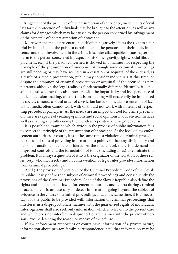infringement of the principle of the presumption of innocence, instruments of civil law for the protection of individuals may be brought to the attention, as well as any claims for damages which may be caused to the person concerned by infringement of the principle of the presumption of innocence.

Moreover, the media presentation itself often negatively affects the right to a fair trial by imposing on the public a certain idea of the persons and their guilt, innocence, and their involvement in the crime. It is, inter alia, capable of causing serious harm to the person concerned in respect of his or her gravity, rights, social life, employment, etc., if the person concerned is showed in a manner not respecting the principle of the presumption of innocence. Although some criminal proceedings are still pending or may have resulted in a cessation or acquittal of the accused, as a result of a media presentation, public may consider individuals at this time, or despite the cessation of criminal prosecution or acquittal of the accused, as perpetrators, although the legal reality is fundamentally different. Naturally, it is possible to ask whether they also interfere with the impartiality and independence of judicial decision-making, as court decision-making will necessarily be influenced by society's mood, a social order of conviction based on media presentation of facts that media often cannot work with or should not work with in terms of respecting procedural principles. As the media are an important tool for crime prevention, they are capable of creating opinions and social opinions in our environment as well as shaping and influencing them both in a positive and negative sense.

It is possible to examine which article in the process of public information fails to respect the principle of the presumption of innocence. At the level of law enforcement authorities or courts, it is at the same time a violation of criminal procedural rules and rules of providing information to public, so that any disciplinary and personal sanctions may be considered. At the media level, there is a demand for improved controls and the formulation of tools (including fines) to eliminate this problem. It is always a question of who is the originator of the violation of these rules, resp. who incorrectly and in contravention of legal rules provides information from criminal proceedings.

Ad d.) The provision of Section 1 of the Criminal Procedure Code of the Slovak Republic clearly defines the subject of criminal proceedings and consequently the provisions of the Criminal Procedure Code of the Slovak Republic also define the rights and obligations of law enforcement authorities and courts during criminal proceedings. It is unnecessary to detect information going beyond the subject of evidence in the course of criminal proceedings and, at the same time, it is unnecessary for the public to be provided with information on criminal proceedings that interferes in a disproportionate manner with the guaranteed rights of individuals. Interrogations shall also seek only information which is relevant to the present case and which does not interfere in disproportionate manner with the privacy of persons, except detecting the reason or motive of the offense.

If law enforcement authorities or courts have information of a private nature, information about privacy, family, correspondence, etc., that information may be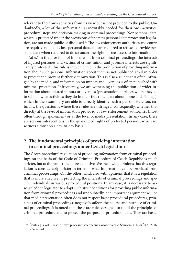relevant to their own activities from its view but is not provided to the public. Undoubtedly, a lot of this information is inevitably needed for their own activities, procedural steps and decision-making in criminal proceedings. Nor personal data, which is protected under the provisions of the new personal data protection legislation, are not made public or disclosed.<sup>10</sup> The law enforcement authorities and courts are required not to disclose personal data, and are required to refuse to provide personal data when required to do so under the right of free access to information.

Ad e.) In the provision of information from criminal proceedings, the interests of injured persones and victims of crime, minor and juvenile interests are signifi cantly protected. This rule is implemented in the prohibition of providing information about such persons. Information about them is not published at all in order to protect and prevent further victimization. This is also a rule that is often infringed by the media, and information on minors and juveniles is often published with minimal protection. Infrequently, we are witnessing the publication of wider information about injured minors or juveniles (presentation of places where they go to school, what activities they do in their free time, data about home and siblings), which in their summary are able to directly identify such a person. Here too, naturally, the question is where these rules are infringed, consequently, whether that directly at the level of information provided by law enforcement authorities (most often through spokemen) or at the level of media presentation. In any case, these are serious interventions in the guaranteed rights of protected persons, which we witness almost on a day-to-day basis.

# 2. The fundamental principles of providing information **in criminal proceedings under Czech legislation**

The Czech procedural regulation of providing information from criminal proceedings on the basis of the Code of Criminal Procedure of Czech Republic is much stricter, but at the same time more extensive. We meet with opinions that this regulation is considerably stricter in terms of what information can be provided from criminal proceedings. On the other hand, also with opinions that it is a regulation that is more effective in protecting the interests of criminal proceedings and specific individuals in various procedural positions. In any case, it is necessary to ask what led the legislator to adopt such strict conditions for providing public information from criminal proceedings and undoubtedly, one important argument will be that media presentation often does not respect basic procedural procedures, principles of criminal proceedings, negatively affects the course and purpose of criminal proceedings. It is noted that these are rules designed to fulfill the principles of criminal procedure and to protect the purpose of procedural acts. They are based

<sup>&</sup>lt;sup>10</sup> Čentéš, J. a kol.: Trestné právo procesné. Všeobecná a osobitná časť. Šamorín: HEURÉKA, 2016, s. 57 a nasl.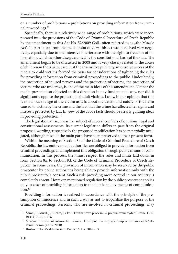on a number of prohibitions – prohibitions on providing information from criminal proceedings.<sup>11</sup>

Specifically, there is a relatively wide range of prohibitions, which were incorporated into the provisions of the Code of Criminal Procedure of Czech Republic by the amendment to this Act No. 52/2009 Coll., often referred to as "the Muzzle Act". In particular, from the media point of view, this act was perceived very negatively, especially due to the intensive interference with the right to freedom of information, which is otherwise guaranted by the constitutional basis of the state. The amendment began to be discussed in 2008 and is very closely related to the abuse of children in the Kuřim case. Just the insensitive publicity, insensitive access of the media to child victims formed the basis for considerations of tightening the rules for providing information from criminal proceedings to the public. Undoubtedly, the protection of injured persons and the protection of victims, the protection of victims who are underage, is one of the main ideas of this amendment. Neither the media presentation objected to this direction in any fundamental way, nor did it significantly oppose the protection of adult victims. Lastly, in our opinion that this is not about the age of the victim as it is about the extent and nature of the harm caused to victim by the crime and the fact that the crime has affected her rights and interests protected by law. In view of the above facts should be clearly guiding ideas in providing protection.12

The legislation at issue was the subject of several conflicts of opinions, legal and constitutional assessments. Its current legislation differs in part from the original proposed wording, respectively the proposed modification has been partially mitigated, although most of the main parts have been preserved to their present form.

Within the meaning of Section 8a of the Code of Criminal Procedure of Czech Republic, the law enforcement authorities are obliged to provide information from criminal proceedings and implement this obligation through public means of communication. In this process, they must respect the rules and limits laid down in from Section 8a. to Section 8d. of the Code of Criminal Procedure of Czech Republic. In some cases, the provision of information may be reserved by the public prosecutor by police authorities being able to provide information only with the public prosecutor's consent. Such a rule providing more control in our country is completely absent. However, mentioned regulation by the public prosecutor applies only to cases of providing information to the public and by means of communication $13$ 

Providing information is realized in accordance with the principle of the presumption of innocence and in such a way as not to jeopardize the purpose of the criminal proceedings. Persons, who are involved in criminal proceedings, may

<sup>11</sup> Šámal, P., Musil, J., Kuchta, J. a kol.: Trestní právo procesní. 4. přepracované vydání. Praha: C. H. [BECK, 2013, s. 126.](http://vezenipronovinare.cz/CZ/jak-vznikl-zakon)<br><sup>12</sup> [Stručná historie náhubkového zákona. Dostupné na http://vezenipronovinare.cz/CZ/jak-](http://vezenipronovinare.cz/CZ/jak-vznikl-zakon)

vznikl-zakon (z 17.2.2020). 13 Rozhodnutie Mestského súdu Praha 8A 117/2016 - 39.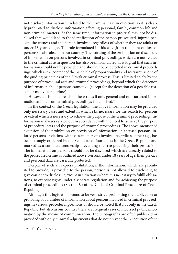not disclose information unrelated to the criminal case in question, so it is clearly prohibited to disclose information affecting personal, family, common life and non-criminal matters. At the same time, information in pre-trial may not be disclosed that would lead to the identification of the person prosecuted, injured person, the witness and the person involved, regardless of whether they are adults or under 18 years of age. The rule formulated in this way (from the point of class of persons) is also absent in our country. The wording of the prohibition on disclosure of information on persons involved in criminal proceedings which are not related to the criminal case in question has also been formulated. It is logical that such information should not be provided and should not be detected in criminal proceedings, which is the content of the principle of proportionality and restraint, as one of the guiding principles of the Slovak criminal process. This is limited solely by the purpose of procedural acts and criminal proceedings, beyond which the detection of information about persons cannot go (except for the detection of a possible reason or motive for a crime).

However, it is not a breach of these rules if only general and non-targeted information arising from criminal proceedings is published.14

In the context of the Czech legislation, the above information may be provided only necessary cases and extent in which i tis necessary for the search for persons or extent which is necessary to achieve the purpose of the criminal proceedings. Information is always carried out in accordance with the need to achieve the purpose of procedural acts and the purpose of criminal proceedings. The above-mentioned extension of the prohibition on provision of information on accused persons, injured persons or victims, witnesses and persons involved regardless of their age, has been strongly criticized by the Syndicate of Journalists in the Czech Republic and marked as a complete censorship preventing the free practising their profession. The information on persons should not be disclosed which are directly related to the prosecuted crime as outlined above. Persons under 18 years of age, their privacy and personal data are carefully protected.

Despite of such an express prohibition, if the information, which are prohibited to provide, is provided to the person, person is not allowed to disclose it, to give consent to disclose it, except in situations where it is necessary to fulfill obligations, to exercise rights under a separate regulation and for achieving the purpose of criminal proceedings (Section 8b of the Code of Criminal Procedure of Czech Republic).

Although this legislation seems to be very strict, prohibiting the publication or providing of a number of information about persons involved in criminal proceedings in various procedural positions, it should be noted that not only in the Czech Republic, but also in our country there are frequent cases of incorrect public information by the means of communication. The photographs are often published or provided with only minimal adjustments that do not prevent the recognition of the

 <sup>14</sup> I. ÚS ČR 1521/2012.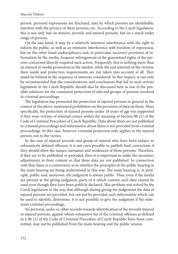person, personal expressions are disclosed, data by which persons are identifiable, interfere with the privacy of these persons, etc. According to the Czech legislation, this is not only ban on minors, juvenils and injured persons, but on a much wider range of persons.

On the one hand, it may be a relatively intensive interference with the right to inform the public, as well as an intensive interference with freedom of expression, but on the other hand undisciplinary and, in particular, incorrect provision of information by the media, frequent infringement of the guaranteed rights of the persons concerned directly required such action. Frequently, this is nothing more than an interest in media promotion in the market, while the real interests of the victims, their needs and protection requirements are not taken into account at all. They stand far behind in the sequence of interests considered. In this respect, it can only be recommended that the considerations and conclusions that led to such stricter legislation in the Czech Republic should also be discussed here as one of the possible solutions for the consistent protection of selected groups of persons involved in criminal proceedings.

The legislation has promoted the protection of injured persons in general in the context of the above-mentioned prohibition on the provision of data on them. More specifically, the protection of injured persons under 18 years of age was supported if they were victims of selected crimes within the meaning of Section 8b (2) of the Code of Criminal Procedure of Czech Republic. Data about them are not published in criminal proceedings and information about them is not provided from criminal proceedings. In this case, however, criminal protection only applies to the injured person, not to the victim.

In the case of injured juvenile and group of injured who have been subject to exhaustively defined offenses, it is not even possible to publish final convictions if they should show the names, surnames and residences of those persons. Therefore, if they are to be published or provided, then it is important to make the necessary adjustments to their content so that these data are not published. In connection with this, there is a controversy as to whether the principles of the public hearing in the main hearing are being undermined in this way. The main hearing is, in principle, public and, moreover, the judgment is always public. Thus, even if the media are present at the giving judgment, parts of it which contain such data cannot be used even though they have been publicly declared. This problem was solved by the Czech legislation in the way that although during giving the judgement the data of injured persons are provided, but can not be provided such information which can be used to identify, determine, it is not possible to give the judgment if the statement criminal proceedings.

No pictorial, audio or other records towards identification of the juvenile injured or injured persons, against whom exhaustive list of the criminal offenses as defined in § 8b (2) of the Code of Criminal Procedure of Czech Republic have been committed, may not be published from the main hearing and the public session.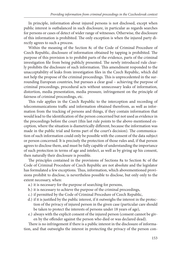In principle, information about injured persons is not disclosed, except when public interest is outbalanced in such disclosure, in particular as regards searches for persons or cases of detect of wider range of witnesses. Otherwise, the disclosure of this information is prohibited. The only exception is when the injured party directly agrees to such a process.

Within the meaning of the Section 8c of the Code of Criminal Procedure of Czech Republic, disclosure of information obtained by tapping is prohibited. The purpose of this provision is to prohibit parts of the evidence, parts of the criminal investigation file from being publicly presented. The newly introduced rule clearly prohibits the disclosure of such information. This amendment responded to the unacceptability of leaks from investigation files in the Czech Republic, which did not help the propose of the criminal proceedings. This is unprecedented in the surrounding European countries, but pursues a clear goal – achieving the purpose of criminal proceedings, procedural acts without unnecessary leaks of information, distortion, media presentation, media pressure, infringement on the principle of fairness of criminal proceedings, etc.

This rule applies in the Czech Republic to the interception and recording of telecommunications traffic and information obtained therefrom, as well as information from the tracking of persons and things, if they contain information that would lead to the identification of the person concerned but not used as evidence in the proceedings before the court (this last rule points to the above-mentioned exception, where the situation is diametrically different, because the information was made in the public trial and forms part of the court's decision). The communication of such information could only be possible with the consent of the data subject or person concerned. It is precisely the protection of those rules and, if that person agrees to disclose them, and must be fully capable of understanding the importance of such protection in terms of age and intelect, as well as by giving up his consent, then naturally their disclosure is possible.

The principles contained in the provisions of Sections 8a to Section 8c of the Code of Criminal Procedure of Czech Republic are not absolute and the legislator has formulated a few exceptions. Thus, information, which abovementioned provisions prohibit to disclose, is nevertheless possible to disclose, but only only to the extent necessary, when:

- a.) it is necessary for the purpose of searching for persons,
- b.) it is necessary to achieve the purpose of the criminal proceedings,
- c.) if permitted by the Code of Criminal Procedure of Czech Republic,
- d.) if it is justified by the public interest, if it outweighs the interest in the protection of the privacy of injured person in the given case (particular care should be taken to protect the interests of persons under 18 years of age),
- e.) always with the explicit consent of the injured person (consent cannot be given by the offender against the person who died or was declared dead).

There is no infringement if there is a public interest in the disclosure of information, and that outweighs the interest in protecting the privacy of the person con-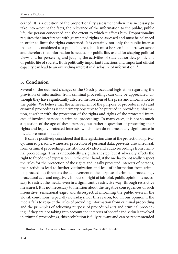cerned. It is a question of the proportionality assessment when it is necessary to take into account the facts, the relevance of the information to the public, public life, the person concerned and the extent to which it affects him. Proportionality requires that interference with guaranteed rights be assessed and must be balanced in order to limit the rights concerned. It is certainly not only the public interest that can be considered as a public interest, but it must be seen in a narrower sense and therefore that information is needed for public life, useful for shaping political views and for perceiving and judging the activities of state authorities, politicians or public life of society. Both politically important functions and important official capacity can lead to an overriding interest in disclosure of information.15

## **3. Conclusion**

Several of the outlined changes of the Czech procedural legislation regarding the provision of information from criminal proceedings can only be appreciated, although they have significantly affected the freedom of the press and information to the public. We believe that the achievement of the purpose of procedural acts and criminal proceedings is the primary objective to be pursued in providing information, together with the protection of the rights and rights of the protected interests of involved persons in criminal proceedings. In many cases, it is not so much a question of the age of these persons, but rather a question of protecting their rights and legally protected interests, which often do not mean any significance in media presentation at all.

It can be positively considered that this legislation aims at the protection of privacy, injured persons, witnesses, protection of personal data, prevents unwanted leak from criminal proceedings, distribution of video and audio recordings from criminal proceedings. This is undoubtedly a significant step, but it adversely affects the right to freedom of expression. On the other hand, if the media do not really respect the rules for the protection of the rights and legally protected interests of persons, their activities lead to further victimization and leak of information from criminal proceedings threatens the achievement of the purpose of criminal proceedings, procedural acts and negatively impact on right of fair trial, public opinion, is necessary to restrict the media, even in a significantly restrictive way (through restrictive measures). It is not necessary to mention about the negative consequences of such insensitive, sensational eager and disrespectful informing the public even in the Slovak conditions, especially nowadays. For this reason, too, in our opinion if the media fails to respect the rules of providing information from criminal proceeding and the principles of achieving purpose of procedural acts and criminal proceeding, if they are not taking into account the interests of specific individuals involved in criminal proceedings, this prohibition is fully relevant and can be recommended

 <sup>15</sup> Rozhodnutie Úradu na ochranu osobních údajov 2As 304/2017 - 42.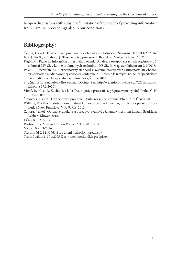to open discussions with subject of limitation of the scope of providing information from criminal proceedings also in our conditions.

# **Bibliography:**

Čentéš, J. a kol.: Trestné právo procesné. Všeobecná a osobitná časť. Šamorín: HEURÉKA, 2016. Ivor, J., Polák, P., Záhora, J.: Trestné právo procesné. I. Bratislava: Wolters Kluwer, 2017.

- Pagáč, M.: Právo na informácie z trestného konania. Analýza postupov správnych orgánov v pôsobnosti MV SR v kontexte aktuálnych rozhodnutí NS SR. In Magister Officiorum č. 1/2015.
- Polák, P., Brvnišťan, M.: Bezpečnostný štandard v systéme utajovaných skutočností. In Zborník príspevkov z medzinárodnej vedeckej konferencie "Riešenie krízových situácií v špecifickom prostředí", Fakulta špeciálneho inžinierstva, Žilina, 2012.
- Str[učná historie náhubkového zákona. Dostupné na http://vezenipronovinare.cz/CZ/jak-vznikl](http://vezenipronovinare.cz/CZ/jak-vznikl-zakon)zakon (z 17.2.2020).

Šámal, P., Musil, J., Kuchta, J. a kol.: Trestní právo procesní. 4. přepracované vydání, Praha: C. H. BECK, 2013.

Šimovček, I. a kol.: Trestné právo procesné. Druhé rozšírené vydanie. Plzeň: Aleš Čeněk, 2016.

Wilfling, P.: Zákon o slobodnom prístupe k informáciám – komentár, problémy z praxe, rozhodnutia súdov. Bratislava: VIA JURIS, 2012.

Záhora, J. a kol.: Obrazové, zvukové a obrazovo-zvukové záznamy v trestnom konaní. Bratislava: Wolters Kluwer, 2018.

I.ÚS ČR 1521/2012.

Rozhodnutie Mestského súdu Praha 8A 117/2016 – 39.

NS SR 10 Sži 3/2016.

Trestní řád č. 141/1961 Zb. v znení neskorších predpisov.

Trestný zákon č. 301/2005 Z. z. v znení neskorších predpisov.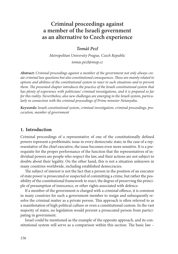# **Criminal proceedings against a member of the Israeli government as an alternative to Czech experience**

*Tomáš Pezl*

*Metropolitan University Prague, Czech Republic*

*tomas.pezl@mup.cz* 

*Abstract: Criminal proceedings against a member of the government not only always create criminal law questions but also constitutional consequences. Th ese are mainly related to options and abilities of the constitutional system to react to such situations and to prevent them. The presented chapter introduces the practice of the Israeli constitutional system that has plenty of experience with politicians' criminal investigations, and it is prepared so far for this reality. Nevertheless, also new challenges are emerging in the Israeli system, particularly in connection with the criminal proceedings of Prime minister Netanyahu.*

*Keywords: Israeli constitutional system, criminal investigation, criminal proceedings, procecution, member of government*

# **1. Introduction**

Criminal proceedings of a representative of one of the constitutionally defined powers represent a problematic issue in every democratic state; in the case of a representative of the chief executive, the issue becomes even more sensitive. It is a prerequisite for the proper performance of the function that the representatives of individual powers are people who respect the law, and their actions are not subject to doubts about their legality. On the other hand, this is not a situation unknown in many countries worldwide, including established democracies.

The subject of interest is not the fact that a person in the position of an executor of state power is prosecuted or suspected of committing a crime, but rather the possibility of the constitutional framework to react, the degree of preserving the principle of presumption of innocence, or other rights associated with defence.

If a member of the government is charged with a criminal offence, it is common in many countries for such a government member to resign and subsequently resolve the criminal matter as a private person. This approach is often referred to as a manifestation of high political culture or even a constitutional custom. In the vast majority of states, no legislation would prevent a prosecuted person from participating in government.

Israel could be mentioned as the example of the opposite approach, and its constitutional system will serve as a comparison within this section. The basic law  $-$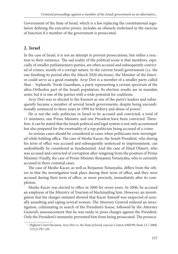Government of the State of Israel, which is a law replacing the constitutional regulation defining the executive power, includes an obstacle enshrined in the exercise of function if a member of the government is prosecuted.

# **2. Israel**

In the case of Israel, it is not an attempt to prevent prosecutions, but rather a reaction to their existence. The sad reality of the political scene is that members, especially of smaller parliamentary parties, are often accused and subsequently convicted of crimes, mostly of a corrupt nature. In the current Israeli government (i.e. the one finishing its period after the March 2020 elections), the Minister of the Interior could serve as a good example. Arye Deri is a member of a smaller party called Shas – Sephardic Torah Guardians, a party representing a certain spectrum of the ultra-Orthodox part of the Israeli population. Its election results are in mandate units, but it is one of the parties with a wide potential for coalitions.

Arye Deri was re-elected to the Knesset as one of the party's leaders and subsequently became a member of several Israeli governments, despite being unconditionally sentenced to three years in 1999 for bribery and abuse of power.<sup>1</sup>

He is not the only politician in Israel to be accused and convicted; a total of 11 ministers, one Prime Minister, and one President have been convicted. Therefore, it can be stated that the Israeli political and legal system is not only accustomed but also prepared for the eventuality of a top politician being accused of a crime.

As serious cases should be considered as cases when politicians were investigated while holding office. The case of Moshe Kacav, the Israeli President, who during his term of office was accused and subsequently sentenced to imprisonment, can undoubtedly be considered as fundamental. And the case of Ehud Olmert, who was accused and convicted of corruption after resigning from the position of Prime Minister. Finally, the case of Prime Minister Benjamin Netanyahu, who is currently accused in three criminal cases.

The case of Moshe Kacav, as well as Benjamin Netanyahu, differs from the others in that the investigation took place during their term of office, and they were accused during their term of office, or more precisely, immediately after its completion.

Moshe Kacav was elected to office in 2000 for seven years. In 2006, he accused an employee of the Ministry of Tourism of blackmailing him. However, an investigation that his charges initiated showed that Kacav himself was suspected of sexually assaulting and raping several women. The Attorney General ordered an investigation, culminating in search of the President's house, followed by the Attorney General's announcement that he was ready to press charges against the President. Only the President's immunity prevented him from being prosecuted. The prosecu-

 <sup>1</sup> Highest Court Decision, *Arye Deri vs. the State of Israel,* case no. CrimA 4360/99, from 12.7.2000, 721(2) PD 120.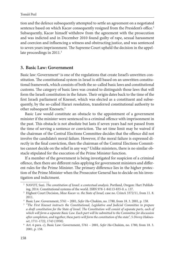tion and the defence subsequently attempted to settle an agreement on a negotiated sentence based on which Kacav consequently resigned from the President's office.<sup>2</sup> Subsequently, Kacav himself withdrew from the agreement with the prosecution and was indicted and in December 2010 found guilty of rape, sexual harassment and coercion and influencing a witness and obstructing justice, and was sentenced to seven years imprisonment. The Supreme Court upheld the decision in the appellate proceedings in 2011.<sup>3</sup>

#### **3. Basic Law: Government**

Basic law: Government<sup>4</sup> is one of the regulations that create Israel's unwritten constitution. The constitutional system in Israel is still based on an unwritten constitutional framework, which consists of both the so-called basic laws and constitutional customs. The category of basic laws was created to distinguish those laws that will form the Israeli constitution in the future. Their origin dates back to the time of the first Israeli parliament of Knesset, which was elected as a constituent and subsequently, by the so-called Harari resolution, transferred constitutional authority to other subsequent Knessets.5

Basic Law would constitute an obstacle to the appointment of a government minister if the minister were sentenced to a criminal offence with imprisonment in the past. This obstacle is not absolute but lasts if seven years had not passed from the time of serving a sentence or conviction. The set time limit may be waived if the chairman of the Central Elections Committee decides that the offence did not involve the candidate's moral failure. However, if the moral failure is expressed directly in the final conviction, then the chairman of the Central Elections Committee cannot decide on the relief in any way.<sup>6</sup> Unlike ministers, there is no similar obstacle stipulated for the execution of the Prime Minister function.

If a member of the government is being investigated for suspicion of a criminal offence, then there are different rules applying for government ministers and different rules for the Prime Minister. The primary difference lies in the higher protection of the Prime Minister when the Prosecutor General has to decide on his investigation and indictment.

 <sup>2</sup> NAVOT, Suzi. *The constitution of Israel: a contextual analysis*. Portland, Oregon: Hart Publishing, 2014. Constitutional systems of the world. ISBN 978-1-84113-835-0. s. 137. 3 Highest Court Decision, *Mose Kacav vs. the State of Israel,* case no. CrimA 3372/11, from 11. 8.

<sup>2011. 4</sup> Basic Law: Government, 5761 – 2001, *Sefer Ha-*Chukim, no. 1780, from 18. 3. 2001, p. 158.

<sup>5</sup> *"The First Knesset instructs the Constitutional, Legislative and Judicial Committee to prepare a draft constitution for the State of Israel. The Constitution will consist of separate parts, each of which will form a separate Basic Law. Each part will be submitted to the Committee for discussion*  after completion, and together, these parts will form the constitution of the state", 5 Divrey Haknes-

*set*, 1711-1722, 1743 (1950). 6 Art. 6 para. c), Basic Law: Government, 5761 – 2001, *Sefer Ha-*Chukim, no. 1780, from 18. 3. 2001, p. 158.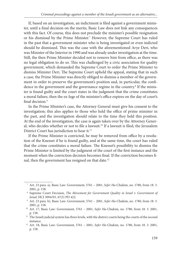If, based on an investigation, an indictment is filed against a government minister, until a final decision on the merits, Basic Law does not link any consequences with this fact. Of course, this does not preclude the minister's possible resignation or his dismissal by the Prime Minister.<sup>7</sup> However, the Supreme Court has ruled in the past that a government minister who is being investigated or even indicted should be dismissed. This was the case with the aforementioned Arye Deri, who was Minister of the Interior in 1990 and was already under investigation at the time. Still, the then Prime Minister decided not to remove him from office, as there was no legal obligation to do so. This was challenged by a civic association for quality government, which demanded the Supreme Court to order the Prime Minister to dismiss Minister Deri. The Supreme Court upheld the appeal, stating that in such a case, the Prime Minister was directly obliged to dismiss a member of the government in order to preserve the government's position and, in particular, the confidence in the government and the governance regime in the country.<sup>8</sup> If the minister is found guilty and the court states in the judgment that the crime constitutes a moral failure, then the ex-lege of the minister's office expires on the day of court's final decision.<sup>9</sup>

In the Prime Minister's case, the Attorney General must give his consent to the investigation; this also applies to those who held the office of prime minister in the past, and the investigation should relate to the time they held this position. At the end of the investigation, the case is again taken over by the Attorney General, who decides whether or not to file a lawsuit.<sup>10</sup> If a lawsuit is filed, the Jerusalem District Court has jurisdiction to hear it.<sup>11</sup>

If the Prime Minister is convicted, he may be removed from office by a resolution of the Knesset if he is found guilty, and at the same time, the court has ruled that the crime constitutes a moral failure. The Knesset's possibility to dismiss the Prime Minister is limited by the judgment of the court of the first instance and the moment when the conviction decision becomes final. If the conviction becomes final, then the government has resigned on that date.<sup>12</sup>

 <sup>7</sup> Art. 23 para. a), Basic Law: Government, 5761 – 2001, *Sefer Ha-*Chukim, no. 1780, from 18. 3. 2001, p. 158. 8 Supreme Court Decision, *The Movement for Government Quality in Israel v. Government of* 

*Israel,* HCJ 3094/93, 47(5) PD 422. 9 Art. 23 para. b), Basic Law: Government, 5761 – 2001, *Sefer Ha-*Chukim, no. 1780, from 18. 3.

<sup>2001,</sup> p. 158. 10 Art. 17, Basic Law: Government, 5761 – 2001, *Sefer Ha-*Chukim, no. 1780, from 18. 3. 2001,

p. 158. 11 The Israeli judicial system has three levels, with the district courts being the courts of the second

instance. 12 Art. 18, Basic Law: Government, 5761 – 2001, *Sefer Ha-*Chukim, no. 1780, from 18. 3. 2001, p. 158.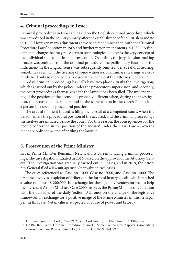## **4. Criminal proceedings in Israel**

Criminal proceedings in Israel are based on the English criminal procedure, which was introduced in the country shortly after the establishment of the British Mandate in 1922. However, many adjustments have been made since then, with the Criminal Procedure Laws' adoption in 1965 and further major amendments in 1982.<sup>13</sup> A fundamental change that may raise certain terminological doubts is the very concept of the individual stages of criminal prosecution. Over time, the jury decision-making process was omitted from the criminal procedure. The preliminary hearing of the indictment in the English sense was subsequently omitted, i.e. a real oral hearing, sometimes even with the hearing of some witnesses. Preliminary hearings are currently held only in more complex cases at the behest of the Attorney General.<sup>14</sup>

Today, criminal proceedings basically have two phases, firstly the investigation, which is carried out by the police under the prosecutor's supervision, and secondly, the court proceedings themselves after the lawsuit has been filed. The understanding of the position of the accused is probably different when, during the investigation, the accused is not understood in the same way as in the Czech Republic as a person in a specific procedural position.

The crucial moment indeed is filing the lawsuit at a competent court, when the person enters the procedural position of the accused, and the criminal proceedings themselves are initiated before the court. For this reason, the consequences for the people concerned in the position of the accused under the Basic Law – Government are only connected after filing the lawsuit.

## **5. Prosecution of the Prime Minister**

Israeli Prime Minister Benjamin Netanyahu is currently facing criminal proceedings. The investigation initiated in 2016 based on the approval of the Attorney General. The investigation was gradually carried out in 5 cases, and in 2019, the Attorney General filed a lawsuit against Netanyahu in two cases.

The cases referenced as Case no. 1000, Case no. 2000, and Case no. 4000. The first case involves suspicion of bribery in the form of luxury goods, which reached a value of almost \$ 200,000. In exchange for these goods, Netanyahu was to help the merchant Arnon Milchan. Case 2000 involves the Prime Minister's negotiation with the publisher of the daily Yedioth Achronot on the change of the legislative framework in exchange for a positive image of the Prime Minister in this newspaper. In this case, Netanyahu is suspected of abuse of power and bribery.

<sup>&</sup>lt;sup>13</sup> Criminal Procedure Code, 5742-1982, *Sefer Ha*-Chukim, no. 1043, from 1. 3. 1982, p. 43.<br><sup>14</sup> HARNON, Eliahu. Criminal Procedure in Israel – Some Comparative Aspects. *University of Pennsylvania Law Review*. 1967, **115** (7), 1091-1110. ISSN 0041-9907.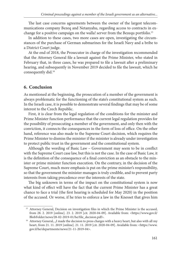The last case concerns agreements between the owner of the largest telecommunications company Bezeq and Netanyahu, regarding access to contracts in exchange for a positive campaign on the walla! server from the Bezequ portfolio.<sup>15</sup>

In addition to these cases, two more cases are open, investigating the circumstances of the purchase of German submarines for the Israeli Navy and a bribe to a District Court judge.

At the end of 2018, the Prosecutor in charge of the investigation recommended that the Attorney General file a lawsuit against the Prime Minister, who stated in February that, in three cases, he was prepared to file a lawsuit after a preliminary hearing, and subsequently in November 2019 decided to file the lawsuit, which he consequently did.16

## **6. Conclusion**

As mentioned at the beginning, the prosecution of a member of the government is always problematic for the functioning of the state's constitutional system as such. In the Israeli case, it is possible to demonstrate several findings that may be of some interest to the Czech Republic.

First, it is clear from the legal regulation of the conditions for the minister and Prime Minister function performance that the current legal regulation provides for the possibility of prosecuting a member of the government, and only then with the conviction, it connects the consequences in the form of loss of office. On the other hand, reference was also made to the Supreme Court decision, which requires the Prime Minister to dismiss the minister if the minister is already under investigation to protect public trust in the government and the constitutional system.

Although the wording of Basic Law - Government may seem to be in conflict with the Supreme Court case law, but this is not the case. In the case of Basic Law, it is the definition of the consequence of a final conviction as an obstacle to the minister or prime minister function execution. On the contrary, in the decision of the Supreme Court, much more emphasis is put on the prime minister's responsibility, so that the government the minister manages is truly credible, and to prevent party interests from taking precedence over the interests of the state.

The big unknown in terms of the impact on the constitutional system is now what kind of effect will have the fact that the current Prime Minister has a great chance to face a trial (the first hearing is scheduled for May 2020) in the position of the accused. Or worse, if he tries to enforce a law in the Knesset that gives him

<sup>&</sup>lt;sup>15</sup> Attorney General, Decision on investigation files in which the Prime Minister is the accused, from 28. 2. 2019 [online]. 23. 2. 2019 [cit. 2020-04-09]. Available from: <https://www.gov.il/ [BlobFolder/news/28-02-2019-01/he/file\\_decision.pdf>.](https://www.gov.il/BlobFolder/news/28-02-2019-01/he/file_decision.pdf)<br><sup>16</sup> Attorney General, "I made the decision to press charges with a heavy heart, but also with all my

[heart, from 21. 11. 2019 \[online\]. 21. 11. 2019 \[cit. 2020-04-09\]. Available from: <https://www.](https://www.gov.il/he/departments/news/21-11-2019-04) gov.il/he/departments/news/21-11-2019-04>.